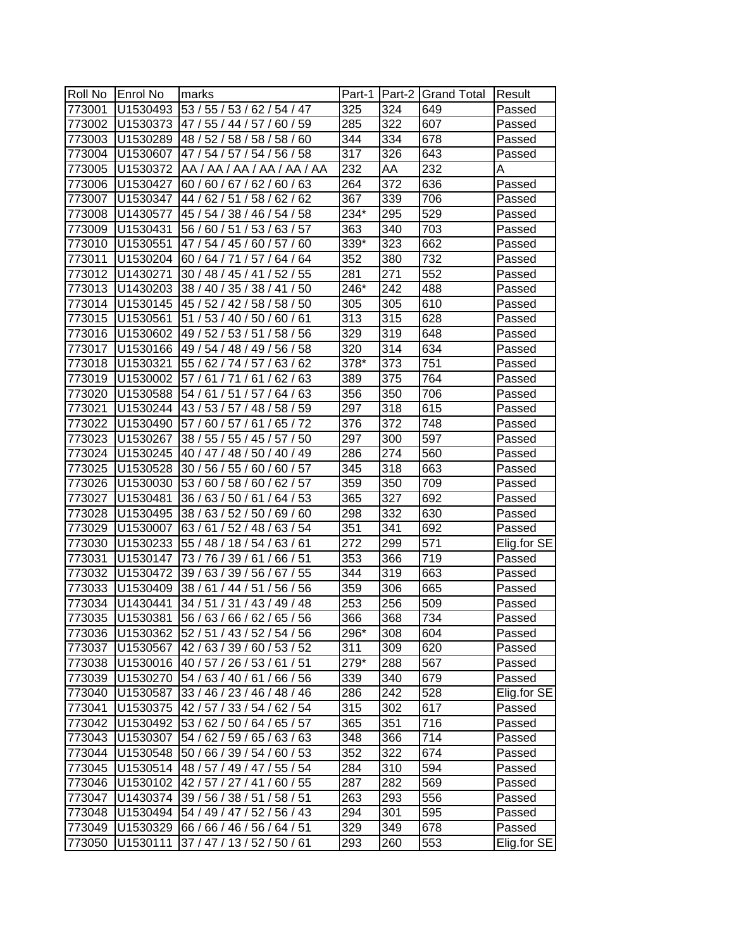| Roll No | <b>Enrol No</b> | marks                          | Part-1           |     | Part-2 Grand Total | Result      |
|---------|-----------------|--------------------------------|------------------|-----|--------------------|-------------|
| 773001  | U1530493        | 53 / 55 / 53 / 62 / 54 / 47    | 325              | 324 | 649                | Passed      |
| 773002  | U1530373        | 47 / 55 / 44 / 57 / 60 / 59    | 285              | 322 | 607                | Passed      |
| 773003  | U1530289        | 48 / 52 / 58 / 58 / 58 / 60    | 344              | 334 | 678                | Passed      |
| 773004  | U1530607        | 47 / 54 / 57 / 54 / 56 / 58    | 317              | 326 | 643                | Passed      |
| 773005  | U1530372        | AA / AA / AA / AA / AA / AA    | 232              | AA  | 232                | Α           |
| 773006  | U1530427        | 60 / 60 / 67 / 62 / 60 / 63    | 264              | 372 | 636                | Passed      |
| 773007  | U1530347        | 44 / 62 / 51 / 58 / 62 / 62    | 367              | 339 | 706                | Passed      |
| 773008  | U1430577        | 45 / 54 / 38 / 46 / 54 / 58    | 234*             | 295 | 529                | Passed      |
| 773009  | U1530431        | 56 / 60 / 51 / 53 / 63 / 57    | 363              | 340 | 703                | Passed      |
| 773010  | U1530551        | 47 / 54 / 45 / 60 / 57 / 60    | 339*             | 323 | 662                | Passed      |
| 773011  | U1530204        | 60 / 64 / 71 / 57 / 64 / 64    | 352              | 380 | 732                | Passed      |
| 773012  | U1430271        | 30 / 48 / 45 / 41 / 52 / 55    | 281              | 271 | 552                | Passed      |
| 773013  | U1430203        | 38 / 40 / 35 / 38 / 41 / 50    | 246*             | 242 | 488                | Passed      |
| 773014  | U1530145        | 45 / 52 /<br>42 / 58 / 58 / 50 | 305              | 305 | 610                | Passed      |
| 773015  | U1530561        | 51 / 53 / 40 / 50 /<br>60/61   | 313              | 315 | 628                | Passed      |
| 773016  | U1530602        | 49 / 52 / 53 / 51 / 58 / 56    | 329              | 319 | 648                | Passed      |
| 773017  | U1530166        | 49 / 54 / 48 / 49 / 56 / 58    | 320              | 314 | 634                | Passed      |
| 773018  | U1530321        | 55 / 62 / 74 / 57 /<br>63/62   | 378*             | 373 | 751                | Passed      |
| 773019  | U1530002        | 57/61/71<br>/61/62/63          | 389              | 375 | 764                | Passed      |
| 773020  | U1530588        | 54/61/51/57/<br>64/63          | 356              | 350 | 706                | Passed      |
| 773021  | U1530244        | 43 / 53 / 57 / 48 / 58 / 59    | 297              | 318 | 615                | Passed      |
| 773022  | U1530490        | 65/72<br>57/60/57/61/          | 376              | 372 | 748                | Passed      |
| 773023  | U1530267        | 38 / 55 / 55 / 45 / 57 / 50    | 297              | 300 | 597                | Passed      |
| 773024  | U1530245        | 40 / 47 / 48 / 50 / 40 / 49    | 286              | 274 | 560                | Passed      |
| 773025  | U1530528        | 30 / 56 / 55 / 60 / 60 / 57    | 345              | 318 | 663                | Passed      |
| 773026  | U1530030        | 53 / 60 / 58 / 60 / 62 / 57    | 359              | 350 | 709                | Passed      |
| 773027  | U1530481        | 36 / 63 / 50 / 61 / 64 / 53    | 365              | 327 | 692                | Passed      |
| 773028  | U1530495        | 38 / 63 / 52 / 50 / 69 / 60    | 298              | 332 | 630                | Passed      |
| 773029  | U1530007        | 63 / 61 / 52 / 48 / 63 / 54    | 351              | 341 | 692                | Passed      |
| 773030  | U1530233        | 55 / 48 / 18 / 54 / 63 / 61    | $\overline{272}$ | 299 | 571                | Elig.for SE |
| 773031  | U1530147        | 73 / 76 / 39 / 61 / 66 / 51    | 353              | 366 | 719                | Passed      |
| 773032  | U1530472        | 39 / 63 / 39 / 56 / 67 / 55    | 344              | 319 | 663                | Passed      |
| 773033  | U1530409        | 38 / 61 / 44 / 51 / 56 / 56    | 359              | 306 | 665                | Passed      |
| 773034  | U1430441        | 34 / 51 / 31 / 43 / 49 / 48    | 253              | 256 | 509                | Passed      |
| 773035  | U1530381        | 56 / 63 / 66 / 62 / 65 / 56    | 366              | 368 | 734                | Passed      |
| 773036  | U1530362        | 52 / 51 / 43 / 52 / 54 / 56    | 296*             | 308 | 604                | Passed      |
| 773037  | U1530567        | 42 / 63 / 39 / 60 / 53 / 52    | 311              | 309 | 620                | Passed      |
| 773038  | U1530016        | 40 / 57 / 26 / 53 / 61 / 51    | 279*             | 288 | 567                | Passed      |
| 773039  | U1530270        | 54 / 63 / 40 / 61 / 66 / 56    | 339              | 340 | 679                | Passed      |
| 773040  | U1530587        | 33 / 46 / 23 / 46 / 48 / 46    | 286              | 242 | 528                | Elig.for SE |
| 773041  | U1530375        | 42 / 57 / 33 / 54 / 62 / 54    | 315              | 302 | 617                | Passed      |
| 773042  | U1530492        | 53 / 62 / 50 / 64 / 65 / 57    | 365              | 351 | 716                | Passed      |
| 773043  | U1530307        | 54 / 62 / 59 / 65 / 63 / 63    | 348              | 366 | 714                | Passed      |
| 773044  | U1530548        | 50 / 66 / 39 / 54 / 60 / 53    | 352              | 322 | 674                | Passed      |
| 773045  | U1530514        | 48 / 57 / 49 / 47 / 55 / 54    | 284              | 310 | 594                | Passed      |
| 773046  | U1530102        | 42 / 57 / 27 / 41 / 60 / 55    | 287              | 282 | 569                | Passed      |
| 773047  | U1430374        | 39 / 56 / 38 / 51 / 58 / 51    | 263              | 293 | 556                | Passed      |
| 773048  | U1530494        | 54 / 49 / 47 / 52 / 56 / 43    | 294              | 301 | 595                | Passed      |
| 773049  | U1530329        | 66 / 66 / 46 / 56 / 64 / 51    | 329              | 349 | 678                | Passed      |
| 773050  | U1530111        | 37 / 47 / 13 / 52 / 50 / 61    | 293              | 260 | 553                | Elig.for SE |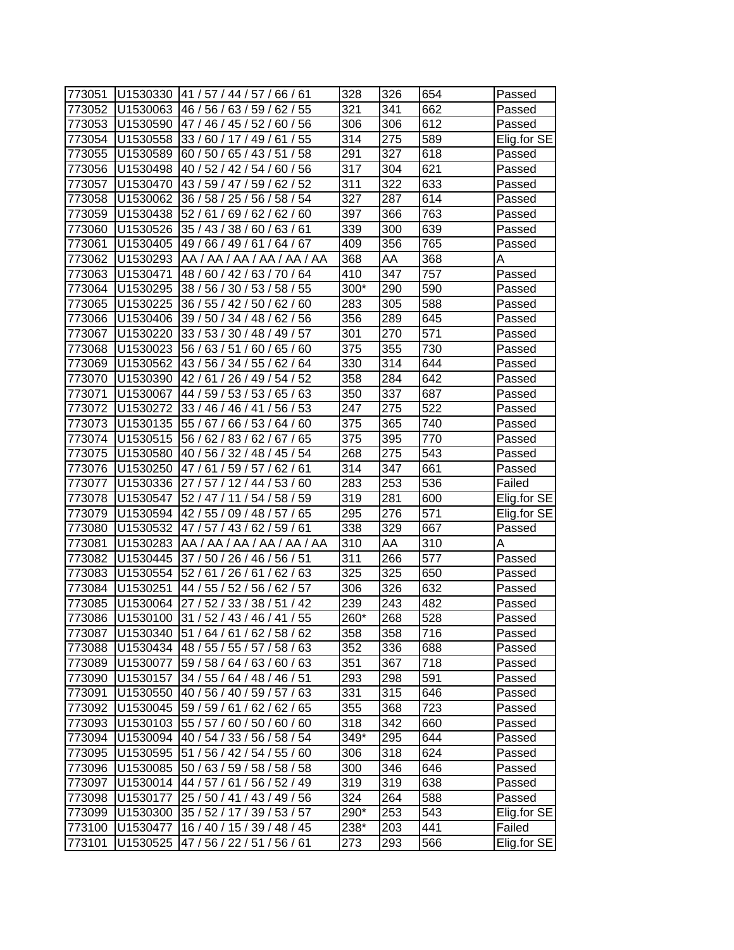| 773051 | U1530330 | 41 / 57 / 44 / 57 / 66 / 61      | 328  | 326 | 654 | Passed      |
|--------|----------|----------------------------------|------|-----|-----|-------------|
| 773052 | U1530063 | 46/56/<br>63/59/<br>62/<br>55    | 321  | 341 | 662 | Passed      |
| 773053 | U1530590 | 60/56<br>47 / 46 / 45 / 52 /     | 306  | 306 | 612 | Passed      |
| 773054 | U1530558 | 33 / 60 / 17 / 49 /<br>/55<br>61 | 314  | 275 | 589 | Elig.for SE |
| 773055 | U1530589 | 60/50/<br>65/43/51<br>/ 58       | 291  | 327 | 618 | Passed      |
| 773056 | U1530498 | 40 / 52 / 42 / 54 / 60 / 56      | 317  | 304 | 621 | Passed      |
| 773057 | U1530470 | 43 / 59 / 47 / 59 / 62 / 52      | 311  | 322 | 633 | Passed      |
| 773058 | U1530062 | 36 / 58 / 25 / 56 / 58 / 54      | 327  | 287 | 614 | Passed      |
| 773059 | U1530438 | 52/61/<br>69/62/62/60            | 397  | 366 | 763 | Passed      |
| 773060 | U1530526 | 35 / 43 / 38 / 60 / 63 / 61      | 339  | 300 | 639 | Passed      |
| 773061 | U1530405 | 49 / 66 / 49 / 61 / 64 / 67      | 409  | 356 | 765 | Passed      |
| 773062 | U1530293 | AA / AA / AA / AA / AA / AA      | 368  | AA  | 368 | Α           |
| 773063 | U1530471 | 48 / 60 / 42 / 63 / 70 / 64      | 410  | 347 | 757 | Passed      |
| 773064 | U1530295 | 38/56/<br>30/53/<br>58 / 55      | 300* | 290 | 590 | Passed      |
| 773065 | U1530225 | 36 / 55 / 42 / 50 /<br>62/<br>60 | 283  | 305 | 588 | Passed      |
| 773066 | U1530406 | 39 / 50 / 34 / 48 /<br>62/56     | 356  | 289 | 645 | Passed      |
| 773067 | U1530220 | 33 / 53 / 30 / 48 /<br>49 / 57   | 301  | 270 | 571 | Passed      |
| 773068 | U1530023 | 56 / 63 / 51<br>/60/<br>65/60    | 375  | 355 | 730 | Passed      |
| 773069 | U1530562 | 43 / 56 / 34 / 55 /<br>62/64     | 330  | 314 | 644 | Passed      |
| 773070 | U1530390 | 42 / 61 / 26 / 49 / 54 / 52      | 358  | 284 | 642 | Passed      |
| 773071 | U1530067 | 44 / 59 / 53 / 53 / 65 / 63      | 350  | 337 | 687 | Passed      |
| 773072 | U1530272 | 33 / 46 / 46 / 41 /<br>56/53     | 247  | 275 | 522 | Passed      |
| 773073 | U1530135 | 55 / 67 / 66 / 53 /<br>64/60     | 375  | 365 | 740 | Passed      |
| 773074 | U1530515 | 56 / 62 / 83 / 62 / 67 / 65      | 375  | 395 | 770 | Passed      |
| 773075 | U1530580 | 40 / 56 / 32 / 48 / 45 / 54      | 268  | 275 | 543 | Passed      |
| 773076 | U1530250 | 47/61/59/57/<br>62/61            | 314  | 347 | 661 | Passed      |
| 773077 | U1530336 | 27/<br>57/12/44/<br>53/<br>60    | 283  | 253 | 536 | Failed      |
| 773078 | U1530547 | 52 / 47 / 11 / 54 /<br>58/59     | 319  | 281 | 600 | Elig.for SE |
| 773079 | U1530594 | 42 / 55 / 09 / 48 / 57 / 65      | 295  | 276 | 571 | Elig.for SE |
| 773080 | U1530532 | 47 / 57 / 43 / 62 / 59 / 61      | 338  | 329 | 667 | Passed      |
| 773081 | U1530283 | AA / AA / AA / AA / AA / AA      | 310  | AA  | 310 | Α           |
| 773082 | U1530445 | 37 / 50 / 26 / 46 / 56 / 51      | 311  | 266 | 577 | Passed      |
| 773083 | U1530554 | 52/61/<br>26/61/<br>62/63        | 325  | 325 | 650 | Passed      |
| 773084 | U1530251 | 44 / 55 / 52 / 56 / 62 / 57      | 306  | 326 | 632 | Passed      |
| 773085 | U1530064 | 27 / 52 / 33 / 38 / 51 / 42      | 239  | 243 | 482 | Passed      |
| 773086 | U1530100 | 31 / 52 / 43 / 46 / 41 / 55      | 260* | 268 | 528 | Passed      |
| 773087 | U1530340 | 151/64/61/62/58/62               | 358  | 358 | 716 | Passed      |
| 773088 | U1530434 | 48 / 55 / 55 / 57 / 58 / 63      | 352  | 336 | 688 | Passed      |
| 773089 | U1530077 | 59 / 58 / 64 / 63 / 60 / 63      | 351  | 367 | 718 | Passed      |
| 773090 | U1530157 | 34 / 55 / 64 / 48 / 46 / 51      | 293  | 298 | 591 | Passed      |
| 773091 | U1530550 | 40 / 56 / 40 / 59 / 57 / 63      | 331  | 315 | 646 | Passed      |
| 773092 | U1530045 | 59 / 59 / 61 / 62 / 62 / 65      | 355  | 368 | 723 | Passed      |
| 773093 | U1530103 | 55 / 57 / 60 / 50 / 60 / 60      | 318  | 342 | 660 | Passed      |
| 773094 | U1530094 | 40 / 54 / 33 / 56 / 58 / 54      | 349* | 295 | 644 | Passed      |
| 773095 | U1530595 | 51 / 56 / 42 / 54 / 55 / 60      | 306  | 318 | 624 | Passed      |
| 773096 | U1530085 | 50 / 63 / 59 / 58 / 58 / 58      | 300  | 346 | 646 | Passed      |
| 773097 | U1530014 | 44 / 57 / 61 / 56 / 52 / 49      | 319  | 319 | 638 | Passed      |
| 773098 | U1530177 | 25 / 50 / 41 / 43 / 49 / 56      | 324  | 264 | 588 | Passed      |
| 773099 | U1530300 | 35 / 52 / 17 / 39 / 53 / 57      | 290* | 253 | 543 | Elig.for SE |
| 773100 | U1530477 | 16 / 40 / 15 / 39 / 48 / 45      | 238* | 203 | 441 | Failed      |
| 773101 | U1530525 | 47/56/22/51/56/61                | 273  | 293 | 566 | Elig.for SE |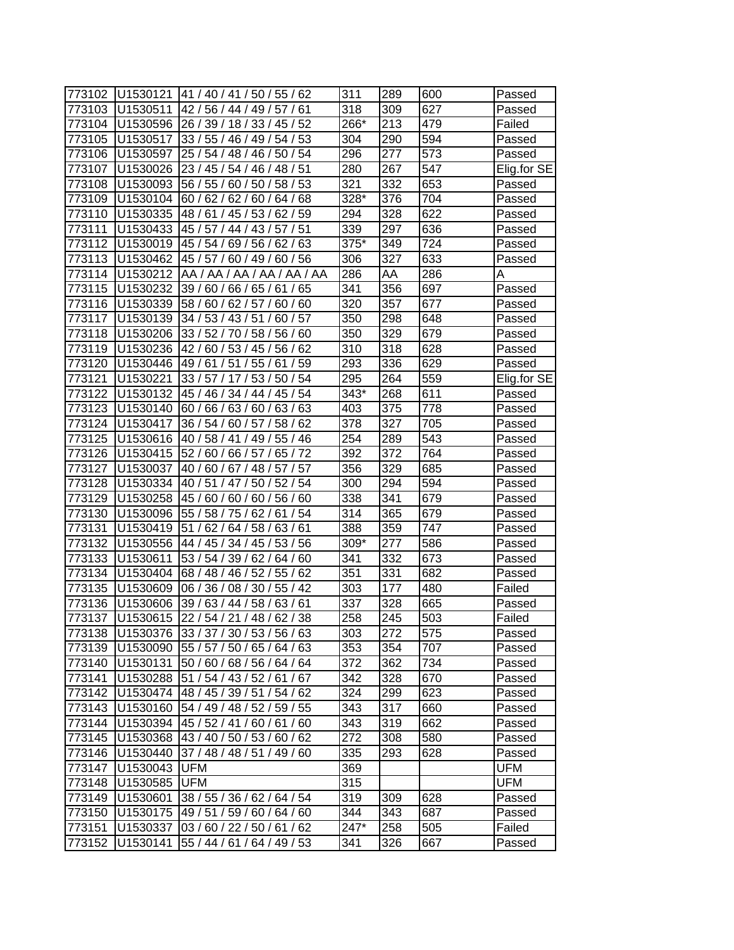| 773102 | U1530121 | 41 / 40 / 41 / 50 / 55 /<br>62      | 311              | 289 | 600 | Passed      |
|--------|----------|-------------------------------------|------------------|-----|-----|-------------|
| 773103 | U1530511 | 42 / 56 / 44 / 49 / 57 /<br>61      | 318              | 309 | 627 | Passed      |
| 773104 | U1530596 | 26 / 39 / 18 / 33 / 45 / 52         | 266*             | 213 | 479 | Failed      |
| 773105 | U1530517 | 33 / 55 / 46 / 49 / 54 / 53         | 304              | 290 | 594 | Passed      |
| 773106 | U1530597 | 25 / 54 / 48 / 46 / 50 / 54         | 296              | 277 | 573 | Passed      |
| 773107 | U1530026 | 23 / 45 / 54 / 46 / 48 / 51         | 280              | 267 | 547 | Elig.for SE |
| 773108 | U1530093 | 56 / 55 / 60 / 50 /<br>58/53        | 321              | 332 | 653 | Passed      |
| 773109 | U1530104 | 60/62/62/60/<br>64/68               | 328*             | 376 | 704 | Passed      |
| 773110 | U1530335 | 48 / 61 / 45 / 53 /<br>62/59        | 294              | 328 | 622 | Passed      |
| 773111 | U1530433 | 45 / 57 / 44 / 43 / 57 / 51         | 339              | 297 | 636 | Passed      |
| 773112 | U1530019 | 45 / 54 / 69 / 56 / 62 / 63         | 375*             | 349 | 724 | Passed      |
| 773113 | U1530462 | 45 / 57 / 60 / 49 / 60 / 56         | 306              | 327 | 633 | Passed      |
| 773114 | U1530212 | AA / AA / AA / AA / AA / AA         | 286              | AA  | 286 | Α           |
| 773115 | U1530232 | 39/60/<br>65<br>66/<br>65/<br>61/   | 341              | 356 | 697 | Passed      |
| 773116 | U1530339 | 58/<br>60/<br>62/<br>57<br>60<br>60 | 320              | 357 | 677 | Passed      |
| 773117 | U1530139 | 34 / 53 / 43 / 51<br>60/57          | 350              | 298 | 648 | Passed      |
| 773118 | U1530206 | 33 / 52 / 70 / 58 / 56 / 60         | 350              | 329 | 679 | Passed      |
| 773119 | U1530236 | 42/60/53/45/<br>62<br>56/           | 310              | 318 | 628 | Passed      |
| 773120 | U1530446 | 49 / 61 / 51 / 55 / 61<br>/59       | 293              | 336 | 629 | Passed      |
| 773121 | U1530221 | 54<br>33 / 57 / 17 / 53 /<br>50     | 295              | 264 | 559 | Elig.for SE |
| 773122 | U1530132 | 45 / 46 / 34 / 44 / 45 /<br>54      | 343*             | 268 | 611 | Passed      |
| 773123 | U1530140 | 60/66/63/60/63/63                   | 403              | 375 | 778 | Passed      |
| 773124 | U1530417 | 36 / 54 / 60 / 57 / 58 / 62         | 378              | 327 | 705 | Passed      |
| 773125 | U1530616 | 40 / 58 / 41 / 49 / 55 / 46         | 254              | 289 | 543 | Passed      |
| 773126 | U1530415 | 52 / 60 / 66 / 57 / 65 / 72         | 392              | 372 | 764 | Passed      |
| 773127 | U1530037 | 40/60/<br>67/48/<br>57/<br>57       | 356              | 329 | 685 | Passed      |
| 773128 | U1530334 | 40/51/<br>47 / 50 / 52 / 54         | 300              | 294 | 594 | Passed      |
| 773129 | U1530258 | 45 / 60 / 60 / 60 / 56 / 60         | 338              | 341 | 679 | Passed      |
| 773130 | U1530096 | 55 / 58 / 75 / 62 / 61<br>/54       | 314              | 365 | 679 | Passed      |
| 773131 | U1530419 | 51 / 62 / 64 / 58 / 63 / 61         | 388              | 359 | 747 | Passed      |
| 773132 | U1530556 | 44 / 45 / 34 / 45 / 53 / 56         | 309*             | 277 | 586 | Passed      |
| 773133 | U1530611 | 53 / 54 / 39 / 62 / 64 / 60         | 341              | 332 | 673 | Passed      |
| 773134 | U1530404 | 68 / 48 / 46 / 52 / 55 / 62         | 351              | 331 | 682 | Passed      |
| 773135 | U1530609 | 06/36/<br>08/30/<br>55/42           | 303              | 177 | 480 | Failed      |
| 773136 | U1530606 | 39 / 63 / 44 / 58 / 63 / 61         | 337              | 328 | 665 | Passed      |
| 773137 | U1530615 | 22 / 54 / 21 / 48 / 62 / 38         | $\overline{258}$ | 245 | 503 | Failed      |
| 773138 | U1530376 | 33 / 37 / 30 / 53 / 56 / 63         | 303              | 272 | 575 | Passed      |
| 773139 | U1530090 | 55 / 57 / 50 / 65 / 64 / 63         | 353              | 354 | 707 | Passed      |
| 773140 | U1530131 | 50 / 60 / 68 / 56 / 64 / 64         | 372              | 362 | 734 | Passed      |
| 773141 | U1530288 | 51 / 54 / 43 / 52 / 61 / 67         | 342              | 328 | 670 | Passed      |
| 773142 | U1530474 | 48 / 45 / 39 / 51 / 54 / 62         | 324              | 299 | 623 | Passed      |
| 773143 | U1530160 | 54 / 49 / 48 / 52 / 59 / 55         | 343              | 317 | 660 | Passed      |
| 773144 | U1530394 | 45 / 52 / 41 / 60 / 61 / 60         | 343              | 319 | 662 | Passed      |
| 773145 | U1530368 | 43 / 40 / 50 / 53 / 60 / 62         | 272              | 308 | 580 | Passed      |
| 773146 | U1530440 | 37 / 48 / 48 / 51 / 49 / 60         | 335              | 293 | 628 | Passed      |
| 773147 | U1530043 | <b>UFM</b>                          | 369              |     |     | UFM         |
| 773148 | U1530585 | <b>UFM</b>                          | 315              |     |     | UFM         |
| 773149 | U1530601 | 38 / 55 / 36 / 62 / 64 / 54         | 319              | 309 | 628 | Passed      |
| 773150 | U1530175 | 49 / 51 / 59 / 60 / 64 / 60         | 344              | 343 | 687 | Passed      |
| 773151 | U1530337 | 03/60/22/50/61/62                   | 247*             | 258 | 505 | Failed      |
| 773152 | U1530141 | 55 / 44 / 61 / 64 / 49 / 53         | 341              | 326 | 667 | Passed      |
|        |          |                                     |                  |     |     |             |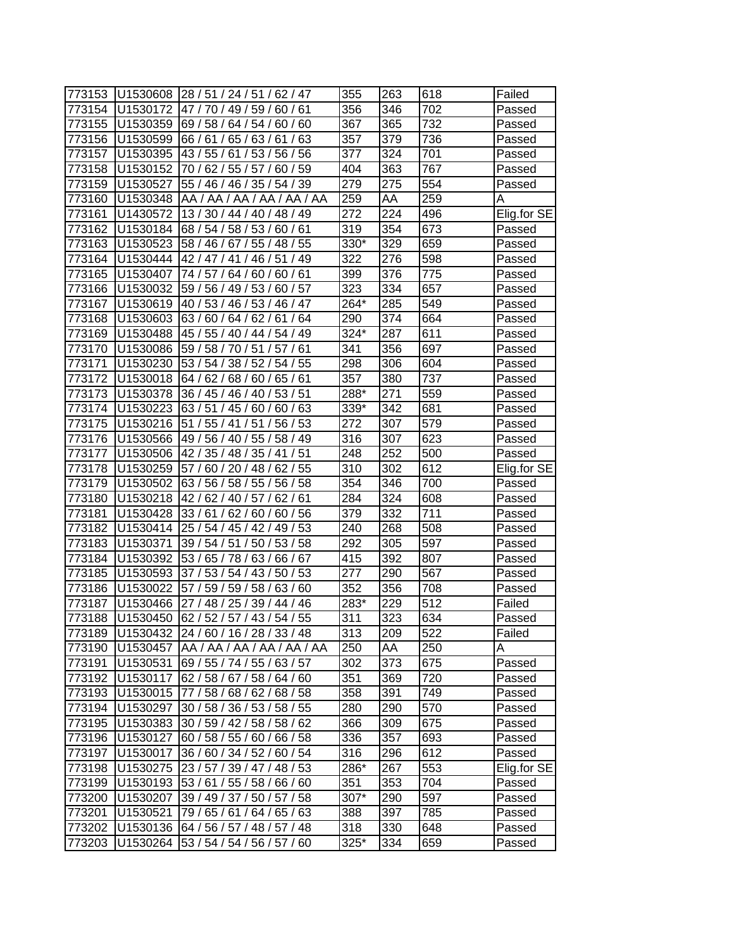| 773153 | U1530608 | 28 / 51 / 24 / 51 / 62 / 47          | 355  | 263              | 618 | Failed      |
|--------|----------|--------------------------------------|------|------------------|-----|-------------|
| 773154 | U1530172 | 49/59/<br>61<br>47 /<br>70 /<br>60/  | 356  | 346              | 702 | Passed      |
| 773155 | U1530359 | 69/<br>58/<br>64/54/<br>60/<br>60    | 367  | 365              | 732 | Passed      |
| 773156 | U1530599 | 65/63/<br>/63<br>66/61/<br>61        | 357  | 379              | 736 | Passed      |
| 773157 | U1530395 | 43/55/<br>61<br>/ 53 / 56 / 56       | 377  | 324              | 701 | Passed      |
| 773158 | U1530152 | 70 / 62 / 55 / 57 /<br>60/59         | 404  | 363              | 767 | Passed      |
| 773159 | U1530527 | 55 / 46 / 46 / 35 / 54 / 39          | 279  | 275              | 554 | Passed      |
| 773160 | U1530348 | AA / AA / AA / AA / AA / AA          | 259  | AA               | 259 | Α           |
| 773161 | U1430572 | 13 / 30 / 44 / 40 / 48 / 49          | 272  | 224              | 496 | Elig.for SE |
| 773162 | U1530184 | 68 / 54 / 58 / 53 / 60 / 61          | 319  | 354              | 673 | Passed      |
| 773163 | U1530523 | 58 / 46 / 67 / 55 / 48 / 55          | 330* | 329              | 659 | Passed      |
| 773164 | U1530444 | 42 / 47 / 41 / 46 / 51<br>/49        | 322  | 276              | 598 | Passed      |
| 773165 | U1530407 | 64 / 60 / 60 / 61<br>74 / 57 /       | 399  | 376              | 775 | Passed      |
| 773166 | U1530032 | 59 / 56 /<br>49 / 53 /<br>60/57      | 323  | 334              | 657 | Passed      |
| 773167 | U1530619 | 40 /<br>53/<br>53/<br>46/47<br>46 /  | 264* | 285              | 549 | Passed      |
| 773168 | U1530603 | 63/<br>60/<br>64/<br>62/<br>61<br>64 | 290  | 374              | 664 | Passed      |
| 773169 | U1530488 | 45 / 55 / 40 / 44 /<br>54/49         | 324* | 287              | 611 | Passed      |
| 773170 | U1530086 | 59 / 58 /<br>/51<br>57<br>61<br>70   | 341  | 356              | 697 | Passed      |
| 773171 | U1530230 | 53/54<br>38/52/<br>54/55             | 298  | 306              | 604 | Passed      |
| 773172 | U1530018 | 64/62/<br>68/60/65/61                | 357  | 380              | 737 | Passed      |
| 773173 | U1530378 | 53/51<br>36 / 45 / 46 / 40 /         | 288* | 271              | 559 | Passed      |
| 773174 | U1530223 | 63/51<br>45 / 60 /<br>60/63          | 339* | 342              | 681 | Passed      |
| 773175 | U1530216 | 56/53<br>51 / 55 / 41 / 51           | 272  | 307              | 579 | Passed      |
| 773176 | U1530566 | 49 / 56 / 40 / 55 / 58 / 49          | 316  | 307              | 623 | Passed      |
| 773177 | U1530506 | /51<br>42/35/<br>48 / 35 / 41        | 248  | 252              | 500 | Passed      |
| 773178 | U1530259 | 60 / 20 / 48 /<br>62/55<br>57/       | 310  | 302              | 612 | Elig.for SE |
| 773179 | U1530502 | 58<br>63/<br>56/<br>58/55/<br>56/    | 354  | 346              | 700 | Passed      |
| 773180 | U1530218 | 42 /<br>62/<br>40/57/<br>62/<br>61   | 284  | 324              | 608 | Passed      |
| 773181 | U1530428 | 33/61/<br>62/60/60/56                | 379  | 332              | 711 | Passed      |
| 773182 | U1530414 | 25 / 54 / 45 / 42 / 49 / 53          | 240  | 268              | 508 | Passed      |
| 773183 | U1530371 | 39/54/51<br>/ 50 / 53 / 58           | 292  | 305              | 597 | Passed      |
| 773184 | U1530392 | 53 / 65 / 78 / 63 / 66 / 67          | 415  | 392              | 807 | Passed      |
| 773185 | U1530593 | 37/53/<br>50/53<br>54/43/            | 277  | 290              | 567 | Passed      |
| 773186 | U1530022 | 57 / 59 / 59 / 58 /<br>63/60         | 352  | 356              | 708 | Passed      |
| 773187 | U1530466 | 27 / 48 / 25 / 39 / 44 / 46          | 283* | 229              | 512 | Failed      |
| 773188 | U1530450 | 62/52/57/43/54/55                    | 311  | $\overline{3}23$ | 634 | Passed      |
| 773189 | U1530432 | 24/60/16/28/33/48                    | 313  | 209              | 522 | Failed      |
| 773190 | U1530457 | AA /AA /AA /AA /AA /AA               | 250  | AA               | 250 | Α           |
| 773191 | U1530531 | 69 / 55 / 74 / 55 / 63 / 57          | 302  | 373              | 675 | Passed      |
| 773192 | U1530117 | 62 / 58 / 67 / 58 / 64 / 60          | 351  | 369              | 720 | Passed      |
| 773193 | U1530015 | 77 / 58 / 68 / 62 / 68 / 58          | 358  | 391              | 749 | Passed      |
| 773194 | U1530297 | 30 / 58 / 36 / 53 / 58 / 55          | 280  | 290              | 570 | Passed      |
| 773195 | U1530383 | 30 / 59 / 42 / 58 / 58 / 62          | 366  | 309              | 675 | Passed      |
| 773196 | U1530127 | 60 / 58 / 55 / 60 / 66 / 58          | 336  | 357              | 693 | Passed      |
| 773197 | U1530017 | 36 / 60 / 34 / 52 / 60 / 54          | 316  | 296              | 612 | Passed      |
| 773198 | U1530275 | 23 / 57 / 39 / 47 / 48 / 53          | 286* | 267              | 553 | Elig.for SE |
| 773199 | U1530193 | 53 / 61 / 55 / 58 / 66 / 60          | 351  | 353              | 704 | Passed      |
| 773200 | U1530207 | 39 / 49 / 37 / 50 / 57 / 58          | 307* | 290              | 597 | Passed      |
| 773201 | U1530521 | 79 / 65 / 61 / 64 / 65 / 63          | 388  | 397              | 785 | Passed      |
| 773202 | U1530136 | 64 / 56 / 57 / 48 / 57 / 48          | 318  | 330              | 648 | Passed      |
| 773203 | U1530264 | 53 / 54 / 54 / 56 / 57 / 60          | 325* | 334              | 659 | Passed      |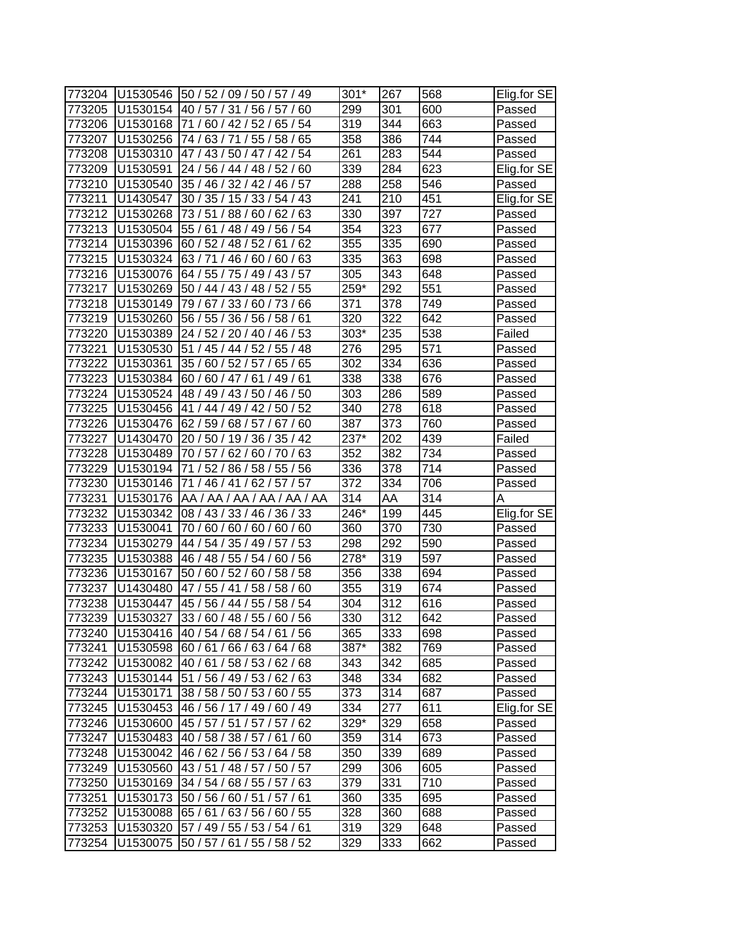| 773204 |          | U1530546 50 / 52 / 09 / 50 / 57 / 49 | $301*$           | 267 | 568 | Elig.for SE |
|--------|----------|--------------------------------------|------------------|-----|-----|-------------|
| 773205 | U1530154 | 40 / 57 / 31 / 56 / 57 / 60          | 299              | 301 | 600 | Passed      |
| 773206 | U1530168 | 71 / 60 / 42 / 52 / 65 / 54          | 319              | 344 | 663 | Passed      |
| 773207 | U1530256 | 74 / 63 / 71 / 55 / 58 / 65          | 358              | 386 | 744 | Passed      |
| 773208 |          | U1530310 47 / 43 / 50 / 47 / 42 / 54 | 261              | 283 | 544 | Passed      |
| 773209 | U1530591 | 24 / 56 / 44 / 48 / 52 / 60          | 339              | 284 | 623 | Elig.for SE |
| 773210 | U1530540 | 35 / 46 / 32 / 42 / 46 / 57          | 288              | 258 | 546 | Passed      |
| 773211 | U1430547 | 30 / 35 / 15 / 33 / 54 / 43          | 241              | 210 | 451 | Elig.for SE |
| 773212 | U1530268 | 73/51/<br>88/60/62/63                | 330              | 397 | 727 | Passed      |
| 773213 | U1530504 | 55 / 61 / 48 / 49 / 56 / 54          | 354              | 323 | 677 | Passed      |
| 773214 | U1530396 | 60 / 52 / 48 / 52 / 61 / 62          | 355              | 335 | 690 | Passed      |
| 773215 | U1530324 | 63 / 71 / 46 / 60 / 60 / 63          | 335              | 363 | 698 | Passed      |
| 773216 | U1530076 | 64 / 55 / 75 / 49 / 43 / 57          | 305              | 343 | 648 | Passed      |
| 773217 | U1530269 | 50 / 44 / 43 / 48 / 52 / 55          | 259*             | 292 | 551 | Passed      |
| 773218 | U1530149 | 79/67/<br>33/60/73/<br>66            | 371              | 378 | 749 | Passed      |
| 773219 | U1530260 | 56 / 55 / 36 / 56 / 58 /<br>61       | 320              | 322 | 642 | Passed      |
| 773220 | U1530389 | 24 / 52 / 20 / 40 / 46 / 53          | $303*$           | 235 | 538 | Failed      |
| 773221 | U1530530 | / 45 / 44 / 52 / 55 / 48<br>51       | 276              | 295 | 571 | Passed      |
| 773222 | U1530361 | 35 / 60 / 52 / 57 /<br>65 / 65       | 302              | 334 | 636 | Passed      |
| 773223 | U1530384 | 60/60/47/61<br>49/61                 | 338              | 338 | 676 | Passed      |
| 773224 | U1530524 | 48 / 49 / 43 / 50 / 46 / 50          | 303              | 286 | 589 | Passed      |
| 773225 | U1530456 | 41 / 44 / 49 / 42 / 50 / 52          | 340              | 278 | 618 | Passed      |
| 773226 | U1530476 | 62/59/<br>68/57/<br>67/60            | 387              | 373 | 760 | Passed      |
| 773227 | U1430470 | 20 / 50 / 19 / 36 / 35 / 42          | $237*$           | 202 | 439 | Failed      |
| 773228 | U1530489 | 70 / 57 / 62 / 60 / 70 / 63          | 352              | 382 | 734 | Passed      |
| 773229 | U1530194 | 71 / 52 / 86 / 58 / 55 / 56          | 336              | 378 | 714 | Passed      |
|        |          |                                      |                  |     |     |             |
| 773230 | U1530146 | 71 / 46 / 41 / 62 / 57 / 57          | 372              | 334 | 706 |             |
| 773231 | U1530176 | AA / AA / AA / AA / AA / AA          | 314              | AA  | 314 | Passed<br>Α |
| 773232 | U1530342 | 08 / 43 / 33 / 46 / 36 / 33          | 246*             | 199 | 445 | Elig.for SE |
| 773233 | U1530041 | 70 / 60 / 60 / 60 / 60 / 60          | 360              | 370 | 730 | Passed      |
| 773234 | U1530279 | 44 / 54 / 35 / 49 / 57 / 53          | 298              | 292 | 590 | Passed      |
| 773235 | U1530388 | 46 / 48 / 55 / 54 / 60 / 56          | $278*$           | 319 | 597 | Passed      |
| 773236 | U1530167 | 50 / 60 / 52 / 60 / 58 / 58          | 356              | 338 | 694 | Passed      |
| 773237 | U1430480 | 47 / 55 / 41 / 58 / 58 / 60          | 355              | 319 | 674 | Passed      |
| 773238 | U1530447 | 45 / 56 / 44 / 55 / 58 / 54          | 304              | 312 | 616 | Passed      |
| 773239 | U1530327 | 33/60/48/55/60/56                    | $\overline{330}$ | 312 | 642 | Passed      |
| 773240 |          | U1530416 40 / 54 / 68 / 54 / 61 / 56 | 365              | 333 | 698 | Passed      |
| 773241 | U1530598 | 60/61/66/63/64/68                    | 387*             | 382 | 769 | Passed      |
| 773242 | U1530082 | 40 / 61 / 58 / 53 / 62 / 68          | 343              | 342 | 685 | Passed      |
| 773243 | U1530144 | 51 / 56 / 49 / 53 / 62 / 63          | 348              | 334 | 682 | Passed      |
| 773244 | U1530171 | 38 / 58 / 50 / 53 / 60 / 55          | 373              | 314 | 687 | Passed      |
| 773245 | U1530453 | 46 / 56 / 17 / 49 / 60 / 49          | 334              | 277 | 611 | Elig.for SE |
| 773246 | U1530600 | 45 / 57 / 51 / 57 / 57 / 62          | 329*             | 329 | 658 | Passed      |
| 773247 | U1530483 | 40 / 58 / 38 / 57 / 61 / 60          | 359              | 314 | 673 | Passed      |
| 773248 | U1530042 | 46 / 62 / 56 / 53 / 64 / 58          | 350              | 339 | 689 | Passed      |
| 773249 | U1530560 | 43 / 51 / 48 / 57 / 50 / 57          | 299              | 306 | 605 | Passed      |
| 773250 | U1530169 | 34 / 54 / 68 / 55 / 57 / 63          | 379              | 331 | 710 | Passed      |
| 773251 | U1530173 | 50 / 56 / 60 / 51 / 57 / 61          | 360              | 335 | 695 | Passed      |
| 773252 | U1530088 | 65 / 61 / 63 / 56 / 60 / 55          | 328              | 360 | 688 | Passed      |
| 773253 | U1530320 | 57 / 49 / 55 / 53 / 54 / 61          | 319              | 329 | 648 | Passed      |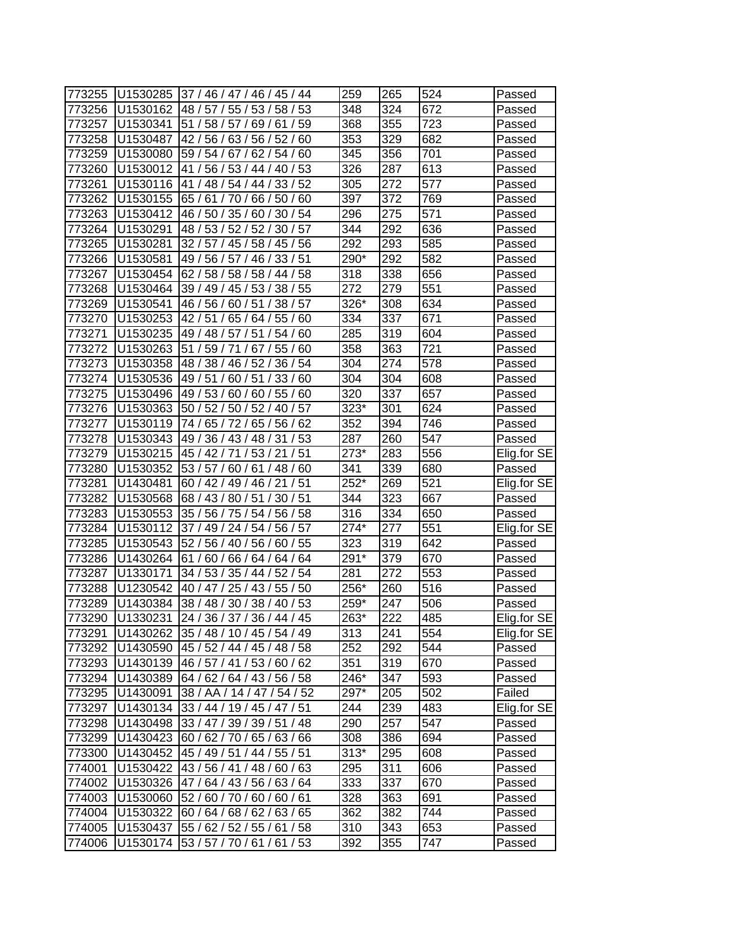| 773255 | U1530285             | 37 / 46 / 47 / 46 / 45 / 44                                | 259          | 265        | 524              | Passed           |
|--------|----------------------|------------------------------------------------------------|--------------|------------|------------------|------------------|
| 773256 | U1530162             | 58/53<br>48/57/<br>55/53/                                  | 348          | 324        | 672              | Passed           |
| 773257 | U1530341             | 51/<br>58/<br>57/69/<br>61/59                              | 368          | 355        | 723              | Passed           |
| 773258 | U1530487             | 42 / 56 / 63 / 56 / 52 / 60                                | 353          | 329        | 682              | Passed           |
| 773259 | U1530080             | 59 / 54 / 67 / 62 / 54 / 60                                | 345          | 356        | 701              | Passed           |
| 773260 | U1530012             | 41 / 56 / 53 / 44 / 40 / 53                                | 326          | 287        | 613              | Passed           |
| 773261 | U1530116             | 41 / 48 / 54 / 44 / 33 / 52                                | 305          | 272        | 577              | Passed           |
| 773262 | U1530155             | 65 / 61 / 70 / 66 / 50 / 60                                | 397          | 372        | 769              | Passed           |
| 773263 | U1530412             | 46 / 50 / 35 / 60 / 30 / 54                                | 296          | 275        | 571              | Passed           |
| 773264 | U1530291             | 48 / 53 / 52 / 52 / 30 / 57                                | 344          | 292        | 636              | Passed           |
| 773265 | U1530281             | 32 / 57 / 45 / 58 / 45 / 56                                | 292          | 293        | 585              | Passed           |
| 773266 | U1530581             | 49 / 56 / 57 / 46 / 33 / 51                                | 290*         | 292        | 582              | Passed           |
| 773267 | U1530454             | /58<br>62 / 58 / 58 / 58 / 44                              | 318          | 338        | 656              | Passed           |
| 773268 | U1530464             | 39 / 49 /<br>45/53/<br>38/55                               | 272          | 279        | 551              | Passed           |
| 773269 | U1530541             | 46/56/<br>60/51<br>38/<br>57                               | 326*         | 308        | 634              | Passed           |
| 773270 | U1530253             | 42/51/<br>55/<br>65/64/<br>60                              | 334          | 337        | 671              | Passed           |
| 773271 | U1530235             | 49 / 48 / 57 / 51<br>54/60                                 | 285          | 319        | 604              | Passed           |
| 773272 | U1530263             | 51<br>59/71<br>67<br>55/60                                 | 358          | 363        | 721              | Passed           |
| 773273 | U1530358             | 48 / 38 / 46 / 52 /<br>36/54                               | 304          | 274        | $\overline{578}$ | Passed           |
| 773274 | U1530536             | 49 / 51 /<br>60/51/<br>33/60                               | 304          | 304        | 608              | Passed           |
| 773275 | U1530496             | 49 / 53 / 60 / 60 / 55 / 60                                | 320          | 337        | 657              | Passed           |
| 773276 | U1530363             | 50 / 52 / 50 / 52 / 40 / 57                                | 323*         | 301        | 624              |                  |
| 773277 | U1530119             | 74 / 65 / 72 / 65 / 56 / 62                                | 352          | 394        | 746              | Passed<br>Passed |
| 773278 | U1530343             | /53<br>49 / 36 / 43 / 48 / 31                              | 287          | 260        | 547              |                  |
|        |                      | 45 / 42 / 71 / 53 / 21<br>/51                              | 273*         |            | 556              | Passed           |
| 773279 | U1530215             |                                                            |              | 283        | 680              | Elig.for SE      |
| 773280 | U1530352             | 53/57/<br>60/61/48/60<br>51                                | 341<br>252*  | 339        | 521              | Passed           |
| 773281 | U1430481             | 60/42/<br>49 / 46 / 21<br>30/51                            |              | 269<br>323 | 667              | Elig.for SE      |
| 773282 | U1530568<br>U1530553 | 68 / 43 / 80 / 51 /<br>35 / 56 / 75 / 54 / 56 / 58         | 344<br>316   | 334        | 650              | Passed           |
| 773283 |                      |                                                            | 274*         | 277        | 551              | Passed           |
| 773284 | U1530112             | 37 / 49 / 24 / 54 / 56 / 57<br>52 / 56 / 40 / 56 / 60 / 55 |              |            |                  | Elig.for SE      |
| 773285 | U1530543             |                                                            | 323          | 319        | 642              | Passed           |
| 773286 | U1430264             | 61 / 60 / 66 / 64 / 64 / 64                                | 291*         | 379        | 670              | Passed           |
| 773287 | U1330171             | 34 / 53 / 35 / 44 / 52 / 54                                | 281<br>256*  | 272        | 553              | Passed           |
| 773288 | U1230542             | 40 / 47 / 25 / 43 / 55 / 50                                |              | 260        | 516              | Passed           |
| 773289 | U1430384             | 38 / 48 / 30 / 38 / 40 / 53<br>24 / 36 / 37 / 36 / 44 / 45 | 259*<br>263* | 247        | 506              | Passed           |
| 773290 | U1330231             |                                                            |              | 222        | 485              | Elig.for SE      |
| 773291 | U1430262             | 35 / 48 / 10 / 45 / 54 / 49                                | 313          | 241        | 554              | Elig.for SE      |
| 773292 | U1430590             | 45 / 52 / 44 / 45 / 48 / 58                                | 252          | 292        | 544              | Passed           |
| 773293 | U1430139             | 46 / 57 / 41 / 53 / 60 / 62                                | 351          | 319        | 670              | Passed           |
| 773294 | U1430389             | 64 / 62 / 64 / 43 / 56 / 58                                | 246*         | 347        | 593              | Passed           |
| 773295 | U1430091             | 38 / AA / 14 / 47 / 54 / 52                                | 297*         | 205        | 502              | Failed           |
| 773297 | U1430134             | 33 / 44 / 19 / 45 / 47 / 51                                | 244          | 239        | 483              | Elig.for SE      |
| 773298 | U1430498             | 33 / 47 / 39 / 39 / 51 / 48                                | 290          | 257        | 547              | Passed           |
| 773299 | U1430423             | 60 / 62 / 70 / 65 / 63 / 66                                | 308          | 386        | 694              | Passed           |
| 773300 | U1430452             | 45 / 49 / 51 / 44 / 55 / 51                                | $313*$       | 295        | 608              | Passed           |
| 774001 | U1530422             | 43 / 56 / 41 / 48 / 60 / 63                                | 295          | 311        | 606              | Passed           |
| 774002 | U1530326             | 47/64/43/56/63/64                                          | 333          | 337        | 670              | Passed           |
| 774003 | U1530060             | 52 / 60 / 70 / 60 / 60 / 61                                | 328          | 363        | 691              | Passed           |
| 774004 | U1530322             | 60 / 64 / 68 / 62 / 63 / 65                                | 362          | 382        | 744              | Passed           |
| 774005 | U1530437             | 55 / 62 / 52 / 55 / 61 / 58                                | 310          | 343        | 653              | Passed           |
| 774006 | U1530174             | 53 / 57 / 70 / 61 / 61 / 53                                | 392          | 355        | 747              | Passed           |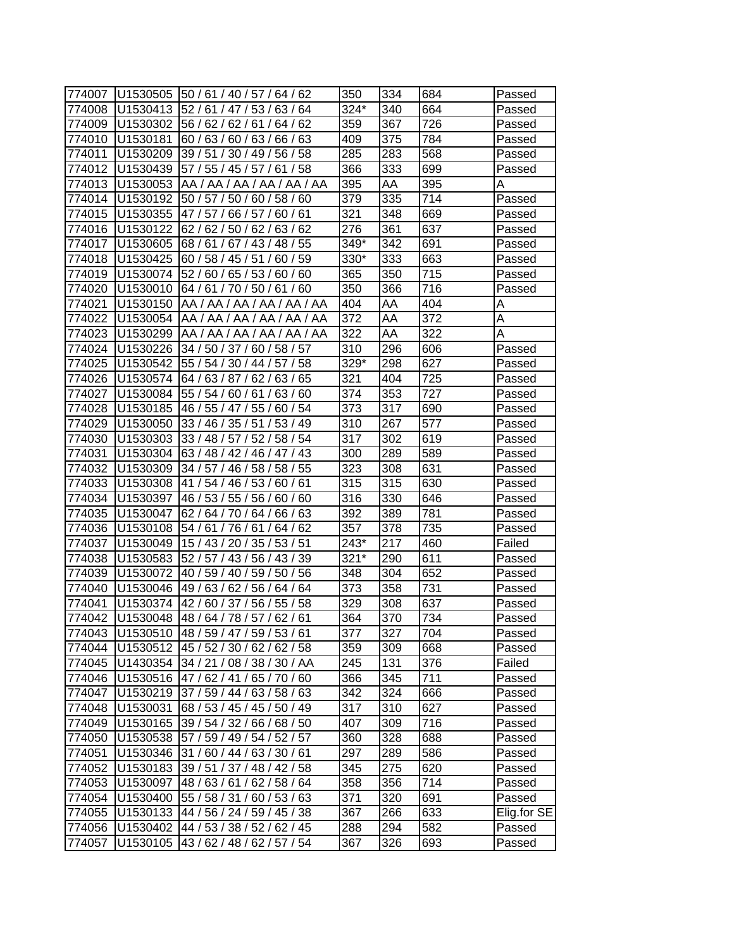| 774007 | U1530505 | 50 / 61 / 40 / 57 / 64 / 62              | 350    | 334 | 684 | Passed      |
|--------|----------|------------------------------------------|--------|-----|-----|-------------|
| 774008 | U1530413 | 52/<br>61/<br>47 /<br>53/<br>63/<br>64   | 324*   | 340 | 664 | Passed      |
| 774009 | U1530302 | 56/<br>62/<br>62/<br>62<br>61/<br>64 /   | 359    | 367 | 726 | Passed      |
| 774010 | U1530181 | 60/63/<br>60/63/66/63                    | 409    | 375 | 784 | Passed      |
| 774011 | U1530209 | 39/51<br>30 / 49 / 56 / 58               | 285    | 283 | 568 | Passed      |
| 774012 | U1530439 | 57 / 55 / 45 / 57 / 61<br>/58            | 366    | 333 | 699 | Passed      |
| 774013 | U1530053 | AA / AA / AA / AA / AA / AA              | 395    | AA  | 395 | Α           |
| 774014 | U1530192 | 50 / 57 / 50 / 60 / 58 / 60              | 379    | 335 | 714 | Passed      |
| 774015 | U1530355 | 47 / 57 /<br>66/57/<br>60/61             | 321    | 348 | 669 | Passed      |
| 774016 | U1530122 | 62 / 62 / 50 / 62 / 63 / 62              | 276    | 361 | 637 | Passed      |
| 774017 | U1530605 | 68 / 61 / 67 / 43 / 48 / 55              | 349*   | 342 | 691 | Passed      |
| 774018 | U1530425 | 60/59<br>60 / 58 / 45 / 51               | 330*   | 333 | 663 | Passed      |
| 774019 | U1530074 | 52 / 60 / 65 / 53 / 60 / 60              | 365    | 350 | 715 | Passed      |
| 774020 | U1530010 | 64/61/<br>70/50/61/<br>60                | 350    | 366 | 716 | Passed      |
| 774021 | U1530150 | AA / AA / AA<br>AA / AA<br>AA            | 404    | AA  | 404 | A           |
| 774022 | U1530054 | AA /<br>AA<br>AA<br>AA /<br>AA<br>AA     | 372    | AA  | 372 | Α           |
| 774023 | U1530299 | AA / AA<br>AA /<br>AA<br>AA<br>AA        | 322    | AA  | 322 | Α           |
| 774024 | U1530226 | 34/50/37/<br>60 / 58 / 57                | 310    | 296 | 606 | Passed      |
| 774025 | U1530542 | 55 / 54 / 30 / 44<br>57/58               | 329*   | 298 | 627 | Passed      |
| 774026 | U1530574 | 64/63/87/62/<br>63/65                    | 321    | 404 | 725 | Passed      |
| 774027 | U1530084 | 63/60<br>55 / 54 / 60 / 61 /             | 374    | 353 | 727 | Passed      |
| 774028 | U1530185 | 46 / 55 / 47<br>55/<br>60/54             | 373    | 317 | 690 | Passed      |
| 774029 | U1530050 | 33/46/<br>35/51<br>53/49                 | 310    | 267 | 577 | Passed      |
| 774030 | U1530303 | 33 / 48 / 57 / 52 / 58 / 54              | 317    | 302 | 619 | Passed      |
| 774031 | U1530304 | 63 / 48 / 42 / 46 / 47 / 43              | 300    | 289 | 589 | Passed      |
| 774032 | U1530309 | 58 / 55<br>34 / 57 /<br>46/58/           | 323    | 308 | 631 | Passed      |
| 774033 | U1530308 | 53/<br>61<br>41 /<br>54 /<br>46 /<br>60/ | 315    | 315 | 630 | Passed      |
| 774034 | U1530397 | 46/53/<br>55/<br>56/<br>60<br>60/        | 316    | 330 | 646 | Passed      |
| 774035 | U1530047 | 62/64/70/64/66/<br>63                    | 392    | 389 | 781 | Passed      |
| 774036 | U1530108 | 54/61/76/61<br>64/<br>62                 | 357    | 378 | 735 | Passed      |
| 774037 | U1530049 | 15 / 43 / 20 / 35 / 53 / 51              | 243*   | 217 | 460 | Failed      |
| 774038 | U1530583 | 52 / 57 / 43 / 56 / 43 / 39              | $321*$ | 290 | 611 | Passed      |
| 774039 | U1530072 | 40 / 59 / 40 / 59 /<br>/ 56<br>50        | 348    | 304 | 652 | Passed      |
| 774040 | U1530046 | 49/63/<br>62/56/<br>64/64                | 373    | 358 | 731 | Passed      |
| 774041 | U1530374 | 42 / 60 / 37 / 56 / 55 / 58              | 329    | 308 | 637 | Passed      |
| 774042 | U1530048 | 48/64/78/57/62/61                        | 364    | 370 | 734 | Passed      |
| 774043 |          | U1530510 48 / 59 / 47 / 59 / 53 / 61     | 377    | 327 | 704 | Passed      |
| 774044 | U1530512 | 45 / 52 / 30 / 62 / 62 / 58              | 359    | 309 | 668 | Passed      |
| 774045 | U1430354 | 34 / 21 / 08 / 38 / 30 / AA              | 245    | 131 | 376 | Failed      |
| 774046 | U1530516 | 47/62/41/65/70/60                        | 366    | 345 | 711 | Passed      |
| 774047 | U1530219 | 37/59/44/63/58/63                        | 342    | 324 | 666 | Passed      |
| 774048 | U1530031 | 68 / 53 / 45 / 45 / 50 / 49              | 317    | 310 | 627 | Passed      |
| 774049 | U1530165 | 39 / 54 / 32 / 66 / 68 / 50              | 407    | 309 | 716 | Passed      |
| 774050 | U1530538 | 57 / 59 / 49 / 54 / 52 / 57              | 360    | 328 | 688 | Passed      |
| 774051 | U1530346 | 31 / 60 / 44 / 63 / 30 / 61              | 297    | 289 | 586 | Passed      |
| 774052 | U1530183 | 39 / 51 / 37 / 48 / 42 / 58              | 345    | 275 | 620 | Passed      |
| 774053 | U1530097 | 48/63/61/62/58/64                        | 358    | 356 | 714 | Passed      |
| 774054 | U1530400 | 55 / 58 / 31 / 60 / 53 / 63              | 371    | 320 | 691 | Passed      |
| 774055 | U1530133 | 44 / 56 / 24 / 59 / 45 / 38              | 367    | 266 | 633 | Elig.for SE |
| 774056 | U1530402 | 44 / 53 / 38 / 52 / 62 / 45              | 288    | 294 | 582 | Passed      |
| 774057 | U1530105 | 43/62/48/62/57/54                        | 367    | 326 | 693 | Passed      |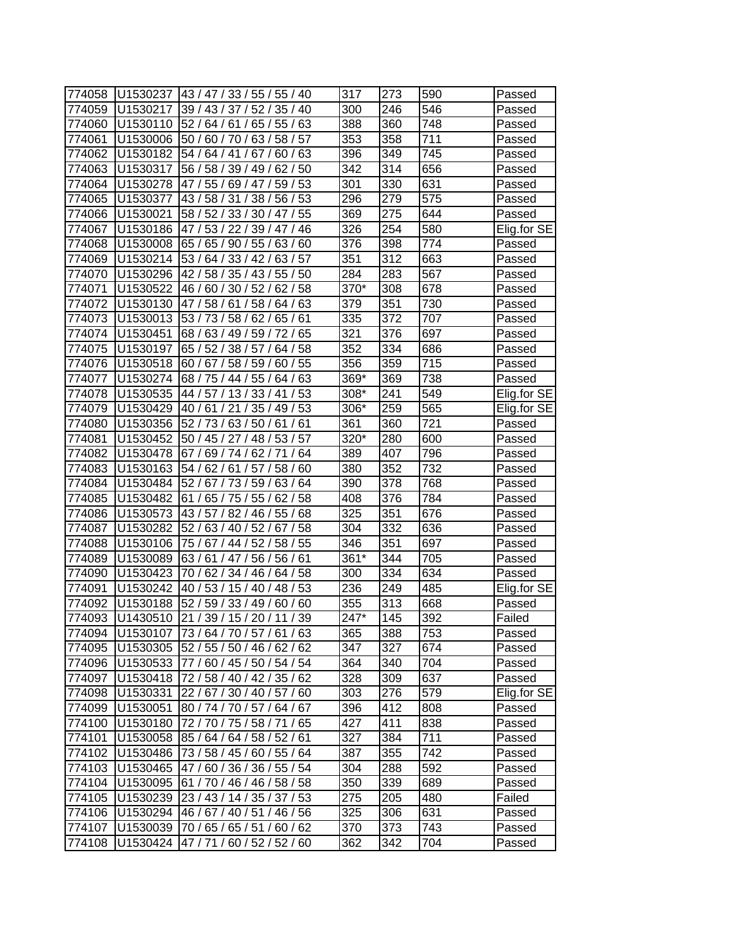| 774058 | U1530237 | 43 / 47 / 33 / 55 / 55 / 40           | 317               | 273 | 590              | Passed      |
|--------|----------|---------------------------------------|-------------------|-----|------------------|-------------|
| 774059 | U1530217 | 39/43/<br>37/52/<br>35/40             | 300               | 246 | 546              | Passed      |
| 774060 | U1530110 | 52/<br>64/<br>61/<br>65/<br>55/<br>63 | 388               | 360 | 748              | Passed      |
| 774061 | U1530006 | 50 / 60 / 70 / 63 / 58 / 57           | 353               | 358 | 711              | Passed      |
| 774062 | U1530182 | 54 / 64 / 41<br>/67/<br>60/63         | 396               | 349 | 745              | Passed      |
| 774063 | U1530317 | 56 / 58 / 39 / 49 / 62 / 50           | 342               | 314 | 656              | Passed      |
| 774064 | U1530278 | 47 / 55 / 69 / 47 / 59 / 53           | 301               | 330 | 631              | Passed      |
| 774065 | U1530377 | 43 / 58 /<br>31/38/56/53              | 296               | 279 | 575              | Passed      |
| 774066 | U1530021 | 58 / 52 / 33 / 30 / 47 / 55           | 369               | 275 | 644              | Passed      |
| 774067 | U1530186 | 47/53/22/39/47/46                     | 326               | 254 | 580              | Elig.for SE |
| 774068 | U1530008 | 65 / 65 / 90 / 55 / 63 / 60           | 376               | 398 | 774              | Passed      |
| 774069 | U1530214 | 53 / 64 / 33 / 42 /<br>63/57          | 351               | 312 | 663              | Passed      |
| 774070 | U1530296 | 42 / 58 / 35 / 43 / 55 / 50           | 284               | 283 | $\overline{567}$ | Passed      |
| 774071 | U1530522 | 46 /<br>60/<br>30/52/<br>58<br>62/    | 370*              | 308 | 678              | Passed      |
| 774072 | U1530130 | 47<br>58/<br>61<br>58/<br>63<br>64    | 379               | 351 | 730              | Passed      |
| 774073 | U1530013 | 53/<br>73/<br>58/<br>62/<br>65/<br>61 | 335               | 372 | 707              | Passed      |
| 774074 | U1530451 | 68/63/<br>49 / 59 /<br>'72/<br>65     | 321               | 376 | 697              | Passed      |
| 774075 | U1530197 | 65 / 52 / 38 / 57<br>64/58            | 352               | 334 | 686              | Passed      |
| 774076 | U1530518 | 58/59/<br>/55<br>60/67/<br>60         | 356               | 359 | 715              | Passed      |
| 774077 | U1530274 | 68 / 75 / 44 / 55 / 64 / 63           | 369*              | 369 | 738              | Passed      |
| 774078 | U1530535 | 44 / 57 / 13 / 33 / 41<br>/53         | 308*              | 241 | 549              | Elig.for SE |
| 774079 | U1530429 | /35/49/53<br>40/61/21                 | 306*              | 259 | 565              | Elig.for SE |
| 774080 | U1530356 | 52 / 73 / 63 / 50 / 61<br>/61         | 361               | 360 | 721              | Passed      |
| 774081 | U1530452 | 50 / 45 / 27 / 48 / 53 / 57           | 320*              | 280 | 600              | Passed      |
| 774082 | U1530478 | 67/69/74/62/71<br>/64                 | 389               | 407 | 796              | Passed      |
| 774083 | U1530163 | 54 / 62 / 61 / 57 /<br>58/60          | 380               | 352 | 732              | Passed      |
| 774084 | U1530484 | 52/<br>67 / 73 / 59 /<br>63/<br>64    | 390               | 378 | 768              | Passed      |
| 774085 | U1530482 | 61/<br>65/<br>75 / 55 /<br>62/58      | 408               | 376 | 784              | Passed      |
| 774086 | U1530573 | 43 / 57 / 82 / 46 /<br>55 / 68        | 325               | 351 | 676              | Passed      |
| 774087 | U1530282 | 52 / 63 / 40 / 52 /<br>67/58          | 304               | 332 | 636              | Passed      |
| 774088 | U1530106 | 75 / 67 / 44 / 52 / 58 / 55           | 346               | 351 | 697              | Passed      |
| 774089 | U1530089 | 63 / 61 / 47 / 56 / 56 / 61           | 361*              | 344 | 705              | Passed      |
| 774090 | U1530423 | 64/58<br>70/62/<br>34/46/             | 300               | 334 | 634              | Passed      |
| 774091 | U1530242 | 40 / 53 / 15 / 40 / 48 / 53           | 236               | 249 | 485              | Elig.for SE |
| 774092 | U1530188 | 52 / 59 / 33 / 49 / 60 / 60           | 355               | 313 | 668              | Passed      |
| 774093 | U1430510 | 21 / 39 / 15 / 20 / 11 / 39           | $\overline{2}47*$ | 145 | 392              | Failed      |
| 774094 | U1530107 | 73/64/70/57/61/63                     | 365               | 388 | 753              | Passed      |
| 774095 | U1530305 | 52 / 55 / 50 / 46 / 62 / 62           | 347               | 327 | 674              | Passed      |
| 774096 | U1530533 | 77 / 60 / 45 / 50 / 54 / 54           | 364               | 340 | 704              | Passed      |
| 774097 | U1530418 | 72 / 58 / 40 / 42 / 35 / 62           | 328               | 309 | 637              | Passed      |
| 774098 | U1530331 | 22 / 67 / 30 / 40 / 57 / 60           | 303               | 276 | 579              | Elig.for SE |
| 774099 | U1530051 | 80 / 74 / 70 / 57 / 64 / 67           | 396               | 412 | 808              | Passed      |
| 774100 | U1530180 | 72 / 70 / 75 / 58 / 71 / 65           | 427               | 411 | 838              | Passed      |
| 774101 | U1530058 | 85 / 64 / 64 / 58 / 52 / 61           | 327               | 384 | 711              | Passed      |
| 774102 | U1530486 | 73 / 58 / 45 / 60 / 55 / 64           | 387               | 355 | 742              | Passed      |
| 774103 | U1530465 | 47 / 60 / 36 / 36 / 55 / 54           | 304               | 288 | 592              | Passed      |
| 774104 | U1530095 | 61 / 70 / 46 / 46 / 58 / 58           | 350               | 339 | 689              | Passed      |
| 774105 | U1530239 | 23 / 43 / 14 / 35 / 37 / 53           | 275               | 205 | 480              | Failed      |
| 774106 | U1530294 | 46 / 67 / 40 / 51 / 46 / 56           | 325               | 306 | 631              | Passed      |
| 774107 | U1530039 | 70 / 65 / 65 / 51 / 60 / 62           | 370               | 373 | 743              | Passed      |
| 774108 | U1530424 | 47/71/60/52/52/60                     | 362               | 342 | 704              | Passed      |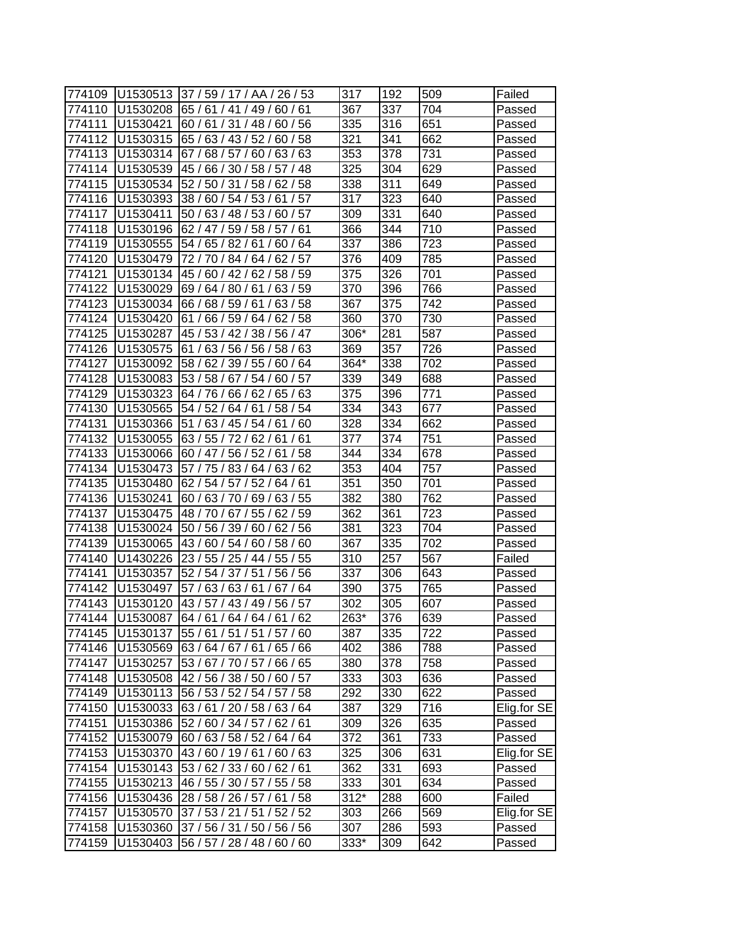| 774109 | U1530513 | 37 / 59 / 17 / AA / 26 / 53                  | 317    | 192 | 509 | Failed      |
|--------|----------|----------------------------------------------|--------|-----|-----|-------------|
| 774110 | U1530208 | 65 /<br>61/<br>41 /<br>49 /<br>60/<br>61     | 367    | 337 | 704 | Passed      |
| 774111 | U1530421 | 60/56<br>60/61/31/48/                        | 335    | 316 | 651 | Passed      |
| 774112 | U1530315 | 63/43/52/<br>60/58<br>65/                    | 321    | 341 | 662 | Passed      |
| 774113 | U1530314 | 67/<br>68/57/60/63/63                        | 353    | 378 | 731 | Passed      |
| 774114 | U1530539 | 45 / 66 / 30 / 58 / 57 / 48                  | 325    | 304 | 629 | Passed      |
| 774115 | U1530534 | 52/50/<br>31/58/<br>62/58                    | 338    | 311 | 649 | Passed      |
| 774116 | U1530393 | 38 / 60 / 54 / 53 /<br>61/57                 | 317    | 323 | 640 | Passed      |
| 774117 | U1530411 | 50 / 63 / 48 / 53 /<br>60/57                 | 309    | 331 | 640 | Passed      |
| 774118 | U1530196 | 62 / 47 / 59 / 58 / 57 / 61                  | 366    | 344 | 710 | Passed      |
| 774119 | U1530555 | 54 / 65 / 82 / 61<br>60/64                   | 337    | 386 | 723 | Passed      |
| 774120 | U1530479 | 62/57<br>72/70<br>84/64/                     | 376    | 409 | 785 | Passed      |
| 774121 | U1530134 | 45 /<br>60/<br>42/<br>62/<br>58/59           | 375    | 326 | 701 | Passed      |
| 774122 | U1530029 | 69/<br>63/<br>59<br>64/<br>80/<br>61         | 370    | 396 | 766 | Passed      |
| 774123 | U1530034 | 68/<br>59/<br>61<br>63/<br>58<br>66/         | 367    | 375 | 742 | Passed      |
| 774124 | U1530420 | 61<br>66/<br>59/<br>64 <sub>1</sub><br>62/58 | 360    | 370 | 730 | Passed      |
| 774125 | U1530287 | 45/53/<br>42/38/<br>56 / 47                  | 306*   | 281 | 587 | Passed      |
| 774126 | U1530575 | 56/56/<br>63<br>58/<br>63<br>61              | 369    | 357 | 726 | Passed      |
| 774127 | U1530092 | 39/55/<br>58/62/<br>60/64                    | 364*   | 338 | 702 | Passed      |
| 774128 | U1530083 | 53/58/<br>57<br>/54/<br>67<br>60/            | 339    | 349 | 688 | Passed      |
| 774129 | U1530323 | 63<br>64/76/<br>66/62/<br>65/                | 375    | 396 | 771 | Passed      |
| 774130 | U1530565 | 54/52/<br>58/54<br>64/61                     | 334    | 343 | 677 | Passed      |
| 774131 | U1530366 | 51<br>/63/45/54/61<br>/60                    | 328    | 334 | 662 | Passed      |
| 774132 | U1530055 | 63/55/72/62/<br>61/61                        | 377    | 374 | 751 | Passed      |
| 774133 | U1530066 | 56 / 52 / 61 / 58<br>60 / 47 /               | 344    | 334 | 678 | Passed      |
| 774134 | U1530473 | 64/<br>63/<br>62<br>57<br>75 /<br>83/        | 353    | 404 | 757 | Passed      |
| 774135 | U1530480 | 54/<br>/52/<br>61<br>62/<br>57<br>64 /       | 351    | 350 | 701 | Passed      |
| 774136 | U1530241 | 60/63/70/69/63/55                            | 382    | 380 | 762 | Passed      |
| 774137 | U1530475 | 67/55/<br>48/70/<br>62/59                    | 362    | 361 | 723 | Passed      |
| 774138 | U1530024 | 50 / 56 / 39 / 60 / 62 / 56                  | 381    | 323 | 704 | Passed      |
| 774139 | U1530065 | 43/60/54/60/<br>58/60                        | 367    | 335 | 702 | Passed      |
| 774140 | U1430226 | 23/<br>55/55<br>، 54 / 25 <i>/</i> 44 /      | 310    | 257 | 567 | Failed      |
| 774141 | U1530357 | 52/<br>56<br>54/37/51<br>56/                 | 337    | 306 | 643 | Passed      |
| 774142 | U1530497 | 57/<br>63/<br>63/61<br>/64<br>67             | 390    | 375 | 765 | Passed      |
| 774143 | U1530120 | 43 / 57 / 43 / 49 / 56 / 57                  | 302    | 305 | 607 | Passed      |
| 774144 | U1530087 | 64/61/64/64/61/62                            | 263*   | 376 | 639 | Passed      |
| 774145 | U1530137 | 55 / 61 / 51 / 51 / 57 / 60                  | 387    | 335 | 722 | Passed      |
| 774146 | U1530569 | 63/64/67/61/65/66                            | 402    | 386 | 788 | Passed      |
| 774147 | U1530257 | 53 / 67 / 70 / 57 / 66 / 65                  | 380    | 378 | 758 | Passed      |
| 774148 | U1530508 | 42 / 56 / 38 / 50 / 60 / 57                  | 333    | 303 | 636 | Passed      |
| 774149 | U1530113 | 56 / 53 / 52 / 54 / 57 / 58                  | 292    | 330 | 622 | Passed      |
| 774150 | U1530033 | 63/61/20/58/63/64                            | 387    | 329 | 716 | Elig.for SE |
| 774151 | U1530386 | 52 / 60 / 34 / 57 / 62 / 61                  | 309    | 326 | 635 | Passed      |
| 774152 | U1530079 | 60 / 63 / 58 / 52 / 64 / 64                  | 372    | 361 | 733 | Passed      |
| 774153 | U1530370 | 43/60/19/61/60/63                            | 325    | 306 | 631 | Elig.for SE |
| 774154 | U1530143 | 53 / 62 / 33 / 60 / 62 / 61                  | 362    | 331 | 693 | Passed      |
| 774155 |          | U1530213 46 / 55 / 30 / 57 / 55 / 58         | 333    | 301 | 634 | Passed      |
| 774156 | U1530436 | 28 / 58 / 26 / 57 / 61 / 58                  | $312*$ | 288 | 600 | Failed      |
| 774157 | U1530570 | 37 / 53 / 21 / 51 / 52 / 52                  | 303    | 266 | 569 | Elig.for SE |
| 774158 | U1530360 | 37 / 56 / 31 / 50 / 56 / 56                  | 307    | 286 | 593 | Passed      |
| 774159 | U1530403 | 56 / 57 / 28 / 48 / 60 / 60                  | 333*   | 309 | 642 | Passed      |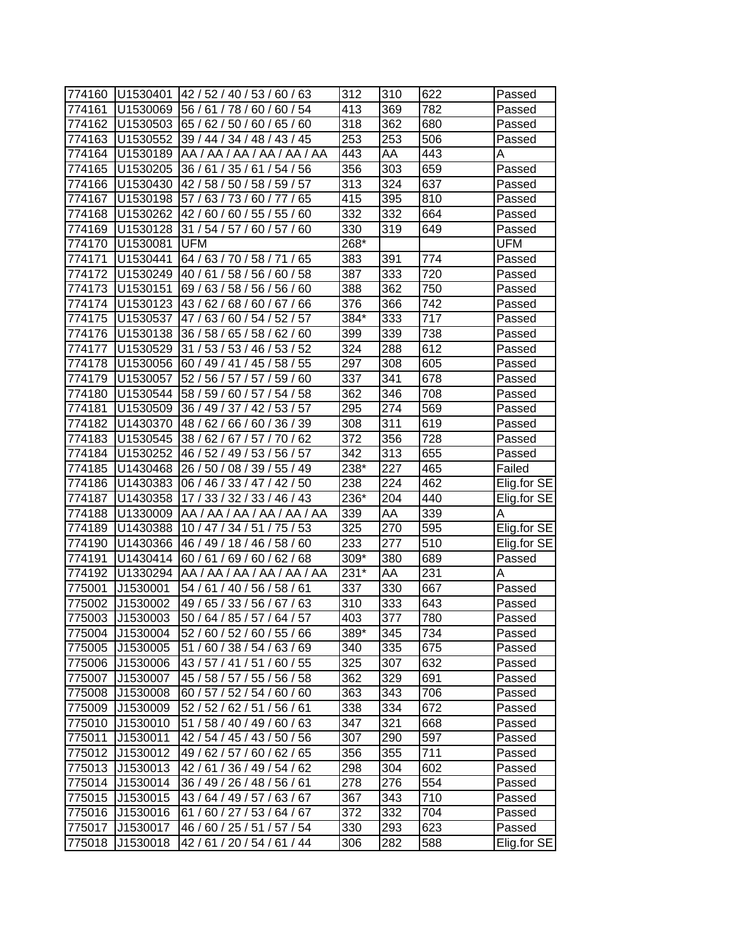| 774160 | U1530401 | 42 / 52 / 40 / 53 / 60 / 63       | 312  | 310              | 622 | Passed      |
|--------|----------|-----------------------------------|------|------------------|-----|-------------|
| 774161 | U1530069 | 56/61/<br>54<br>78/60/<br>60/     | 413  | 369              | 782 | Passed      |
| 774162 | U1530503 | 65/62/<br>50/60/65/60             | 318  | 362              | 680 | Passed      |
| 774163 | U1530552 | 39 / 44 / 34 / 48 / 43 / 45       | 253  | 253              | 506 | Passed      |
| 774164 | U1530189 | AA / AA / AA / AA / AA / AA       | 443  | AA               | 443 | Α           |
| 774165 | U1530205 | 36 / 61 / 35 / 61 / 54 / 56       | 356  | 303              | 659 | Passed      |
| 774166 | U1530430 | 42 / 58 / 50 / 58 / 59 / 57       | 313  | 324              | 637 | Passed      |
| 774167 | U1530198 | 57 / 63 / 73 / 60 / 77 / 65       | 415  | 395              | 810 | Passed      |
| 774168 | U1530262 | 42 / 60 / 60 / 55 / 55 / 60       | 332  | $\overline{3}32$ | 664 | Passed      |
| 774169 | U1530128 | 31 / 54 / 57 / 60 / 57 / 60       | 330  | 319              | 649 | Passed      |
| 774170 | U1530081 | <b>UFM</b>                        | 268* |                  |     | <b>UFM</b>  |
| 774171 | U1530441 | 64 / 63 / 70 / 58 / 71 / 65       | 383  | 391              | 774 | Passed      |
| 774172 | U1530249 | 40 / 61 / 58 / 56 / 60 / 58       | 387  | 333              | 720 | Passed      |
| 774173 | U1530151 | 69/63/<br>58 / 56 / 56 / 60       | 388  | 362              | 750 | Passed      |
| 774174 | U1530123 | 43/<br>62/<br>68/60/<br>67/<br>66 | 376  | 366              | 742 | Passed      |
| 774175 | U1530537 | 63/<br>60/54/<br>52/57<br>47 /    | 384* | 333              | 717 | Passed      |
| 774176 | U1530138 | 36/58/<br>65 / 58 / 62 / 60       | 399  | 339              | 738 | Passed      |
| 774177 | U1530529 | / 53 / 53 / 46 / 53 / 52<br>31    | 324  | 288              | 612 | Passed      |
| 774178 | U1530056 | /45/<br>58 / 55<br>60 / 49 / 41   | 297  | 308              | 605 | Passed      |
| 774179 | U1530057 | 52 / 56 / 57 / 57 /<br>59/60      | 337  | 341              | 678 | Passed      |
| 774180 | U1530544 | 58 / 59 / 60 / 57 /<br>54/58      | 362  | 346              | 708 | Passed      |
| 774181 | U1530509 | 36 / 49 / 37 / 42 /<br>53/57      | 295  | 274              | 569 | Passed      |
| 774182 | U1430370 | 48 / 62 / 66 / 60 / 36 / 39       | 308  | 311              | 619 | Passed      |
| 774183 | U1530545 | 38 / 62 / 67 / 57 / 70 / 62       | 372  | 356              | 728 | Passed      |
| 774184 | U1530252 | 46 / 52 / 49 / 53 / 56 / 57       | 342  | 313              | 655 | Passed      |
| 774185 | U1430468 | 26 / 50 / 08 / 39 / 55 / 49       | 238* | 227              | 465 | Failed      |
| 774186 | U1430383 | 06 / 46 / 33 / 47 / 42 / 50       | 238  | 224              | 462 | Elig.for SE |
| 774187 | U1430358 | 17 / 33 / 32 / 33 / 46 / 43       | 236* | 204              | 440 | Elig.for SE |
| 774188 | U1330009 | AA / AA / AA / AA / AA / AA       | 339  | AA               | 339 | Α           |
| 774189 | U1430388 | 10 / 47 / 34 / 51 / 75 / 53       | 325  | 270              | 595 | Elig.for SE |
| 774190 | U1430366 | 46 / 49 / 18 / 46 / 58 / 60       | 233  | 277              | 510 | Elig.for SE |
| 774191 | U1430414 | 60 / 61 / 69 / 60 / 62 / 68       | 309* | 380              | 689 | Passed      |
| 774192 | U1330294 | AA / AA / AA / AA / AA / AA       | 231* | AA               | 231 | Α           |
| 775001 | J1530001 | 54 / 61 / 40 / 56 / 58 / 61       | 337  | $\overline{330}$ | 667 | Passed      |
| 775002 | J1530002 | 49 / 65 / 33 / 56 / 67 / 63       | 310  | 333              | 643 | Passed      |
| 775003 | J1530003 | 50 / 64 / 85 / 57 / 64 / 57       | 403  | 377              | 780 | Passed      |
| 775004 | J1530004 | 52 / 60 / 52 / 60 / 55 / 66       | 389* | 345              | 734 | Passed      |
| 775005 | J1530005 | 51/60/38/54/63/69                 | 340  | 335              | 675 | Passed      |
| 775006 | J1530006 | 43 / 57 / 41 / 51 / 60 / 55       | 325  | 307              | 632 | Passed      |
| 775007 | J1530007 | 45 / 58 / 57 / 55 / 56 / 58       | 362  | 329              | 691 | Passed      |
| 775008 | J1530008 | 60 / 57 / 52 / 54 / 60 / 60       | 363  | 343              | 706 | Passed      |
| 775009 | J1530009 | 52 / 52 / 62 / 51 / 56 / 61       | 338  | 334              | 672 | Passed      |
| 775010 | J1530010 | 51 / 58 / 40 / 49 / 60 / 63       | 347  | 321              | 668 | Passed      |
| 775011 | J1530011 | 42 / 54 / 45 / 43 / 50 / 56       | 307  | 290              | 597 | Passed      |
| 775012 | J1530012 | 49 / 62 / 57 / 60 / 62 / 65       | 356  | 355              | 711 | Passed      |
| 775013 | J1530013 | 42 / 61 / 36 / 49 / 54 / 62       | 298  | 304              | 602 | Passed      |
| 775014 | J1530014 | 36 / 49 / 26 / 48 / 56 / 61       | 278  | 276              | 554 | Passed      |
| 775015 | J1530015 | 43/64/49/57/63/67                 | 367  | 343              | 710 | Passed      |
| 775016 | J1530016 | 61 / 60 / 27 / 53 / 64 / 67       | 372  | 332              | 704 | Passed      |
| 775017 | J1530017 | 46 / 60 / 25 / 51 / 57 / 54       | 330  | 293              | 623 | Passed      |
| 775018 | J1530018 | 42/61/20/54/61/44                 | 306  | 282              | 588 | Elig.for SE |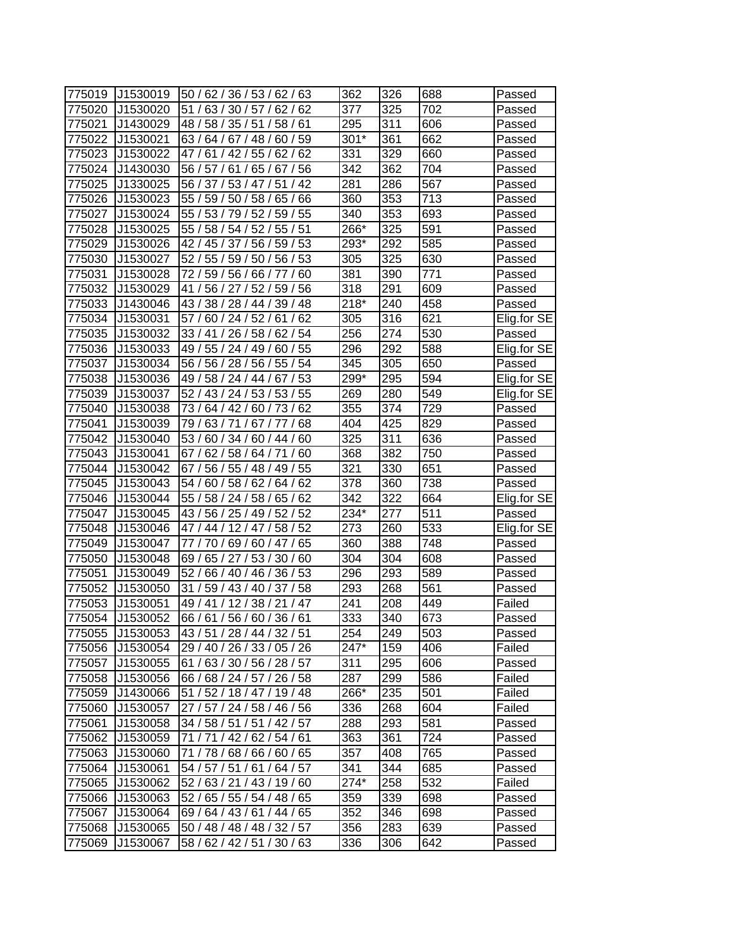| 775019 | J1530019 | 50 / 62 / 36 / 53 / 62 / 63        | 362    | 326 | 688 | Passed      |
|--------|----------|------------------------------------|--------|-----|-----|-------------|
| 775020 | J1530020 | 51<br>63/<br>62/<br>62<br>30/57/   | 377    | 325 | 702 | Passed      |
| 775021 | J1430029 | 48 /<br>58/<br>35/51/<br>58/<br>61 | 295    | 311 | 606 | Passed      |
| 775022 | J1530021 | 63 / 64 / 67 / 48 / 60 / 59        | $301*$ | 361 | 662 | Passed      |
| 775023 | J1530022 | 47/<br>61/42/55/62/<br>62          | 331    | 329 | 660 | Passed      |
| 775024 | J1430030 | 56 / 57 / 61 / 65 / 67 / 56        | 342    | 362 | 704 | Passed      |
| 775025 | J1330025 | 56 / 37 / 53 / 47 / 51 / 42        | 281    | 286 | 567 | Passed      |
| 775026 | J1530023 | 55 / 59 / 50 / 58 / 65 / 66        | 360    | 353 | 713 | Passed      |
| 775027 | J1530024 | 55 / 53 / 79 / 52 /<br>59/55       | 340    | 353 | 693 | Passed      |
| 775028 | J1530025 | 55 / 58 / 54 / 52 / 55 / 51        | 266*   | 325 | 591 | Passed      |
| 775029 | J1530026 | 42 / 45 / 37 / 56 / 59 / 53        | 293*   | 292 | 585 | Passed      |
| 775030 | J1530027 | 52 / 55 / 59 / 50 / 56 / 53        | 305    | 325 | 630 | Passed      |
| 775031 | J1530028 | 72 / 59 / 56 / 66 / 77<br>60       | 381    | 390 | 771 | Passed      |
| 775032 | J1530029 | 56 / 27 / 52 /<br>56<br>41<br>59/  | 318    | 291 | 609 | Passed      |
| 775033 | J1430046 | 43/<br>38/28/44<br>39/<br>48       | $218*$ | 240 | 458 | Passed      |
| 775034 | J1530031 | 62<br>57<br>60/24/52/<br>61        | 305    | 316 | 621 | Elig.for SE |
| 775035 | J1530032 | 33/41<br>/26/58/<br>62/54          | 256    | 274 | 530 | Passed      |
| 775036 | J1530033 | 49 / 55 / 24 / 49 /<br>60/55       | 296    | 292 | 588 | Elig.for SE |
| 775037 | J1530034 | 56 / 56 / 28 / 56 /<br>55/54       | 345    | 305 | 650 | Passed      |
| 775038 | J1530036 | 67/53<br>49 / 58 / 24 / 44 /       | 299*   | 295 | 594 | Elig.for SE |
| 775039 | J1530037 | 52 / 43 / 24 / 53 / 53 / 55        | 269    | 280 | 549 | Elig.for SE |
| 775040 | J1530038 | 73 / 64 / 42 / 60 / 73 / 62        | 355    | 374 | 729 | Passed      |
| 775041 | J1530039 | 79/63/71/67/77/68                  | 404    | 425 | 829 | Passed      |
| 775042 | J1530040 | 53 / 60 / 34 / 60 / 44 / 60        | 325    | 311 | 636 | Passed      |
| 775043 | J1530041 | 62/58/64/71/60<br>67/              | 368    | 382 | 750 | Passed      |
| 775044 | J1530042 | 56 / 55 / 48 / 49 / 55<br>67 /     | 321    | 330 | 651 | Passed      |
| 775045 | J1530043 | 62<br>54 /<br>60/<br>58/62/<br>64/ | 378    | 360 | 738 | Passed      |
| 775046 | J1530044 | 55/<br>58 / 24 / 58 /<br>65/<br>62 | 342    | 322 | 664 | Elig.for SE |
| 775047 | J1530045 | 43/56/25/49/52/52                  | $234*$ | 277 | 511 | Passed      |
| 775048 | J1530046 | 47 / 44 / 12 / 47 /<br>58/52       | 273    | 260 | 533 | Elig.for SE |
| 775049 | J1530047 | 77<br>/70/69/60/47/<br>65          | 360    | 388 | 748 | Passed      |
| 775050 | J1530048 | 69 / 65 / 27 / 53 / 30 / 60        | 304    | 304 | 608 | Passed      |
| 775051 | J1530049 | 52/<br>36/53<br>66 / 40 / 46 /     | 296    | 293 | 589 | Passed      |
| 775052 | J1530050 | 31/<br>59 / 43 / 40 / 37 / 58      | 293    | 268 | 561 | Passed      |
| 775053 | J1530051 | 49 / 41 / 12 / 38 / 21 / 47        | 241    | 208 | 449 | Failed      |
| 775054 | J1530052 | 66/61/56/60/36/61                  | 333    | 340 | 673 | Passed      |
| 775055 | J1530053 | 43/51/28/44/32/51                  | 254    | 249 | 503 | Passed      |
| 775056 | J1530054 | 29 / 40 / 26 / 33 / 05 / 26        | 247*   | 159 | 406 | Failed      |
| 775057 | J1530055 | 61/63/30/56/28/57                  | 311    | 295 | 606 | Passed      |
| 775058 | J1530056 | 66/68/24/57/26/58                  | 287    | 299 | 586 | Failed      |
| 775059 | J1430066 | 51 / 52 / 18 / 47 / 19 / 48        | 266*   | 235 | 501 | Failed      |
| 775060 | J1530057 | 27 / 57 / 24 / 58 / 46 / 56        | 336    | 268 | 604 | Failed      |
| 775061 | J1530058 | 34 / 58 / 51 / 51 / 42 / 57        | 288    | 293 | 581 | Passed      |
| 775062 | J1530059 | 71 / 71 / 42 / 62 / 54 / 61        | 363    | 361 | 724 | Passed      |
| 775063 | J1530060 | 71 / 78 / 68 / 66 / 60 / 65        | 357    | 408 | 765 | Passed      |
| 775064 | J1530061 | 54 / 57 / 51 / 61 / 64 / 57        | 341    | 344 | 685 | Passed      |
| 775065 | J1530062 | 52/63/21/43/19/60                  | 274*   | 258 | 532 | Failed      |
| 775066 | J1530063 | 52 / 65 / 55 / 54 / 48 / 65        | 359    | 339 | 698 | Passed      |
| 775067 | J1530064 | 69 / 64 / 43 / 61 / 44 / 65        | 352    | 346 | 698 | Passed      |
| 775068 | J1530065 | 50 / 48 / 48 / 48 / 32 / 57        | 356    | 283 | 639 | Passed      |
| 775069 | J1530067 | 58 / 62 / 42 / 51 / 30 / 63        | 336    | 306 | 642 | Passed      |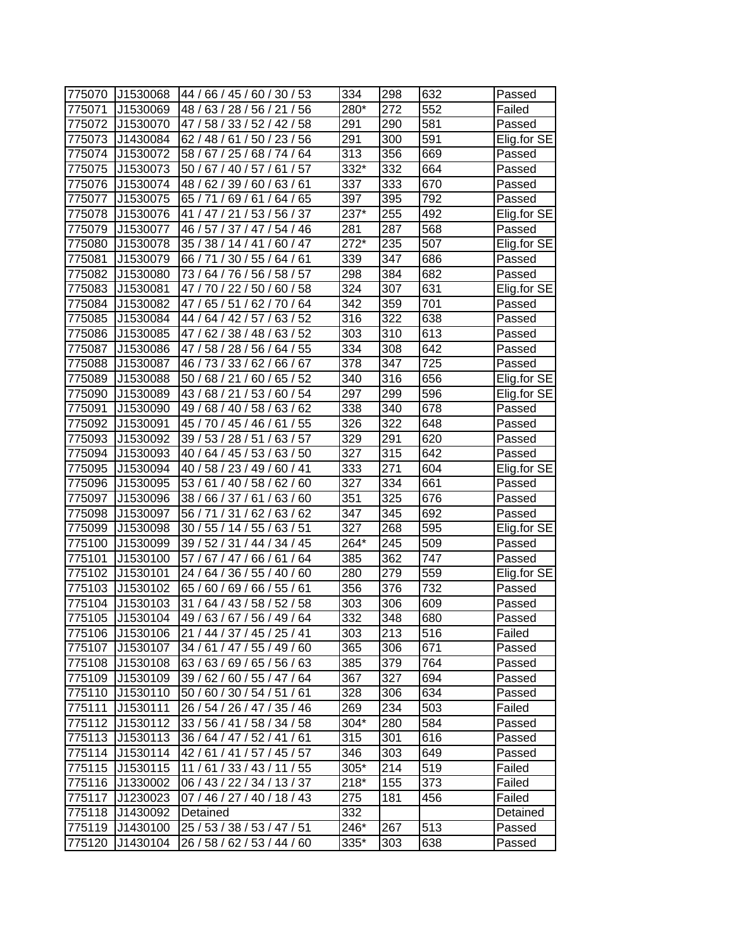| 775070 | J1530068 | 44 / 66 / 45 / 60 / 30 / 53         | 334    | 298              | 632 | Passed      |
|--------|----------|-------------------------------------|--------|------------------|-----|-------------|
| 775071 | J1530069 | 28/56/21/<br>56<br>48 /<br>63/      | 280*   | 272              | 552 | Failed      |
| 775072 | J1530070 | 47 /<br>58 / 33 / 52 / 42 / 58      | 291    | 290              | 581 | Passed      |
| 775073 | J1430084 | 62 / 48 / 61 / 50 / 23 / 56         | 291    | 300              | 591 | Elig.for SE |
| 775074 | J1530072 | 58 / 67 / 25 / 68 / 74 / 64         | 313    | 356              | 669 | Passed      |
| 775075 | J1530073 | 50 / 67 / 40 / 57 / 61 / 57         | 332*   | 332              | 664 | Passed      |
| 775076 | J1530074 | 48 / 62 / 39 / 60 / 63 / 61         | 337    | 333              | 670 | Passed      |
| 775077 | J1530075 | 65/71/69/61/<br>64 / 65             | 397    | 395              | 792 | Passed      |
| 775078 | J1530076 | 41 / 47 / 21 / 53 / 56 / 37         | 237*   | 255              | 492 | Elig.for SE |
| 775079 | J1530077 | 46 / 57 / 37 / 47 / 54 / 46         | 281    | 287              | 568 | Passed      |
| 775080 | J1530078 | 35 / 38 / 14 / 41 / 60 / 47         | $272*$ | 235              | 507 | Elig.for SE |
| 775081 | J1530079 | 66 / 71 / 30 / 55 / 64 / 61         | 339    | 347              | 686 | Passed      |
| 775082 | J1530080 | 73 / 64 / 76 / 56 / 58 / 57         | 298    | 384              | 682 | Passed      |
| 775083 | J1530081 | 47 / 70 / 22 / 50 / 60 / 58         | 324    | 307              | 631 | Elig.for SE |
| 775084 | J1530082 | 47 /<br>62/<br>64<br>65/51<br>70    | 342    | 359              | 701 | Passed      |
| 775085 | J1530084 | 52<br>44 /<br>64 / 42 / 57 /<br>63/ | 316    | 322              | 638 | Passed      |
| 775086 | J1530085 | 47 / 62 / 38 / 48 /<br>63/52        | 303    | 310              | 613 | Passed      |
| 775087 | J1530086 | 47/<br>58 / 28 / 56 /<br>64/55      | 334    | 308              | 642 | Passed      |
| 775088 | J1530087 | 46 / 73 / 33 / 62 /<br>66/67        | 378    | 347              | 725 | Passed      |
| 775089 | J1530088 | 50 / 68 / 21 / 60 / 65 / 52         | 340    | 316              | 656 | Elig.for SE |
| 775090 | J1530089 | 43 / 68 / 21 / 53 / 60 / 54         | 297    | 299              | 596 | Elig.for SE |
| 775091 | J1530090 | 63/62<br>49 / 68 / 40 / 58 /        | 338    | 340              | 678 | Passed      |
| 775092 | J1530091 | /55<br>45 / 70 / 45 / 46 / 61       | 326    | $\overline{322}$ | 648 | Passed      |
| 775093 | J1530092 | 63/57<br>39 / 53 / 28 / 51 /        | 329    | 291              | 620 | Passed      |
| 775094 | J1530093 | 40 / 64 / 45 / 53 / 63 / 50         | 327    | 315              | 642 | Passed      |
| 775095 | J1530094 | 40 / 58 / 23 / 49 / 60 / 41         | 333    | 271              | 604 | Elig for SE |
| 775096 | J1530095 | 53/61/40/58/<br>62/<br>60           | 327    | 334              | 661 | Passed      |
| 775097 | J1530096 | 38/66/37/61/<br>63/60               | 351    | 325              | 676 | Passed      |
| 775098 | J1530097 | 56 / 71 / 31 / 62 / 63 / 62         | 347    | 345              | 692 | Passed      |
| 775099 | J1530098 | 30 / 55 / 14 / 55 / 63 / 51         | 327    | 268              | 595 | Elig.for SE |
| 775100 | J1530099 | 39 / 52 / 31 / 44 / 34 / 45         | 264*   | 245              | 509 | Passed      |
| 775101 | J1530100 | 57 / 67 / 47 / 66 / 61 / 64         | 385    | 362              | 747 | Passed      |
| 775102 | J1530101 | 24 / 64 / 36 / 55 / 40 / 60         | 280    | 279              | 559 | Elig.for SE |
| 775103 | J1530102 | 65 / 60 / 69 / 66 / 55 / 61         | 356    | 376              | 732 | Passed      |
| 775104 | J1530103 | 31 / 64 / 43 / 58 / 52 / 58         | 303    | 306              | 609 | Passed      |
| 775105 | J1530104 | 49 / 63 / 67 / 56 / 49 / 64         | 332    | 348              | 680 | Passed      |
| 775106 | J1530106 | 21 / 44 / 37 / 45 / 25 / 41         | 303    | 213              | 516 | Failed      |
| 775107 | J1530107 | 34 / 61 / 47 / 55 / 49 / 60         | 365    | 306              | 671 | Passed      |
| 775108 | J1530108 | 63/63/69/65/56/63                   | 385    | 379              | 764 | Passed      |
| 775109 | J1530109 | 39/62/60/55/47/64                   | 367    | 327              | 694 | Passed      |
| 775110 | J1530110 | 50 / 60 / 30 / 54 / 51 / 61         | 328    | 306              | 634 | Passed      |
| 775111 | J1530111 | 26 / 54 / 26 / 47 / 35 / 46         | 269    | 234              | 503 | Failed      |
| 775112 | J1530112 | 33 / 56 / 41 / 58 / 34 / 58         | 304*   | 280              | 584 | Passed      |
| 775113 | J1530113 | 36 / 64 / 47 / 52 / 41 / 61         | 315    | 301              | 616 | Passed      |
| 775114 | J1530114 | 42/61/41/57/45/57                   | 346    | 303              | 649 | Passed      |
| 775115 | J1530115 | 11/61/33/43/11/55                   | 305*   | 214              | 519 | Failed      |
| 775116 | J1330002 | 06/43/22/34/13/37                   | $218*$ | 155              | 373 | Failed      |
| 775117 | J1230023 | 07 / 46 / 27 / 40 / 18 / 43         | 275    | 181              | 456 | Failed      |
| 775118 | J1430092 | Detained                            | 332    |                  |     | Detained    |
| 775119 | J1430100 | 25 / 53 / 38 / 53 / 47 / 51         | 246*   | 267              | 513 | Passed      |
| 775120 | J1430104 | 26 / 58 / 62 / 53 / 44 / 60         | 335*   | 303              | 638 | Passed      |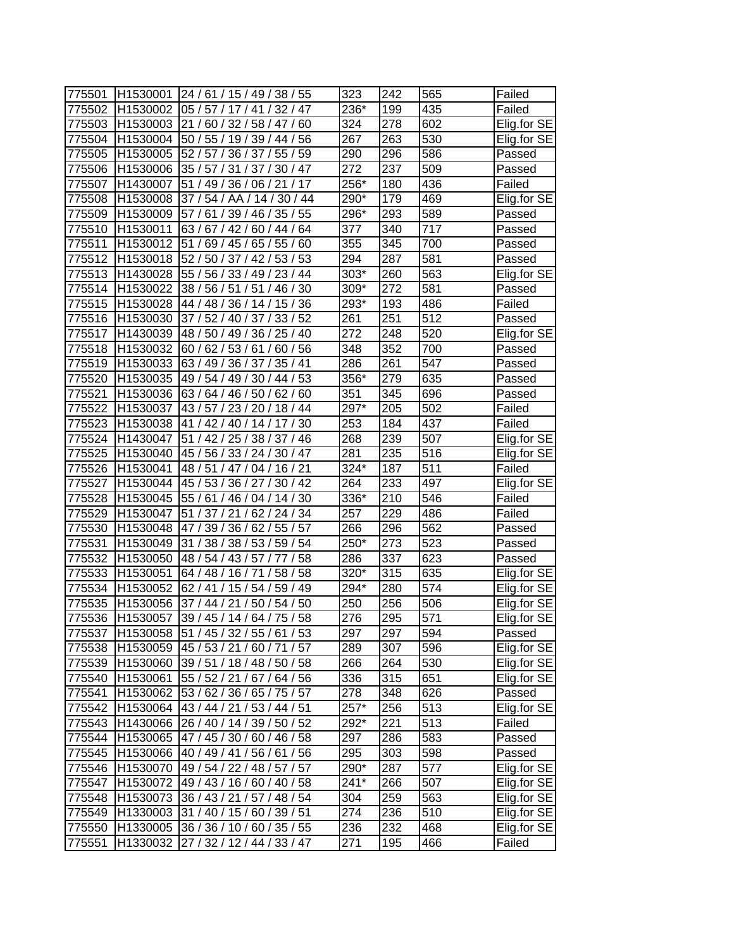| 775501 | H1530001 | 24 / 61 / 15 / 49 / 38 / 55             | 323    | 242 | 565              | Failed      |
|--------|----------|-----------------------------------------|--------|-----|------------------|-------------|
| 775502 | H1530002 | 32/47<br>05/57/17/41/                   | 236*   | 199 | 435              | Failed      |
| 775503 |          | H1530003 21 / 60 / 32 / 58 / 47 /<br>60 | 324    | 278 | 602              | Elig.for SE |
| 775504 | H1530004 | 50 / 55 / 19 / 39 / 44 / 56             | 267    | 263 | 530              | Elig.for SE |
| 775505 | H1530005 | 52 / 57 / 36 / 37 / 55 / 59             | 290    | 296 | 586              | Passed      |
| 775506 | H1530006 | 35 / 57 / 31 / 37 / 30 / 47             | 272    | 237 | 509              | Passed      |
| 775507 | H1430007 | 51 / 49 / 36 / 06 / 21 / 17             | 256*   | 180 | 436              | Failed      |
| 775508 | H1530008 | 37/54/AA/14/30/44                       | 290*   | 179 | 469              | Elig.for SE |
| 775509 | H1530009 | 57 / 61 / 39 / 46 / 35 / 55             | 296*   | 293 | 589              | Passed      |
| 775510 | H1530011 | 63/67/42/60/44/64                       | 377    | 340 | 717              | Passed      |
| 775511 | H1530012 | 51 / 69 / 45 / 65 / 55 / 60             | 355    | 345 | 700              | Passed      |
| 775512 | H1530018 | 52 / 50 / 37 / 42 / 53 / 53             | 294    | 287 | 581              | Passed      |
| 775513 | H1430028 | 55 / 56 / 33 / 49 / 23 / 44             | $303*$ | 260 | 563              | Elig.for SE |
| 775514 | H1530022 | 38 / 56 / 51 / 51 / 46 / 30             | 309*   | 272 | 581              | Passed      |
| 775515 | H1530028 | 44 / 48 / 36 / 14 /<br>15/36            | 293*   | 193 | 486              | Failed      |
| 775516 | H1530030 | 37/<br>52 / 40 / 37 / 33 / 52           | 261    | 251 | 512              | Passed      |
| 775517 | H1430039 | 48 / 50 / 49 / 36 / 25 / 40             | 272    | 248 | 520              | Elig.for SE |
| 775518 | H1530032 | 60/62/53/61/<br>60/56                   | 348    | 352 | 700              | Passed      |
| 775519 | H1530033 | 63 / 49 / 36 / 37 /<br>35/41            | 286    | 261 | 547              | Passed      |
| 775520 | H1530035 | 49 / 54 / 49 / 30 / 44 / 53             | 356*   | 279 | 635              | Passed      |
| 775521 | H1530036 | 63 / 64 / 46 / 50 / 62 / 60             | 351    | 345 | 696              | Passed      |
| 775522 | H1530037 | 43/57/23/20/18/44                       | 297*   | 205 | 502              | Failed      |
| 775523 | H1530038 | 41 / 42 / 40 / 14 / 17 / 30             | 253    | 184 | 437              | Failed      |
| 775524 | H1430047 | 51 / 42 / 25 / 38 / 37 / 46             | 268    | 239 | 507              | Elig.for SE |
| 775525 | H1530040 | 45 / 56 / 33 / 24 / 30 / 47             | 281    | 235 | 516              | Elig.for SE |
| 775526 | H1530041 | 48 / 51 / 47 / 04 / 16 / 21             | 324*   | 187 | 511              | Failed      |
| 775527 | H1530044 | 45 / 53 / 36 / 27 / 30 / 42             | 264    | 233 | 497              | Elig.for SE |
| 775528 | H1530045 | 55 / 61 / 46 / 04 / 14 / 30             | 336*   | 210 | 546              | Failed      |
| 775529 | H1530047 | 51 / 37 / 21 / 62 / 24 / 34             | 257    | 229 | 486              | Failed      |
| 775530 | H1530048 | 47 / 39 / 36 / 62 / 55 / 57             | 266    | 296 | 562              | Passed      |
| 775531 | H1530049 | 31 / 38 / 38 / 53 / 59 / 54             | 250*   | 273 | 523              | Passed      |
| 775532 | H1530050 | 48 / 54 / 43 / 57 / 77 / 58             | 286    | 337 | 623              | Passed      |
| 775533 | H1530051 | 64 / 48 / 16 / 71 /<br>58 / 58          | 320*   | 315 | 635              | Elig.for SE |
| 775534 | H1530052 | 62 / 41 / 15 / 54 / 59 / 49             | 294*   | 280 | 574              | Elig.for SE |
| 775535 | H1530056 | 37 / 44 / 21 / 50 / 54 / 50             | 250    | 256 | 506              | Elig.for SE |
| 775536 | H1530057 | 39 / 45 / 14 / 64 / 75 / 58             | 276    | 295 | $\overline{571}$ | Elig.for SE |
| 775537 |          | H1530058 51 / 45 / 32 / 55 / 61 / 53    | 297    | 297 | 594              | Passed      |
| 775538 | H1530059 | 45 / 53 / 21 / 60 / 71 / 57             | 289    | 307 | 596              | Elig.for SE |
| 775539 | H1530060 | 39 / 51 / 18 / 48 / 50 / 58             | 266    | 264 | 530              | Elig.for SE |
| 775540 | H1530061 | 55 / 52 / 21 / 67 / 64 / 56             | 336    | 315 | 651              | Elig.for SE |
| 775541 | H1530062 | 53 / 62 / 36 / 65 / 75 / 57             | 278    | 348 | 626              | Passed      |
| 775542 | H1530064 | 43 / 44 / 21 / 53 / 44 / 51             | 257*   | 256 | 513              | Elig.for SE |
| 775543 | H1430066 | 26 / 40 / 14 / 39 / 50 / 52             | 292*   | 221 | 513              | Failed      |
| 775544 | H1530065 | 47 / 45 / 30 / 60 / 46 / 58             | 297    | 286 | 583              | Passed      |
| 775545 | H1530066 | 40 / 49 / 41 / 56 / 61 / 56             | 295    | 303 | 598              | Passed      |
| 775546 | H1530070 | 49 / 54 / 22 / 48 / 57 / 57             | 290*   | 287 | 577              | Elig.for SE |
| 775547 | H1530072 | 49 / 43 / 16 / 60 / 40 / 58             | $241*$ | 266 | 507              | Elig.for SE |
| 775548 |          | H1530073 36 / 43 / 21 / 57 / 48 / 54    | 304    | 259 | 563              | Elig.for SE |
| 775549 | H1330003 | 31 / 40 / 15 / 60 / 39 / 51             | 274    | 236 | 510              | Elig.for SE |
| 775550 | H1330005 | 36 / 36 / 10 / 60 / 35 / 55             | 236    | 232 | 468              | Elig.for SE |
| 775551 | H1330032 | 27 / 32 / 12 / 44 / 33 / 47             | 271    | 195 | 466              | Failed      |
|        |          |                                         |        |     |                  |             |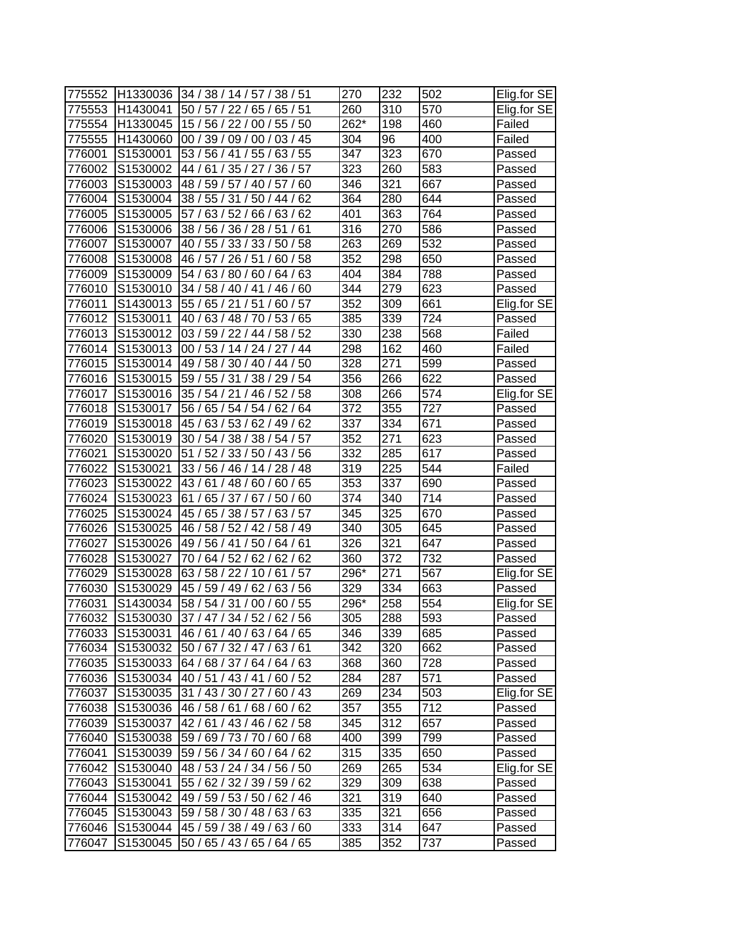| 775552 | H1330036 | 34 / 38 / 14 / 57 / 38 / 51        | 270              | 232 | 502              | Elig.for SE |
|--------|----------|------------------------------------|------------------|-----|------------------|-------------|
| 775553 | H1430041 | 50/57/<br>22/65/<br>65/51          | 260              | 310 | 570              | Elig.for SE |
| 775554 | H1330045 | 15 / 56 / 22 / 00 / 55 / 50        | 262*             | 198 | 460              | Failed      |
| 775555 | H1430060 | 00 / 39 / 09 / 00 / 03 / 45        | 304              | 96  | 400              | Failed      |
| 776001 | S1530001 | 53 / 56 / 41<br>/ 55 / 63 / 55     | 347              | 323 | 670              | Passed      |
| 776002 | S1530002 | 44 / 61 / 35 / 27 / 36 / 57        | 323              | 260 | 583              | Passed      |
| 776003 | S1530003 | 48 / 59 / 57 / 40 / 57 / 60        | 346              | 321 | 667              | Passed      |
| 776004 | S1530004 | 38 / 55 / 31 / 50 / 44 / 62        | 364              | 280 | 644              | Passed      |
| 776005 | S1530005 | 57 / 63 / 52 / 66 / 63 / 62        | 401              | 363 | 764              | Passed      |
| 776006 | S1530006 | 38 / 56 / 36 / 28 / 51 / 61        | 316              | 270 | 586              | Passed      |
| 776007 | S1530007 | 40 / 55 / 33 / 33 / 50 / 58        | 263              | 269 | 532              | Passed      |
| 776008 | S1530008 | 46 / 57 / 26 / 51 /<br>60/58       | 352              | 298 | 650              | Passed      |
| 776009 | S1530009 | 54 / 63 / 80 / 60 / 64 / 63        | 404              | 384 | 788              | Passed      |
| 776010 | S1530010 | 34 / 58 / 40 / 41 / 46 /<br>60     | 344              | 279 | 623              | Passed      |
| 776011 | S1430013 | 55/<br>65/21/51<br>57<br>60        | 352              | 309 | 661              | Elig.for SE |
| 776012 | S1530011 | 40/<br>63/48/70/<br>53/<br>65      | 385              | 339 | 724              | Passed      |
| 776013 | S1530012 | 03 / 59 / 22 / 44 /<br>58/52       | 330              | 238 | 568              | Failed      |
| 776014 | S1530013 | 00 / 53 / 14 / 24 / 27<br>/ 44     | 298              | 162 | 460              | Failed      |
| 776015 | S1530014 | 49 / 58 / 30 / 40 / 44 / 50        | 328              | 271 | 599              | Passed      |
| 776016 | S1530015 | 59 / 55 / 31 / 38 / 29 / 54        | 356              | 266 | 622              | Passed      |
| 776017 | S1530016 | 35 / 54 / 21 / 46 / 52 / 58        | 308              | 266 | 574              | Elig.for SE |
| 776018 | S1530017 | 56 / 65 / 54 / 54 / 62 / 64        | 372              | 355 | 727              | Passed      |
| 776019 | S1530018 | 45 / 63 / 53 / 62 / 49 / 62        | 337              | 334 | 671              | Passed      |
| 776020 | S1530019 | 30 / 54 / 38 / 38 / 54 / 57        | $\overline{352}$ | 271 | 623              | Passed      |
| 776021 | S1530020 | 51 / 52 / 33 / 50 / 43 / 56        | 332              | 285 | 617              | Passed      |
| 776022 | S1530021 | 33 / 56 / 46 / 14 / 28 / 48        | 319              | 225 | 544              | Failed      |
| 776023 | S1530022 | 65<br>43/61/<br>48/60/60/          | 353              | 337 | 690              | Passed      |
| 776024 | S1530023 | 65 / 37 / 67 /<br>61/<br>50/<br>60 | 374              | 340 | 714              | Passed      |
| 776025 | S1530024 | 45 / 65 / 38 / 57 / 63 / 57        | 345              | 325 | 670              | Passed      |
| 776026 | S1530025 | 46 / 58 / 52 / 42 / 58 / 49        | 340              | 305 | 645              | Passed      |
| 776027 | S1530026 | 49 / 56 / 41 / 50 / 64 / 61        | 326              | 321 | 647              | Passed      |
| 776028 | S1530027 | 70 / 64 / 52 / 62 / 62 / 62        | 360              | 372 | 732              | Passed      |
| 776029 | S1530028 | /57<br>63/58/22/10/61              | 296*             | 271 | $\overline{567}$ | Elig.for SE |
| 776030 | S1530029 | 45 / 59 / 49 / 62 / 63 / 56        | 329              | 334 | 663              | Passed      |
| 776031 | S1430034 | 58 / 54 / 31 / 00 / 60 / 55        | 296*             | 258 | 554              | Elig.for SE |
| 776032 | S1530030 | 37 / 47 / 34 / 52 / 62 / 56        | 305              | 288 | 593              | Passed      |
| 776033 | S1530031 | 46 / 61 / 40 / 63 / 64 / 65        | 346              | 339 | 685              | Passed      |
| 776034 | S1530032 | 50 / 67 / 32 / 47 / 63 / 61        | 342              | 320 | 662              | Passed      |
| 776035 | S1530033 | 64 / 68 / 37 / 64 / 64 / 63        | 368              | 360 | 728              | Passed      |
| 776036 | S1530034 | 40 / 51 / 43 / 41 / 60 / 52        | 284              | 287 | 571              | Passed      |
| 776037 | S1530035 | 31 / 43 / 30 / 27 / 60 / 43        | 269              | 234 | 503              | Elig.for SE |
| 776038 | S1530036 | 46 / 58 / 61 / 68 / 60 / 62        | 357              | 355 | 712              | Passed      |
| 776039 | S1530037 | 42 / 61 / 43 / 46 / 62 / 58        | 345              | 312 | 657              | Passed      |
| 776040 | S1530038 | 59 / 69 / 73 / 70 / 60 / 68        | 400              | 399 | 799              | Passed      |
| 776041 | S1530039 | 59 / 56 / 34 / 60 / 64 / 62        | 315              | 335 | 650              | Passed      |
| 776042 | S1530040 | 48 / 53 / 24 / 34 / 56 / 50        | 269              | 265 | 534              | Elig.for SE |
| 776043 | S1530041 | 55 / 62 / 32 / 39 / 59 / 62        | 329              | 309 | 638              | Passed      |
| 776044 | S1530042 | 49 / 59 / 53 / 50 / 62 / 46        | $\overline{3}21$ | 319 | 640              | Passed      |
| 776045 | S1530043 | 59 / 58 / 30 / 48 / 63 / 63        | 335              | 321 | 656              | Passed      |
| 776046 | S1530044 | 45 / 59 / 38 / 49 / 63 / 60        | 333              | 314 | 647              | Passed      |
| 776047 | S1530045 | 50 / 65 / 43 / 65 / 64 / 65        | 385              | 352 | 737              | Passed      |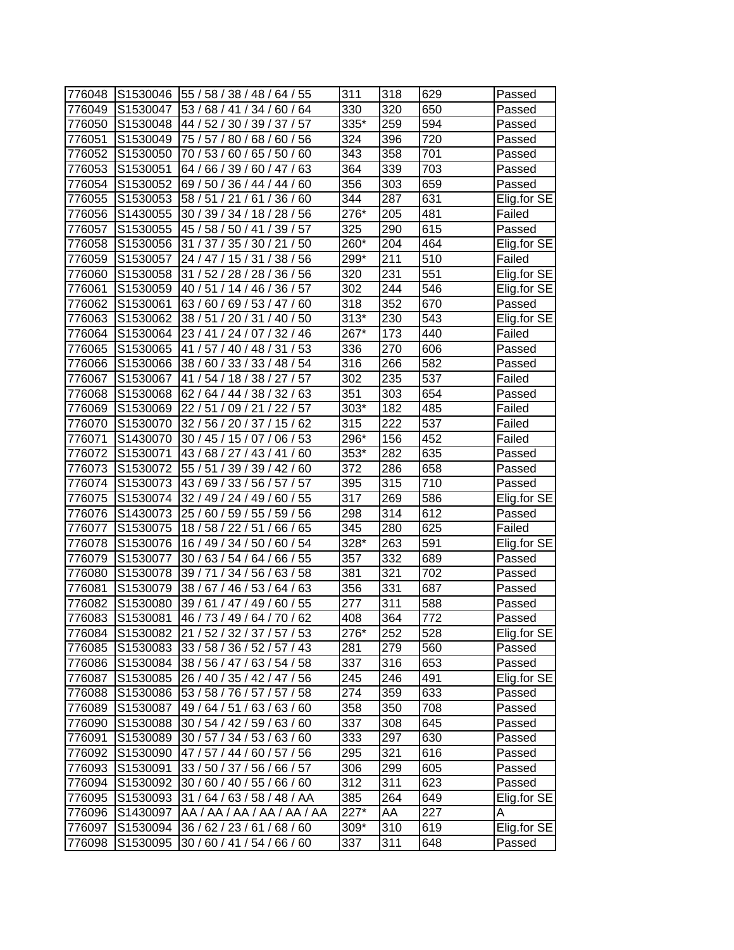| 776048 | S1530046 | 55 / 58 / 38 / 48 / 64 / 55    | 311               | 318              | 629 | Passed      |
|--------|----------|--------------------------------|-------------------|------------------|-----|-------------|
| 776049 | S1530047 | 53 / 68 / 41 / 34 / 60 / 64    | 330               | 320              | 650 | Passed      |
| 776050 | S1530048 | 44 / 52 / 30 / 39 / 37 / 57    | 335*              | 259              | 594 | Passed      |
| 776051 | S1530049 | 75 / 57 / 80 / 68 / 60 / 56    | 324               | 396              | 720 | Passed      |
| 776052 | S1530050 | 70 / 53 / 60 / 65 / 50 / 60    | 343               | 358              | 701 | Passed      |
| 776053 | S1530051 | 64 / 66 / 39 / 60 / 47 / 63    | 364               | $\overline{339}$ | 703 | Passed      |
| 776054 | S1530052 | 69 / 50 / 36 / 44 / 44 / 60    | 356               | 303              | 659 | Passed      |
| 776055 | S1530053 | 58 / 51 / 21 / 61 / 36 / 60    | 344               | 287              | 631 | Elig.for SE |
| 776056 | S1430055 | 30 / 39 / 34 / 18 / 28 / 56    | 276*              | 205              | 481 | Failed      |
| 776057 | S1530055 | 45 / 58 / 50 / 41 / 39 / 57    | 325               | 290              | 615 | Passed      |
| 776058 | S1530056 | 31 / 37 / 35 / 30 / 21<br>/50  | 260*              | 204              | 464 | Elig.for SE |
| 776059 | S1530057 | 24 / 47 / 15 / 31 / 38 / 56    | 299*              | 211              | 510 | Failed      |
| 776060 | S1530058 | 31 / 52 / 28 / 28 / 36 / 56    | 320               | 231              | 551 | Elig.for SE |
| 776061 | S1530059 | 40 / 51 / 14 / 46 / 36 / 57    | 302               | 244              | 546 | Elig.for SE |
| 776062 | S1530061 | 63/60/69/53/47/<br>60          | 318               | 352              | 670 | Passed      |
| 776063 | S1530062 | 38 / 51 / 20 / 31 / 40 /<br>50 | $313*$            | 230              | 543 | Elig.for SE |
| 776064 | S1530064 | 23 / 41 / 24 / 07 / 32 / 46    | 267*              | 173              | 440 | Failed      |
| 776065 | S1530065 | 41 / 57 / 40 / 48 / 31<br>/53  | 336               | 270              | 606 | Passed      |
| 776066 | S1530066 | 38 / 60 / 33 / 33 / 48 / 54    | 316               | 266              | 582 | Passed      |
| 776067 | S1530067 | 41 / 54 / 18 / 38 / 27 / 57    | $\overline{3}02$  | 235              | 537 | Failed      |
| 776068 | S1530068 | 62 / 64 / 44 / 38 / 32 / 63    | 351               | 303              | 654 | Passed      |
| 776069 | S1530069 | 22 / 51 / 09 / 21 / 22 / 57    | 303*              | 182              | 485 | Failed      |
| 776070 | S1530070 | 32 / 56 / 20 / 37 / 15 / 62    | 315               | 222              | 537 | Failed      |
| 776071 | S1430070 | 30 / 45 / 15 / 07 / 06 / 53    | 296*              | 156              | 452 | Failed      |
| 776072 | S1530071 | 43/68/27/43/41/60              | 353*              | 282              | 635 | Passed      |
| 776073 | S1530072 | 55 / 51 / 39 / 39 / 42 / 60    | 372               | 286              | 658 | Passed      |
| 776074 | S1530073 | 43/69/33/56/57/57              | 395               | 315              | 710 | Passed      |
| 776075 | S1530074 | 32 / 49 / 24 / 49 /<br>60 / 55 | 317               | 269              | 586 | Elig.for SE |
| 776076 | S1430073 | 25 / 60 / 59 / 55 / 59 / 56    | 298               | 314              | 612 | Passed      |
| 776077 | S1530075 | 18 / 58 / 22 / 51 /<br>66 / 65 | 345               | 280              | 625 | Failed      |
| 776078 | S1530076 | 16 / 49 / 34 / 50 / 60 / 54    | 328*              | 263              | 591 | Elig.for SE |
| 776079 | S1530077 | 30 / 63 / 54 / 64 / 66 / 55    | 357               | 332              | 689 | Passed      |
| 776080 | S1530078 | 39/71/<br>34 / 56 / 63 / 58    | 381               | 321              | 702 | Passed      |
| 776081 | S1530079 | 38 / 67 / 46 / 53 /<br>64/63   | 356               | 331              | 687 | Passed      |
| 776082 | S1530080 | 39 / 61 / 47 / 49 / 60 / 55    | 277               | 311              | 588 | Passed      |
| 776083 | S1530081 | 46 / 73 / 49 / 64 / 70 / 62    | 408               | 364              | 772 | Passed      |
| 776084 | S1530082 | 21 / 52 / 32 / 37 / 57 / 53    | 276*              | 252              | 528 | Elig.for SE |
| 776085 | S1530083 | 33 / 58 / 36 / 52 / 57 / 43    | 281               | 279              | 560 | Passed      |
| 776086 | S1530084 | 38 / 56 / 47 / 63 / 54 / 58    | 337               | 316              | 653 | Passed      |
| 776087 | S1530085 | 26 / 40 / 35 / 42 / 47 / 56    | 245               | 246              | 491 | Elig.for SE |
| 776088 | S1530086 | 53 / 58 / 76 / 57 / 57 / 58    | 274               | 359              | 633 | Passed      |
| 776089 | S1530087 | 49 / 64 / 51 / 63 / 63 / 60    | 358               | 350              | 708 | Passed      |
| 776090 | S1530088 | 30 / 54 / 42 / 59 / 63 / 60    | 337               | 308              | 645 | Passed      |
| 776091 | S1530089 | 30 / 57 / 34 / 53 / 63 / 60    | 333               | 297              | 630 | Passed      |
| 776092 | S1530090 | 47 / 57 / 44 / 60 / 57 / 56    | 295               | 321              | 616 | Passed      |
| 776093 | S1530091 | 33 / 50 / 37 / 56 / 66 / 57    | 306               | 299              | 605 | Passed      |
| 776094 | S1530092 | 30 / 60 / 40 / 55 / 66 / 60    | 312               | 311              | 623 | Passed      |
| 776095 | S1530093 | 31 / 64 / 63 / 58 / 48 / AA    | 385               | 264              | 649 | Elig.for SE |
| 776096 | S1430097 | AA / AA / AA / AA / AA / AA    | $\overline{2}27*$ | AA               | 227 | Α           |
| 776097 | S1530094 | 36 / 62 / 23 / 61 / 68 / 60    | 309*              | 310              | 619 | Elig.for SE |
| 776098 | S1530095 | 30 / 60 / 41 / 54 / 66 / 60    | 337               | 311              | 648 | Passed      |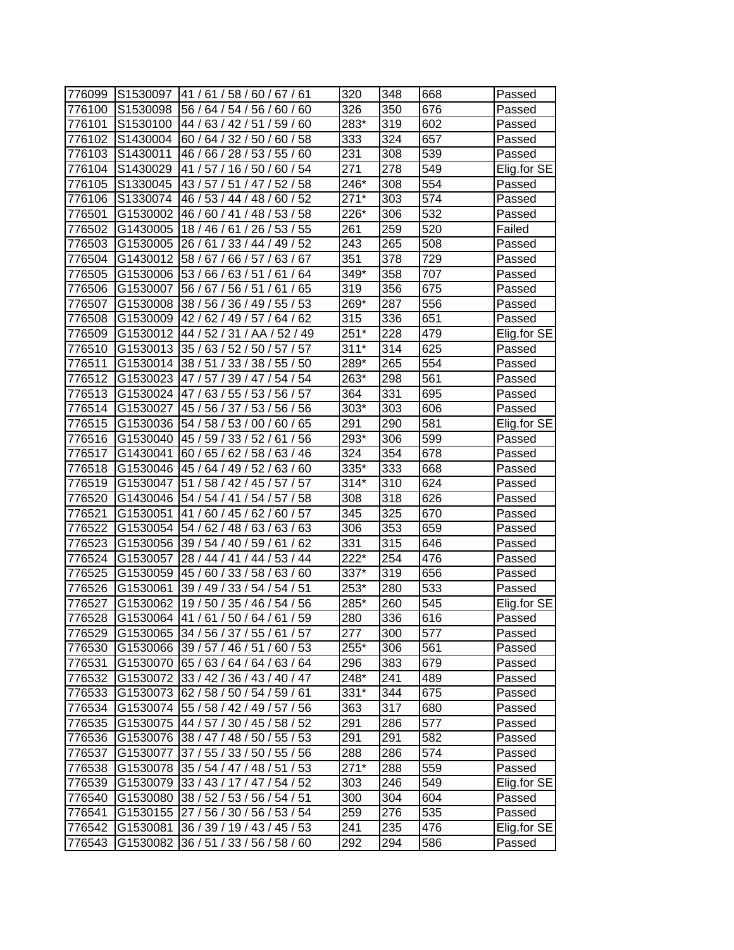| 776099 | S1530097 | 41/61/58/60/67/61                    | 320    | 348 | 668 | Passed      |
|--------|----------|--------------------------------------|--------|-----|-----|-------------|
| 776100 | S1530098 | 56/<br>64/<br>60<br>54/56/<br>60/    | 326    | 350 | 676 | Passed      |
| 776101 | S1530100 | 44 /<br>63/<br>42/51/<br>59/<br>60   | 283*   | 319 | 602 | Passed      |
| 776102 | S1430004 | 60 / 64 / 32 / 50 / 60 / 58          | 333    | 324 | 657 | Passed      |
| 776103 | S1430011 | 46 / 66 / 28 / 53 / 55 / 60          | 231    | 308 | 539 | Passed      |
| 776104 | S1430029 | 41 / 57 / 16 / 50 / 60 / 54          | 271    | 278 | 549 | Elig.for SE |
| 776105 | S1330045 | 43 / 57 / 51 / 47 / 52 / 58          | 246*   | 308 | 554 | Passed      |
| 776106 | S1330074 | 60/52<br>46 / 53 / 44 / 48 /         | $271*$ | 303 | 574 | Passed      |
| 776501 | G1530002 | 46 / 60 / 41 / 48 / 53 / 58          | 226*   | 306 | 532 | Passed      |
| 776502 | G1430005 | 18 / 46 / 61 / 26 / 53 / 55          | 261    | 259 | 520 | Failed      |
| 776503 | G1530005 | 26 / 61 / 33 / 44 / 49 / 52          | 243    | 265 | 508 | Passed      |
| 776504 | G1430012 | 58/67/<br>66/57/<br>63/67            | 351    | 378 | 729 | Passed      |
| 776505 | G1530006 | 53/66/<br>63/51<br>/ 64<br>61        | 349*   | 358 | 707 | Passed      |
| 776506 | G1530007 | 56/67/<br>56/51/<br>65<br>61         | 319    | 356 | 675 | Passed      |
| 776507 | G1530008 | 38/56/<br>36/49/<br>55<br>53         | 269*   | 287 | 556 | Passed      |
| 776508 | G1530009 | 62<br>42 / 62 / 49 / 57<br>64/       | 315    | 336 | 651 | Passed      |
| 776509 | G1530012 | 44 / 52 /<br>31<br>AA / 52 / 49      | $251*$ | 228 | 479 | Elig.for SE |
| 776510 | G1530013 | 35 / 63 / 52 / 50 /<br>/57<br>57     | $311*$ | 314 | 625 | Passed      |
| 776511 | G1530014 | 38/51<br>/38/55<br>/50<br>33         | 289*   | 265 | 554 | Passed      |
| 776512 | G1530023 | 54/54<br>47 / 57 /<br>39/47/         | 263*   | 298 | 561 | Passed      |
| 776513 | G1530024 | 47 / 63 / 55 / 53 / 56 / 57          | 364    | 331 | 695 | Passed      |
| 776514 | G1530027 | 56 / 56<br>45 / 56 / 37 / 53 /       | 303*   | 303 | 606 | Passed      |
| 776515 | G1530036 | 54 / 58 / 53 / 00 / 60 / 65          | 291    | 290 | 581 | Elig.for SE |
| 776516 | G1530040 | 45 / 59 / 33 / 52 /<br>/56<br>61     | 293*   | 306 | 599 | Passed      |
| 776517 | G1430041 | 60/65/<br>62 / 58 / 63 / 46          | 324    | 354 | 678 | Passed      |
| 776518 | G1530046 | 45 / 64 / 49 / 52 /<br>63/60         | 335*   | 333 | 668 | Passed      |
| 776519 | G1530047 | 51<br>58 / 42 / 45 / 57 /<br>57      | $314*$ | 310 | 624 | Passed      |
| 776520 | G1430046 | 54/<br>54/41/54/<br>57/58            | 308    | 318 | 626 | Passed      |
| 776521 | G1530051 | 41/60/45/62/60/57                    | 345    | 325 | 670 | Passed      |
| 776522 | G1530054 | 54 / 62 / 48 / 63 /<br>63/63         | 306    | 353 | 659 | Passed      |
| 776523 | G1530056 | 39 / 54 / 40 / 59 / 61<br>/62        | 331    | 315 | 646 | Passed      |
| 776524 | G1530057 | 28 / 44 / 41 / 44 / 53 / 44          | $222*$ | 254 | 476 | Passed      |
| 776525 | G1530059 | 45 / 60 / 33 / 58 /<br>63/60         | 337*   | 319 | 656 | Passed      |
| 776526 | G1530061 | 39 / 49 / 33 / 54 / 54 / 51          | 253*   | 280 | 533 | Passed      |
| 776527 | G1530062 | 19/50/35/46/54/56                    | 285*   | 260 | 545 | Elig.for SE |
| 776528 | G1530064 | 41/61/50/64/61/59                    | 280    | 336 | 616 | Passed      |
| 776529 |          | G1530065 34 / 56 / 37 / 55 / 61 / 57 | 277    | 300 | 577 | Passed      |
| 776530 |          | G1530066 39 / 57 / 46 / 51 / 60 / 53 | 255*   | 306 | 561 | Passed      |
| 776531 | G1530070 | 65 / 63 / 64 / 64 / 63 / 64          | 296    | 383 | 679 | Passed      |
| 776532 |          | G1530072 33 / 42 / 36 / 43 / 40 / 47 | 248*   | 241 | 489 | Passed      |
| 776533 | G1530073 | 62 / 58 / 50 / 54 / 59 / 61          | $331*$ | 344 | 675 | Passed      |
| 776534 |          | G1530074 55 / 58 / 42 / 49 / 57 / 56 | 363    | 317 | 680 | Passed      |
| 776535 |          | G1530075 44 / 57 / 30 / 45 / 58 / 52 | 291    | 286 | 577 | Passed      |
| 776536 | G1530076 | 38 / 47 / 48 / 50 / 55 / 53          | 291    | 291 | 582 | Passed      |
| 776537 | G1530077 | 37 / 55 / 33 / 50 / 55 / 56          | 288    | 286 | 574 | Passed      |
| 776538 | G1530078 | 35 / 54 / 47 / 48 / 51 / 53          | $271*$ | 288 | 559 | Passed      |
| 776539 | G1530079 | 33 / 43 / 17 / 47 / 54 / 52          | 303    | 246 | 549 | Elig.for SE |
| 776540 | G1530080 | 38 / 52 / 53 / 56 / 54 / 51          | 300    | 304 | 604 | Passed      |
| 776541 | G1530155 | 27 / 56 / 30 / 56 / 53 / 54          | 259    | 276 | 535 | Passed      |
| 776542 | G1530081 | 36 / 39 / 19 / 43 / 45 / 53          | 241    | 235 | 476 | Elig.for SE |
| 776543 | G1530082 | 36 / 51 / 33 / 56 / 58 / 60          | 292    | 294 | 586 | Passed      |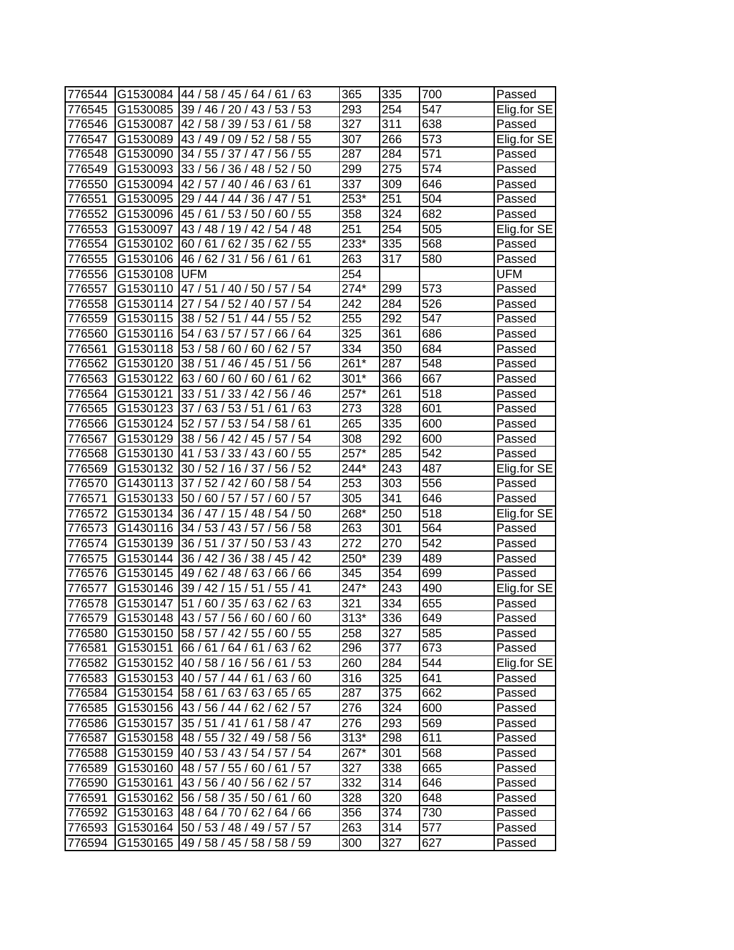| 776544 |          | G1530084 44 / 58 / 45 / 64 / 61 / 63 | 365    | 335 | 700              | Passed      |
|--------|----------|--------------------------------------|--------|-----|------------------|-------------|
| 776545 | G1530085 | 39 / 46 / 20 / 43 / 53 / 53          | 293    | 254 | 547              | Elig.for SE |
| 776546 | G1530087 | 42/58/39/53/61/58                    | 327    | 311 | 638              | Passed      |
| 776547 |          | G1530089 43 / 49 / 09 / 52 / 58 / 55 | 307    | 266 | 573              | Elig.for SE |
| 776548 | G1530090 | 34 / 55 / 37 / 47 / 56 / 55          | 287    | 284 | $\overline{571}$ | Passed      |
| 776549 | G1530093 | 33 / 56 / 36 / 48 / 52 / 50          | 299    | 275 | 574              | Passed      |
| 776550 | G1530094 | 42 / 57 / 40 / 46 / 63 / 61          | 337    | 309 | 646              | Passed      |
| 776551 | G1530095 | 29 / 44 / 44 / 36 / 47 / 51          | 253*   | 251 | 504              | Passed      |
| 776552 | G1530096 | 45 / 61 / 53 / 50 / 60 / 55          | 358    | 324 | 682              | Passed      |
| 776553 | G1530097 | 43 / 48 / 19 / 42 / 54 / 48          | 251    | 254 | 505              | Elig.for SE |
| 776554 | G1530102 | 60 / 61 / 62 / 35 / 62 / 55          | 233*   | 335 | 568              | Passed      |
| 776555 | G1530106 | 46 / 62 / 31 / 56 / 61 / 61          | 263    | 317 | 580              | Passed      |
| 776556 | G1530108 | <b>UFM</b>                           | 254    |     |                  | <b>UFM</b>  |
| 776557 | G1530110 | 47/51/40/50/57/54                    | 274*   | 299 | 573              | Passed      |
| 776558 | G1530114 | 27/54/52/40/57/54                    | 242    | 284 | 526              | Passed      |
| 776559 | G1530115 | 38 / 52 / 51 / 44 / 55 / 52          | 255    | 292 | 547              | Passed      |
| 776560 | G1530116 | 54 / 63 / 57 / 57 /<br>66 / 64       | 325    | 361 | 686              | Passed      |
| 776561 | G1530118 | 53 / 58 / 60<br>/60/<br>62/57        | 334    | 350 | 684              | Passed      |
| 776562 | G1530120 | 38 / 51 / 46 / 45 / 51 / 56          | 261*   | 287 | 548              | Passed      |
| 776563 | G1530122 | 63/60/<br>/62<br>60/60/61            | $301*$ | 366 | 667              | Passed      |
| 776564 | G1530121 | 33 / 51 / 33 / 42 / 56 / 46          | 257*   | 261 | $\overline{518}$ | Passed      |
| 776565 | G1530123 | 37/63/53/51/61/63                    | 273    | 328 | 601              | Passed      |
| 776566 | G1530124 | 52 / 57 / 53 / 54 / 58 / 61          | 265    | 335 | 600              | Passed      |
| 776567 | G1530129 | 38 / 56 / 42 / 45 / 57 / 54          | 308    | 292 | 600              | Passed      |
| 776568 | G1530130 | 41 / 53 / 33 / 43 / 60 / 55          | 257*   | 285 | 542              | Passed      |
| 776569 | G1530132 | 30 / 52 / 16 / 37 / 56 / 52          | 244*   | 243 | 487              | Elig.for SE |
| 776570 | G1430113 | 37/52/42/60/58/54                    | 253    | 303 | 556              | Passed      |
| 776571 |          | G1530133 50 / 60 / 57 / 57 / 60 / 57 | 305    | 341 | 646              | Passed      |
| 776572 | G1530134 | 36 / 47 / 15 / 48 / 54 / 50          | 268*   | 250 | $\overline{518}$ | Elig.for SE |
| 776573 | G1430116 | 34 / 53 / 43 / 57 / 56 / 58          | 263    | 301 | 564              | Passed      |
| 776574 | G1530139 | 36 / 51 / 37 / 50 / 53 / 43          | 272    | 270 | 542              | Passed      |
| 776575 | G1530144 | 36 / 42 / 36 / 38 / 45 / 42          | 250*   | 239 | 489              | Passed      |
| 776576 | G1530145 | 49 / 62 / 48 / 63 / 66 / 66          | 345    | 354 | 699              | Passed      |
| 776577 | G1530146 | 39 / 42 / 15 / 51 /<br>55/41         | 247*   | 243 | 490              | Elig.for SE |
| 776578 | G1530147 | 51 / 60 / 35 / 63 / 62 / 63          | 321    | 334 | 655              | Passed      |
| 776579 |          | G1530148 43 / 57 / 56 / 60 / 60 / 60 | $313*$ | 336 | 649              | Passed      |
| 776580 | G1530150 | 58 / 57 / 42 / 55 / 60 / 55          | 258    | 327 | 585              | Passed      |
| 776581 | G1530151 | 66 / 61 / 64 / 61 / 63 / 62          | 296    | 377 | 673              | Passed      |
| 776582 | G1530152 | 40 / 58 / 16 / 56 / 61 / 53          | 260    | 284 | 544              | Elig.for SE |
| 776583 | G1530153 | 40/57/44/61/<br>63/60                | 316    | 325 | 641              | Passed      |
| 776584 | G1530154 | 158/61/63/63/65/65                   | 287    | 375 | 662              | Passed      |
| 776585 | G1530156 | 43 / 56 / 44 / 62 / 62 / 57          | 276    | 324 | 600              | Passed      |
| 776586 | G1530157 | 35 / 51 / 41 / 61 / 58 / 47          | 276    | 293 | 569              | Passed      |
| 776587 | G1530158 | 48 / 55 / 32 / 49 / 58 / 56          | $313*$ | 298 | 611              | Passed      |
| 776588 | G1530159 | 40 / 53 / 43 / 54 / 57 / 54          | 267*   | 301 | 568              | Passed      |
| 776589 | G1530160 | 48 / 57 / 55 / 60 / 61 / 57          | 327    | 338 | 665              | Passed      |
| 776590 | G1530161 | 43/56/40/56/62/57                    | 332    | 314 | 646              | Passed      |
| 776591 | G1530162 | 56 / 58 / 35 / 50 / 61 / 60          | 328    | 320 | 648              | Passed      |
| 776592 | G1530163 | 48/64/70/62/64/66                    | 356    | 374 | 730              | Passed      |
| 776593 | G1530164 | 50 / 53 / 48 / 49 / 57 / 57          | 263    | 314 | 577              | Passed      |
| 776594 | G1530165 | 49 / 58 / 45 / 58 / 58 / 59          | 300    | 327 | 627              | Passed      |
|        |          |                                      |        |     |                  |             |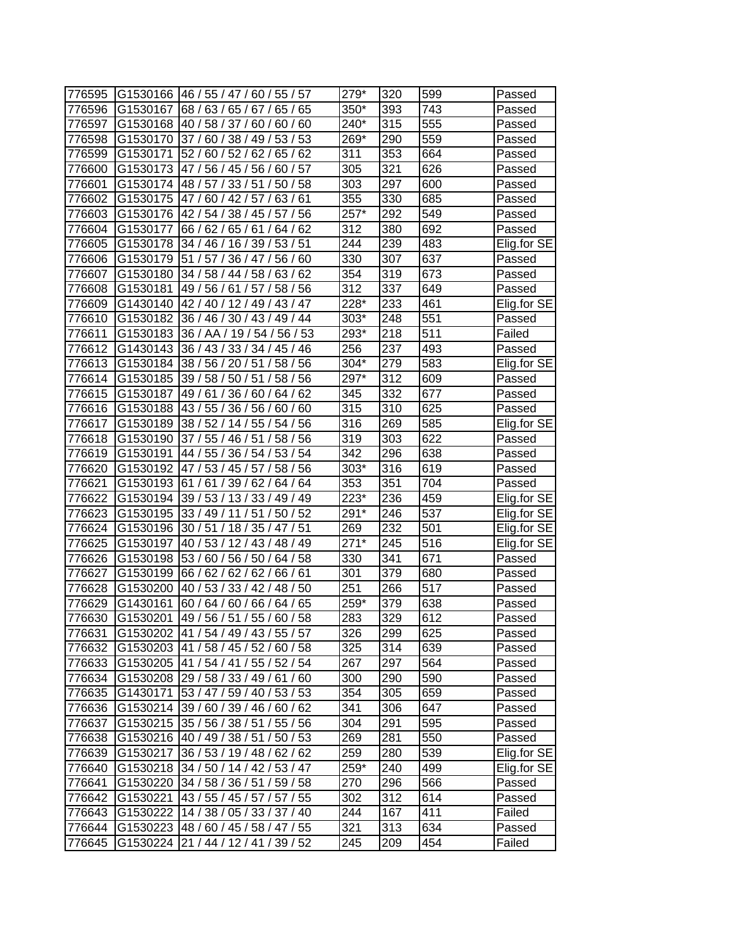| 776595 |          | G1530166 46 / 55 / 47 / 60 / 55 / 57 | 279*   | 320              | 599 | Passed      |
|--------|----------|--------------------------------------|--------|------------------|-----|-------------|
| 776596 | G1530167 | 68 / 63 / 65 / 67 / 65 / 65          | 350*   | 393              | 743 | Passed      |
| 776597 | G1530168 | 40 / 58 / 37 / 60 / 60 / 60          | 240*   | 315              | 555 | Passed      |
| 776598 | G1530170 | 37/60/38/49/53/53                    | 269*   | 290              | 559 | Passed      |
| 776599 | G1530171 | 52 / 60 / 52 / 62 / 65 / 62          | 311    | 353              | 664 | Passed      |
| 776600 |          | G1530173 47 / 56 / 45 / 56 / 60 / 57 | 305    | 321              | 626 | Passed      |
| 776601 | G1530174 | 48 / 57 / 33 / 51 / 50 / 58          | 303    | 297              | 600 | Passed      |
| 776602 | G1530175 | 47/60/42/57/63/61                    | 355    | 330              | 685 | Passed      |
| 776603 | G1530176 | 42 / 54 / 38 / 45 / 57 / 56          | 257*   | 292              | 549 | Passed      |
| 776604 | G1530177 | 66 / 62 / 65 / 61 / 64 / 62          | 312    | 380              | 692 | Passed      |
| 776605 | G1530178 | 34 / 46 / 16 / 39 / 53 / 51          | 244    | 239              | 483 | Elig.for SE |
| 776606 | G1530179 | 51 / 57 / 36 / 47 / 56 / 60          | 330    | 307              | 637 | Passed      |
| 776607 | G1530180 | 34 / 58 / 44 / 58 / 63 / 62          | 354    | 319              | 673 | Passed      |
| 776608 | G1530181 | 49 / 56 / 61 / 57 / 58 / 56          | 312    | 337              | 649 | Passed      |
| 776609 | G1430140 | 42 / 40 / 12 / 49 / 43 / 47          | 228*   | 233              | 461 | Elig.for SE |
| 776610 | G1530182 | 36 / 46 / 30 / 43 / 49 / 44          | $303*$ | 248              | 551 | Passed      |
| 776611 | G1530183 | 36 / AA / 19 / 54 / 56 / 53          | 293*   | 218              | 511 | Failed      |
| 776612 | G1430143 | 36 / 43 / 33 / 34 / 45 / 46          | 256    | 237              | 493 | Passed      |
| 776613 | G1530184 | 38 / 56 / 20 / 51 /<br>58 / 56       | $304*$ | 279              | 583 | Elig.for SE |
| 776614 | G1530185 | 39 / 58 / 50 / 51 /<br>58/56         | 297*   | 312              | 609 | Passed      |
| 776615 | G1530187 | 49 / 61 /<br>36 / 60 / 64 / 62       | 345    | 332              | 677 | Passed      |
| 776616 | G1530188 | 43 / 55 / 36 / 56 / 60 / 60          | 315    | 310              | 625 | Passed      |
| 776617 | G1530189 | 38 / 52 / 14 / 55 / 54 / 56          | 316    | 269              | 585 | Elig.for SE |
| 776618 | G1530190 | 37 / 55 / 46 / 51 / 58 / 56          | 319    | 303              | 622 | Passed      |
| 776619 | G1530191 | 44 / 55 / 36 / 54 / 53 / 54          | 342    | 296              | 638 | Passed      |
| 776620 | G1530192 | 47 / 53 / 45 / 57 / 58 / 56          | 303*   | 316              | 619 | Passed      |
| 776621 | G1530193 | 61 / 61 / 39 / 62 / 64 / 64          | 353    | 351              | 704 | Passed      |
| 776622 | G1530194 | 39 / 53 / 13 / 33 / 49 / 49          | 223*   | 236              | 459 | Elig.for SE |
| 776623 | G1530195 | 33 / 49 / 11 / 51 / 50 / 52          | 291*   | 246              | 537 | Elig.for SE |
| 776624 | G1530196 | 30/51/18/35/47/51                    | 269    | 232              | 501 | Elig.for SE |
| 776625 | G1530197 | 40 / 53 / 12 / 43 / 48 / 49          | $271*$ | 245              | 516 | Elig.for SE |
| 776626 | G1530198 | 53 / 60 / 56 / 50 / 64 / 58          | 330    | 341              | 671 | Passed      |
| 776627 | G1530199 | 66 / 62 / 62 / 62 / 66 / 61          | 301    | 379              | 680 | Passed      |
| 776628 | G1530200 | 40 / 53 / 33 / 42 / 48 / 50          | 251    | 266              | 517 | Passed      |
| 776629 | G1430161 | 60 / 64 / 60 / 66 / 64 / 65          | 259*   | 379              | 638 | Passed      |
| 776630 | G1530201 | 49 / 56 / 51 / 55 / 60 / 58          | 283    | $\overline{329}$ | 612 | Passed      |
| 776631 |          | G1530202 41 / 54 / 49 / 43 / 55 / 57 | 326    | 299              | 625 | Passed      |
| 776632 |          | G1530203 41 / 58 / 45 / 52 / 60 / 58 | 325    | 314              | 639 | Passed      |
| 776633 |          | G1530205 41 / 54 / 41 / 55 / 52 / 54 | 267    | 297              | 564 | Passed      |
| 776634 | G1530208 | 29 / 58 / 33 / 49 / 61 / 60          | 300    | 290              | 590 | Passed      |
| 776635 | G1430171 | 53 / 47 / 59 / 40 / 53 / 53          | 354    | 305              | 659 | Passed      |
| 776636 | G1530214 | 39 / 60 / 39 / 46 / 60 / 62          | 341    | 306              | 647 | Passed      |
| 776637 | G1530215 | 35 / 56 / 38 / 51 / 55 / 56          | 304    | 291              | 595 | Passed      |
| 776638 |          | G1530216 40 / 49 / 38 / 51 / 50 / 53 | 269    | 281              | 550 | Passed      |
| 776639 | G1530217 | 36 / 53 / 19 / 48 / 62 / 62          | 259    | 280              | 539 | Elig.for SE |
| 776640 | G1530218 | 34 / 50 / 14 / 42 / 53 / 47          | 259*   | 240              | 499 | Elig.for SE |
| 776641 | G1530220 | 34 / 58 / 36 / 51 / 59 / 58          | 270    | 296              | 566 | Passed      |
| 776642 | G1530221 | 43 / 55 / 45 / 57 / 57 / 55          | 302    | 312              | 614 | Passed      |
| 776643 | G1530222 | 14 / 38 / 05 / 33 / 37 / 40          | 244    | 167              | 411 | Failed      |
| 776644 |          | G1530223 48 / 60 / 45 / 58 / 47 / 55 | 321    | 313              | 634 | Passed      |
| 776645 | G1530224 | 21 / 44 / 12 / 41 / 39 / 52          | 245    | 209              | 454 | Failed      |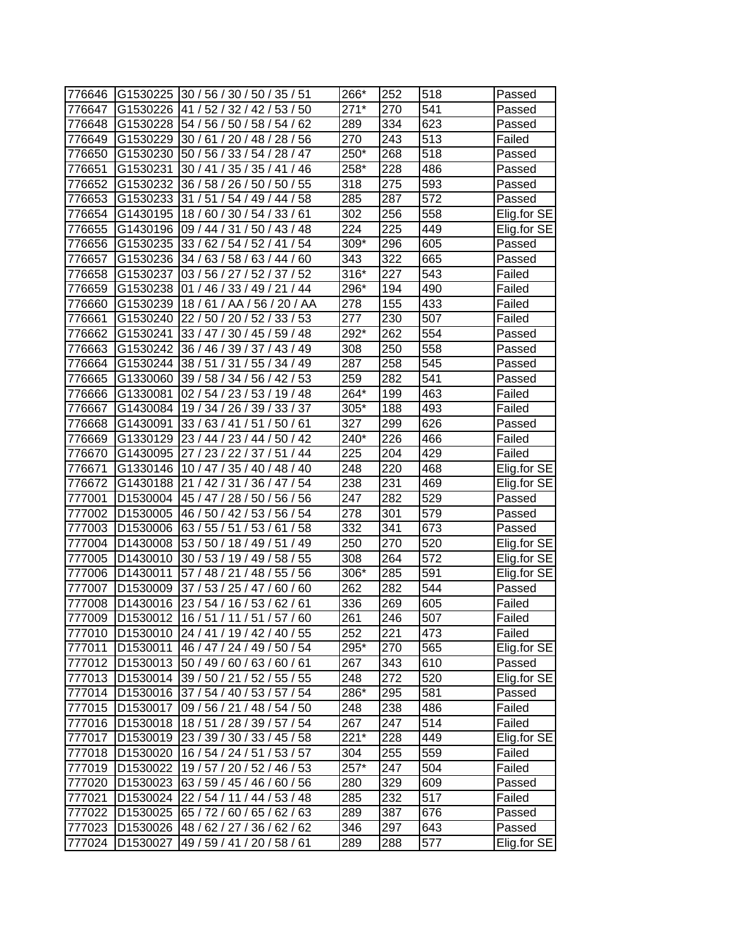| 776646 |                      | G1530225 30 / 56 / 30 / 50 / 35 / 51 | 266*   | 252 | 518 | Passed      |
|--------|----------------------|--------------------------------------|--------|-----|-----|-------------|
| 776647 | G1530226             | 41/52/<br>32/42/<br>53/50            | $271*$ | 270 | 541 | Passed      |
| 776648 | G1530228             | 54 / 56 / 50 / 58 / 54 / 62          | 289    | 334 | 623 | Passed      |
| 776649 | G1530229             | 30 / 61 / 20 / 48 / 28 / 56          | 270    | 243 | 513 | Failed      |
| 776650 | G1530230             | 50 / 56 / 33 / 54 / 28 / 47          | 250*   | 268 | 518 | Passed      |
| 776651 | G1530231             | 30 / 41 / 35 / 35 / 41 / 46          | 258*   | 228 | 486 | Passed      |
| 776652 | G1530232             | 36 / 58 / 26 / 50 / 50 / 55          | 318    | 275 | 593 | Passed      |
| 776653 | G1530233             | 31 / 51 / 54 / 49 / 44 / 58          | 285    | 287 | 572 | Passed      |
| 776654 | G1430195             | 18/60/30/54/33/61                    | 302    | 256 | 558 | Elig.for SE |
| 776655 | G1430196             | 09 / 44 / 31 / 50 / 43 / 48          | 224    | 225 | 449 | Elig.for SE |
| 776656 | G1530235             | /54<br>33/62/54/52/41                | 309*   | 296 | 605 | Passed      |
| 776657 | G1530236             | 34 / 63 / 58 / 63 / 44 / 60          | 343    | 322 | 665 | Passed      |
| 776658 | G1530237             | 03 / 56 / 27 / 52 / 37 / 52          | 316*   | 227 | 543 | Failed      |
| 776659 | G1530238             | 01 / 46 / 33 / 49 / 21 / 44          | 296*   | 194 | 490 | Failed      |
| 776660 | G1530239             | 18/61/AA/<br>56 / 20 / AA            | 278    | 155 | 433 | Failed      |
| 776661 | G1530240             | 22 / 50 / 20 / 52 / 33 / 53          | 277    | 230 | 507 | Failed      |
| 776662 | G1530241             | 33 / 47 / 30 / 45 / 59 / 48          | 292*   | 262 | 554 | Passed      |
| 776663 | G1530242             | 36 / 46 / 39 / 37 /<br>143/49        | 308    | 250 | 558 | Passed      |
| 776664 | G1530244             | 38/51<br>/ 55 / 34 / 49<br>31        | 287    | 258 | 545 | Passed      |
| 776665 | G1330060             | 39 / 58 / 34 / 56 / 42 / 53          | 259    | 282 | 541 | Passed      |
| 776666 | G1330081             | 02 / 54 / 23 / 53 / 19 / 48          | 264*   | 199 | 463 | Failed      |
| 776667 | G1430084             | 19 / 34 / 26 / 39 / 33 / 37          | 305*   | 188 | 493 | Failed      |
| 776668 | G1430091             | 33/63/41/51/50/61                    | 327    | 299 | 626 | Passed      |
| 776669 | G1330129             | 23 / 44 / 23 / 44 / 50 / 42          | 240*   | 226 | 466 | Failed      |
| 776670 | G1430095             | 27 / 23 / 22 / 37 / 51 / 44          | 225    | 204 | 429 | Failed      |
| 776671 | G1330146             | 10 / 47 / 35 / 40 / 48 / 40          | 248    | 220 | 468 | Elig.for SE |
| 776672 | G1430188             | 21/42/<br>31/36/47/54                | 238    | 231 | 469 | Elig.for SE |
| 777001 | D <sub>1530004</sub> | 45 / 47 / 28 / 50 / 56 / 56          | 247    | 282 | 529 | Passed      |
| 777002 | D1530005             | 46 / 50 / 42 / 53 / 56 / 54          | 278    | 301 | 579 | Passed      |
| 777003 | D1530006             | 63 / 55 / 51 / 53 / 61<br>/58        | 332    | 341 | 673 | Passed      |
| 777004 | D1430008             | 53 / 50 / 18 / 49 / 51<br>/ 49       | 250    | 270 | 520 | Elig.for SE |
| 777005 | D1430010             | 30 / 53 / 19 / 49 / 58 / 55          | 308    | 264 | 572 | Elig.for SE |
| 777006 | D1430011             | 57 / 48 / 21 / 48 / 55 / 56          | 306*   | 285 | 591 | Elig.for SE |
| 777007 | D1530009             | 37 / 53 / 25 / 47 /<br>60/60         | 262    | 282 | 544 | Passed      |
| 777008 | D <sub>1430016</sub> | 23 / 54 / 16 / 53 / 62 / 61          | 336    | 269 | 605 | Failed      |
| 777009 |                      | D1530012 16 / 51 / 11 / 51 / 57 / 60 | 261    | 246 | 507 | Failed      |
| 777010 |                      | D1530010 24 / 41 / 19 / 42 / 40 / 55 | 252    | 221 | 473 | Failed      |
| 777011 | D1530011             | 46 / 47 / 24 / 49 / 50 / 54          | 295*   | 270 | 565 | Elig.for SE |
| 777012 | D1530013             | 50 / 49 / 60 / 63 / 60 / 61          | 267    | 343 | 610 | Passed      |
| 777013 | D1530014             | 39 / 50 / 21 / 52 / 55 / 55          | 248    | 272 | 520 | Elig.for SE |
| 777014 | D1530016             | 37 / 54 / 40 / 53 / 57 / 54          | 286*   | 295 | 581 | Passed      |
| 777015 | D1530017             | 09 / 56 / 21 / 48 / 54 / 50          | 248    | 238 | 486 | Failed      |
| 777016 | D1530018             | 18 / 51 / 28 / 39 / 57 / 54          | 267    | 247 | 514 | Failed      |
| 777017 | D1530019             | 23 / 39 / 30 / 33 / 45 / 58          | $221*$ | 228 | 449 | Elig.for SE |
| 777018 | D1530020             | 16 / 54 / 24 / 51 / 53 / 57          | 304    | 255 | 559 | Failed      |
| 777019 | D1530022             | 19/57/20/52/46/53                    | 257*   | 247 | 504 | Failed      |
| 777020 | D1530023             | 63 / 59 / 45 / 46 / 60 / 56          | 280    | 329 | 609 | Passed      |
| 777021 |                      | D1530024 22 / 54 / 11 / 44 / 53 / 48 | 285    | 232 | 517 | Failed      |
| 777022 | D1530025             | 65 / 72 / 60 / 65 / 62 / 63          | 289    | 387 | 676 | Passed      |
| 777023 | D1530026             | 48/62/27/36/62/62                    | 346    | 297 | 643 | Passed      |
| 777024 | D1530027             | 49 / 59 / 41 / 20 / 58 / 61          | 289    | 288 | 577 | Elig.for SE |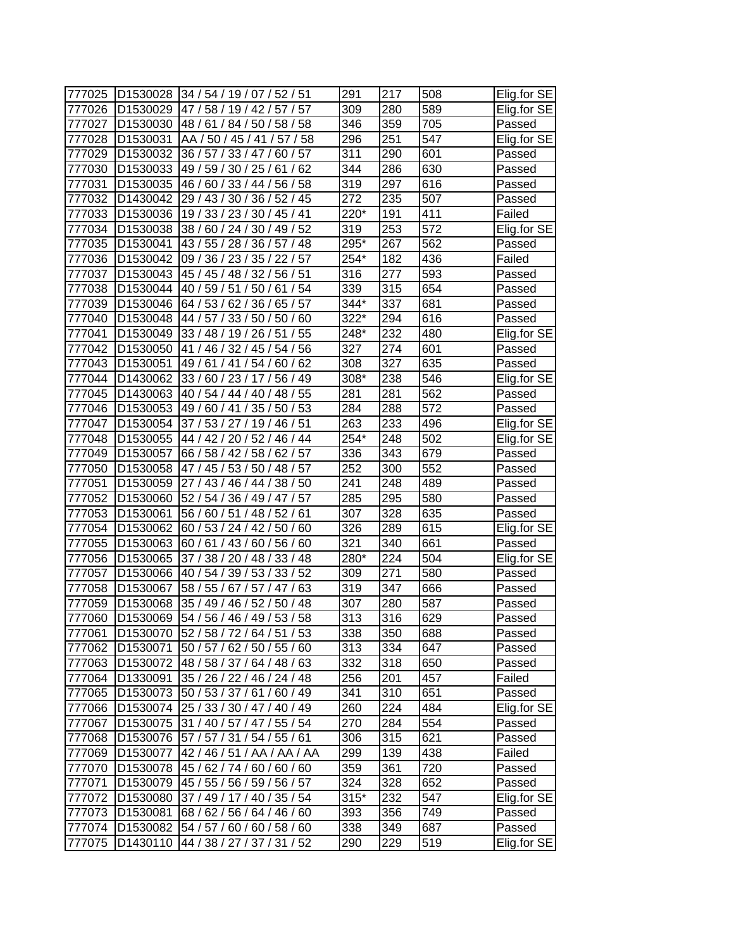| 777025           | D1530028                         | 34 / 54 / 19 / 07 / 52 / 51                                | 291        | 217        | 508              | Elig.for SE           |
|------------------|----------------------------------|------------------------------------------------------------|------------|------------|------------------|-----------------------|
| 777026           | D1530029                         | 47 / 58 / 19 / 42 /<br>57<br>57/                           | 309        | 280        | 589              | Elig.for SE           |
| 777027           | D1530030                         | 48 /<br>61/<br>84 / 50 / 58 / 58                           | 346        | 359        | 705              | Passed                |
| 777028           | D1530031                         | AA / 50 / 45 / 41 / 57 / 58                                | 296        | 251        | 547              | Elig.for SE           |
| 777029           | D1530032                         | 36 / 57 / 33 / 47 /<br>60/57                               | 311        | 290        | 601              | Passed                |
| 777030           | D1530033                         | 49 / 59 / 30 / 25 / 61<br>/62                              | 344        | 286        | 630              | Passed                |
| 777031           | D1530035                         | 46 / 60 / 33 / 44 / 56 / 58                                | 319        | 297        | 616              | Passed                |
| 777032           | D1430042                         | 29 / 43 / 30 / 36 / 52 / 45                                | 272        | 235        | 507              | Passed                |
| 777033           | D1530036                         | 19 / 33 / 23 / 30 / 45 / 41                                | 220*       | 191        | 411              | Failed                |
| 777034           | D1530038                         | 38 / 60 / 24 / 30 / 49 / 52                                | 319        | 253        | $\overline{572}$ | Elig.for SE           |
| 777035           | D1530041                         | 43 / 55 / 28 / 36 / 57 / 48                                | 295*       | 267        | 562              | Passed                |
| 777036           | D1530042                         | 09 / 36 / 23 / 35 / 22 / 57                                | 254*       | 182        | 436              | Failed                |
| 777037           | D1530043                         | 45 / 45 / 48 / 32 / 56 / 51                                | 316        | 277        | 593              | Passed                |
| 777038           | D <sub>1530044</sub>             | 40 / 59 / 51 / 50 /<br>54<br>61                            | 339        | 315        | 654              | Passed                |
| 777039           | D1530046                         | 64/53/<br>62/36/<br>65/<br>57                              | 344*       | 337        | 681              | Passed                |
| 777040           | D1530048                         | 44 / 57 /<br>33/50/<br>50<br>60                            | 322*       | 294        | 616              | Passed                |
| 777041           | D1530049                         | 33 / 48 / 19 / 26 /<br>/ 55<br>51 '                        | 248*       | 232        | 480              | Elig.for SE           |
| 777042           | D <sub>1530050</sub>             | 41 / 46 / 32 / 45 / 54 / 56                                | 327        | 274        | 601              | Passed                |
| 777043           | D1530051                         | 49/61<br>/54/<br>/62<br>/41<br>60                          | 308        | 327        | 635              | Passed                |
| 777044           | D1430062                         | 33/60/23/17/<br>56 / 49                                    | 308*       | 238        | 546              | Elig.for SE           |
| 777045           | D1430063                         | 40 / 54 / 44 / 40 / 48 / 55                                | 281        | 281        | 562              | Passed                |
| 777046           | D1530053                         | 50/53<br>49 / 60 / 41 / 35 /                               | 284        | 288        | $\overline{572}$ | Passed                |
| 777047           | D1530054                         | 37/53/27/19/46/51                                          | 263        | 233        | 496              |                       |
| 777048           | D1530055                         | 44 / 42 / 20 / 52 / 46 / 44                                | $254*$     | 248        | 502              | Elig.for SE           |
|                  |                                  | 66 / 58 / 42 / 58 / 62 / 57                                | 336        | 343        | 679              | Elig.for SE           |
| 777049           | D1530057                         | 47 / 45 / 53 / 50 / 48 / 57                                | 252        | 300        | 552              | Passed                |
| 777050           | D1530058<br>D1530059             |                                                            | 241        | 248        | 489              | Passed                |
| 777051<br>777052 | D1530060                         | 27/<br>43/46/44/38/50<br>54 / 36 / 49 / 47 / 57<br>52/     | 285        | 295        | 580              | Passed                |
| 777053           | D1530061                         | 56 / 60 / 51 / 48 / 52 / 61                                | 307        | 328        | 635              | Passed                |
| 777054           | D1530062                         | 60 / 53 / 24 / 42 / 50 / 60                                | 326        | 289        | 615              | Passed                |
|                  | D1530063                         | 60 / 61 / 43 / 60 / 56 / 60                                | 321        | 340        | 661              | Elig.for SE<br>Passed |
| 777055           |                                  |                                                            | 280*       | 224        | 504              | Elig.for SE           |
| 777056           | D1530065                         | 37 / 38 / 20 / 48 / 33 / 48<br>33/52                       | 309        | 271        | 580              |                       |
| 777057           | D1530066<br>D1530067             | 39/53/<br>40/54/<br>58 / 55 / 67 / 57 / 47                 | 319        | 347        | 666              | Passed                |
| 777058           | D1530068                         | 63<br>35 / 49 / 46 / 52 / 50 / 48                          | 307        | 280        | 587              | Passed                |
| 777059<br>777060 | D <sub>1530069</sub>             | 54 / 56 / 46 / 49 / 53 / 58                                | 313        | 316        | 629              | Passed                |
|                  |                                  |                                                            |            |            |                  | Passed                |
| 777061<br>777062 | D <sub>1530070</sub><br>D1530071 | 52 / 58 / 72 / 64 / 51 / 53<br>50 / 57 / 62 / 50 / 55 / 60 | 338<br>313 | 350<br>334 | 688<br>647       | Passed<br>Passed      |
|                  |                                  |                                                            | 332        |            |                  |                       |
| 777063           | D1530072<br>D1330091             | 48/58/37/64/48/63                                          |            | 318        | 650<br>457       | Passed<br>Failed      |
| 777064           |                                  | 35 / 26 / 22 / 46 / 24 / 48                                | 256        | 201<br>310 |                  |                       |
| 777065           | D1530073                         | 50 / 53 / 37 / 61 / 60 / 49<br>25 / 33 / 30 / 47 / 40 / 49 | 341<br>260 | 224        | 651<br>484       | Passed<br>Elig.for SE |
| 777066           | D1530074                         |                                                            |            |            |                  |                       |
| 777067           | D1530075                         | 31 / 40 / 57 / 47 / 55 / 54                                | 270        | 284        | 554              | Passed                |
| 777068           | D1530076                         | 57 / 57 / 31 / 54 / 55 / 61                                | 306        | 315        | 621              | Passed                |
| 777069           | D1530077                         | 42/46/51/AA/AA/AA                                          | 299        | 139        | 438              | Failed                |
| 777070           | D1530078                         | 45/62/74/60/60/60                                          | 359        | 361        | 720              | Passed                |
| 777071           | D1530079                         | 45 / 55 / 56 / 59 / 56 / 57                                | 324        | 328        | 652              | Passed                |
| 777072           | D1530080                         | 37 / 49 / 17 / 40 / 35 / 54                                | $315*$     | 232        | 547              | Elig.for SE           |
| 777073           | D1530081                         | 68 / 62 / 56 / 64 / 46 / 60                                | 393        | 356        | 749              | Passed                |
| 777074           | D1530082                         | 54 / 57 / 60 / 60 / 58 / 60                                | 338        | 349        | 687              | Passed                |
| 777075           | D1430110                         | 44 / 38 / 27 / 37 / 31 / 52                                | 290        | 229        | 519              | Elig for SE           |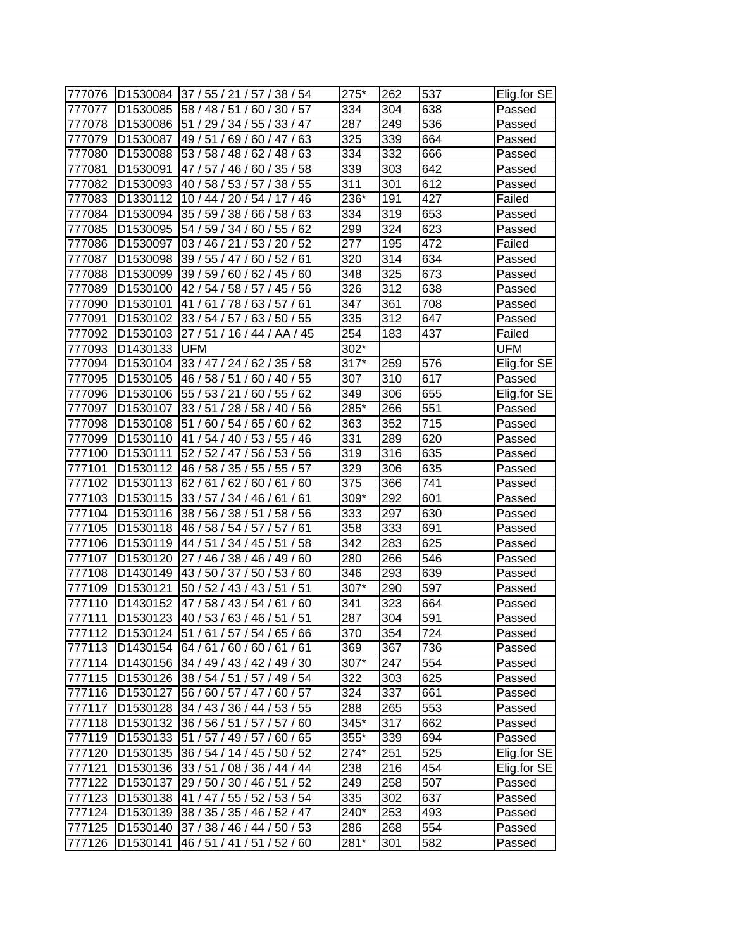| 777076 | D <sub>1530084</sub> | 38/54<br>37 / 55 / 21 / 57 /        | 275*   | 262              | 537              | Elig.for SE |
|--------|----------------------|-------------------------------------|--------|------------------|------------------|-------------|
| 777077 | D1530085             | 58/48/<br>51<br>60/30/57            | 334    | 304              | 638              | Passed      |
| 777078 | D1530086             | 51 / 29 / 34 / 55 / 33 / 47         | 287    | 249              | 536              | Passed      |
| 777079 | D1530087             | 49 / 51<br>69/60/47/63              | 325    | 339              | 664              | Passed      |
| 777080 | D1530088             | 53 / 58 / 48 / 62 / 48 / 63         | 334    | 332              | 666              | Passed      |
| 777081 | D1530091             | 46 / 60 / 35 / 58<br>47 / 57 /      | 339    | 303              | 642              | Passed      |
| 777082 | D <sub>1530093</sub> | 40 / 58 / 53 / 57 /<br>38/55        | 311    | 301              | 612              | Passed      |
| 777083 | D1330112             | 10 / 44 / 20 / 54 / 17 / 46         | 236*   | 191              | 427              | Failed      |
| 777084 | D <sub>1530094</sub> | 35 / 59 / 38 / 66 / 58 / 63         | 334    | 319              | 653              | Passed      |
| 777085 | D1530095             | 54 / 59 / 34 / 60 / 55 / 62         | 299    | 324              | 623              | Passed      |
| 777086 | D1530097             | 03 / 46 / 21 / 53 / 20 / 52         | 277    | 195              | 472              | Failed      |
| 777087 | D1530098             | 39 / 55 / 47 / 60 / 52 / 61         | 320    | 314              | 634              | Passed      |
| 777088 | D1530099             | 39/59/<br>60/62/45/<br>60           | 348    | 325              | 673              | Passed      |
| 777089 | D <sub>1530100</sub> | 42 / 54 / 58 / 57 / 45 /<br>56      | 326    | 312              | 638              | Passed      |
| 777090 | D1530101             | 41<br>61/<br>78/<br>63/<br>57<br>61 | 347    | 361              | 708              | Passed      |
| 777091 | D <sub>1530102</sub> | 33 / 54 / 57 / 63 / 50 / 55         | 335    | 312              | 647              | Passed      |
| 777092 | D1530103             | 27/51/16/44/AA/45                   | 254    | 183              | 437              | Failed      |
| 777093 | D1430133             | <b>UFM</b>                          | 302*   |                  |                  | <b>UFM</b>  |
| 777094 | D1530104             | 33 / 47 / 24 / 62 / 35 / 58         | $317*$ | 259              | 576              | Elig.for SE |
| 777095 | D <sub>1530105</sub> | 46 / 58 / 51 / 60 / 40 / 55         | 307    | 310              | 617              | Passed      |
| 777096 | D <sub>1530106</sub> | 55 / 53 / 21 / 60 /<br>55/62        | 349    | 306              | 655              | Elig.for SE |
| 777097 | D1530107             | 33/51<br>28 / 58 / 40 / 56          | 285*   | 266              | $\overline{551}$ | Passed      |
| 777098 | D1530108             | 51 / 60 / 54 / 65 / 60 / 62         | 363    | 352              | 715              | Passed      |
| 777099 | D1530110             | 41<br>/ 54 / 40 / 53 / 55 / 46      | 331    | 289              | 620              | Passed      |
| 777100 | D1530111             | 52 / 52 / 47 / 56 / 53 / 56         | 319    | 316              | 635              | Passed      |
| 777101 | D <sub>1530112</sub> | 55/57<br>46/58/<br>35/55/           | 329    | 306              | 635              | Passed      |
| 777102 | D <sub>1530113</sub> | 62/<br>61/<br>62/60/<br>61<br>60    | 375    | 366              | 741              | Passed      |
| 777103 | D1530115             | 33 / 57 / 34 / 46 / 61 / 61         | 309*   | 292              | 601              | Passed      |
| 777104 | D1530116             | 38 / 56 / 38 / 51<br>58 / 56        | 333    | 297              | 630              | Passed      |
| 777105 | D1530118             | 46 / 58 / 54 / 57 / 57<br>/61       | 358    | 333              | 691              | Passed      |
| 777106 | D1530119             | 44 / 51<br>/58<br>34/45/51          | 342    | 283              | 625              | Passed      |
| 777107 | D <sub>1530120</sub> | 27/46/<br>38 / 46 / 49 / 60         | 280    | 266              | 546              | Passed      |
| 777108 | D1430149             | 43 / 50 / 37 / 50 / 53 / 60         | 346    | 293              | 639              | Passed      |
| 777109 | D <sub>1530121</sub> | 50 / 52 / 43 / 43 / 51<br>/51       | 307*   | 290              | 597              | Passed      |
| 777110 | D <sub>1430152</sub> | 47 / 58 / 43 / 54 / 61 / 60         | 341    | 323              | 664              | Passed      |
| 777111 | D1530123             | 40 / 53 / 63 / 46 / 51 / 51         | 287    | $\overline{304}$ | 591              | Passed      |
| 777112 | D <sub>1530124</sub> | 51/61/57/54/65/66                   | 370    | 354              | 724              | Passed      |
| 777113 | D1430154             | 64/61/60/60/61/61                   | 369    | 367              | 736              | Passed      |
| 777114 | D1430156             | 34 / 49 / 43 / 42 / 49 / 30         | 307*   | 247              | 554              | Passed      |
| 777115 | D1530126             | 38 / 54 / 51 / 57 / 49 / 54         | 322    | 303              | 625              | Passed      |
| 777116 | D1530127             | 56 / 60 / 57 / 47 / 60 / 57         | 324    | 337              | 661              | Passed      |
| 777117 | D <sub>1530128</sub> | 34 / 43 / 36 / 44 / 53 / 55         | 288    | 265              | 553              | Passed      |
| 777118 | D1530132             | 36 / 56 / 51 / 57 / 57 / 60         | 345*   | 317              | 662              | Passed      |
| 777119 | D1530133             | 51 / 57 / 49 / 57 / 60 / 65         | 355*   | 339              | 694              | Passed      |
| 777120 | D1530135             | 36 / 54 / 14 / 45 / 50 / 52         | 274*   | 251              | 525              | Elig.for SE |
| 777121 | D1530136             | 33 / 51 / 08 / 36 / 44 / 44         | 238    | 216              | 454              | Elig.for SE |
| 777122 | D1530137             | 29 / 50 / 30 / 46 / 51 / 52         | 249    | 258              | 507              | Passed      |
| 777123 | D1530138             | 41 / 47 / 55 / 52 / 53 / 54         | 335    | 302              | 637              | Passed      |
| 777124 | D1530139             | 38 / 35 / 35 / 46 / 52 / 47         | 240*   | 253              | 493              | Passed      |
| 777125 | D1530140             | 37 / 38 / 46 / 44 / 50 / 53         | 286    | 268              | 554              | Passed      |
| 777126 | D <sub>1530141</sub> | 46 / 51 / 41 / 51 / 52 / 60         | 281*   | 301              | 582              | Passed      |
|        |                      |                                     |        |                  |                  |             |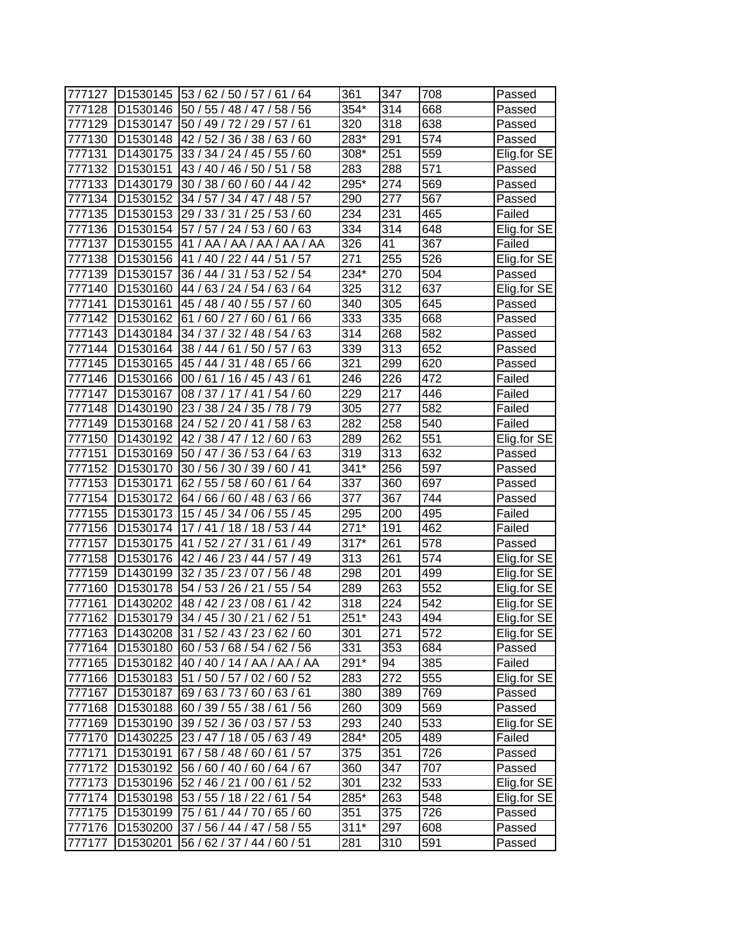| 777127 |                      | D1530145 53 / 62 / 50 / 57 / 61 / 64 | 361              | 347 | 708              | Passed      |
|--------|----------------------|--------------------------------------|------------------|-----|------------------|-------------|
| 777128 | D <sub>1530146</sub> | 50 / 55 / 48 / 47 /<br>58/56         | 354*             | 314 | 668              | Passed      |
| 777129 | D1530147             | 50 / 49 / 72 / 29 / 57 / 61          | 320              | 318 | 638              | Passed      |
| 777130 |                      | D1530148 42 / 52 / 36 / 38 / 63 / 60 | 283*             | 291 | 574              | Passed      |
| 777131 | D1430175             | 33 / 34 / 24 / 45 / 55 / 60          | 308*             | 251 | 559              | Elig.for SE |
| 777132 | D1530151             | 43 / 40 / 46 / 50 / 51<br>/58        | 283              | 288 | 571              | Passed      |
| 777133 | D1430179             | 30 / 38 / 60 / 60 / 44 / 42          | 295*             | 274 | 569              | Passed      |
| 777134 | D1530152             | 34 / 57 / 34 / 47 / 48 / 57          | 290              | 277 | 567              | Passed      |
| 777135 | D1530153             | 29 / 33 / 31 / 25 / 53 / 60          | 234              | 231 | 465              | Failed      |
| 777136 | D1530154             | 57 / 57 / 24 / 53 / 60 / 63          | 334              | 314 | 648              | Elig.for SE |
| 777137 | D1530155             | 41 / AA / AA / AA / AA / AA          | 326              | 41  | 367              | Failed      |
| 777138 | D1530156             | 41 / 40 / 22 / 44 / 51 / 57          | 271              | 255 | 526              | Elig.for SE |
| 777139 | D1530157             | 36 / 44 / 31 / 53 / 52 / 54          | 234*             | 270 | 504              | Passed      |
| 777140 | D1530160             | 44 / 63 / 24 / 54 / 63 / 64          | 325              | 312 | 637              | Elig for SE |
| 777141 | D1530161             | 45 / 48 / 40 / 55 /<br>57<br>60      | 340              | 305 | 645              | Passed      |
| 777142 | D1530162             | 61/60/27/60/61<br>66                 | 333              | 335 | 668              | Passed      |
| 777143 | D1430184             | 34 / 37 / 32 / 48 / 54 / 63          | 314              | 268 | 582              | Passed      |
| 777144 | D1530164             | /50/57<br>38 / 44 / 61<br>63         | 339              | 313 | 652              | Passed      |
| 777145 | D1530165             | 45 / 44 / 31 / 48 / 65 / 66          | 321              | 299 | 620              | Passed      |
| 777146 | D1530166             | 00 / 61 / 16 / 45 / 43 / 61          | 246              | 226 | 472              | Failed      |
| 777147 | D1530167             | 08 / 37 / 17 / 41 /<br>54/60         | 229              | 217 | 446              | Failed      |
| 777148 | D1430190             | 23 / 38 / 24 / 35 / 78 / 79          | 305              | 277 | 582              | Failed      |
| 777149 | D1530168             | 24 / 52 / 20 / 41 / 58 / 63          | $\overline{282}$ | 258 | 540              | Failed      |
| 777150 | D1430192             | 42 / 38 / 47 / 12 / 60 / 63          | 289              | 262 | 551              | Elig.for SE |
| 777151 | D1530169             | 50 / 47 / 36 / 53 / 64 / 63          | 319              | 313 | 632              | Passed      |
| 777152 | D1530170             | 30/56/30/39/60/41                    | $341*$           | 256 | 597              | Passed      |
| 777153 | D <sub>1530171</sub> | 62 / 55 / 58 / 60 / 61 / 64          | 337              | 360 | 697              | Passed      |
| 777154 | D1530172             | 64 / 66 / 60 / 48 / 63 / 66          | 377              | 367 | 744              | Passed      |
| 777155 |                      | D1530173 15 / 45 / 34 / 06 / 55 / 45 | 295              | 200 | 495              | Failed      |
| 777156 | D1530174             | 17/41/18/18/53/44                    | $271*$           | 191 | 462              | Failed      |
| 777157 | D1530175             | 41/52/27/31/<br>/49<br>61            | $317*$           | 261 | 578              | Passed      |
| 777158 | D1530176             | 42 / 46 / 23 / 44 / 57 / 49          | 313              | 261 | 574              | Elig.for SE |
| 777159 | D1430199             | 32 / 35 / 23 / 07 / 56 / 48          | 298              | 201 | 499              | Elig.for SE |
| 777160 | D <sub>1530178</sub> | 54 / 53 / 26 / 21 /<br>55/54         | 289              | 263 | $\overline{552}$ | Elig.for SE |
| 777161 | D1430202             | 48 / 42 / 23 / 08 / 61 / 42          | 318              | 224 | 542              | Elig.for SE |
| 777162 | D <sub>1530179</sub> | 34 / 45 / 30 / 21 / 62 / 51          | $251*$           | 243 | 494              | Elig.for SE |
| 777163 | D <sub>1430208</sub> | 31/52/43/23/62/60                    | 301              | 271 | 572              | Elig.for SE |
| 777164 | D <sub>1530180</sub> | 60 / 53 / 68 / 54 / 62 / 56          | 331              | 353 | 684              | Passed      |
| 777165 | D1530182             | 40/40/14/AA/AA/AA                    | 291*             | 94  | 385              | Failed      |
| 777166 | D1530183             | 51 / 50 / 57 / 02 / 60 / 52          | 283              | 272 | 555              | Elig.for SE |
| 777167 | D1530187             | 69 / 63 / 73 / 60 / 63 / 61          | 380              | 389 | 769              | Passed      |
| 777168 | D1530188             | 60 / 39 / 55 / 38 / 61 / 56          | 260              | 309 | 569              | Passed      |
| 777169 | D1530190             | 39 / 52 / 36 / 03 / 57 / 53          | 293              | 240 | 533              | Elig.for SE |
| 777170 | D1430225             | 23 / 47 / 18 / 05 / 63 / 49          | 284*             | 205 | 489              | Failed      |
| 777171 | D1530191             | 67 / 58 / 48 / 60 / 61 / 57          | 375              | 351 | 726              | Passed      |
| 777172 | D1530192             | 56 / 60 / 40 / 60 / 64 / 67          | 360              | 347 | 707              | Passed      |
| 777173 | D1530196             | 52 / 46 / 21 / 00 / 61 / 52          | 301              | 232 | 533              | Elig.for SE |
| 777174 | D1530198             | 53 / 55 / 18 / 22 / 61 / 54          | 285*             | 263 | 548              | Elig.for SE |
| 777175 | D1530199             | 75 / 61 / 44 / 70 / 65 / 60          | 351              | 375 | 726              | Passed      |
| 777176 |                      | D1530200 37 / 56 / 44 / 47 / 58 / 55 | $311*$           | 297 | 608              | Passed      |
|        |                      |                                      |                  |     | 591              |             |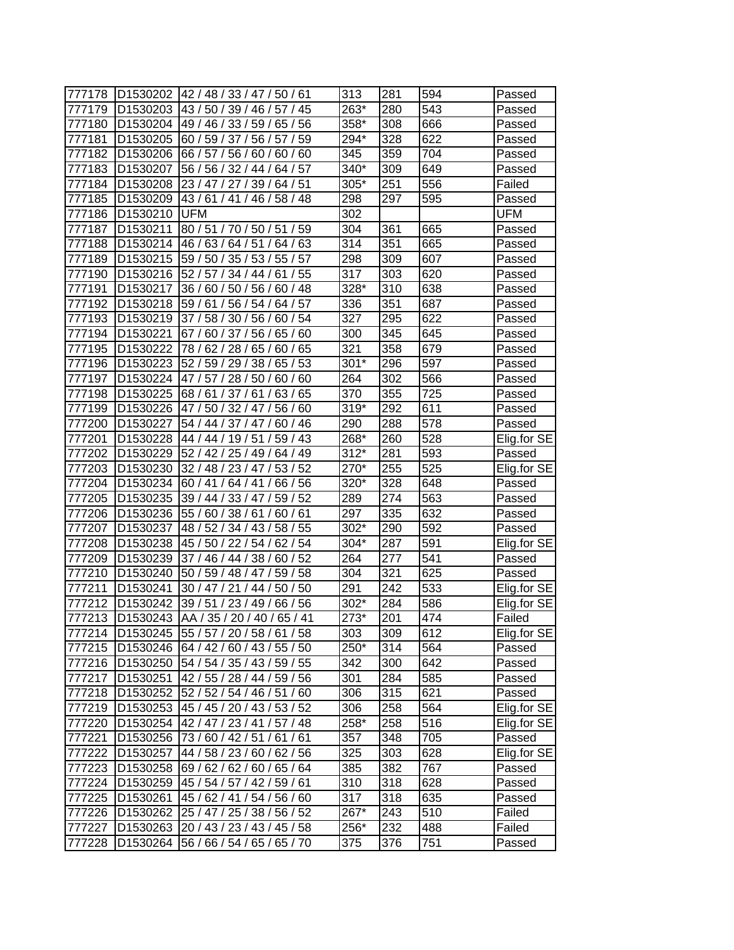| 777178 | D1530202             | 42 / 48 / 33 / 47 / 50 / 61          | 313    | 281 | 594 | Passed      |
|--------|----------------------|--------------------------------------|--------|-----|-----|-------------|
| 777179 | D1530203             | 43/50/39/46/<br>45<br>57/            | 263*   | 280 | 543 | Passed      |
| 777180 | D <sub>1530204</sub> | 49 / 46 / 33 / 59 /<br>65/<br>56     | 358*   | 308 | 666 | Passed      |
| 777181 | D1530205             | 60 / 59 / 37 / 56 / 57 / 59          | 294*   | 328 | 622 | Passed      |
| 777182 | D1530206             | 66 / 57 / 56 / 60 / 60 / 60          | 345    | 359 | 704 | Passed      |
| 777183 | D1530207             | 56 / 56 / 32 / 44 / 64 / 57          | 340*   | 309 | 649 | Passed      |
| 777184 | D1530208             | 23 / 47 / 27 / 39 / 64 / 51          | 305*   | 251 | 556 | Failed      |
| 777185 | D <sub>1530209</sub> | 43/61/41/46/58/48                    | 298    | 297 | 595 | Passed      |
| 777186 | D <sub>1530210</sub> | <b>UFM</b>                           | 302    |     |     | UFM         |
| 777187 | D1530211             | 80 / 51 / 70 / 50 / 51 / 59          | 304    | 361 | 665 | Passed      |
| 777188 | D1530214             | 46 / 63 / 64 / 51 / 64 / 63          | 314    | 351 | 665 | Passed      |
| 777189 | D1530215             | 59 / 50 / 35 / 53 / 55 / 57          | 298    | 309 | 607 | Passed      |
| 777190 | D1530216             | 52 / 57 / 34 / 44 / 61 / 55          | 317    | 303 | 620 | Passed      |
| 777191 | D <sub>1530217</sub> | 36 / 60 / 50 / 56 / 60 /<br>48       | 328*   | 310 | 638 | Passed      |
| 777192 | D <sub>1530218</sub> | 59/61/<br>56/54/<br>57<br>64 /       | 336    | 351 | 687 | Passed      |
| 777193 | D1530219             | 30/56/<br>54<br>37/<br>58/<br>60     | 327    | 295 | 622 | Passed      |
| 777194 | D1530221             | 67 / 60 / 37 / 56 /<br>65/60         | 300    | 345 | 645 | Passed      |
| 777195 | D1530222             | 78/62<br>/28/65/<br>60/65            | 321    | 358 | 679 | Passed      |
| 777196 | D1530223             | 52 / 59 / 29<br>/38/<br>65/53        | $301*$ | 296 | 597 | Passed      |
| 777197 | D <sub>1530224</sub> | 47 / 57 / 28 / 50 / 60 /<br>60       | 264    | 302 | 566 | Passed      |
| 777198 | D <sub>1530225</sub> | 68/61/37/61/<br>63/65                | 370    | 355 | 725 | Passed      |
| 777199 | D1530226             | 47/50/32/47/<br>56/<br>60            | 319*   | 292 | 611 | Passed      |
| 777200 | D1530227             | 54 / 44 / 37 / 47 /<br>60/46         | 290    | 288 | 578 | Passed      |
| 777201 | D1530228             | 59/43<br>44 / 44 / 19 / 51           | 268*   | 260 | 528 | Elig.for SE |
| 777202 | D1530229             | 52 / 42 / 25 / 49 / 64 / 49          | $312*$ | 281 | 593 | Passed      |
| 777203 | D1530230             | 32 / 48 / 23 / 47 / 53 / 52          | 270*   | 255 | 525 | Elig.for SE |
| 777204 | D1530234             | 60/41/<br>64/41/<br>66 /<br>56       | 320*   | 328 | 648 | Passed      |
| 777205 | D <sub>1530235</sub> | 39 / 44 / 33 / 47 /<br>52<br>59/     | 289    | 274 | 563 | Passed      |
| 777206 | D1530236             | 55 / 60 / 38 / 61 /<br>60/61         | 297    | 335 | 632 | Passed      |
| 777207 | D1530237             | 48 / 52 / 34 / 43 / 58 / 55          | 302*   | 290 | 592 | Passed      |
| 777208 | D1530238             | 45 / 50 / 22 / 54 / 62 / 54          | 304*   | 287 | 591 | Elig.for SE |
| 777209 | D1530239             | 37 / 46 / 44 / 38 / 60 / 52          | 264    | 277 | 541 | Passed      |
| 777210 | D1530240             | 50 / 59 / 48 / 47 /<br>59/58         | 304    | 321 | 625 | Passed      |
| 777211 | D1530241             | 30 / 47 / 21 / 44 /<br>50/50         | 291    | 242 | 533 | Elig.for SE |
| 777212 | D <sub>1530242</sub> | 39 / 51 / 23 / 49 / 66 / 56          | 302*   | 284 | 586 | Elig.for SE |
| 777213 | D <sub>1530243</sub> | AA / 35 / 20 / 40 / 65 / 41          | 273*   | 201 | 474 | Failed      |
| 777214 |                      | D1530245 55 / 57 / 20 / 58 / 61 / 58 | 303    | 309 | 612 | Elig.for SE |
| 777215 |                      | D1530246 64 / 42 / 60 / 43 / 55 / 50 | 250*   | 314 | 564 | Passed      |
| 777216 | D <sub>1530250</sub> | 54 / 54 / 35 / 43 / 59 / 55          | 342    | 300 | 642 | Passed      |
| 777217 | D1530251             | 42 / 55 / 28 / 44 / 59 / 56          | 301    | 284 | 585 | Passed      |
| 777218 | D1530252             | 52 / 52 / 54 / 46 / 51 / 60          | 306    | 315 | 621 | Passed      |
| 777219 |                      | D1530253 45 / 45 / 20 / 43 / 53 / 52 | 306    | 258 | 564 | Elig.for SE |
| 777220 |                      | D1530254 42 / 47 / 23 / 41 / 57 / 48 | 258*   | 258 | 516 | Elig.for SE |
| 777221 | D1530256             | 73 / 60 / 42 / 51 / 61 / 61          | 357    | 348 | 705 | Passed      |
| 777222 | D1530257             | 44 / 58 / 23 / 60 / 62 / 56          | 325    | 303 | 628 | Elig.for SE |
| 777223 | D1530258             | 69 / 62 / 62 / 60 / 65 / 64          | 385    | 382 | 767 | Passed      |
| 777224 | D1530259             | 45 / 54 / 57 / 42 / 59 / 61          | 310    | 318 | 628 | Passed      |
| 777225 | D1530261             | 45 / 62 / 41 / 54 / 56 / 60          | 317    | 318 | 635 | Passed      |
| 777226 | D1530262             | 25 / 47 / 25 / 38 / 56 / 52          | 267*   | 243 | 510 | Failed      |
| 777227 | D1530263             | 20/43/23/43/45/58                    | 256*   | 232 | 488 | Failed      |
| 777228 | D1530264             | 56 / 66 / 54 / 65 / 65 / 70          | 375    | 376 | 751 | Passed      |
|        |                      |                                      |        |     |     |             |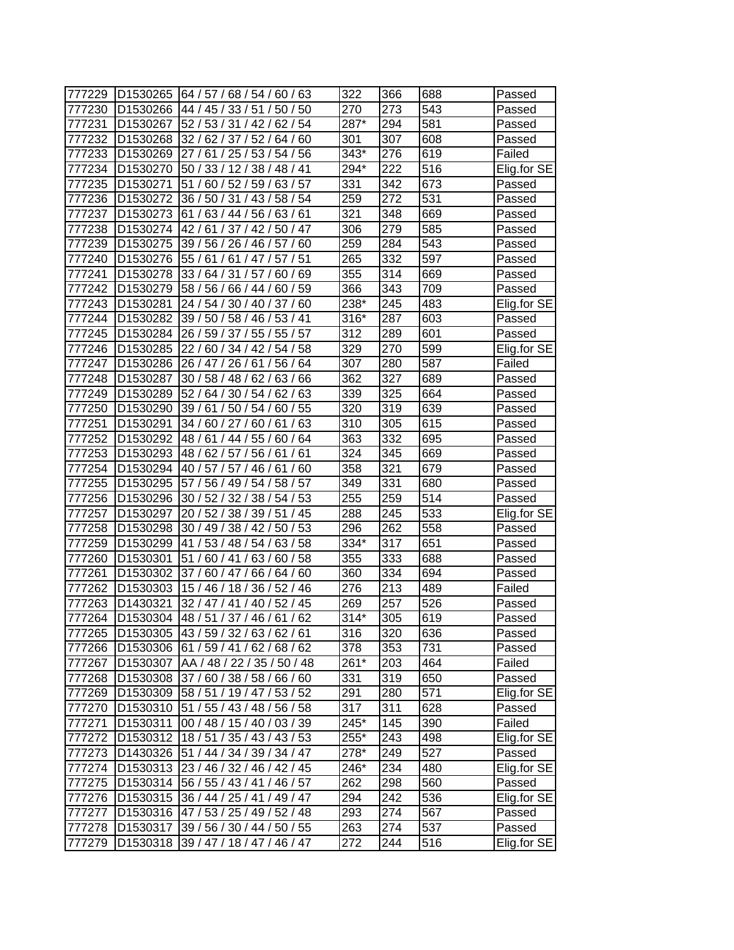| 777229 | D <sub>1530265</sub> | 64 / 57 / 68 / 54 / 60 / 63          | 322    | 366 | 688 | Passed      |
|--------|----------------------|--------------------------------------|--------|-----|-----|-------------|
| 777230 | D <sub>1530266</sub> | 44 / 45 /<br>33/51/<br>50<br>50/     | 270    | 273 | 543 | Passed      |
| 777231 | D <sub>1530267</sub> | 52/<br>53/31/42/<br>62/54            | 287*   | 294 | 581 | Passed      |
| 777232 | D1530268             | 32 / 62 / 37 / 52 /<br>64/60         | 301    | 307 | 608 | Passed      |
| 777233 | D1530269             | 27/<br>61<br>/ 25 / 53 / 54 / 56     | 343*   | 276 | 619 | Failed      |
| 777234 | D1530270             | 50 / 33 / 12 / 38 / 48 / 41          | 294*   | 222 | 516 | Elig.for SE |
| 777235 | D1530271             | 51 / 60 / 52 / 59 / 63 / 57          | 331    | 342 | 673 | Passed      |
| 777236 | D1530272             | 36 / 50 / 31 / 43 /<br>58 / 54       | 259    | 272 | 531 | Passed      |
| 777237 | D1530273             | 61 / 63 / 44 / 56 /<br>63/61         | 321    | 348 | 669 | Passed      |
| 777238 | D1530274             | 42/61/37/42/50/47                    | 306    | 279 | 585 | Passed      |
| 777239 | D1530275             | 39 / 56 / 26 / 46 / 57 / 60          | 259    | 284 | 543 | Passed      |
| 777240 | D1530276             | 55 / 61 / 61 / 47 / 57 / 51          | 265    | 332 | 597 | Passed      |
| 777241 | D1530278             | 33 / 64 / 31 / 57 /<br>/69<br>60     | 355    | 314 | 669 | Passed      |
| 777242 | D <sub>1530279</sub> | 58 / 56 /<br>60/59<br>66/44/         | 366    | 343 | 709 | Passed      |
| 777243 | D1530281             | 24/<br>54/<br>30/40/<br>37<br>60     | 238*   | 245 | 483 | Elig.for SE |
| 777244 | D1530282             | 39/50/<br>58/46/<br>53/41            | $316*$ | 287 | 603 | Passed      |
| 777245 | D1530284             | 26 / 59 / 37 / 55 /<br>55/57         | 312    | 289 | 601 | Passed      |
| 777246 | D1530285             | 22/<br>60 / 34 / 42<br>54/58         | 329    | 270 | 599 | Elig.for SE |
| 777247 | D1530286             | 56 / 64<br>26 / 47<br>26/<br>61      | 307    | 280 | 587 | Failed      |
| 777248 | D1530287             | 30 / 58 / 48 / 62 /<br>63/66         | 362    | 327 | 689 | Passed      |
| 777249 | D1530289             | 52 / 64 / 30 / 54 / 62 / 63          | 339    | 325 | 664 | Passed      |
| 777250 | D <sub>1530290</sub> | 39/61/<br>60 / 55<br>50/54/          | 320    | 319 | 639 | Passed      |
| 777251 | D1530291             | 34 / 60 / 27 / 60 /<br>/63<br>ั 61   | 310    | 305 | 615 | Passed      |
| 777252 | D1530292             | 48/61<br>/ 44 / 55 / 60 / 64         | 363    | 332 | 695 | Passed      |
| 777253 | D1530293             | 48 / 62 / 57 / 56 / 61<br>/61        | 324    | 345 | 669 | Passed      |
| 777254 | D1530294             | 57/46/61<br>/60<br>40/57/            | 358    | 321 | 679 | Passed      |
| 777255 | D1530295             | 58 / 57<br>57<br>56 / 49 / 54 /      | 349    | 331 | 680 | Passed      |
| 777256 | D1530296             | 32/38/<br>30<br>52/<br>54/53         | 255    | 259 | 514 | Passed      |
| 777257 | D1530297             | 20 / 52 / 38 / 39 / 51 / 45          | 288    | 245 | 533 | Elig.for SE |
| 777258 | D1530298             | 30 / 49 / 38 / 42 / 50 / 53          | 296    | 262 | 558 | Passed      |
| 777259 | D1530299             | 41<br>/ 53 / 48 / 54 / 63 / 58       | 334*   | 317 | 651 | Passed      |
| 777260 | D1530301             | 51 / 60 / 41 / 63 / 60 / 58          | 355    | 333 | 688 | Passed      |
| 777261 | D1530302             | 37 / 60 / 47 / 66 /<br>64/60         | 360    | 334 | 694 | Passed      |
| 777262 | D1530303             | 15 / 46 / 18 / 36 / 52 / 46          | 276    | 213 | 489 | Failed      |
| 777263 | D1430321             | 32 / 47 / 41 / 40 / 52 / 45          | 269    | 257 | 526 | Passed      |
| 777264 | D <sub>1530304</sub> | 48/51/37/46/61/62                    | $314*$ | 305 | 619 | Passed      |
| 777265 |                      | D1530305 43 / 59 / 32 / 63 / 62 / 61 | 316    | 320 | 636 | Passed      |
| 777266 | D1530306             | 61 / 59 / 41 / 62 / 68 / 62          | 378    | 353 | 731 | Passed      |
| 777267 | D1530307             | AA / 48 / 22 / 35 / 50 / 48          | 261*   | 203 | 464 | Failed      |
| 777268 | D1530308             | 37/60/38/58/66/60                    | 331    | 319 | 650 | Passed      |
| 777269 | D1530309             | 58 / 51 / 19 / 47 / 53 / 52          | 291    | 280 | 571 | Elig.for SE |
| 777270 |                      | D1530310 51 / 55 / 43 / 48 / 56 / 58 | 317    | 311 | 628 | Passed      |
| 777271 | D1530311             | 00 / 48 / 15 / 40 / 03 / 39          | 245*   | 145 | 390 | Failed      |
| 777272 | D1530312             | 18/51/35/43/43/53                    | 255*   | 243 | 498 | Elig.for SE |
| 777273 | D1430326             | 51 / 44 / 34 / 39 / 34 / 47          | 278*   | 249 | 527 | Passed      |
| 777274 |                      | D1530313 23 / 46 / 32 / 46 / 42 / 45 | 246*   | 234 | 480 | Elig.for SE |
| 777275 | D1530314             | 56 / 55 / 43 / 41 / 46 / 57          | 262    | 298 | 560 | Passed      |
| 777276 | D1530315             | 36 / 44 / 25 / 41 / 49 / 47          | 294    | 242 | 536 | Elig.for SE |
| 777277 | D <sub>1530316</sub> | 47 / 53 / 25 / 49 / 52 / 48          | 293    | 274 | 567 | Passed      |
| 777278 | D1530317             | 39 / 56 / 30 / 44 / 50 / 55          | 263    | 274 | 537 | Passed      |
| 777279 | D1530318             | 39 / 47 / 18 / 47 / 46 / 47          | 272    | 244 | 516 | Elig.for SE |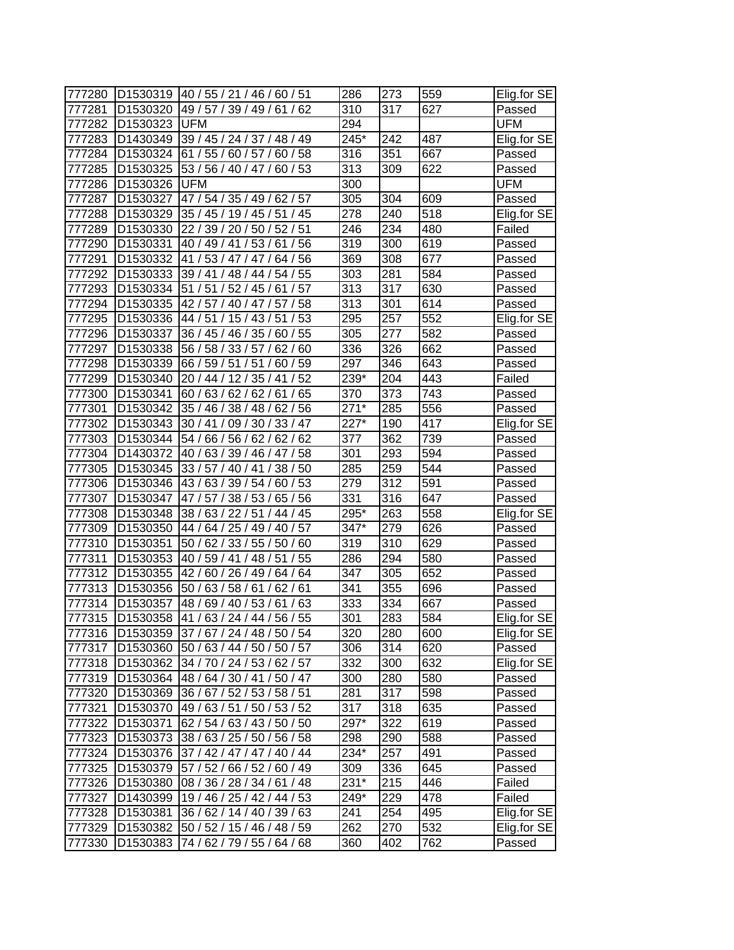| 777280 |                      | D1530319 40 / 55 / 21 / 46 / 60 / 51 | 286              | 273              | 559              | Elig.for SE |
|--------|----------------------|--------------------------------------|------------------|------------------|------------------|-------------|
| 777281 | D1530320             | 49 / 57 / 39 / 49 / 61 / 62          | 310              | 317              | 627              | Passed      |
| 777282 | D <sub>1530323</sub> | <b>UFM</b>                           | 294              |                  |                  | UFM         |
| 777283 | D1430349             | 39 / 45 / 24 / 37 / 48 / 49          | 245*             | 242              | 487              | Elig.for SE |
| 777284 | D1530324             | 61 / 55 / 60 / 57 / 60 / 58          | 316              | 351              | 667              | Passed      |
| 777285 | D1530325             | 53 / 56 / 40 / 47 / 60 / 53          | 313              | 309              | 622              | Passed      |
| 777286 | D1530326             | <b>UFM</b>                           | 300              |                  |                  | UFM         |
| 777287 | D1530327             | 47 / 54 / 35 / 49 / 62 / 57          | 305              | 304              | 609              | Passed      |
| 777288 | D1530329             | 35 / 45 / 19 / 45 / 51 / 45          | 278              | 240              | 518              | Elig.for SE |
| 777289 | D1530330             | 22 / 39 / 20 / 50 / 52 / 51          | 246              | 234              | 480              | Failed      |
| 777290 | D1530331             | 40 / 49 / 41 / 53 / 61 / 56          | 319              | 300              | 619              | Passed      |
| 777291 | D1530332             | 41 / 53 / 47 / 47 / 64 / 56          | 369              | 308              | $\overline{677}$ | Passed      |
| 777292 | D1530333             | 39 / 41 / 48 / 44 / 54 / 55          | 303              | 281              | 584              | Passed      |
| 777293 | D1530334             | 51 / 51 / 52 / 45 / 61 / 57          | 313              | 317              | 630              | Passed      |
| 777294 | D1530335             | 42 / 57 / 40 / 47 / 57 /<br>58       | 313              | 301              | 614              | Passed      |
| 777295 | D1530336             | 44 / 51 / 15 / 43 / 51<br>/53        | 295              | 257              | 552              | Elig.for SE |
| 777296 | D1530337             | 36 / 45 / 46 / 35 / 60 / 55          | 305              | 277              | 582              | Passed      |
| 777297 | D1530338             | 56 / 58 / 33 / 57 /<br>62/60         | 336              | 326              | 662              | Passed      |
| 777298 | D1530339             | 66 / 59 / 51 / 51 / 60 / 59          | 297              | 346              | 643              | Passed      |
| 777299 | D1530340             | 20 / 44 / 12 / 35 / 41<br>/52        | 239*             | $\overline{204}$ | 443              | Failed      |
| 777300 | D1530341             | 60/63/62/62/61<br>/65                | 370              | 373              | 743              | Passed      |
| 777301 | D1530342             | 35 / 46 / 38 / 48 / 62 / 56          | $271*$           | 285              | 556              | Passed      |
| 777302 | D1530343             | 30 / 41 / 09 / 30 / 33 / 47          | $227*$           | 190              | 417              | Elig.for SE |
| 777303 | D1530344             | 54 / 66 / 56 / 62 / 62 / 62          | 377              | 362              | 739              | Passed      |
| 777304 | D1430372             | 40 / 63 / 39 / 46 / 47 / 58          | 301              | 293              | 594              | Passed      |
| 777305 | D1530345             | 33 / 57 / 40 / 41 / 38 / 50          | 285              | 259              | 544              | Passed      |
| 777306 | D1530346             | 43 / 63 / 39 / 54 / 60 / 53          | 279              | 312              | 591              | Passed      |
| 777307 | D1530347             | 47 / 57 / 38 / 53 / 65 / 56          | 331              | 316              | 647              | Passed      |
| 777308 | D1530348             | 38 / 63 / 22 / 51 / 44 / 45          | 295*             | 263              | 558              | Elig.for SE |
| 777309 | D1530350             | 44 / 64 / 25 / 49 / 40 / 57          | 347*             | 279              | 626              | Passed      |
| 777310 | D1530351             | 50 / 62 / 33 / 55 / 50 / 60          | 319              | 310              | 629              | Passed      |
| 777311 | D1530353             | 40 / 59 / 41 / 48 / 51<br>/55        | 286              | 294              | 580              | Passed      |
| 777312 | D1530355             | 42 / 60 / 26 / 49 / 64 / 64          | 347              | 305              | 652              | Passed      |
| 777313 | D1530356             | 50 / 63 / 58 / 61 / 62 / 61          | 341              | 355              | 696              | Passed      |
| 777314 | D1530357             | 48 / 69 / 40 / 53 / 61 / 63          | 333              | 334              | 667              | Passed      |
| 777315 | D <sub>1530358</sub> | 41/63/24/44/56/55                    | $\overline{301}$ | 283              | 584              | Elig.for SE |
| 777316 | D <sub>1530359</sub> | 37/67/24/48/50/54                    | 320              | 280              | 600              | Elig.for SE |
| 777317 | D1530360             | 50 / 63 / 44 / 50 / 50 / 57          | 306              | 314              | 620              | Passed      |
| 777318 | D1530362             | 34 / 70 / 24 / 53 / 62 / 57          | 332              | 300              | 632              | Elig.for SE |
| 777319 | D1530364             | 48/64/30/41/50/47                    | 300              | 280              | 580              | Passed      |
| 777320 | D1530369             | 36 / 67 / 52 / 53 / 58 / 51          | 281              | 317              | 598              | Passed      |
| 777321 | D1530370             | 49 / 63 / 51 / 50 / 53 / 52          | 317              | 318              | 635              | Passed      |
| 777322 | D1530371             | 62 / 54 / 63 / 43 / 50 / 50          | 297*             | 322              | 619              | Passed      |
| 777323 | D <sub>1530373</sub> | 38 / 63 / 25 / 50 / 56 / 58          | 298              | 290              | 588              | Passed      |
| 777324 | D1530376             | 37 / 42 / 47 / 47 / 40 / 44          | 234*             | 257              | 491              | Passed      |
| 777325 | D1530379             | 57 / 52 / 66 / 52 / 60 / 49          | 309              | 336              | 645              | Passed      |
| 777326 | D1530380             | 08 / 36 / 28 / 34 / 61 / 48          | 231*             | 215              | 446              | Failed      |
| 777327 | D1430399             | 19/46/25/42/44/53                    | 249*             | 229              | 478              | Failed      |
| 777328 | D1530381             | 36 / 62 / 14 / 40 / 39 / 63          | 241              | 254              | 495              | Elig.for SE |
| 777329 | D1530382             | 50 / 52 / 15 / 46 / 48 / 59          | 262              | 270              | 532              | Elig.for SE |
| 777330 | D1530383             | 74 / 62 / 79 / 55 / 64 / 68          | 360              | 402              | 762              | Passed      |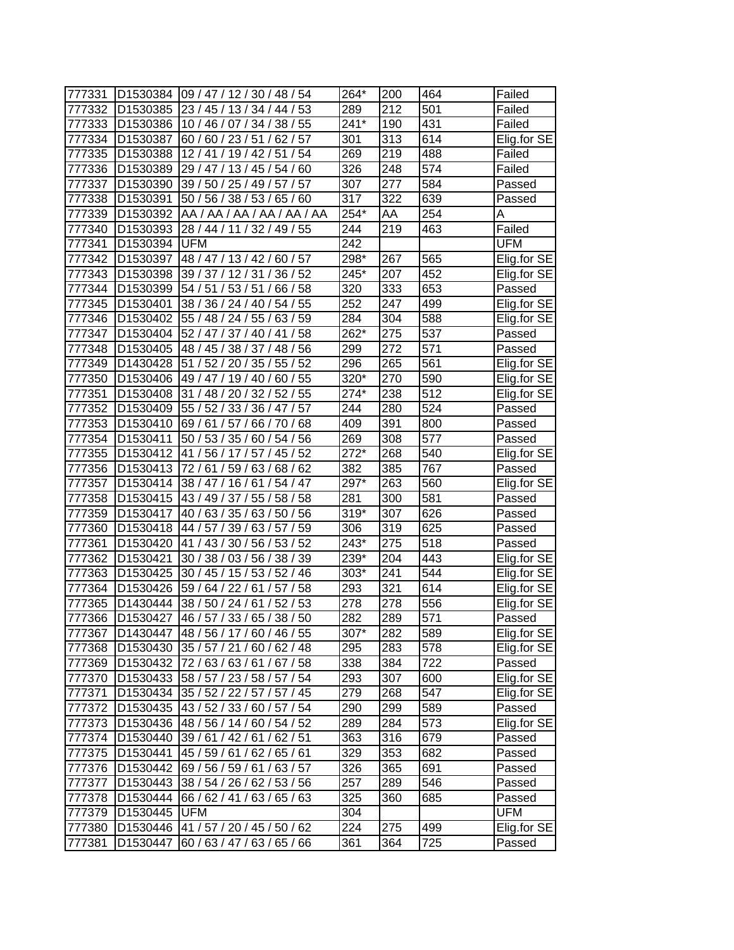| 777331 | D1530384             | 09 / 47 / 12 / 30 / 48 / 54      | 264*             | 200 | 464               | Failed      |
|--------|----------------------|----------------------------------|------------------|-----|-------------------|-------------|
| 777332 | D1530385             | 23 / 45 / 13 / 34 / 44 / 53      | 289              | 212 | 501               | Failed      |
| 777333 | D1530386             | 10 / 46 / 07 / 34 / 38 / 55      | $241*$           | 190 | 431               | Failed      |
| 777334 | D1530387             | 60 / 60 / 23 / 51 / 62 / 57      | 301              | 313 | $\overline{6}$ 14 | Elig.for SE |
| 777335 | D1530388             | 12/41/19/42/51<br>/54            | 269              | 219 | 488               | Failed      |
| 777336 | D1530389             | 29 / 47 / 13 / 45 / 54 / 60      | 326              | 248 | 574               | Failed      |
| 777337 | D1530390             | 39 / 50 / 25 / 49 / 57 / 57      | 307              | 277 | 584               | Passed      |
| 777338 | D1530391             | 50 / 56 / 38 / 53 / 65 / 60      | 317              | 322 | 639               | Passed      |
| 777339 | D1530392             | AA / AA / AA / AA / AA / AA      | 254*             | AA  | 254               | Α           |
| 777340 | D1530393             | 28 / 44 / 11 / 32 / 49 / 55      | 244              | 219 | 463               | Failed      |
| 777341 | D1530394             | <b>UFM</b>                       | 242              |     |                   | UFM         |
| 777342 | D1530397             | 48 / 47 / 13 / 42 / 60 / 57      | 298*             | 267 | 565               | Elig.for SE |
| 777343 | D1530398             | 39 / 37 / 12 / 31 / 36 / 52      | 245*             | 207 | 452               | Elig.for SE |
| 777344 | D1530399             | 54 / 51 / 53 / 51 /<br>66/58     | 320              | 333 | 653               | Passed      |
| 777345 | D1530401             | 38 / 36 / 24 / 40 /<br>54/55     | 252              | 247 | 499               | Elig.for SE |
| 777346 | D1530402             | 55 / 48 / 24 / 55 /<br>63/59     | 284              | 304 | 588               | Elig.for SE |
| 777347 | D1530404             | 52 / 47 / 37 / 40 / 41<br>/58    | 262*             | 275 | 537               | Passed      |
| 777348 | D1530405             | 48 / 45 / 38 / 37 /<br>' 48 / 56 | 299              | 272 | 571               | Passed      |
| 777349 | D1430428             | 51 / 52 / 20<br>55/52<br>/35/    | 296              | 265 | 561               | Elig.for SE |
| 777350 | D1530406             | 49 / 47 / 19 / 40 / 60 / 55      | 320*             | 270 | 590               | Elig.for SE |
| 777351 | D1530408             | 31 / 48 / 20 / 32 / 52 / 55      | 274*             | 238 | 512               | Elig.for SE |
| 777352 | D <sub>1530409</sub> | 55 / 52 / 33 / 36 / 47 / 57      | 244              | 280 | 524               | Passed      |
| 777353 | D1530410             | 69 / 61 / 57 / 66 / 70 / 68      | 409              | 391 | 800               | Passed      |
| 777354 | D1530411             | 50 / 53 / 35 / 60 / 54 / 56      | 269              | 308 | 577               | Passed      |
| 777355 | D1530412             | 41 / 56 / 17 / 57 / 45 / 52      | $272*$           | 268 | 540               | Elig.for SE |
| 777356 | D1530413             | 72 / 61 / 59 / 63 / 68 / 62      | 382              | 385 | 767               | Passed      |
| 777357 | D <sub>1530414</sub> | 38/47/16/61/<br>54/47            | 297*             | 263 | 560               | Elig.for SE |
| 777358 | D1530415             | 43 / 49 / 37 / 55 /<br>58/58     | 281              | 300 | 581               | Passed      |
| 777359 | D1530417             | 40 / 63 / 35 / 63 / 50 / 56      | $319*$           | 307 | 626               | Passed      |
| 777360 | D1530418             | 44 / 57 / 39 / 63 / 57 / 59      | 306              | 319 | 625               | Passed      |
| 777361 | D1530420             | 41 / 43 / 30 / 56 / 53 / 52      | 243*             | 275 | 518               | Passed      |
| 777362 | D1530421             | 30 / 38 / 03 / 56 / 38 / 39      | 239*             | 204 | 443               | Elig.for SE |
| 777363 | D1530425             | 30 / 45 / 15 / 53 / 52 / 46      | 303*             | 241 | 544               | Elig.for SE |
| 777364 | D <sub>1530426</sub> | 59 / 64 / 22 / 61 / 57 / 58      | 293              | 321 | 614               | Elig.for SE |
| 777365 | D1430444             | 38 / 50 / 24 / 61 / 52 / 53      | 278              | 278 | 556               | Elig.for SE |
| 777366 | D <sub>1530427</sub> | 46 / 57 / 33 / 65 / 38 / 50      | $\overline{282}$ | 289 | $\overline{571}$  | Passed      |
| 777367 | D1430447             | 48 / 56 / 17 / 60 / 46 / 55      | 307*             | 282 | 589               | Elig.for SE |
| 777368 | D1530430             | 35 / 57 / 21 / 60 / 62 / 48      | 295              | 283 | 578               | Elig.for SE |
| 777369 | D1530432             | 72 / 63 / 63 / 61 / 67 / 58      | 338              | 384 | 722               | Passed      |
| 777370 | D1530433             | 58 / 57 / 23 / 58 / 57 / 54      | 293              | 307 | 600               | Elig.for SE |
| 777371 | D1530434             | 35 / 52 / 22 / 57 / 57 / 45      | 279              | 268 | 547               | Elig.for SE |
| 777372 | D1530435             | 43 / 52 / 33 / 60 / 57 / 54      | 290              | 299 | 589               | Passed      |
| 777373 | D1530436             | 48 / 56 / 14 / 60 / 54 / 52      | 289              | 284 | 573               | Elig.for SE |
| 777374 | D1530440             | 39 / 61 / 42 / 61 / 62 / 51      | 363              | 316 | 679               | Passed      |
| 777375 | D1530441             | 45 / 59 / 61 / 62 / 65 / 61      | 329              | 353 | 682               | Passed      |
| 777376 | D1530442             | 69 / 56 / 59 / 61 / 63 / 57      | 326              | 365 | 691               | Passed      |
| 777377 | D1530443             | 38 / 54 / 26 / 62 / 53 / 56      | 257              | 289 | 546               | Passed      |
| 777378 | D1530444             | 66 / 62 / 41 / 63 / 65 / 63      | 325              | 360 | 685               | Passed      |
| 777379 | D1530445             | <b>UFM</b>                       | 304              |     |                   | <b>UFM</b>  |
| 777380 | D1530446             | 41 / 57 / 20 / 45 / 50 / 62      | 224              | 275 | 499               | Elig.for SE |
| 777381 | D1530447             | 60 / 63 / 47 / 63 / 65 / 66      | 361              | 364 | 725               | Passed      |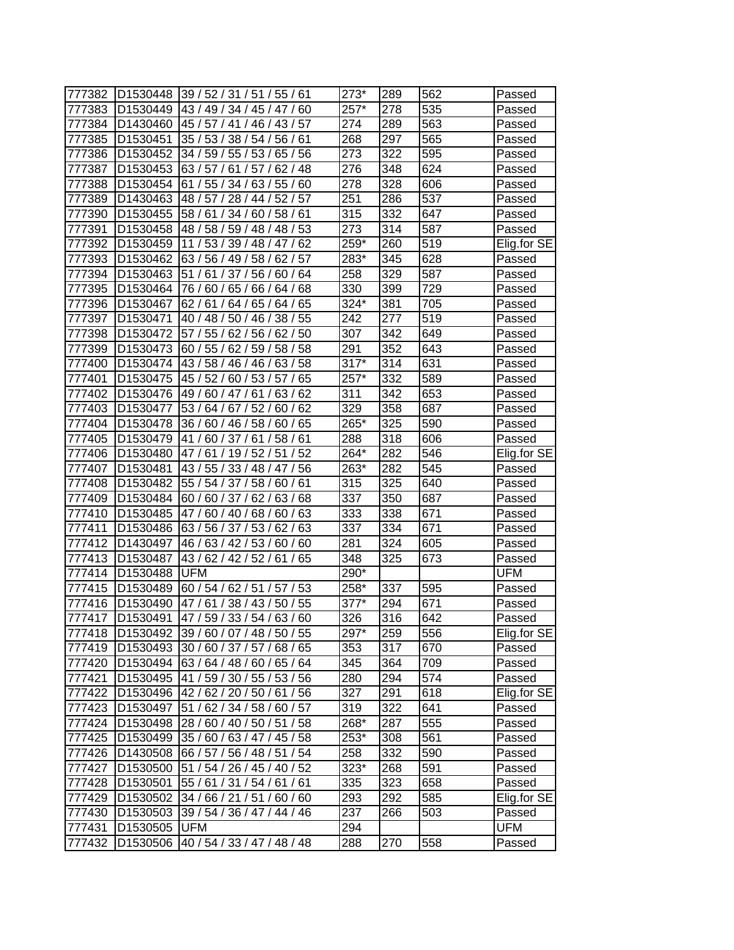| 777382           | D1530448                         | 39/52/31/51/55/61                                | 273*              | 289              | 562        | Passed                |
|------------------|----------------------------------|--------------------------------------------------|-------------------|------------------|------------|-----------------------|
| 777383           | D <sub>1530449</sub>             | 43/49/34/45/47/60                                | 257*              | 278              | 535        | Passed                |
| 777384           | D <sub>1430460</sub>             | 45 / 57 / 41 / 46 / 43 / 57                      | 274               | 289              | 563        | Passed                |
| 777385           | D <sub>1530451</sub>             | 35 / 53 / 38 / 54 / 56 / 61                      | 268               | 297              | 565        | Passed                |
| 777386           | D1530452                         | 34 / 59 / 55 / 53 / 65 / 56                      | 273               | 322              | 595        | Passed                |
| 777387           | D1530453                         | 63/57/<br>61/57/<br>62/48                        | 276               | 348              | 624        | Passed                |
| 777388           | D <sub>1530454</sub>             | 61 / 55 / 34 / 63 / 55 / 60                      | 278               | 328              | 606        | Passed                |
| 777389           | D1430463                         | 48 / 57 / 28 / 44 / 52 / 57                      | 251               | 286              | 537        | Passed                |
| 777390           | D1530455                         | 58/61/<br>34 / 60 / 58 / 61                      | $\overline{3}$ 15 | $\overline{3}32$ | 647        | Passed                |
| 777391           | D <sub>1530458</sub>             | 48 / 58 / 59 / 48 / 48 / 53                      | 273               | 314              | 587        | Passed                |
| 777392           | D <sub>1530459</sub>             | 11 / 53 / 39 / 48 / 47 / 62                      | 259*              | 260              | 519        | Elig.for SE           |
| 777393           | D <sub>1530462</sub>             | 63 / 56 / 49 / 58 / 62 / 57                      | 283*              | 345              | 628        | Passed                |
| 777394           | D1530463                         | 51<br>/61/37/56/60/64                            | 258               | 329              | 587        | Passed                |
| 777395           | D1530464                         | 76 / 60 / 65 / 66 / 64 / 68                      | 330               | 399              | 729        | Passed                |
| 777396           | D1530467                         | 62/<br>61/<br>64/65/<br>64/<br>65                | 324*              | 381              | 705        | Passed                |
| 777397           | D <sub>1530471</sub>             | 40/48/<br>50/46/<br>38/<br>55                    | 242               | 277              | 519        | Passed                |
| 777398           | D1530472                         | 62/56/<br>57 / 55 /<br>62/50                     | 307               | 342              | 649        | Passed                |
| 777399           | D1530473                         | 60 / 55 /<br>62/59/<br>58 / 58                   | 291               | 352              | 643        | Passed                |
| 777400           | D1530474                         | 43 / 58 / 46 / 46 /<br>63/58                     | $317*$            | 314              | 631        | Passed                |
| 777401           | D1530475                         | 45 / 52 /<br>60/53/57/<br>65                     | 257*              | 332              | 589        | Passed                |
| 777402           | D <sub>1530476</sub>             | 63/62<br>49 / 60 / 47 / 61 /                     | 311               | 342              | 653        | Passed                |
| 777403           | D1530477                         | 53 / 64 / 67 / 52 /<br>62<br>60/                 | 329               | 358              | 687        | Passed                |
| 777404           | D <sub>1530478</sub>             | 36 / 60 / 46 / 58 /<br>60/65                     | 265*              | 325              | 590        | Passed                |
| 777405           | D <sub>1530479</sub>             | 41/60/37/61/58/61                                | 288               | 318              | 606        | Passed                |
| 777406           | D <sub>1530480</sub>             | 47/61/19/52/51/52                                | 264*              | 282              | 546        | Elig.for SE           |
| 777407           | D1530481                         | 43 / 55 / 33 / 48 / 47 / 56                      | 263*              | 282              | 545        | Passed                |
| 777408           | D1530482                         | 55 / 54 / 37 / 58 / 60 / 61                      | 315               | 325              | 640        | Passed                |
| 777409           | D1530484                         | 60/60/37/62/63/68                                | 337               | 350              | 687        | Passed                |
| 777410           | D <sub>1530485</sub>             | 63<br>47/<br>60/40/68/<br>60/                    | 333               | 338              | 671        | Passed                |
| 777411           | D1530486                         | 63 / 56 / 37 / 53 / 62 / 63                      | 337               | 334              | 671        | Passed                |
| 777412           | D1430497                         | 46 / 63 / 42 / 53 / 60 / 60                      | 281               | 324              | 605        | Passed                |
| 777413           |                                  | 43 / 62 / 42 / 52 / 61 / 65                      | 348               | 325              | 673        |                       |
| 777414           | D <sub>1530487</sub><br>D1530488 | <b>UFM</b>                                       | 290*              |                  |            | Passed<br>UFM         |
| 777415           | D1530489                         | 60 / 54 / 62 / 51 / 57 /<br>53                   | 258*              | 337              | 595        |                       |
| 777416           | D1530490                         | 47/61/38/43/50/55                                | 377*              | 294              | 671        | Passed<br>Passed      |
| 777417           | D <sub>1530491</sub>             | 47/59/33/54/63/60                                | $\overline{326}$  | 316              | 642        | Passed                |
| 777418           |                                  | D1530492 39 / 60 / 07 / 48 / 50 / 55             | 297*              | 259              | 556        | Elig.for SE           |
| 777419           |                                  | D1530493 30 / 60 / 37 / 57 / 68 / 65             | 353               | 317              | 670        | Passed                |
| 777420           | D1530494                         |                                                  | 345               | 364              | 709        | Passed                |
| 777421           | D1530495                         | 63 / 64 / 48 / 60 / 65 / 64                      | 280               | 294              | 574        | Passed                |
|                  |                                  | 41 / 59 / 30 / 55 / 53 / 56                      | 327               | 291              |            |                       |
| 777422<br>777423 | D1530496                         | 42/62/20/50/61/56<br>51 / 62 / 34 / 58 / 60 / 57 | 319               | 322              | 618<br>641 | Elig.for SE<br>Passed |
|                  | D1530497                         | 28 / 60 / 40 / 50 / 51 / 58                      | 268*              | 287              |            |                       |
| 777424           | D1530498                         |                                                  |                   |                  | 555        | Passed                |
| 777425           | D <sub>1530499</sub>             | 35 / 60 / 63 / 47 / 45 / 58                      | 253*              | 308              | 561        | Passed                |
| 777426           | D1430508                         | 66 / 57 / 56 / 48 / 51 / 54                      | 258               | 332              | 590        | Passed                |
| 777427           | D1530500                         | 51 / 54 / 26 / 45 / 40 / 52                      | 323*              | 268              | 591        | Passed                |
| 777428           | D <sub>1530501</sub>             | 55 / 61 / 31 / 54 / 61 / 61                      | 335               | 323              | 658        | Passed                |
| 777429           |                                  | D1530502 34 / 66 / 21 / 51 / 60 / 60             | 293               | 292              | 585        | Elig.for SE           |
| 777430           |                                  | D1530503 39 / 54 / 36 / 47 / 44 / 46             | 237               | 266              | 503        | Passed                |
| 777431           | D1530505 UFM                     |                                                  | 294               |                  |            | <b>UFM</b>            |
| 777432           |                                  | D1530506 40 / 54 / 33 / 47 / 48 / 48             | 288               | 270              | 558        | Passed                |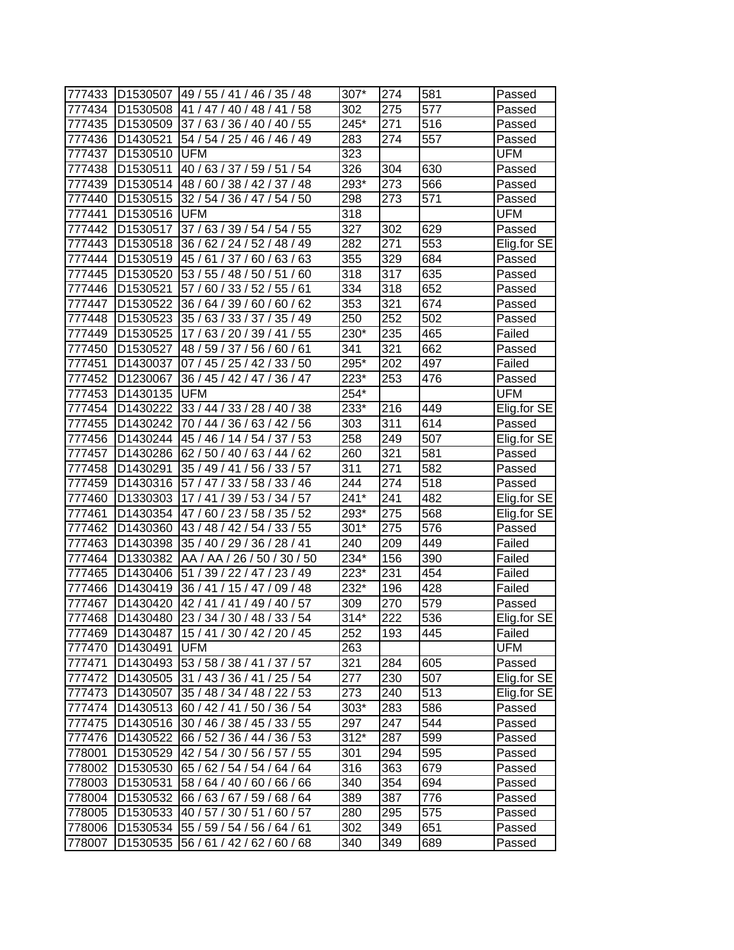| 777433 |                      | D1530507 49 / 55 / 41 / 46 / 35 / 48   | 307*   | 274              | 581 | Passed      |
|--------|----------------------|----------------------------------------|--------|------------------|-----|-------------|
| 777434 | D1530508             | 41 / 47 / 40 / 48 / 41 / 58            | 302    | 275              | 577 | Passed      |
| 777435 | D <sub>1530509</sub> | 37/63/36/40/40/55                      | 245*   | 271              | 516 | Passed      |
| 777436 | D1430521             | 54 / 54 / 25 / 46 / 46 / 49            | 283    | 274              | 557 | Passed      |
| 777437 | D1530510 UFM         |                                        | 323    |                  |     | UFM         |
| 777438 | D1530511             | 40 / 63 / 37 / 59 / 51 / 54            | 326    | 304              | 630 | Passed      |
| 777439 |                      | D1530514 48 / 60 / 38 / 42 / 37 / 48   | 293*   | 273              | 566 | Passed      |
| 777440 | D1530515             | 32 / 54 / 36 / 47 / 54 / 50            | 298    | 273              | 571 | Passed      |
| 777441 | D1530516             | <b>UFM</b>                             | 318    |                  |     | UFM         |
| 777442 | D1530517             | 37/63/39/54/54/55                      | 327    | 302              | 629 | Passed      |
| 777443 | D1530518             | 36 / 62 / 24 / 52 / 48 / 49            | 282    | 271              | 553 | Elig.for SE |
| 777444 | D1530519             | 45/61/37/60/63/63                      | 355    | 329              | 684 | Passed      |
| 777445 | D1530520             | 53 / 55 / 48 / 50 / 51 / 60            | 318    | 317              | 635 | Passed      |
| 777446 | D1530521             | 57 / 60 / 33 / 52 / 55 / 61            | 334    | 318              | 652 | Passed      |
| 777447 | D1530522             | 62<br>36/64/39/60/60/                  | 353    | 321              | 674 | Passed      |
| 777448 | D1530523             | 35 / 63 / 33 / 37 / 35 / 49            | 250    | 252              | 502 | Passed      |
| 777449 | D1530525             | 17/63/20/39/41/55                      | 230*   | 235              | 465 | Failed      |
| 777450 | D1530527             | 48 / 59 / 37 / 56 / 60 / 61            | 341    | 321              | 662 | Passed      |
| 777451 | D1430037             | 07 / 45 / 25 / 42 / 33 / 50            | 295*   | 202              | 497 | Failed      |
| 777452 | D1230067             | 36 / 45 / 42 / 47 / 36 / 47            | 223*   | 253              | 476 | Passed      |
| 777453 | D1430135             | <b>UFM</b>                             | 254*   |                  |     | UFM         |
| 777454 | D1430222             | 33 / 44 / 33 / 28 / 40 / 38            | 233*   | 216              | 449 | Elig.for SE |
| 777455 | D1430242             | 70 / 44 / 36 / 63 / 42 / 56            | 303    | 311              | 614 | Passed      |
| 777456 |                      | D1430244 45 / 46 / 14 / 54 / 37 / 53   | 258    | 249              | 507 | Elig.for SE |
| 777457 |                      | D1430286 62 / 50 / 40 / 63 / 44 / 62   | 260    | 321              | 581 | Passed      |
| 777458 | D1430291             | 35 / 49 / 41 / 56 / 33 / 57            | 311    | 271              | 582 | Passed      |
| 777459 | D1430316             | 57 / 47 / 33 / 58 / 33 / 46            | 244    | 274              | 518 | Passed      |
| 777460 | D1330303             | 17 / 41 / 39 / 53 / 34 / 57            | $241*$ | 241              | 482 | Elig.for SE |
| 777461 | D1430354             | 47/60/23/58/35/52                      | 293*   | 275              | 568 | Elig.for SE |
| 777462 | D1430360             | 43 / 48 / 42 / 54 / 33 / 55            | $301*$ | 275              | 576 | Passed      |
| 777463 | D1430398             | 35 / 40 / 29 / 36 / 28 / 41            | 240    | 209              | 449 | Failed      |
| 777464 | D1330382             | AA / AA / 26 / 50 / 30 / 50            | 234*   | 156              | 390 | Failed      |
| 777465 | D1430406             | 51 / 39 / 22 / 47 / 23 / 49            | 223*   | 231              | 454 | Failed      |
| 777466 | D1430419             | 36 / 41 / 15 / 47 / 09 / 48            | 232*   | 196              | 428 | Failed      |
| 777467 | D1430420             | 42 / 41 / 41 / 49 / 40 / 57            | 309    | 270              | 579 | Passed      |
| 777468 |                      | D1430480 23 / 34 / 30 / 48 / 33 / 54   | $314*$ | $\overline{222}$ | 536 | Elig.for SE |
| 777469 |                      | D1430487   15 / 41 / 30 / 42 / 20 / 45 | 252    | 193              | 445 | Failed      |
| 777470 | D1430491             | <b>UFM</b>                             | 263    |                  |     | <b>UFM</b>  |
| 777471 | D1430493             | 53 / 58 / 38 / 41 / 37 / 57            | 321    | 284              | 605 | Passed      |
| 777472 | D1430505             | 31 / 43 / 36 / 41 / 25 / 54            | 277    | 230              | 507 | Elig.for SE |
| 777473 | D1430507             | 35 / 48 / 34 / 48 / 22 / 53            | 273    | 240              | 513 | Elig.for SE |
| 777474 | D1430513             | 60 / 42 / 41 / 50 / 36 / 54            | 303*   | 283              | 586 | Passed      |
| 777475 | D1430516             | 30 / 46 / 38 / 45 / 33 / 55            | 297    | 247              | 544 | Passed      |
| 777476 | D1430522             | 66 / 52 / 36 / 44 / 36 / 53            | $312*$ | 287              | 599 | Passed      |
| 778001 | D1530529             | 42 / 54 / 30 / 56 / 57 / 55            | 301    | 294              | 595 | Passed      |
| 778002 | D1530530             | 65 / 62 / 54 / 54 / 64 / 64            | 316    | 363              | 679 | Passed      |
| 778003 | D1530531             | 58 / 64 / 40 / 60 / 66 / 66            | 340    | 354              | 694 | Passed      |
| 778004 | D1530532             | 66 / 63 / 67 / 59 / 68 / 64            | 389    | 387              | 776 | Passed      |
| 778005 | D1530533             | 40 / 57 / 30 / 51 / 60 / 57            | 280    | 295              | 575 | Passed      |
| 778006 |                      | D1530534 55 / 59 / 54 / 56 / 64 / 61   | 302    | 349              | 651 | Passed      |
| 778007 | D1530535             | 56 / 61 / 42 / 62 / 60 / 68            | 340    | 349              | 689 | Passed      |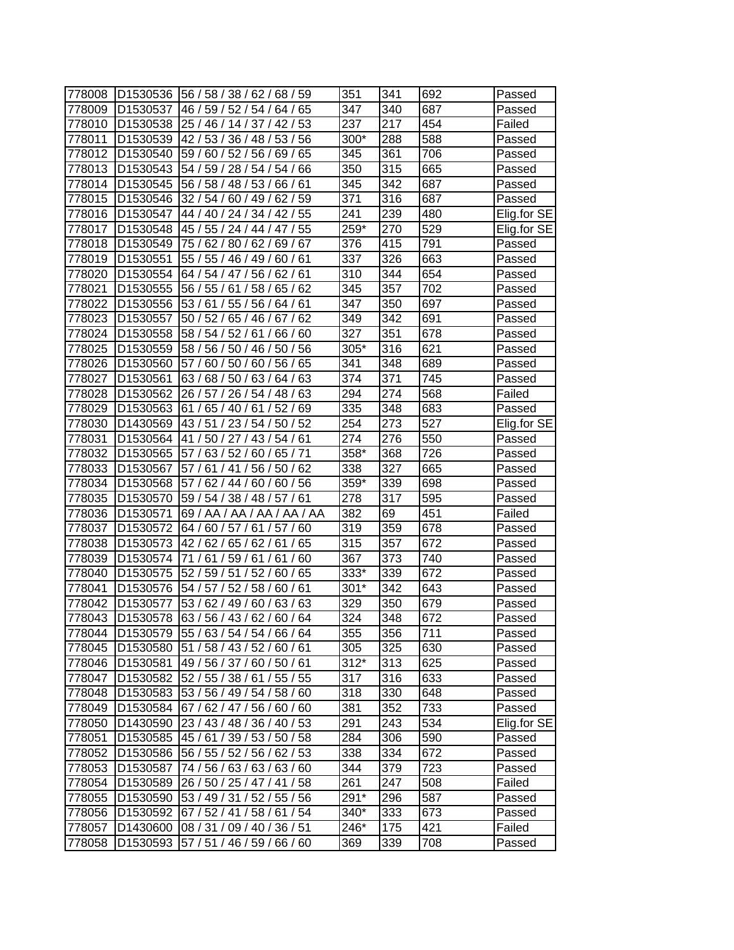| 778008 | D1530536             | 56 / 58 / 38 / 62 / 68 / 59         | 351    | 341 | 692 | Passed      |
|--------|----------------------|-------------------------------------|--------|-----|-----|-------------|
| 778009 | D1530537             | 46/59/<br>52/54/<br>65<br>64 /      | 347    | 340 | 687 | Passed      |
| 778010 | D <sub>1530538</sub> | 25 / 46 / 14 / 37 / 42 /<br>53      | 237    | 217 | 454 | Failed      |
| 778011 | D <sub>1530539</sub> | 42/53/36/48/53/56                   | 300*   | 288 | 588 | Passed      |
| 778012 | D1530540             | 59 / 60 / 52 / 56 / 69 /<br>65      | 345    | 361 | 706 | Passed      |
| 778013 | D1530543             | 54 / 59 / 28 / 54 / 54 / 66         | 350    | 315 | 665 | Passed      |
| 778014 | D1530545             | 56 / 58 / 48 / 53 / 66 / 61         | 345    | 342 | 687 | Passed      |
| 778015 | D1530546             | 32/54/<br>60 / 49 / 62 / 59         | 371    | 316 | 687 | Passed      |
| 778016 | D <sub>1530547</sub> | 44 / 40 / 24 / 34 / 42 / 55         | 241    | 239 | 480 | Elig.for SE |
| 778017 | D <sub>1530548</sub> | 45 / 55 / 24 / 44 / 47 / 55         | 259*   | 270 | 529 | Elig.for SE |
| 778018 | D1530549             | 75 / 62 / 80 / 62 / 69 / 67         | 376    | 415 | 791 | Passed      |
| 778019 | D1530551             | 55 / 55 / 46 / 49 / 60 / 61         | 337    | 326 | 663 | Passed      |
| 778020 | D1530554             | 64 / 54 / 47 / 56 /<br>62/61        | 310    | 344 | 654 | Passed      |
| 778021 | D1530555             | 56/55/<br>58/<br>62<br>61<br>65/    | 345    | 357 | 702 | Passed      |
| 778022 | D1530556             | 53/<br>61<br>55/<br>56<br>61<br>64  | 347    | 350 | 697 | Passed      |
| 778023 | D1530557             | 50/52/<br>65/46/<br>62<br>67        | 349    | 342 | 691 | Passed      |
| 778024 | D1530558             | 58 / 54 / 52 / 61<br>66/60          | 327    | 351 | 678 | Passed      |
| 778025 | D1530559             | 58 / 56 / 50 / 46 / 50 / 56         | 305*   | 316 | 621 | Passed      |
| 778026 | D1530560             | 57/<br>60<br>50<br>/60<br>56/<br>65 | 341    | 348 | 689 | Passed      |
| 778027 | D1530561             | 63/68/50/63/64/<br>63               | 374    | 371 | 745 | Passed      |
| 778028 | D1530562             | 26 / 57 / 26 / 54 / 48 / 63         | 294    | 274 | 568 | Failed      |
| 778029 | D <sub>1530563</sub> | 61/<br>65/40/61<br>52/69            | 335    | 348 | 683 | Passed      |
| 778030 | D1430569             | 43/51<br>/ 23 / 54 / 50 / 52        | 254    | 273 | 527 | Elig.for SE |
| 778031 | D1530564             | / 50 / 27 / 43 / 54 / 61<br>41      | 274    | 276 | 550 | Passed      |
| 778032 | D1530565             | 63/52/60/65/71<br>57/               | 358*   | 368 | 726 | Passed      |
| 778033 | D1530567             | 61/<br>41 / 56 / 50 / 62<br>57/     | 338    | 327 | 665 | Passed      |
| 778034 | D1530568             | 57<br>62/<br>44/60/<br>60/<br>56    | 359*   | 339 | 698 | Passed      |
| 778035 | D <sub>1530570</sub> | 59/<br>54 / 38 / 48 / 57 / 61       | 278    | 317 | 595 | Passed      |
| 778036 | D1530571             | 69 / AA / AA / AA / AA / AA         | 382    | 69  | 451 | Failed      |
| 778037 | D1530572             | 64 / 60 / 57 / 61 / 57 / 60         | 319    | 359 | 678 | Passed      |
| 778038 | D1530573             | 42 / 62 / 65 / 62 / 61 / 65         | 315    | 357 | 672 | Passed      |
| 778039 | D1530574             | 71 / 61 / 59 / 61 / 61 / 60         | 367    | 373 | 740 | Passed      |
| 778040 | D1530575             | 52 / 59 / 51 / 52 /<br>65<br>60     | 333*   | 339 | 672 | Passed      |
| 778041 | D1530576             | 54 / 57 / 52 / 58 /<br>60/<br>61    | $301*$ | 342 | 643 | Passed      |
| 778042 | D <sub>1530577</sub> | 53 / 62 / 49 / 60 / 63 / 63         | 329    | 350 | 679 | Passed      |
| 778043 | D <sub>1530578</sub> | 63 / 56 / 43 / 62 / 60 / 64         | 324    | 348 | 672 | Passed      |
| 778044 | D <sub>1530579</sub> | 55 / 63 / 54 / 54 / 66 / 64         | 355    | 356 | 711 | Passed      |
| 778045 | D1530580             | 51 / 58 / 43 / 52 / 60 / 61         | 305    | 325 | 630 | Passed      |
| 778046 | D1530581             | 49 / 56 / 37 / 60 / 50 / 61         | $312*$ | 313 | 625 | Passed      |
| 778047 | D1530582             | 52 / 55 / 38 / 61 / 55 / 55         | 317    | 316 | 633 | Passed      |
| 778048 | D1530583             | 53 / 56 / 49 / 54 / 58 / 60         | 318    | 330 | 648 | Passed      |
| 778049 | D1530584             | 67 / 62 / 47 / 56 / 60 / 60         | 381    | 352 | 733 | Passed      |
| 778050 | D1430590             | 23 / 43 / 48 / 36 / 40 / 53         | 291    | 243 | 534 | Elig.for SE |
| 778051 | D1530585             | 45 / 61 / 39 / 53 / 50 / 58         | 284    | 306 | 590 | Passed      |
| 778052 | D1530586             | 56 / 55 / 52 / 56 / 62 / 53         | 338    | 334 | 672 | Passed      |
| 778053 | D1530587             | 74 / 56 / 63 / 63 / 63 / 60         | 344    | 379 | 723 | Passed      |
| 778054 | D1530589             | 26 / 50 / 25 / 47 / 41 / 58         | 261    | 247 | 508 | Failed      |
| 778055 | D1530590             | 53 / 49 / 31 / 52 / 55 / 56         | 291*   | 296 | 587 | Passed      |
| 778056 | D1530592             | 67 / 52 / 41 / 58 / 61 / 54         | 340*   | 333 | 673 | Passed      |
| 778057 | D1430600             | 08 / 31 / 09 / 40 / 36 / 51         | 246*   | 175 | 421 | Failed      |
| 778058 | D1530593             | 57 / 51 / 46 / 59 / 66 / 60         | 369    | 339 | 708 | Passed      |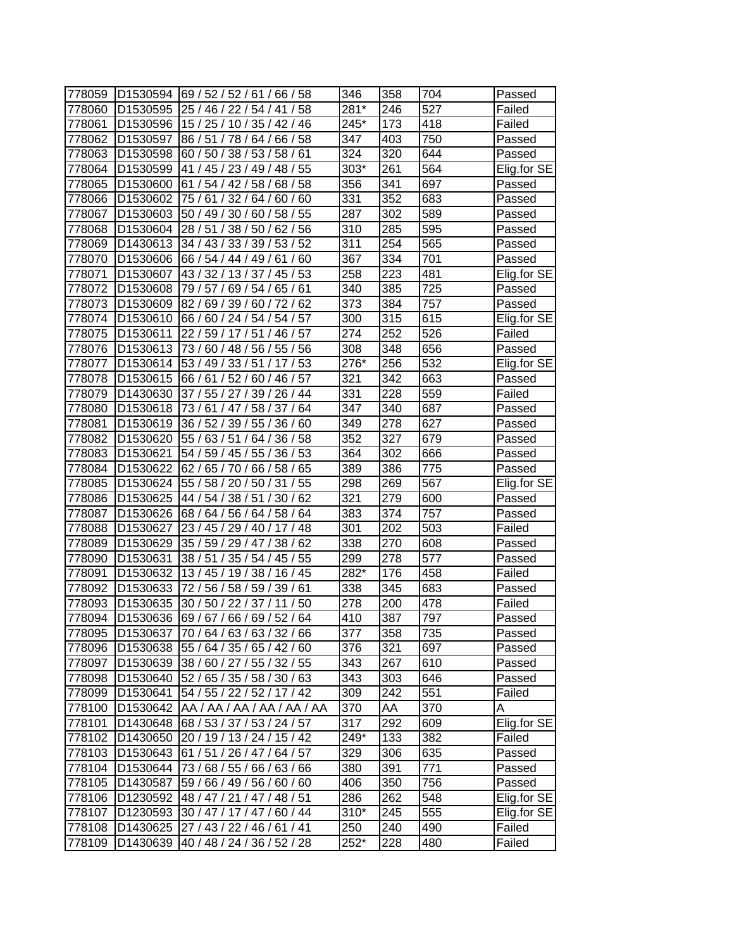| 778059 | D1530594             | 69 / 52 / 52 / 61 / 66 / 58          | 346    | 358 | 704 | Passed      |
|--------|----------------------|--------------------------------------|--------|-----|-----|-------------|
| 778060 | D1530595             | 25 / 46 / 22 / 54 / 41<br>58         | $281*$ | 246 | 527 | Failed      |
| 778061 | D1530596             | 15 / 25 / 10 / 35 / 42 / 46          | 245*   | 173 | 418 | Failed      |
| 778062 | D1530597             | 86 / 51 / 78 / 64 / 66 / 58          | 347    | 403 | 750 | Passed      |
| 778063 | D1530598             | 60 / 50 / 38 / 53 / 58 / 61          | 324    | 320 | 644 | Passed      |
| 778064 | D1530599             | 41 / 45 / 23 / 49 / 48 / 55          | 303*   | 261 | 564 | Elig.for SE |
| 778065 | D1530600             | 61 / 54 / 42 / 58 / 68 / 58          | 356    | 341 | 697 | Passed      |
| 778066 | D1530602             | 75/61/<br>32/64/60/60                | 331    | 352 | 683 | Passed      |
| 778067 | D1530603             | 50 / 49 / 30 / 60 / 58 / 55          | 287    | 302 | 589 | Passed      |
| 778068 | D1530604             | 28 / 51 / 38 / 50 / 62 / 56          | 310    | 285 | 595 | Passed      |
| 778069 | D1430613             | 34 / 43 / 33 / 39 / 53 / 52          | 311    | 254 | 565 | Passed      |
| 778070 | D1530606             | 66 / 54 / 44 / 49 / 61 / 60          | 367    | 334 | 701 | Passed      |
| 778071 | D1530607             | 43 / 32 / 13 / 37 / 45 / 53          | 258    | 223 | 481 | Elig.for SE |
| 778072 | D1530608             | 79/57/<br>69 / 54 / 65 / 61          | 340    | 385 | 725 | Passed      |
| 778073 | D1530609             | 82/<br>69 / 39 / 60 /<br>62<br>72 /  | 373    | 384 | 757 | Passed      |
| 778074 | D1530610             | 54/57<br>66/<br>60/24/54/            | 300    | 315 | 615 | Elig.for SE |
| 778075 | D1530611             | 22 / 59 / 17 / 51 /<br>46 / 57       | 274    | 252 | 526 | Failed      |
| 778076 | D1530613             | 73 / 60 / 48 / 56 / 55 / 56          | 308    | 348 | 656 | Passed      |
| 778077 | D1530614             | 53 / 49 / 33 / 51<br>53<br>17        | 276*   | 256 | 532 | Elig.for SE |
| 778078 | D1530615             | 66 / 61 / 52 / 60 / 46 / 57          | 321    | 342 | 663 | Passed      |
| 778079 | D1430630             | 37 / 55 / 27 / 39 / 26 / 44          | 331    | 228 | 559 | Failed      |
| 778080 | D1530618             | 73 / 61 / 47 / 58 / 37 / 64          | 347    | 340 | 687 | Passed      |
| 778081 | D1530619             | 36 / 52 / 39 / 55 / 36 / 60          | 349    | 278 | 627 | Passed      |
| 778082 | D1530620             | 55 / 63 / 51 / 64 / 36 / 58          | 352    | 327 | 679 | Passed      |
| 778083 | D1530621             | 54 / 59 / 45 / 55 / 36 / 53          | 364    | 302 | 666 | Passed      |
| 778084 | D1530622             | 62 / 65 / 70 / 66 / 58 / 65          | 389    | 386 | 775 | Passed      |
| 778085 | D1530624             | 55<br>55 / 58 / 20 / 50 / 31         | 298    | 269 | 567 | Elig.for SE |
| 778086 | D1530625             | 44 / 54 / 38 / 51 /<br>62<br>30/     | 321    | 279 | 600 | Passed      |
| 778087 | D <sub>1530626</sub> | 68 / 64 / 56 / 64 / 58 / 64          | 383    | 374 | 757 | Passed      |
| 778088 | D1530627             | 23 / 45 / 29 / 40 / 17 / 48          | 301    | 202 | 503 | Failed      |
| 778089 | D1530629             | 35 / 59 / 29 / 47 / 38 / 62          | 338    | 270 | 608 | Passed      |
| 778090 | D1530631             | 38 / 51 / 35 / 54 / 45 / 55          | 299    | 278 | 577 | Passed      |
| 778091 | D1530632             | 13 / 45 / 19 / 38 / 16 / 45          | 282*   | 176 | 458 | Failed      |
| 778092 | D1530633             | 72 / 56 / 58 / 59 / 39 / 61          | 338    | 345 | 683 | Passed      |
| 778093 | D1530635             | 30 / 50 / 22 / 37 / 11 / 50          | 278    | 200 | 478 | Failed      |
| 778094 |                      | D1530636 69 / 67 / 66 / 69 / 52 / 64 | 410    | 387 | 797 | Passed      |
| 778095 | D <sub>1530637</sub> | 70 / 64 / 63 / 63 / 32 / 66          | 377    | 358 | 735 | Passed      |
| 778096 | D1530638             | 55 / 64 / 35 / 65 / 42 / 60          | 376    | 321 | 697 | Passed      |
| 778097 | D1530639             | 38 / 60 / 27 / 55 / 32 / 55          | 343    | 267 | 610 | Passed      |
| 778098 | D1530640             | 52 / 65 / 35 / 58 / 30 / 63          | 343    | 303 | 646 | Passed      |
| 778099 | D1530641             | 54 / 55 / 22 / 52 / 17 / 42          | 309    | 242 | 551 | Failed      |
| 778100 | D1530642             | AA / AA / AA / AA / AA / AA          | 370    | AA  | 370 | Α           |
| 778101 | D1430648             | 68 / 53 / 37 / 53 / 24 / 57          | 317    | 292 | 609 | Elig.for SE |
| 778102 | D1430650             | 20 / 19 / 13 / 24 / 15 / 42          | 249*   | 133 | 382 | Failed      |
| 778103 | D1530643             | 61 / 51 / 26 / 47 / 64 / 57          | 329    | 306 | 635 | Passed      |
| 778104 | D1530644             | 73/68/55/66/63/66                    | 380    | 391 | 771 | Passed      |
| 778105 | D1430587             | 59 / 66 / 49 / 56 / 60 / 60          | 406    | 350 | 756 | Passed      |
| 778106 | D1230592             | 48 / 47 / 21 / 47 / 48 / 51          | 286    | 262 | 548 | Elig.for SE |
| 778107 | D1230593             | 30 / 47 / 17 / 47 / 60 / 44          | 310*   | 245 | 555 | Elig.for SE |
| 778108 | D1430625             | 27 / 43 / 22 / 46 / 61 / 41          | 250    | 240 | 490 | Failed      |
| 778109 | D1430639             | 40 / 48 / 24 / 36 / 52 / 28          | 252*   | 228 | 480 | Failed      |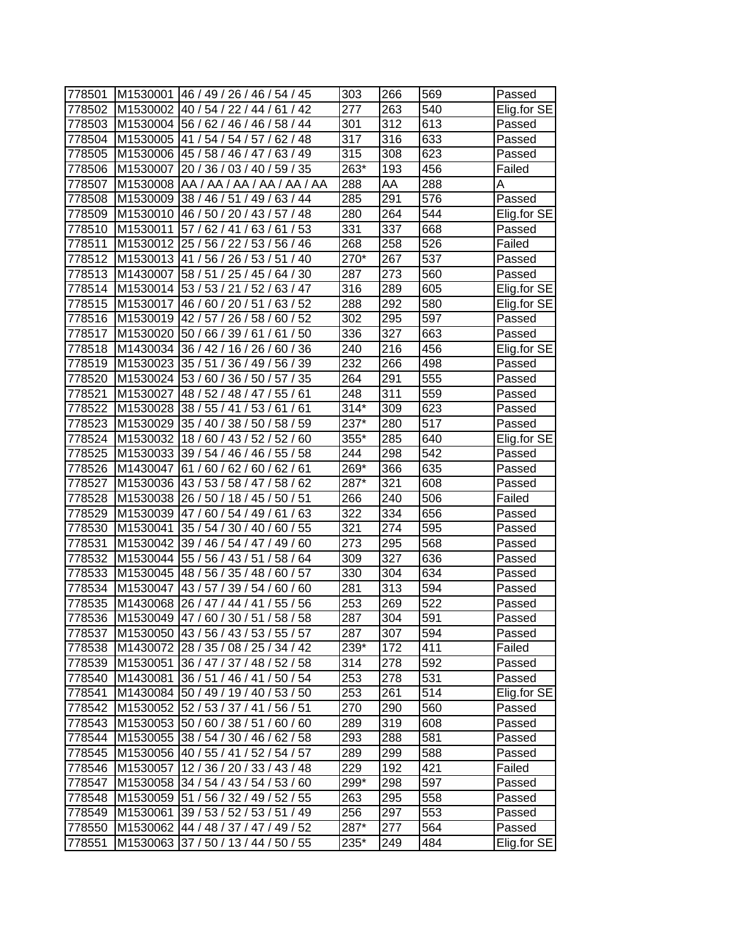| 778501 |          | M1530001 46 / 49 / 26 / 46 / 54 / 45   | 303        | 266              | 569        | Passed      |
|--------|----------|----------------------------------------|------------|------------------|------------|-------------|
| 778502 | M1530002 | 40/54/22/44/61/42                      | 277        | 263              | 540        | Elig.for SE |
| 778503 |          | M1530004 56 / 62 / 46 / 46 / 58 / 44   | 301        | 312              | 613        | Passed      |
| 778504 |          | M1530005 41 / 54 / 54 / 57 / 62 / 48   | 317        | 316              | 633        | Passed      |
| 778505 |          | M1530006 45 / 58 / 46 / 47 / 63 / 49   | 315        | 308              | 623        | Passed      |
| 778506 | M1530007 | 20 / 36 / 03 / 40 / 59 / 35            | 263*       | 193              | 456        | Failed      |
| 778507 | M1530008 | AA / AA / AA / AA / AA / AA            | 288        | AA               | 288        | Α           |
|        |          |                                        |            | 291              | 576        |             |
| 778508 | M1530009 | 38 / 46 / 51 / 49 / 63 / 44            | 285        |                  | 544        | Passed      |
| 778509 |          | M1530010 46 / 50 / 20 / 43 / 57 / 48   | 280        | 264              |            | Elig.for SE |
| 778510 | M1530011 | 57/62/41/63/61/53                      | 331        | $\overline{337}$ | 668        | Passed      |
| 778511 |          | M1530012 25 / 56 / 22 / 53 / 56 / 46   | 268        | 258              | 526        | Failed      |
| 778512 |          | M1530013 41 / 56 / 26 / 53 / 51 / 40   | 270*       | 267              | 537        | Passed      |
| 778513 | M1430007 | 58 / 51 / 25 / 45 / 64 / 30            | 287        | 273              | 560        | Passed      |
| 778514 | M1530014 | 53 / 53 / 21 / 52 / 63 / 47            | 316        | 289              | 605        | Elig.for SE |
| 778515 | M1530017 | 63/52<br>46/60/20/51/                  | 288        | 292              | 580        | Elig.for SE |
| 778516 | M1530019 | 42 / 57 / 26 / 58 /<br>60/52           | 302        | 295              | 597        | Passed      |
| 778517 | M1530020 | 61/50<br>150/66/39/61/                 | 336        | 327              | 663        | Passed      |
| 778518 |          | M1430034 36 / 42 / 16 / 26 /<br>60/36  | 240        | 216              | 456        | Elig.for SE |
| 778519 |          | M1530023 35 / 51 / 36 / 49 / 56 / 39   | 232        | 266              | 498        | Passed      |
| 778520 | M1530024 | 53 / 60 / 36 / 50 / 57 / 35            | 264        | 291              | 555        | Passed      |
| 778521 | M1530027 | 48 / 52 / 48 / 47 / 55 / 61            | 248        | 311              | 559        | Passed      |
| 778522 | M1530028 | 38 / 55 / 41 / 53 / 61 / 61            | $314*$     | 309              | 623        | Passed      |
| 778523 | M1530029 | 35 / 40 / 38 / 50 / 58 / 59            | 237*       | 280              | 517        | Passed      |
| 778524 | M1530032 | 18/60/43/52/52/60                      | 355*       | 285              | 640        | Elig.for SE |
| 778525 |          | M1530033 39 / 54 / 46 / 46 / 55 / 58   | 244        | 298              | 542        | Passed      |
| 778526 |          | M1430047 61 / 60 / 62 / 60 / 62 / 61   | 269*       | 366              | 635        | Passed      |
| 778527 | M1530036 | 43 / 53 / 58 / 47 / 58 / 62            | 287*       | 321              | 608        | Passed      |
| 778528 |          | M1530038 26 / 50 / 18 / 45 / 50 / 51   | 266        | 240              | 506        | Failed      |
| 778529 |          | M1530039 47 / 60 / 54 / 49 / 61 / 63   | 322        | 334              | 656        | Passed      |
| 778530 |          | M1530041 35 / 54 / 30 / 40 / 60 / 55   | 321        | 274              | 595        | Passed      |
| 778531 |          | M1530042 39 / 46 / 54 / 47 / 49 / 60   | 273        | 295              | 568        | Passed      |
| 778532 |          | M1530044 55 / 56 / 43 / 51 /<br>158/64 | 309        | 327              | 636        | Passed      |
| 778533 | M1530045 | 48 / 56 / 35 / 48 / 60 / 57            | 330        | 304              | 634        | Passed      |
| 778534 | M1530047 | 43 / 57 / 39 / 54 / 60 / 60            | 281        | 313              | 594        | Passed      |
| 778535 | M1430068 | 26 / 47 / 44 / 41 / 55 / 56            | 253        | 269              | 522        | Passed      |
| 778536 |          | M1530049 47 / 60 / 30 / 51 / 58 / 58   | 287        | $\overline{304}$ | 591        | Passed      |
| 778537 |          | M1530050 43 / 56 / 43 / 53 / 55 / 57   | 287        | 307              | 594        | Passed      |
| 778538 |          | M1430072 28 / 35 / 08 / 25 / 34 / 42   | 239*       | 172              | 411        | Failed      |
| 778539 |          | M1530051 36 / 47 / 37 / 48 / 52 / 58   | 314        | 278              | 592        | Passed      |
| 778540 |          | M1430081 36 / 51 / 46 / 41 / 50 / 54   | 253        | 278              | 531        | Passed      |
| 778541 |          | M1430084 50 / 49 / 19 / 40 / 53 / 50   | 253        | 261              | 514        | Elig.for SE |
| 778542 |          | M1530052 52 / 53 / 37 / 41 / 56 / 51   | 270        | 290              | 560        | Passed      |
| 778543 |          | M1530053 50 / 60 / 38 / 51 /<br>60/60  | 289        | 319              | 608        | Passed      |
| 778544 |          | M1530055 38 / 54 / 30 / 46 / 62 / 58   |            |                  |            |             |
| 778545 |          | M1530056 40 / 55 / 41 / 52 / 54 / 57   | 293<br>289 | 288<br>299       | 581<br>588 | Passed      |
|        |          |                                        |            |                  |            | Passed      |
| 778546 | M1530057 | 12/36/20/33/43/48                      | 229        | 192              | 421        | Failed      |
| 778547 |          | M1530058 34 / 54 / 43 / 54 / 53 / 60   | 299*       | 298              | 597        | Passed      |
| 778548 |          | M1530059 51 / 56 / 32 / 49 / 52 / 55   | 263        | 295              | 558        | Passed      |
| 778549 |          | M1530061 39 / 53 / 52 / 53 / 51 / 49   | 256        | 297              | 553        | Passed      |
| 778550 |          | M1530062 44 / 48 / 37 / 47 / 49 / 52   | 287*       | 277              | 564        | Passed      |
| 778551 |          | M1530063 37 / 50 / 13 / 44 / 50 / 55   | 235*       | 249              | 484        | Elig.for SE |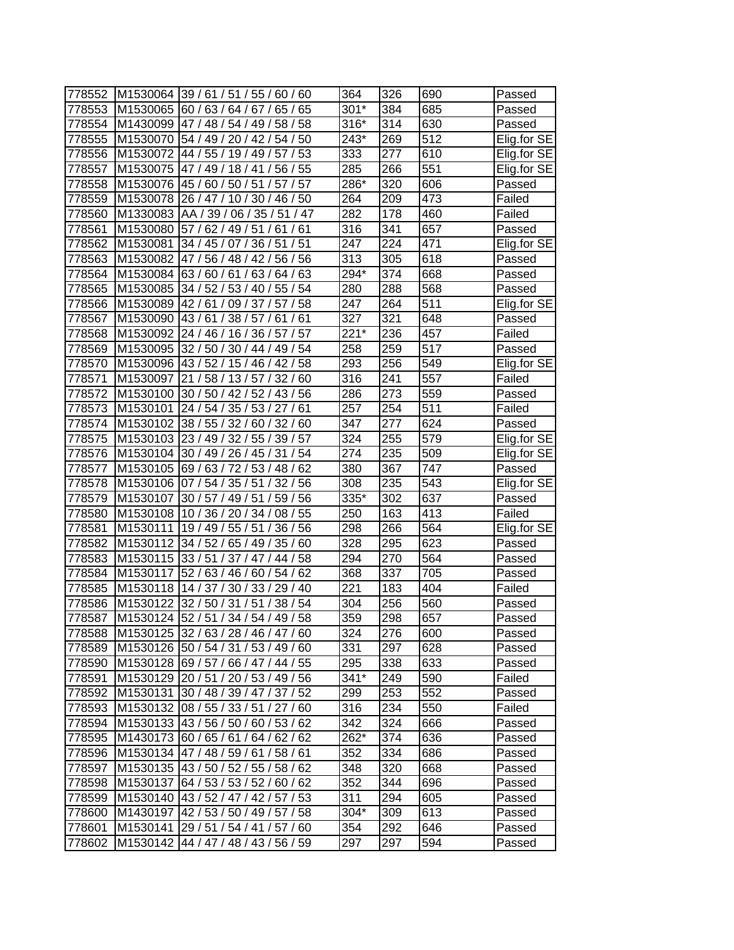|        |          |                                                 | 364               | 326 | 690              |             |
|--------|----------|-------------------------------------------------|-------------------|-----|------------------|-------------|
| 778552 |          | M1530064 39 / 61 / 51 / 55 / 60 / 60<br>65 / 65 | $301*$            |     | 685              | Passed      |
| 778553 |          | M1530065 60 / 63 / 64 / 67 /                    |                   | 384 |                  | Passed      |
| 778554 |          | M1430099 47 / 48 / 54 / 49 / 58 / 58            | $316*$            | 314 | 630              | Passed      |
| 778555 |          | M1530070 54 / 49 / 20 / 42 / 54 / 50            | 243*              | 269 | 512              | Elig.for SE |
| 778556 |          | M1530072 44 / 55 / 19 / 49 / 57 / 53            | 333               | 277 | 610              | Elig.for SE |
| 778557 |          | M1530075 47 / 49 / 18 / 41 /<br>56 / 55         | 285               | 266 | 551              | Elig.for SE |
| 778558 | M1530076 | 45 / 60 / 50 / 51 / 57 / 57                     | 286*              | 320 | 606              | Passed      |
| 778559 | M1530078 | 26 / 47 / 10 / 30 / 46 / 50                     | 264               | 209 | 473              | Failed      |
| 778560 |          | M1330083 AA / 39 / 06 / 35 / 51 / 47            | 282               | 178 | 460              | Failed      |
| 778561 |          | M1530080 57 / 62 / 49 / 51 / 61 / 61            | 316               | 341 | 657              | Passed      |
| 778562 | M1530081 | 34 / 45 / 07 / 36 / 51 / 51                     | 247               | 224 | 471              | Elig.for SE |
| 778563 | M1530082 | 47 / 56 / 48 / 42 / 56 / 56                     | 313               | 305 | 618              | Passed      |
| 778564 | M1530084 | 63/60/61/63/64/63                               | 294*              | 374 | 668              | Passed      |
| 778565 | M1530085 | 34 / 52 / 53 / 40 / 55 / 54                     | 280               | 288 | 568              | Passed      |
| 778566 | M1530089 | 42/61/<br>09/37/<br>57/58                       | 247               | 264 | 511              | Elig.for SE |
| 778567 |          | M1530090 43 / 61 / 38 / 57 / 61<br>/ 61         | 327               | 321 | 648              | Passed      |
| 778568 | M1530092 | 24 / 46 / 16 / 36 / 57 / 57                     | $221*$            | 236 | 457              | Failed      |
| 778569 | M1530095 | 32 / 50 / 30 / 44<br>49 / 54                    | 258               | 259 | 517              | Passed      |
| 778570 | M1530096 | 43/52/15/46/42/58                               | 293               | 256 | 549              | Elig.for SE |
| 778571 | M1530097 | 21 / 58 / 13 / 57 /<br>32/60                    | $\overline{3}$ 16 | 241 | 557              | Failed      |
| 778572 | M1530100 | 30 / 50 / 42 / 52 / 43 / 56                     | 286               | 273 | 559              | Passed      |
| 778573 | M1530101 | 24 / 54 / 35 / 53 / 27 / 61                     | 257               | 254 | $\overline{511}$ | Failed      |
| 778574 |          | M1530102 38 / 55 / 32 / 60 / 32 / 60            | 347               | 277 | 624              | Passed      |
| 778575 | M1530103 | 23 / 49 / 32 / 55 / 39 / 57                     | 324               | 255 | 579              | Elig.for SE |
| 778576 |          | M1530104 30 / 49 / 26 / 45 / 31 / 54            | 274               | 235 | 509              | Elig.for SE |
| 778577 |          | M1530105 69 / 63 / 72 / 53 / 48 / 62            | 380               | 367 | 747              | Passed      |
| 778578 |          | M1530106 07 / 54 / 35 / 51 / 32 / 56            | 308               | 235 | 543              | Elig.for SE |
| 778579 | M1530107 | 30 / 57 / 49 / 51 / 59 / 56                     | 335*              | 302 | 637              | Passed      |
| 778580 |          | M1530108 10 / 36 / 20 / 34 / 08 / 55            | 250               | 163 | 413              | Failed      |
| 778581 | M1530111 | 19 / 49 / 55 / 51 / 36 / 56                     | 298               | 266 | 564              | Elig.for SE |
| 778582 | M1530112 | 34 / 52 / 65 / 49 / 35 / 60                     | 328               | 295 | 623              | Passed      |
| 778583 | M1530115 | 33 / 51 / 37 / 47 / 44 / 58                     | 294               | 270 | 564              | Passed      |
| 778584 | M1530117 | 52 / 63 / 46 / 60 / 54 / 62                     | 368               | 337 | 705              | Passed      |
| 778585 | M1530118 | 14 / 37 / 30 / 33 / 29 / 40                     | 221               | 183 | 404              | Failed      |
| 778586 |          | M1530122 32 / 50 / 31 / 51 / 38 / 54            | 304               | 256 | 560              | Passed      |
| 778587 |          | M1530124 52 / 51 / 34 / 54 / 49 / 58            | 359               | 298 | 657              | Passed      |
| 778588 | M1530125 | 32/63/28/46/47/60                               | 324               | 276 | 600              | Passed      |
| 778589 |          | M1530126 50 / 54 / 31 / 53 / 49 / 60            | 331               | 297 | 628              | Passed      |
| 778590 |          | M1530128 69 / 57 / 66 / 47 / 44 / 55            | 295               | 338 | 633              | Passed      |
| 778591 |          | M1530129 20 / 51 / 20 / 53 / 49 / 56            | $341*$            | 249 | 590              | Failed      |
| 778592 | M1530131 | 30 / 48 / 39 / 47 / 37 / 52                     | 299               | 253 | 552              | Passed      |
| 778593 |          | M1530132 08 / 55 / 33 / 51 / 27 / 60            | 316               | 234 | 550              | Failed      |
| 778594 | M1530133 | 43/56/50/60/53/62                               | 342               | 324 | 666              | Passed      |
| 778595 |          | M1430173 60 / 65 / 61 / 64 / 62 / 62            | 262*              | 374 | 636              | Passed      |
| 778596 |          | M1530134 47 / 48 / 59 / 61 / 58 / 61            | 352               | 334 | 686              | Passed      |
| 778597 | M1530135 | 43 / 50 / 52 / 55 / 58 / 62                     | 348               | 320 | 668              | Passed      |
| 778598 |          | M1530137 64 / 53 / 53 / 52 / 60 / 62            | 352               | 344 | 696              |             |
| 778599 |          | M1530140 43 / 52 / 47 / 42 / 57 / 53            | 311               | 294 | 605              | Passed      |
| 778600 | M1430197 | 42 / 53 / 50 / 49 / 57 / 58                     | 304*              | 309 | 613              | Passed      |
| 778601 |          | M1530141 29 / 51 / 54 / 41 / 57 / 60            | 354               |     | 646              | Passed      |
|        |          |                                                 |                   | 292 |                  | Passed      |
| 778602 | M1530142 | 44 / 47 / 48 / 43 / 56 / 59                     | 297               | 297 | 594              | Passed      |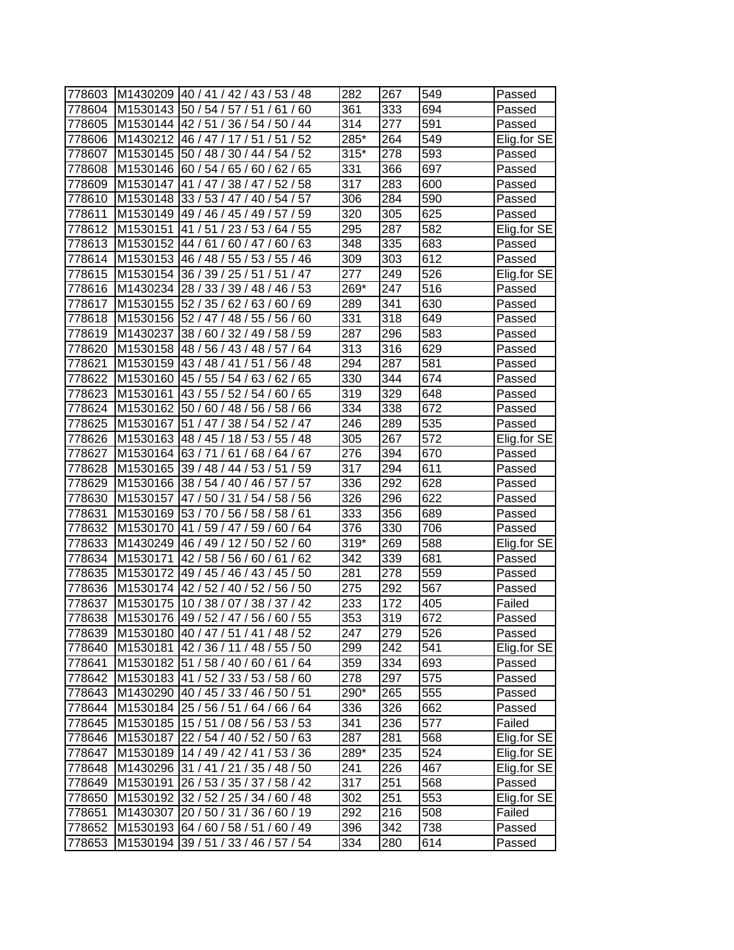| 778603 |          | M1430209 40 / 41 / 42 / 43 / 53 / 48        | 282    | 267 | 549              | Passed      |
|--------|----------|---------------------------------------------|--------|-----|------------------|-------------|
| 778604 |          | M1530143  50 / 54 / 57 / 51 /<br>60<br>61/  | 361    | 333 | 694              | Passed      |
| 778605 | M1530144 | 42 / 51 / 36 / 54 /<br>50/44                | 314    | 277 | 591              | Passed      |
| 778606 |          | M1430212 46 / 47 / 17 / 51 / 51 / 52        | 285*   | 264 | 549              | Elig.for SE |
| 778607 |          | M1530145 50 / 48 / 30 / 44 / 54 / 52        | $315*$ | 278 | 593              | Passed      |
| 778608 |          | M1530146 60 / 54 / 65 / 60 / 62 / 65        | 331    | 366 | 697              | Passed      |
| 778609 | M1530147 | 41 / 47 / 38 / 47 / 52 / 58                 | 317    | 283 | 600              | Passed      |
| 778610 | M1530148 | 33 / 53 / 47 / 40 /<br>54/57                | 306    | 284 | 590              | Passed      |
| 778611 | M1530149 | 49 / 46 / 45 / 49 / 57 / 59                 | 320    | 305 | 625              | Passed      |
| 778612 | M1530151 | 41 / 51 / 23 / 53 / 64 / 55                 | 295    | 287 | 582              | Elig.for SE |
| 778613 | M1530152 | 44 / 61 / 60 / 47 / 60 / 63                 | 348    | 335 | 683              | Passed      |
| 778614 | M1530153 | 46 / 48 / 55 / 53 / 55 / 46                 | 309    | 303 | 612              | Passed      |
| 778615 | M1530154 | /47<br>36 / 39 / 25 / 51<br>/51             | 277    | 249 | 526              | Elig.for SE |
| 778616 | M1430234 | 28 / 33 / 39 / 48 / 46 / 53                 | 269*   | 247 | 516              | Passed      |
| 778617 | M1530155 | 52/35/<br>62/63/<br>69<br>60/               | 289    | 341 | 630              | Passed      |
| 778618 | M1530156 | 52 / 47 / 48 / 55 /<br>56/<br>60            | 331    | 318 | 649              | Passed      |
| 778619 | M1430237 | 38 / 60 / 32 / 49 /<br>58 / 59              | 287    | 296 | 583              | Passed      |
| 778620 | M1530158 | 48 / 56 / 43 / 48 /<br>64<br>' 57           | 313    | 316 | 629              | Passed      |
| 778621 | M1530159 | /51<br>43 / 48 / 41<br>56 / 48              | 294    | 287 | 581              | Passed      |
| 778622 | M1530160 | 45 / 55 / 54 / 63 / 62 / 65                 | 330    | 344 | 674              | Passed      |
| 778623 | M1530161 | 43 / 55 / 52 / 54 / 60 / 65                 | 319    | 329 | $\overline{648}$ | Passed      |
| 778624 | M1530162 | 50 / 60 / 48 / 56 / 58 / 66                 | 334    | 338 | 672              | Passed      |
| 778625 | M1530167 | 51 / 47 / 38 / 54 / 52 / 47                 | 246    | 289 | 535              | Passed      |
| 778626 | M1530163 | 48 / 45 / 18 / 53 / 55 / 48                 | 305    | 267 | 572              | Elig.for SE |
| 778627 | M1530164 | 63/71/<br>61/68/64/67                       | 276    | 394 | 670              | Passed      |
| 778628 |          | M1530165 39 / 48 / 44 / 53 / 51 / 59        | 317    | 294 | $\overline{6}11$ | Passed      |
| 778629 | M1530166 | 38/54/40/46/57/<br>57                       | 336    | 292 | 628              | Passed      |
| 778630 | M1530157 | 47 / 50 / 31 / 54 /<br>58/56                | 326    | 296 | 622              | Passed      |
| 778631 |          | M1530169 53 / 70 / 56 / 58 / 58 / 61        | 333    | 356 | 689              | Passed      |
| 778632 |          | M1530170 41 / 59 / 47 / 59 /<br>60/64       | 376    | 330 | 706              | Passed      |
| 778633 |          | M1430249 46 / 49 / 12 / 50 / 52 / 60        | $319*$ | 269 | 588              | Elig.for SE |
| 778634 | M1530171 | 42 / 58 / 56 / 60 / 61 / 62                 | 342    | 339 | 681              | Passed      |
| 778635 | M1530172 | 49 / 45 / 46 / 43 / 45 / 50                 | 281    | 278 | 559              | Passed      |
| 778636 | M1530174 | 42 / 52 / 40 / 52 / 56 / 50                 | 275    | 292 | 567              | Passed      |
| 778637 | M1530175 | 10 / 38 / 07 / 38 / 37 / 42                 | 233    | 172 | 405              | Failed      |
| 778638 |          | M1530176 49 / 52 / 47 / 56 / 60 / 55        | 353    | 319 | 672              | Passed      |
|        |          | 778639 M1530180 40 / 47 / 51 / 41 / 48 / 52 | 247    | 279 | 526              | Passed      |
| 778640 |          | M1530181 42 / 36 / 11 / 48 / 55 / 50        | 299    | 242 | 541              | Elig.for SE |
| 778641 |          | M1530182 51 / 58 / 40 / 60 / 61 / 64        | 359    | 334 | 693              | Passed      |
| 778642 | M1530183 | 41 / 52 / 33 / 53 / 58 / 60                 | 278    | 297 | 575              | Passed      |
| 778643 |          | M1430290 40 / 45 / 33 / 46 / 50 / 51        | 290*   | 265 | 555              | Passed      |
| 778644 |          | M1530184 25 / 56 / 51 / 64 / 66 / 64        | 336    | 326 | 662              | Passed      |
| 778645 |          | M1530185 15 / 51 / 08 / 56 / 53 / 53        | 341    | 236 | 577              | Failed      |
| 778646 |          | M1530187 22 / 54 / 40 / 52 / 50 / 63        | 287    | 281 | 568              | Elig.for SE |
| 778647 |          | M1530189 14 / 49 / 42 / 41 / 53 / 36        | 289*   | 235 | 524              | Elig.for SE |
| 778648 |          | M1430296 31 / 41 / 21 / 35 / 48 / 50        | 241    | 226 | 467              | Elig.for SE |
| 778649 |          | M1530191 26 / 53 / 35 / 37 / 58 / 42        | 317    | 251 | 568              | Passed      |
| 778650 |          | M1530192 32 / 52 / 25 / 34 / 60 / 48        | 302    | 251 | 553              | Elig.for SE |
| 778651 | M1430307 | 20 / 50 / 31 / 36 / 60 / 19                 | 292    | 216 | 508              | Failed      |
| 778652 |          | M1530193 64 / 60 / 58 / 51 / 60 / 49        | 396    | 342 | 738              | Passed      |
| 778653 |          | M1530194 39 / 51 / 33 / 46 / 57 / 54        | 334    | 280 | 614              | Passed      |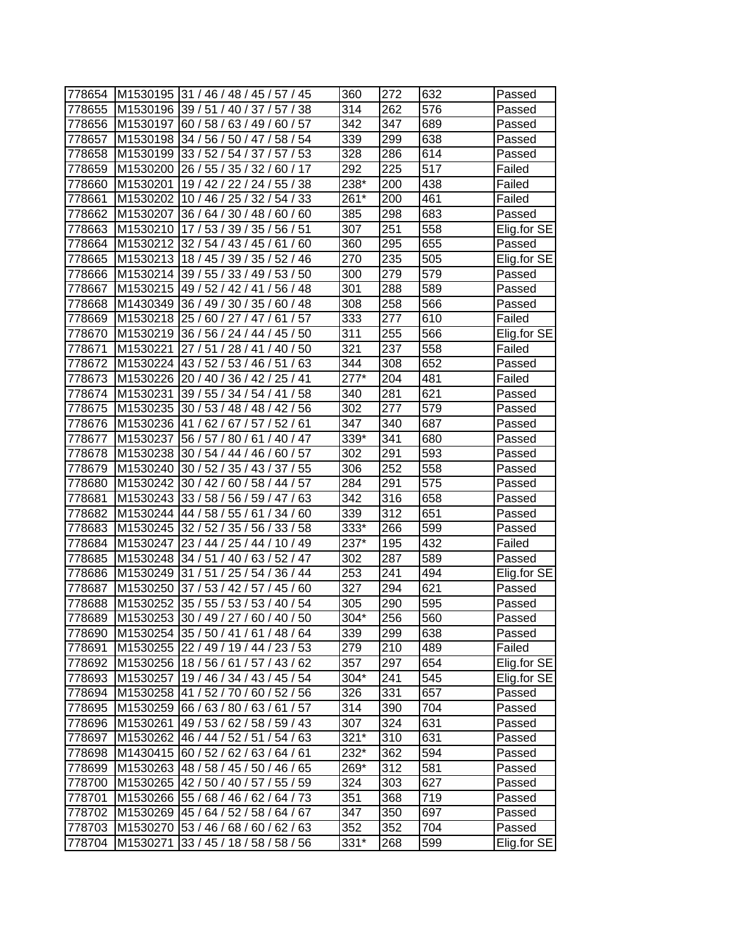| 778654 |                    | M1530195 31 / 46 / 48 / 45 / 57 / 45    | 360    | 272 | 632 | Passed      |
|--------|--------------------|-----------------------------------------|--------|-----|-----|-------------|
| 778655 | M1530196 39 / 51 / | 40/37/<br>38<br>57/                     | 314    | 262 | 576 | Passed      |
| 778656 | M1530197           | 60/57<br>60/58/<br>63/49/               | 342    | 347 | 689 | Passed      |
| 778657 |                    | M1530198 34 / 56 / 50 / 47 / 58 / 54    | 339    | 299 | 638 | Passed      |
| 778658 | M1530199           | 33 / 52 / 54 / 37 /<br>57/53            | 328    | 286 | 614 | Passed      |
| 778659 |                    | M1530200 26 / 55 / 35 / 32 /<br>80 / 17 | 292    | 225 | 517 | Failed      |
| 778660 | M1530201           | 19 / 42 / 22 / 24 / 55 / 38             | 238*   | 200 | 438 | Failed      |
| 778661 | M1530202           | 10 / 46 / 25 / 32 /<br>54/33            | 261*   | 200 | 461 | Failed      |
| 778662 | M1530207           | 36 / 64 / 30 / 48 /<br>60/60            | 385    | 298 | 683 | Passed      |
| 778663 | M1530210           | 17/53/39/35/56/51                       | 307    | 251 | 558 | Elig.for SE |
| 778664 | M1530212           | 32 / 54 / 43 / 45 / 61<br>/60           | 360    | 295 | 655 | Passed      |
| 778665 | M1530213           | 18 / 45 / 39 / 35 / 52 / 46             | 270    | 235 | 505 | Elig.for SE |
| 778666 | M1530214           | 39 / 55 / 33 / 49 / 53 / 50             | 300    | 279 | 579 | Passed      |
| 778667 | M1530215           | 49 / 52 / 42 / 41 /<br>56/48            | 301    | 288 | 589 | Passed      |
| 778668 | M1430349           | 36 / 49 / 30 / 35 /<br>48<br>60/        | 308    | 258 | 566 | Passed      |
| 778669 | M1530218           | 25/<br>57<br>60/27/47/<br>61            | 333    | 277 | 610 | Failed      |
| 778670 | M1530219           | 36 / 56 / 24 / 44 /<br>' 45 / 50        | 311    | 255 | 566 | Elig.for SE |
| 778671 | M1530221           | 27/51/28/41<br>40 / 50                  | 321    | 237 | 558 | Failed      |
| 778672 | M1530224           | 43 / 52 / 53 / 46 / 51<br>63            | 344    | 308 | 652 | Passed      |
| 778673 | M1530226           | 20 / 40 / 36 / 42 / 25 / 41             | $277*$ | 204 | 481 | Failed      |
| 778674 | M1530231           | 39 / 55 / 34 / 54 / 41<br>/58           | 340    | 281 | 621 | Passed      |
| 778675 | M1530235           | 30 / 53 / 48 / 48 / 42 / 56             | 302    | 277 | 579 | Passed      |
| 778676 | M1530236           | 41 / 62 / 67 / 57 / 52 / 61             | 347    | 340 | 687 | Passed      |
| 778677 | M1530237           | 56 / 57 / 80 / 61 / 40 / 47             | 339*   | 341 | 680 | Passed      |
| 778678 | M1530238           | 30 / 54 / 44 / 46 / 60 / 57             | 302    | 291 | 593 | Passed      |
| 778679 | M1530240           | 30 / 52 / 35 / 43 / 37 / 55             | 306    | 252 | 558 | Passed      |
| 778680 | M1530242           | 30/42/<br>60 / 58 / 44 / 57             | 284    | 291 | 575 | Passed      |
| 778681 | M1530243           | 33/58/56/59/47/<br>63                   | 342    | 316 | 658 | Passed      |
| 778682 | M1530244           | 44 / 58 / 55 / 61 / 34 / 60             | 339    | 312 | 651 | Passed      |
| 778683 | M1530245           | 32 / 52 / 35 / 56 / 33 / 58             | 333*   | 266 | 599 | Passed      |
| 778684 | M1530247           | 23 / 44 / 25 / 44 / 10 / 49             | 237*   | 195 | 432 | Failed      |
| 778685 | M1530248           | 34 / 51 / 40 / 63 / 52 / 47             | 302    | 287 | 589 | Passed      |
| 778686 | M1530249           | 31 / 51 / 25 / 54 /<br>36/44            | 253    | 241 | 494 | Elig.for SE |
| 778687 | M1530250           | 37/53/42/57/45/60                       | 327    | 294 | 621 | Passed      |
| 778688 |                    | M1530252 35 / 55 / 53 / 53 / 40 / 54    | 305    | 290 | 595 | Passed      |
| 778689 |                    | M1530253 30 / 49 / 27 / 60 / 40 / 50    | 304*   | 256 | 560 | Passed      |
| 778690 |                    | M1530254 35 / 50 / 41 / 61 / 48 / 64    | 339    | 299 | 638 | Passed      |
| 778691 |                    | M1530255 22 / 49 / 19 / 44 / 23 / 53    | 279    | 210 | 489 | Failed      |
| 778692 |                    | M1530256 18 / 56 / 61 / 57 / 43 / 62    | 357    | 297 | 654 | Elig.for SE |
| 778693 | M1530257           | 19 / 46 / 34 / 43 / 45 / 54             | 304*   | 241 | 545 | Elig.for SE |
| 778694 | M1530258           | 41 / 52 / 70 / 60 / 52 / 56             | 326    | 331 | 657 | Passed      |
| 778695 |                    | M1530259 66 / 63 / 80 / 63 / 61 / 57    | 314    | 390 | 704 | Passed      |
| 778696 | M1530261           | 49 / 53 / 62 / 58 / 59 / 43             | 307    | 324 | 631 | Passed      |
| 778697 | M1530262           | 46 / 44 / 52 / 51 / 54 / 63             | $321*$ | 310 | 631 | Passed      |
| 778698 | M1430415           | 60 / 52 / 62 / 63 / 64 / 61             | 232*   | 362 | 594 | Passed      |
| 778699 | M1530263           | 48 / 58 / 45 / 50 / 46 / 65             | 269*   | 312 | 581 | Passed      |
| 778700 |                    | M1530265 42 / 50 / 40 / 57 / 55 / 59    | 324    | 303 | 627 | Passed      |
| 778701 |                    | M1530266 55 / 68 / 46 / 62 / 64 / 73    | 351    | 368 | 719 | Passed      |
| 778702 |                    | M1530269 45 / 64 / 52 / 58 / 64 / 67    | 347    | 350 | 697 | Passed      |
| 778703 |                    | M1530270 53 / 46 / 68 / 60 / 62 / 63    | 352    | 352 | 704 | Passed      |
| 778704 | M1530271           | 33 / 45 / 18 / 58 / 58 / 56             | 331*   | 268 | 599 | Elig.for SE |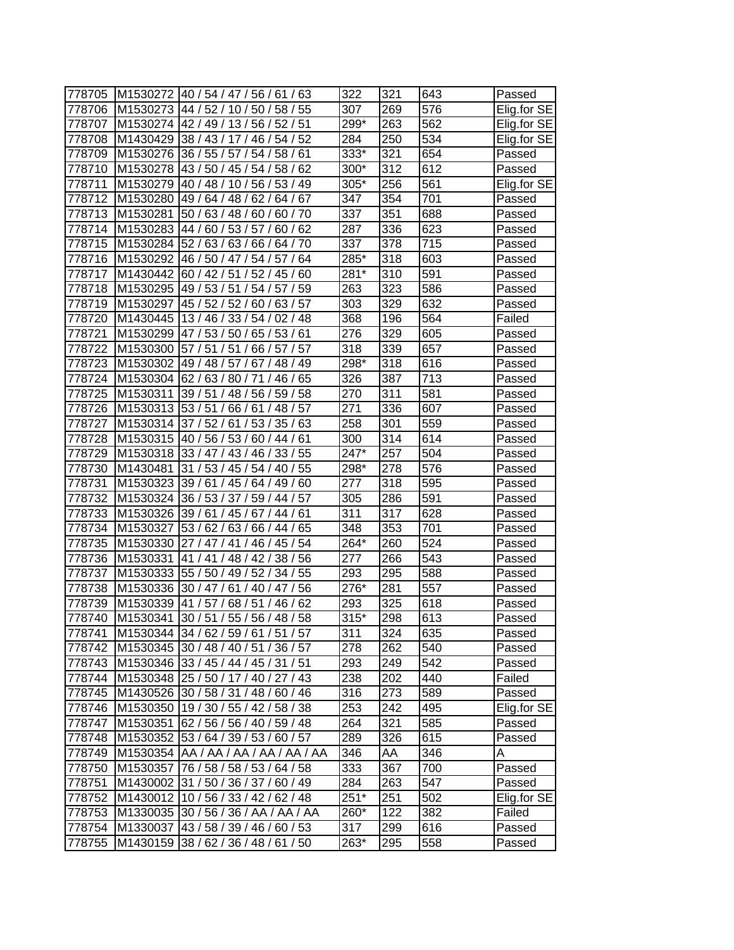| 778705 |          | M1530272  40 / 54 / 47 / 56 / 61 /<br>63 | 322    | 321              | 643              | Passed      |
|--------|----------|------------------------------------------|--------|------------------|------------------|-------------|
| 778706 | M1530273 | 44 / 52 / 10 / 50 / 58 / 55              | 307    | 269              | 576              | Elig.for SE |
| 778707 |          | M1530274 42 / 49 / 13 / 56 / 52 / 51     | 299*   | 263              | 562              | Elig.for SE |
| 778708 |          | M1430429 38 / 43 / 17 / 46 / 54 / 52     | 284    | 250              | 534              | Elig.for SE |
| 778709 |          | M1530276 36 / 55 / 57 / 54 / 58 / 61     | 333*   | 321              | 654              | Passed      |
| 778710 | M1530278 | 43 / 50 / 45 / 54 / 58 / 62              | 300*   | 312              | 612              | Passed      |
| 778711 | M1530279 | 40 / 48 / 10 / 56 / 53 / 49              | 305*   | 256              | 561              | Elig.for SE |
| 778712 | M1530280 | 49 / 64 / 48 / 62 / 64 / 67              | 347    | 354              | 701              | Passed      |
| 778713 | M1530281 | 50 / 63 / 48 / 60 /<br>60/70             | 337    | 351              | 688              | Passed      |
| 778714 |          | M1530283 44 / 60 / 53 / 57 / 60 / 62     | 287    | 336              | 623              | Passed      |
| 778715 | M1530284 | 52/63/63/66/64/70                        | 337    | 378              | 715              | Passed      |
| 778716 | M1530292 | 46 / 50 / 47 / 54 / 57 / 64              | 285*   | 318              | 603              | Passed      |
| 778717 | M1430442 | 60 / 42 / 51 / 52 / 45 / 60              | 281*   | 310              | 591              | Passed      |
| 778718 | M1530295 | 49/53/51/54/<br>57/<br>59                | 263    | 323              | 586              | Passed      |
| 778719 | M1530297 | 45 / 52 / 52 / 60 /<br>57<br>63/         | 303    | 329              | 632              | Passed      |
| 778720 | M1430445 | 13/46/33/54/<br>02/48                    | 368    | 196              | 564              | Failed      |
| 778721 |          | M1530299 47 / 53 / 50 / 65 / 53 / 61     | 276    | 329              | 605              | Passed      |
| 778722 | M1530300 | 57/51<br>51<br>57<br>/66/57/             | 318    | 339              | 657              | Passed      |
| 778723 | M1530302 | 49 / 48 / 57 / 67 / 48 / 49              | 298*   | $\overline{318}$ | 616              | Passed      |
| 778724 | M1530304 | 62/63/80/71<br>65<br>/46/                | 326    | 387              | 713              | Passed      |
| 778725 | M1530311 | 39 / 51 / 48 / 56 /<br>59/<br>58         | 270    | 311              | 581              | Passed      |
| 778726 |          | M1530313 53 / 51 / 66 / 61<br>/48/57     | 271    | 336              | 607              | Passed      |
| 778727 | M1530314 | 37/52/61/53/35/63                        | 258    | 301              | 559              | Passed      |
| 778728 |          | M1530315 40 / 56 / 53 / 60 / 44 / 61     | 300    | 314              | 614              | Passed      |
| 778729 |          | M1530318 33 / 47 / 43 / 46 / 33 / 55     | 247*   | 257              | 504              | Passed      |
| 778730 | M1430481 | 55<br>31 / 53 / 45 / 54 / 40 /           | 298*   | 278              | 576              | Passed      |
| 778731 |          | M1530323 39 / 61 / 45 / 64 / 49 /<br>60  | 277    | 318              | 595              | Passed      |
| 778732 |          | M1530324 36 / 53 / 37 / 59 / 44 / 57     | 305    | 286              | 591              | Passed      |
| 778733 |          | M1530326 39 / 61 / 45 / 67 / 44 / 61     | 311    | 317              | 628              | Passed      |
| 778734 | M1530327 | 53 / 62 / 63 / 66 / 44 / 65              | 348    | 353              | 701              | Passed      |
| 778735 | M1530330 | 27 / 47 / 41 / 46 / 45 / 54              | 264*   | 260              | 524              | Passed      |
| 778736 | M1530331 | 41 / 41 / 48 / 42 /<br>38/56             | 277    | 266              | 543              | Passed      |
| 778737 | M1530333 | 55 / 50 / 49 / 52 /<br>34/55             | 293    | 295              | 588              | Passed      |
| 778738 | M1530336 | 30 / 47 / 61 / 40 / 47 / 56              | 276*   | 281              | $\overline{5}57$ | Passed      |
| 778739 |          | M1530339 41 / 57 / 68 / 51 / 46 / 62     | 293    | $\overline{325}$ | 618              | Passed      |
| 778740 |          | M1530341 30 / 51 / 55 / 56 / 48 / 58     | $315*$ | 298              | 613              | Passed      |
| 778741 |          | M1530344 34 / 62 / 59 / 61 / 51 / 57     | 311    | 324              | 635              | Passed      |
| 778742 |          | M1530345 30 / 48 / 40 / 51 / 36 / 57     | 278    | 262              | 540              | Passed      |
| 778743 |          | M1530346 33 / 45 / 44 / 45 / 31 / 51     | 293    | 249              | 542              | Passed      |
| 778744 |          | M1530348 25 / 50 / 17 / 40 / 27 / 43     | 238    | 202              | 440              | Failed      |
| 778745 |          | M1430526 30 / 58 / 31 / 48 / 60 / 46     | 316    | 273              | 589              | Passed      |
| 778746 |          | M1530350 19 / 30 / 55 / 42 / 58 / 38     | 253    | 242              | 495              | Elig.for SE |
| 778747 |          | M1530351 62 / 56 / 56 / 40 / 59 / 48     | 264    | 321              | 585              | Passed      |
| 778748 |          | M1530352 53 / 64 / 39 / 53 / 60 / 57     | 289    | 326              | 615              | Passed      |
| 778749 |          | M1530354 AA / AA / AA / AA / AA / AA     | 346    | AA               | 346              | A           |
| 778750 |          | M1530357 76 / 58 / 58 / 53 / 64 / 58     | 333    | 367              | 700              | Passed      |
| 778751 |          | M1430002 31 / 50 / 36 / 37 / 60 / 49     | 284    | 263              | 547              | Passed      |
| 778752 |          | M1430012 10 / 56 / 33 / 42 / 62 / 48     | $251*$ | 251              | 502              | Elig.for SE |
| 778753 |          | M1330035 30 / 56 / 36 / AA / AA / AA     | 260*   | 122              | 382              | Failed      |
| 778754 |          | M1330037 43 / 58 / 39 / 46 / 60 / 53     | 317    | 299              | 616              | Passed      |
| 778755 |          | M1430159 38 / 62 / 36 / 48 / 61 / 50     | 263*   | 295              | 558              | Passed      |
|        |          |                                          |        |                  |                  |             |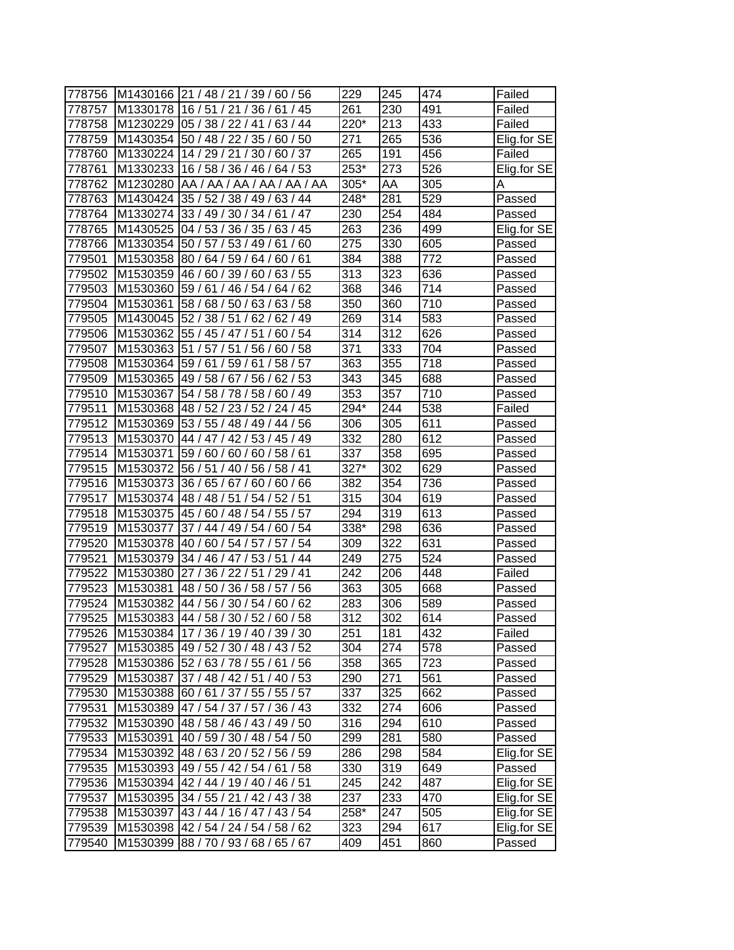| 778756 |          | M1430166 21 / 48 / 21 / 39 / 60 / 56  | 229               | 245              | 474              | Failed      |
|--------|----------|---------------------------------------|-------------------|------------------|------------------|-------------|
| 778757 | M1330178 | 16/51/<br>/ 45<br>21/<br>36/<br>61    | 261               | 230              | 491              | Failed      |
| 778758 | M1230229 | 05 / 38 / 22 / 41 /<br>63/44          | 220*              | 213              | 433              | Failed      |
| 778759 |          | M1430354 50 / 48 / 22 / 35 /<br>60/50 | 271               | 265              | 536              | Elig.for SE |
| 778760 | M1330224 | 14/29/21<br>/ 30 / 60 / 37            | 265               | 191              | 456              | Failed      |
| 778761 | M1330233 | 16 / 58 / 36 / 46 / 64 / 53           | 253*              | 273              | 526              | Elig.for SE |
| 778762 | M1230280 | AA / AA / AA / AA / AA / AA           | 305*              | AA               | 305              | Α           |
| 778763 | M1430424 | 35 / 52 / 38 / 49 / 63 / 44           | $\frac{1}{248}$   | 281              | $\overline{529}$ | Passed      |
| 778764 | M1330274 | 33 / 49 / 30 / 34 / 61 / 47           | 230               | 254              | 484              | Passed      |
| 778765 | M1430525 | 04 / 53 / 36 / 35 / 63 / 45           | 263               | 236              | 499              | Elig.for SE |
| 778766 | M1330354 | 50 / 57 / 53 / 49 / 61<br>/60         | 275               | 330              | 605              | Passed      |
| 779501 | M1530358 | 80 / 64 / 59 / 64 / 60 / 61           | 384               | 388              | 772              | Passed      |
| 779502 | M1530359 | 46 / 60 / 39 / 60 / 63 / 55           | 313               | 323              | 636              | Passed      |
| 779503 | M1530360 | 59/61/<br>46/54/<br>62<br>64/         | 368               | 346              | 714              | Passed      |
| 779504 | M1530361 | 58/68/<br>50/63/<br>63/<br>58         | 350               | 360              | 710              | Passed      |
| 779505 | M1430045 | 52/38/<br>51<br>62/<br>62/49          | 269               | 314              | 583              | Passed      |
| 779506 | M1530362 | 55 / 45 / 47 / 51<br>60/54            | 314               | 312              | 626              | Passed      |
| 779507 | M1530363 | 51<br>/57/51<br>/56/<br>60/58         | 371               | 333              | 704              | Passed      |
| 779508 | M1530364 | 59/61<br>59/61<br>58 / 57             | 363               | 355              | 718              | Passed      |
| 779509 | M1530365 | 49 / 58 / 67 / 56 / 62 / 53           | 343               | 345              | 688              | Passed      |
| 779510 | M1530367 | 54 / 58 / 78 / 58 / 60 / 49           | 353               | 357              | 710              | Passed      |
| 779511 | M1530368 | 48 / 52 / 23 / 52 / 24 / 45           | $\overline{2}94*$ | 244              | 538              | Failed      |
| 779512 | M1530369 | 53 / 55 / 48 / 49 / 44 / 56           | 306               | 305              | 611              | Passed      |
| 779513 | M1530370 | 44 / 47 / 42 / 53 / 45 / 49           | 332               | 280              | 612              | Passed      |
| 779514 | M1530371 | 59/60/<br>60/60/58/61                 | 337               | 358              | 695              | Passed      |
| 779515 | M1530372 | 56 / 51 / 40 / 56 / 58 / 41           | 327*              | 302              | 629              | Passed      |
| 779516 | M1530373 | 60/66<br>36/<br>65/<br>67/60/         | 382               | 354              | 736              | Passed      |
| 779517 | M1530374 | 52/51<br>48 / 48 / 51 / 54 /          | 315               | 304              | 619              | Passed      |
| 779518 | M1530375 | 45 / 60 / 48 / 54 / 55 / 57           | 294               | 319              | 613              | Passed      |
| 779519 | M1530377 | 37 / 44 / 49 / 54 /<br>60/54          | 338*              | 298              | 636              | Passed      |
| 779520 | M1530378 | 40 / 60 / 54 / 57 / 57 / 54           | 309               | 322              | 631              | Passed      |
| 779521 | M1530379 | 34 / 46 / 47 / 53 / 51 / 44           | 249               | 275              | 524              | Passed      |
| 779522 | M1530380 | 27/<br>29/41<br>36/22/51/             | 242               | 206              | 448              | Failed      |
| 779523 | M1530381 | 48 / 50 / 36 / 58 / 57 / 56           | 363               | 305              | 668              | Passed      |
| 779524 | M1530382 | 44 / 56 / 30 / 54 / 60 / 62           | 283               | 306              | 589              | Passed      |
| 779525 |          | M1530383 44 / 58 / 30 / 52 / 60 / 58  | 312               | $\overline{302}$ | 614              | Passed      |
| 779526 |          | M1530384 17 / 36 / 19 / 40 / 39 / 30  | 251               | 181              | 432              | Failed      |
| 779527 |          | M1530385 49 / 52 / 30 / 48 / 43 / 52  | 304               | 274              | 578              | Passed      |
| 779528 |          | M1530386 52 / 63 / 78 / 55 / 61 / 56  | 358               | 365              | 723              | Passed      |
| 779529 | M1530387 | 37 / 48 / 42 / 51 / 40 / 53           | 290               | 271              | 561              | Passed      |
| 779530 | M1530388 | 60 / 61 / 37 / 55 / 55 / 57           | 337               | 325              | 662              | Passed      |
| 779531 |          | M1530389 47 / 54 / 37 / 57 / 36 / 43  | 332               | 274              | 606              | Passed      |
| 779532 | M1530390 | 48 / 58 / 46 / 43 / 49 / 50           | 316               | 294              | 610              | Passed      |
| 779533 | M1530391 | 40 / 59 / 30 / 48 / 54 / 50           | 299               | 281              | 580              | Passed      |
| 779534 | M1530392 | 48 / 63 / 20 / 52 / 56 / 59           | 286               | 298              | 584              | Elig.for SE |
| 779535 | M1530393 | 49 / 55 / 42 / 54 / 61 / 58           | 330               | 319              | 649              | Passed      |
| 779536 |          | M1530394 42 / 44 / 19 / 40 / 46 / 51  | 245               | 242              | 487              | Elig.for SE |
| 779537 |          | M1530395 34 / 55 / 21 / 42 / 43 / 38  | 237               | 233              | 470              | Elig.for SE |
| 779538 |          | M1530397 43 / 44 / 16 / 47 / 43 / 54  | 258*              | 247              | 505              | Elig.for SE |
| 779539 | M1530398 | 42 / 54 / 24 / 54 / 58 / 62           | 323               | 294              | 617              | Elig.for SE |
| 779540 |          | M1530399 88 / 70 / 93 / 68 / 65 / 67  | 409               | 451              | 860              | Passed      |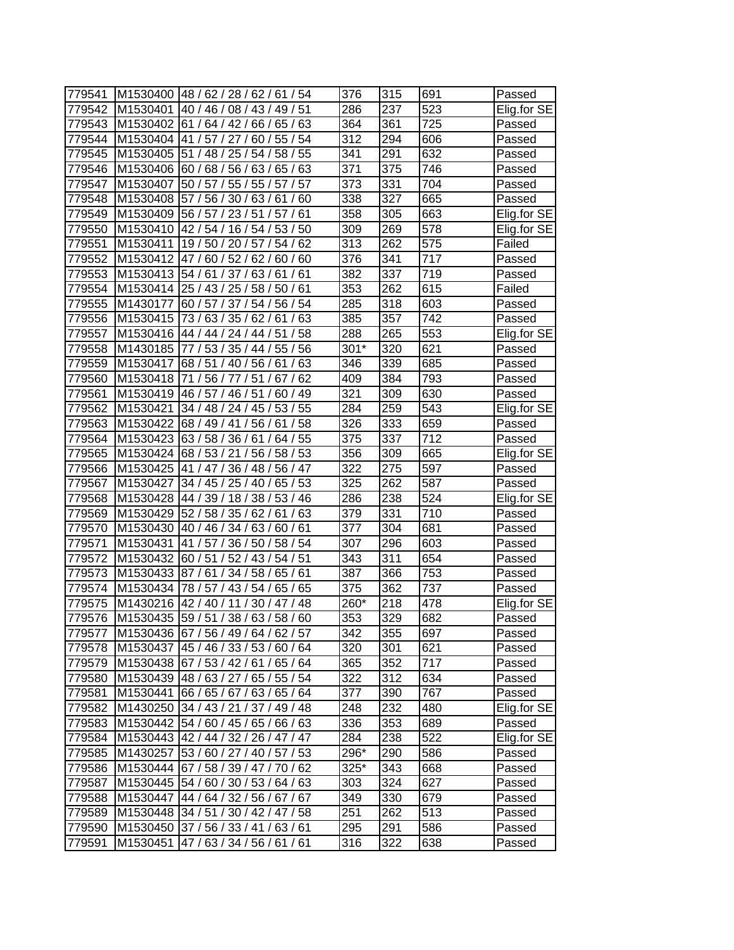| 779541           |                      | M1530400 48 / 62 / 28 / 62 / 61 / 54                        | 376        | 315        | 691        | Passed      |
|------------------|----------------------|-------------------------------------------------------------|------------|------------|------------|-------------|
| 779542           | M1530401             | 40 / 46 /<br>08 / 43 / 49 / 51                              | 286        | 237        | 523        | Elig.for SE |
| 779543           | M1530402             | 61/<br>64/42/66/<br>65/63                                   | 364        | 361        | 725        | Passed      |
| 779544           |                      | M1530404 41 / 57 / 27 / 60 / 55 / 54                        | 312        | 294        | 606        | Passed      |
| 779545           |                      | M1530405 51 / 48 / 25 / 54 / 58 / 55                        | 341        | 291        | 632        | Passed      |
| 779546           |                      | M1530406 60 / 68 / 56 / 63 / 65 / 63                        | 371        | 375        | 746        | Passed      |
| 779547           | M1530407             | 50 / 57 / 55 / 55 / 57 / 57                                 | 373        | 331        | 704        | Passed      |
| 779548           | M1530408             | 57 / 56 / 30 / 63 / 61 / 60                                 | 338        | 327        | 665        | Passed      |
| 779549           | M1530409             | 56 / 57 / 23 / 51 / 57 / 61                                 | 358        | 305        | 663        | Elig.for SE |
| 779550           |                      | M1530410 42 / 54 / 16 / 54 / 53 / 50                        | 309        | 269        | 578        | Elig.for SE |
| 779551           | M1530411             | 19 / 50 / 20 / 57 / 54 / 62                                 | 313        | 262        | 575        | Failed      |
| 779552           | M1530412             | 47 / 60 / 52 / 62 / 60 / 60                                 | 376        | 341        | 717        | Passed      |
| 779553           | M1530413             | 54 / 61 / 37 / 63 /<br>/61<br>61                            | 382        | 337        | 719        | Passed      |
| 779554           | M1530414             | 25 / 43 / 25 / 58 /<br>50/61                                | 353        | 262        | 615        | Failed      |
| 779555           |                      |                                                             | 285        |            | 603        |             |
|                  | M1430177<br>M1530415 | 60/57/<br>37/<br>54/<br>56/<br>54<br>73/63/<br>35/62/<br>63 |            | 318<br>357 | 742        | Passed      |
| 779556<br>779557 | M1530416             | 61<br>44 / 44 / 24 / 44 /<br>/ 58                           | 385<br>288 | 265        | 553        | Passed      |
|                  |                      | ′ 51                                                        |            |            |            | Elig.for SE |
| 779558           | M1430185             | 77 / 53 / 35 / 44<br>55<br>/56                              | $301*$     | 320        | 621<br>685 | Passed      |
| 779559           | M1530417             | 68/51<br>/56/<br>40<br>61<br>63                             | 346        | 339        |            | Passed      |
| 779560           | M1530418             | /56/77/51/<br>67/62<br>71                                   | 409        | 384        | 793        | Passed      |
| 779561           | M1530419             | 46 / 57 / 46 / 51 /<br>60/49                                | 321        | 309        | 630        | Passed      |
| 779562           | M1530421             | 53/55<br>34 / 48 / 24 / 45 /                                | 284        | 259        | 543        | Elig.for SE |
| 779563           |                      | M1530422 68 / 49 / 41 / 56 / 61 / 58                        | 326        | 333        | 659        | Passed      |
| 779564           | M1530423             | 63/58/36/61/<br>64/55                                       | 375        | 337        | 712        | Passed      |
| 779565           |                      | M1530424 68 / 53 / 21 / 56 / 58 / 53                        | 356        | 309        | 665        | Elig.for SE |
| 779566           | M1530425             | 41 / 47 / 36 / 48 / 56 / 47                                 | 322        | 275        | 597        | Passed      |
| 779567           | M1530427             | 65/53<br>34/45/<br>25/40/                                   | 325        | 262        | 587        | Passed      |
| 779568           | M1530428             | 44 / 39 / 18 / 38 /<br>53/46                                | 286        | 238        | 524        | Elig.for SE |
| 779569           |                      | M1530429 52 / 58 / 35 / 62 / 61 / 63                        | 379        | 331        | 710        | Passed      |
| 779570           |                      | M1530430 40 / 46 / 34 / 63 / 60 / 61                        | 377        | 304        | 681        | Passed      |
| 779571           | M1530431             | 41 / 57 / 36 / 50 / 58 / 54                                 | 307        | 296        | 603        | Passed      |
| 779572           | M1530432             | 60 / 51 / 52 / 43 / 54 / 51                                 | 343        | 311        | 654        | Passed      |
| 779573           | M1530433             | 87/61/<br>34 / 58 / 65 / 61                                 | 387        | 366        | 753        | Passed      |
| 779574           | M1530434             | 78 / 57 / 43 / 54 /<br>65/65                                | 375        | 362        | 737        | Passed      |
| 779575           |                      | M1430216 42 / 40 / 11 / 30 / 47 / 48                        | 260*       | 218        | 478        | Elig.for SE |
| 779576           |                      | M1530435 59 / 51 / 38 / 63 / 58 / 60                        | 353        | 329        | 682        | Passed      |
| 779577           |                      | M1530436 67 / 56 / 49 / 64 / 62 / 57                        | 342        | 355        | 697        | Passed      |
| 779578           |                      | M1530437 45 / 46 / 33 / 53 / 60 / 64                        | 320        | 301        | 621        | Passed      |
| 779579           |                      | M1530438 67 / 53 / 42 / 61 / 65 / 64                        | 365        | 352        | 717        | Passed      |
| 779580           |                      | M1530439 48 / 63 / 27 / 65 / 55 / 54                        | 322        | 312        | 634        | Passed      |
| 779581           | M1530441             | 66 / 65 / 67 / 63 / 65 / 64                                 | 377        | 390        | 767        | Passed      |
| 779582           |                      | M1430250 34 / 43 / 21 / 37 / 49 / 48                        | 248        | 232        | 480        | Elig.for SE |
| 779583           | M1530442             | 54 / 60 / 45 / 65 / 66 / 63                                 | 336        | 353        | 689        | Passed      |
| 779584           |                      | M1530443 42 / 44 / 32 / 26 / 47 / 47                        | 284        | 238        | 522        | Elig.for SE |
| 779585           | M1430257             | 53 / 60 / 27 / 40 / 57 / 53                                 | 296*       | 290        | 586        | Passed      |
| 779586           |                      | M1530444 67 / 58 / 39 / 47 / 70 / 62                        | $325*$     | 343        | 668        | Passed      |
| 779587           | M1530445             | 54 / 60 / 30 / 53 / 64 / 63                                 | 303        | 324        | 627        | Passed      |
| 779588           |                      | M1530447 44 / 64 / 32 / 56 / 67 / 67                        | 349        | 330        | 679        | Passed      |
| 779589           |                      | M1530448 34 / 51 / 30 / 42 / 47 / 58                        | 251        | 262        | 513        | Passed      |
| 779590           |                      | M1530450 37 / 56 / 33 / 41 / 63 / 61                        | 295        | 291        | 586        | Passed      |
| 779591           |                      | M1530451 47 / 63 / 34 / 56 / 61 / 61                        | 316        | 322        | 638        | Passed      |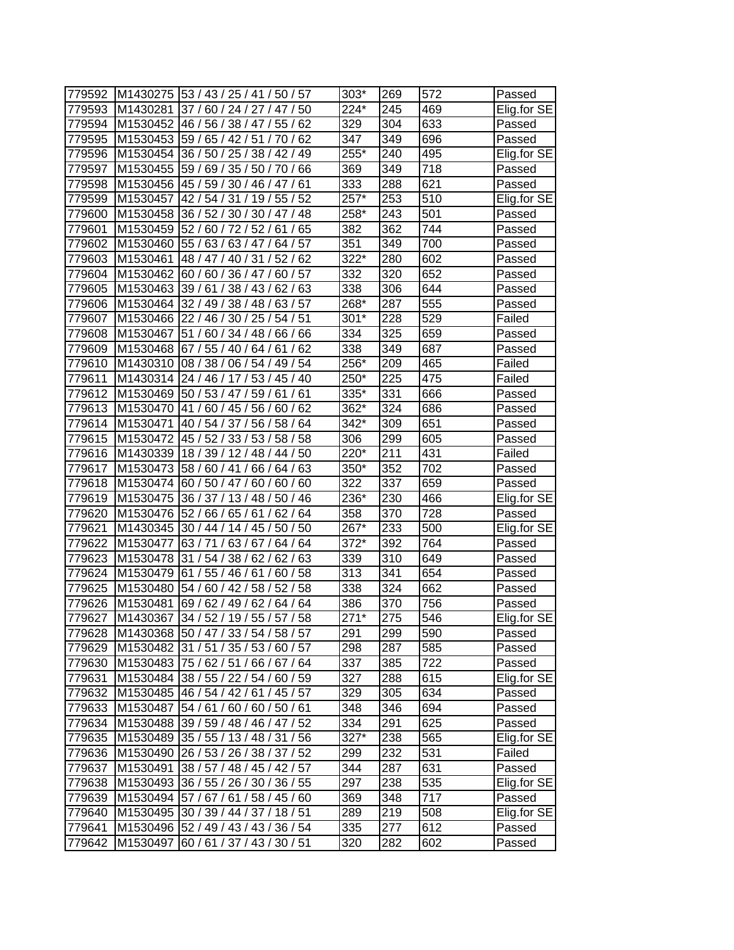| 779592 |          | M1430275 53 / 43 / 25 / 41 / 50 / 57      | 303*              | 269 | 572              | Passed      |
|--------|----------|-------------------------------------------|-------------------|-----|------------------|-------------|
| 779593 | M1430281 | 37/60/24/27/<br>50<br>47 /                | 224*              | 245 | 469              | Elig.for SE |
| 779594 | M1530452 | 46 / 56 / 38 / 47 /<br>55/<br>62          | 329               | 304 | 633              | Passed      |
| 779595 |          | M1530453 59 / 65 / 42 / 51 / 70 / 62      | 347               | 349 | 696              | Passed      |
| 779596 |          | M1530454 36 / 50 / 25 / 38 / 42 / 49      | 255*              | 240 | 495              | Elig.for SE |
| 779597 | M1530455 | 59 / 69 / 35 / 50 / 70 / 66               | 369               | 349 | 718              | Passed      |
| 779598 |          | M1530456 45 / 59 / 30 / 46 / 47 / 61      | 333               | 288 | 621              | Passed      |
| 779599 | M1530457 | 42 / 54 / 31 / 19 / 55 / 52               | $257*$            | 253 | $\overline{510}$ | Elig.for SE |
| 779600 | M1530458 | 36 / 52 / 30 / 30 / 47 / 48               | 258*              | 243 | 501              | Passed      |
| 779601 | M1530459 | 52/60/72/52/61/65                         | 382               | 362 | 744              | Passed      |
| 779602 | M1530460 | 55 / 63 / 63 / 47 / 64 / 57               | 351               | 349 | 700              | Passed      |
| 779603 | M1530461 | 48 / 47 / 40 / 31 / 52 / 62               | $322*$            | 280 | 602              | Passed      |
| 779604 | M1530462 | 60/57<br>60 / 60 / 36 / 47 /              | 332               | 320 | 652              | Passed      |
| 779605 | M1530463 | 39/61/<br>38/43/<br>62/63                 | 338               | 306 | 644              | Passed      |
| 779606 | M1530464 | 63/57<br>32 / 49 / 38 / 48 /              | 268*              | 287 | 555              | Passed      |
| 779607 | M1530466 | 22/46/<br>30/25/<br>54/51                 | $301*$            | 228 | 529              | Failed      |
| 779608 | M1530467 | 34/48/<br>51/60/<br>66/66                 | 334               | 325 | 659              | Passed      |
| 779609 |          | M1530468 67 / 55 / 40 / 64 /<br>61<br>/62 | 338               | 349 | 687              | Passed      |
| 779610 | M1430310 | 08 / 38 /<br>06/54/<br>49 / 54            | 256*              | 209 | 465              | Failed      |
| 779611 | M1430314 | 24 / 46 / 17 / 53 / 45 / 40               | 250*              | 225 | 475              | Failed      |
| 779612 | M1530469 | 50 / 53 / 47 / 59 / 61 / 61               | 335*              | 331 | 666              | Passed      |
| 779613 | M1530470 | 41 / 60 / 45 / 56 /<br>60/62              | 362*              | 324 | 686              | Passed      |
| 779614 | M1530471 | 40 / 54 / 37 / 56 / 58 / 64               | $\overline{3}42*$ | 309 | 651              | Passed      |
| 779615 | M1530472 | 45 / 52 / 33 / 53 / 58 / 58               | 306               | 299 | 605              | Passed      |
| 779616 | M1430339 | 18 / 39 / 12 / 48 / 44 / 50               | 220*              | 211 | 431              | Failed      |
| 779617 | M1530473 | 58 / 60 / 41 / 66 / 64 / 63               | 350*              | 352 | 702              | Passed      |
| 779618 | M1530474 | 60/60<br>60/50/47/<br>60/                 | 322               | 337 | 659              | Passed      |
| 779619 | M1530475 | 36 / 37 / 13 / 48 /<br>50/46              | 236*              | 230 | 466              | Elig.for SE |
| 779620 |          | M1530476 52 / 66 / 65 / 61 / 62 / 64      | 358               | 370 | 728              | Passed      |
| 779621 |          | M1430345 30 / 44 / 14 / 45 / 50 / 50      | 267*              | 233 | 500              | Elig.for SE |
| 779622 | M1530477 | 63/71/63/67/<br>64/64                     | 372*              | 392 | 764              | Passed      |
| 779623 | M1530478 | 31 / 54 / 38 / 62 / 62 / 63               | 339               | 310 | 649              | Passed      |
| 779624 | M1530479 | 61 / 55 / 46 / 61 /<br>60/58              | 313               | 341 | 654              | Passed      |
| 779625 | M1530480 | 54 / 60 / 42 / 58 / 52 / 58               | 338               | 324 | 662              | Passed      |
| 779626 |          | M1530481 69 / 62 / 49 / 62 / 64 / 64      | 386               | 370 | 756              | Passed      |
| 779627 |          | M1430367 34 / 52 / 19 / 55 / 57 / 58      | $271*$            | 275 | 546              | Elig.for SE |
| 779628 |          | M1430368 50 / 47 / 33 / 54 / 58 / 57      | 291               | 299 | 590              | Passed      |
| 779629 |          | M1530482 31 / 51 / 35 / 53 / 60 / 57      | 298               | 287 | 585              | Passed      |
| 779630 |          | M1530483 75 / 62 / 51 / 66 / 67 / 64      | 337               | 385 | 722              | Passed      |
| 779631 |          | M1530484 38 / 55 / 22 / 54 / 60 / 59      | 327               | 288 | 615              | Elig.for SE |
| 779632 |          | M1530485 46 / 54 / 42 / 61 / 45 / 57      | 329               | 305 | 634              | Passed      |
| 779633 |          | M1530487 54 / 61 / 60 / 60 / 50 / 61      | 348               | 346 | 694              | Passed      |
| 779634 |          | M1530488 39 / 59 / 48 / 46 / 47 / 52      | 334               | 291 | 625              | Passed      |
| 779635 | M1530489 | 35 / 55 / 13 / 48 / 31 / 56               | $327*$            | 238 | 565              | Elig.for SE |
| 779636 |          | M1530490 26 / 53 / 26 / 38 / 37 / 52      | 299               | 232 | 531              | Failed      |
| 779637 | M1530491 | 38 / 57 / 48 / 45 / 42 / 57               | 344               | 287 | 631              | Passed      |
| 779638 |          | M1530493 36 / 55 / 26 / 30 / 36 / 55      | 297               | 238 | 535              | Elig.for SE |
| 779639 |          | M1530494 57 / 67 / 61 / 58 / 45 / 60      | 369               | 348 | 717              | Passed      |
| 779640 |          | M1530495 30 / 39 / 44 / 37 / 18 / 51      | 289               | 219 | 508              | Elig.for SE |
| 779641 |          | M1530496 52 / 49 / 43 / 43 / 36 / 54      | 335               | 277 | 612              | Passed      |
| 779642 |          | M1530497 60 / 61 / 37 / 43 / 30 / 51      | 320               | 282 | 602              | Passed      |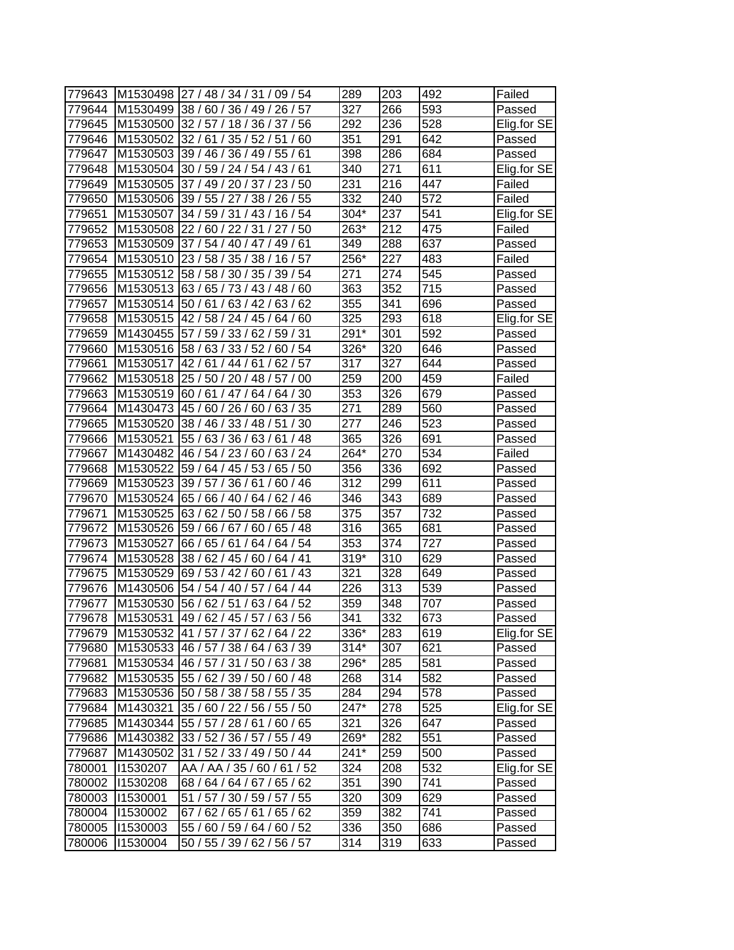| 779643 |          | M1530498 27 / 48 / 34 / 31 / 09 / 54    | 289              | 203              | 492 | Failed      |
|--------|----------|-----------------------------------------|------------------|------------------|-----|-------------|
| 779644 |          | M1530499 38 / 60 / 36 / 49 / 26 / 57    | 327              | 266              | 593 | Passed      |
| 779645 | M1530500 | 32/57/18/36/37/56                       | 292              | 236              | 528 | Elig.for SE |
| 779646 |          | M1530502 32 / 61 / 35 / 52 / 51 / 60    | 351              | 291              | 642 | Passed      |
| 779647 |          | M1530503 39 / 46 / 36 / 49 / 55 / 61    | 398              | 286              | 684 | Passed      |
| 779648 |          | M1530504 30 / 59 / 24 / 54 / 43 / 61    | 340              | 271              | 611 | Elig.for SE |
| 779649 | M1530505 | 37 / 49 / 20 / 37 / 23 / 50             | 231              | 216              | 447 | Failed      |
| 779650 | M1530506 | 39 / 55 / 27 / 38 / 26 / 55             | 332              | 240              | 572 | Failed      |
| 779651 | M1530507 | 34 / 59 / 31 / 43 / 16 / 54             | 304*             | 237              | 541 | Elig.for SE |
| 779652 | M1530508 | 22/60/22/31/27/50                       | 263*             | 212              | 475 | Failed      |
| 779653 | M1530509 | 37/54/40/47/49/61                       | 349              | 288              | 637 | Passed      |
| 779654 | M1530510 | 23/58/35/38/16/57                       | 256*             | 227              | 483 | Failed      |
| 779655 | M1530512 | 58 / 58 / 30 / 35 / 39 / 54             | 271              | 274              | 545 | Passed      |
| 779656 | M1530513 | 63/65/73/43/<br>48/60                   | 363              | 352              | 715 | Passed      |
| 779657 | M1530514 | 50/61/<br>63/42/<br>63/<br>62           | 355              | 341              | 696 | Passed      |
| 779658 | M1530515 | 42 / 58 / 24 / 45 /<br>64/<br>60        | 325              | 293              | 618 | Elig.for SE |
| 779659 | M1430455 | 57 / 59 / 33 / 62 /<br>'59/31           | 291*             | 301              | 592 | Passed      |
| 779660 | M1530516 | 58 / 63 / 33 / 52 /<br>60/54            | 326*             | 320              | 646 | Passed      |
| 779661 | M1530517 | 42/61<br>/44<br>/61<br>62/57            | 317              | 327              | 644 | Passed      |
| 779662 | M1530518 | 25 / 50 / 20 / 48 / 57 / 00             | 259              | 200              | 459 | Failed      |
| 779663 | M1530519 | 60/61/47/64/64/30                       | 353              | 326              | 679 | Passed      |
| 779664 | M1430473 | 45/60/26/60/<br>63/35                   | 271              | 289              | 560 | Passed      |
| 779665 | M1530520 | 38 / 46 / 33 / 48 / 51 / 30             | $\overline{2}77$ | 246              | 523 | Passed      |
| 779666 | M1530521 | 55 / 63 / 36 / 63 / 61<br>/48           | 365              | 326              | 691 | Passed      |
| 779667 | M1430482 | 46 / 54 / 23 / 60 / 63 / 24             | 264*             | 270              | 534 | Failed      |
| 779668 | M1530522 | 59 / 64 / 45 / 53 / 65 / 50             | 356              | 336              | 692 | Passed      |
| 779669 | M1530523 | 60/46<br>39/57/<br>36/61/               | 312              | 299              | 611 | Passed      |
| 779670 | M1530524 | 65 / 66 / 40 / 64 /<br>62/46            | 346              | 343              | 689 | Passed      |
| 779671 | M1530525 | 63 / 62 / 50 / 58 / 66 / 58             | $\overline{375}$ | 357              | 732 | Passed      |
| 779672 |          | M1530526 59 / 66 / 67 / 60 /<br>65 / 48 | 316              | 365              | 681 | Passed      |
| 779673 | M1530527 | 66 / 65 / 61 / 64 / 64 / 54             | 353              | 374              | 727 | Passed      |
| 779674 | M1530528 | 38 / 62 / 45 / 60 / 64 / 41             | $319*$           | 310              | 629 | Passed      |
| 779675 | M1530529 | 69 / 53 / 42 / 60 / 61 / 43             | 321              | $\overline{328}$ | 649 | Passed      |
| 779676 | M1430506 | 54 / 54 / 40 / 57 /<br>64 / 44          | 226              | 313              | 539 | Passed      |
| 779677 | M1530530 | 56 / 62 / 51 / 63 / 64 / 52             | 359              | 348              | 707 | Passed      |
| 779678 |          | M1530531 49 / 62 / 45 / 57 / 63 / 56    | 341              | 332              | 673 | Passed      |
| 779679 |          | M1530532 41 / 57 / 37 / 62 / 64 / 22    | 336*             | 283              | 619 | Elig.for SE |
| 779680 |          | M1530533 46 / 57 / 38 / 64 / 63 / 39    | $314*$           | 307              | 621 | Passed      |
| 779681 | M1530534 | 46 / 57 / 31 / 50 / 63 / 38             | 296*             | 285              | 581 | Passed      |
| 779682 | M1530535 | 55 / 62 / 39 / 50 / 60 / 48             | 268              | 314              | 582 | Passed      |
| 779683 |          | M1530536 50 / 58 / 38 / 58 / 55 / 35    | 284              | 294              | 578 | Passed      |
| 779684 |          | M1430321 35 / 60 / 22 / 56 / 55 / 50    | 247*             | 278              | 525 | Elig.for SE |
| 779685 |          | M1430344 55 / 57 / 28 / 61 / 60 / 65    | 321              | 326              | 647 | Passed      |
| 779686 |          | M1430382 33 / 52 / 36 / 57 / 55 / 49    | 269*             | 282              | 551 | Passed      |
| 779687 | M1430502 | 31 / 52 / 33 / 49 / 50 / 44             | 241*             | 259              | 500 | Passed      |
| 780001 | 11530207 | AA / AA / 35 / 60 / 61 / 52             | 324              | 208              | 532 | Elig.for SE |
| 780002 | 11530208 | 68/64/64/67/65/62                       | 351              | 390              | 741 | Passed      |
| 780003 | 11530001 | 51 / 57 / 30 / 59 / 57 / 55             | 320              | 309              | 629 | Passed      |
| 780004 | 11530002 | 67 / 62 / 65 / 61 / 65 / 62             | 359              | 382              | 741 | Passed      |
| 780005 | 11530003 | 55 / 60 / 59 / 64 / 60 / 52             | 336              | 350              | 686 | Passed      |
| 780006 | 11530004 | 50 / 55 / 39 / 62 / 56 / 57             | 314              | 319              | 633 | Passed      |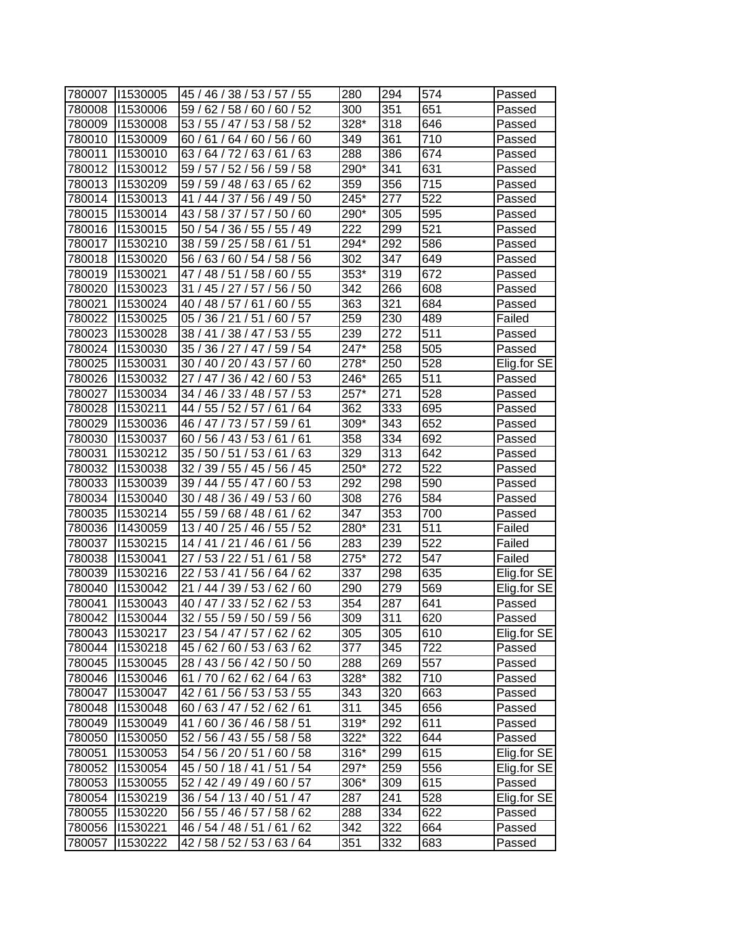| 780007 | 11530005 | 45 / 46 /<br>38/53/57/<br>55       | 280    | 294 | 574 | Passed      |
|--------|----------|------------------------------------|--------|-----|-----|-------------|
| 780008 | 11530006 | 59/<br>62/<br>58/60/<br>60/52      | 300    | 351 | 651 | Passed      |
| 780009 | 11530008 | 53 / 55 / 47 / 53 / 58 / 52        | 328*   | 318 | 646 | Passed      |
| 780010 | 11530009 | 60/61<br>64 / 60 / 56 / 60         | 349    | 361 | 710 | Passed      |
| 780011 | 11530010 | 63/64/72/63/61<br>/63              | 288    | 386 | 674 | Passed      |
| 780012 | 1530012  | 59 / 57 /<br>52 / 56 / 59 / 58     | 290*   | 341 | 631 | Passed      |
| 780013 | 11530209 | 59 / 59 / 48 / 63 / 65 / 62        | 359    | 356 | 715 | Passed      |
| 780014 | 11530013 | 41 / 44 / 37 / 56 / 49 / 50        | 245*   | 277 | 522 | Passed      |
| 780015 | 11530014 | 43/58/37/57/<br>50/60              | 290*   | 305 | 595 | Passed      |
| 780016 | 11530015 | 50 / 54 / 36 / 55 / 55 / 49        | 222    | 299 | 521 | Passed      |
| 780017 | 11530210 | 38 / 59 / 25 / 58 / 61 / 51        | 294*   | 292 | 586 | Passed      |
| 780018 | 1530020  | 56 / 63 / 60 / 54 / 58 / 56        | 302    | 347 | 649 | Passed      |
| 780019 | 11530021 | 47 / 48 / 51 / 58 /<br>60 / 55     | 353*   | 319 | 672 | Passed      |
| 780020 | 11530023 | 50<br>31/<br>45 / 27 / 57 /<br>56/ | 342    | 266 | 608 | Passed      |
| 780021 | 11530024 | 55<br>40/48/<br>57/61<br>60        | 363    | 321 | 684 | Passed      |
| 780022 | 11530025 | 05/<br>36/21/51/<br>60/57          | 259    | 230 | 489 | Failed      |
| 780023 | 11530028 | 38 / 41 / 38 / 47 /<br>53/55       | 239    | 272 | 511 | Passed      |
| 780024 | 11530030 | 35 / 36 / 27 / 47<br>59/54         | 247*   | 258 | 505 | Passed      |
| 780025 | 11530031 | 30 / 40 / 20 / 43 / 57 / 60        | 278*   | 250 | 528 | Elig.for SE |
| 780026 | 11530032 | 27/47/<br>36/42/<br>60/53          | 246*   | 265 | 511 | Passed      |
| 780027 | 11530034 | 57/53<br>34 / 46 / 33 / 48 /       | 257*   | 271 | 528 | Passed      |
| 780028 | 11530211 | /64<br>44 / 55 / 52 / 57 /<br>61   | 362    | 333 | 695 | Passed      |
| 780029 | 11530036 | 46 / 47 / 73 / 57 / 59 / 61        | 309*   | 343 | 652 | Passed      |
| 780030 | 11530037 | 60 / 56 / 43 / 53 / 61 / 61        | 358    | 334 | 692 | Passed      |
| 780031 | 11530212 | 35 / 50 / 51 / 53 / 61 / 63        | 329    | 313 | 642 | Passed      |
| 780032 | 11530038 | 32/<br>39 / 55 / 45 / 56 / 45      | 250*   | 272 | 522 | Passed      |
| 780033 | 11530039 | 60/53<br>39 / 44 / 55 / 47 /       | 292    | 298 | 590 | Passed      |
| 780034 | 11530040 | 30 / 48 / 36 / 49 / 53 / 60        | 308    | 276 | 584 | Passed      |
| 780035 | 11530214 | 55 / 59 / 68 / 48 / 61<br>62       | 347    | 353 | 700 | Passed      |
| 780036 | 11430059 | 13 / 40 / 25 / 46 / 55 / 52        | 280*   | 231 | 511 | Failed      |
| 780037 | 1530215  | 14 / 41 / 21 / 46 / 61<br>/56      | 283    | 239 | 522 | Failed      |
| 780038 | 11530041 | 27 / 53 / 22 / 51 /<br>/58<br>61   | 275*   | 272 | 547 | Failed      |
| 780039 | 11530216 | 22 / 53 / 41 / 56 /<br>64/62       | 337    | 298 | 635 | Elig.for SE |
| 780040 | 11530042 | 21 / 44 / 39 / 53 / 62 / 60        | 290    | 279 | 569 | Elig.for SE |
| 780041 | 11530043 | 40 / 47 / 33 / 52 / 62 / 53        | 354    | 287 | 641 | Passed      |
| 780042 | 11530044 | 32 / 55 / 59 / 50 / 59 / 56        | 309    | 311 | 620 | Passed      |
| 780043 | 11530217 | 23 / 54 / 47 / 57 / 62 / 62        | 305    | 305 | 610 | Elig.for SE |
| 780044 | 11530218 | 45 / 62 / 60 / 53 / 63 / 62        | 377    | 345 | 722 | Passed      |
| 780045 | 11530045 | 28 / 43 / 56 / 42 / 50 / 50        | 288    | 269 | 557 | Passed      |
| 780046 | 11530046 | 61 / 70 / 62 / 62 / 64 / 63        | 328*   | 382 | 710 | Passed      |
| 780047 | 11530047 | 42/61/56/53/53/55                  | 343    | 320 | 663 | Passed      |
| 780048 | 11530048 | 60 / 63 / 47 / 52 / 62 / 61        | 311    | 345 | 656 | Passed      |
| 780049 | 11530049 | 41 / 60 / 36 / 46 / 58 / 51        | 319*   | 292 | 611 | Passed      |
| 780050 | 11530050 | 52 / 56 / 43 / 55 / 58 / 58        | 322*   | 322 | 644 | Passed      |
| 780051 | 11530053 | 54 / 56 / 20 / 51 / 60 / 58        | $316*$ | 299 | 615 | Elig.for SE |
| 780052 | 11530054 | 45 / 50 / 18 / 41 / 51 / 54        | 297*   | 259 | 556 | Elig.for SE |
| 780053 | 11530055 | 52 / 42 / 49 / 49 / 60 / 57        | 306*   | 309 | 615 | Passed      |
| 780054 | 11530219 | 36 / 54 / 13 / 40 / 51 / 47        | 287    | 241 | 528 | Elig.for SE |
| 780055 | 11530220 | 56 / 55 / 46 / 57 / 58 / 62        | 288    | 334 | 622 | Passed      |
| 780056 | 11530221 | 46 / 54 / 48 / 51 / 61 / 62        | 342    | 322 | 664 | Passed      |
| 780057 | 11530222 | 42/58/52/53/63/64                  | 351    | 332 | 683 | Passed      |
|        |          |                                    |        |     |     |             |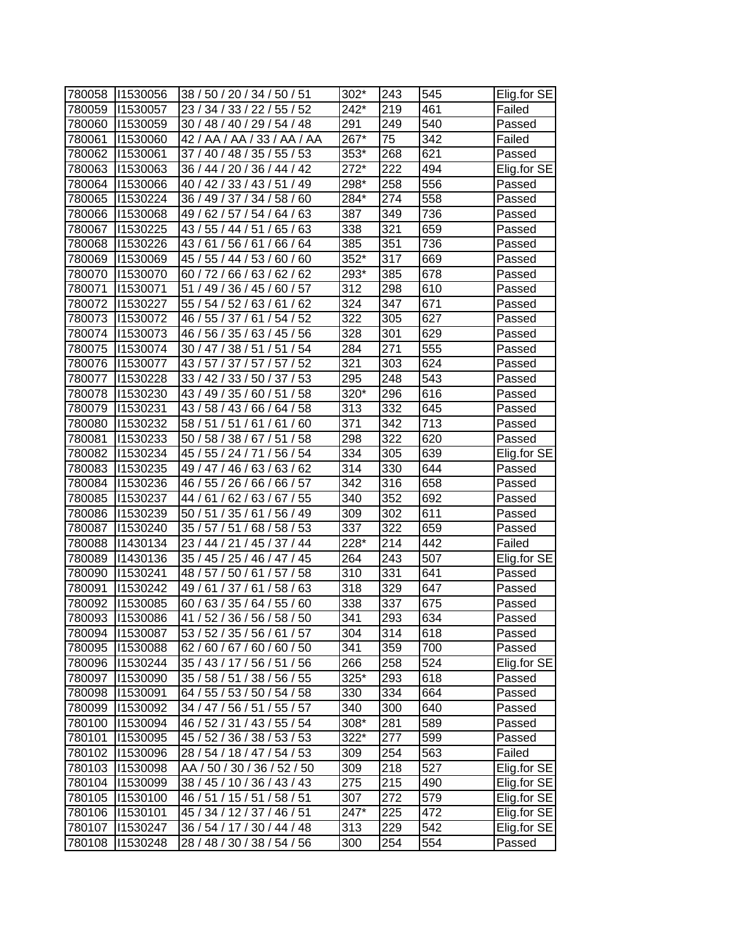| 780058 | 11530056        | 38 / 50 / 20 / 34 / 50 / 51    | 302*   | 243 | 545 | Elig.for SE |
|--------|-----------------|--------------------------------|--------|-----|-----|-------------|
| 780059 | 11530057        | 55/52<br>23/34/<br>33/22/      | 242*   | 219 | 461 | Failed      |
| 780060 | 11530059        | 30 / 48 / 40 / 29 / 54 / 48    | 291    | 249 | 540 | Passed      |
| 780061 | 11530060        | 42 / AA / AA / 33 / AA / AA    | 267*   | 75  | 342 | Failed      |
| 780062 | 1530061         | 37 / 40 / 48 / 35 / 55 / 53    | 353*   | 268 | 621 | Passed      |
| 780063 | 11530063        | 36 / 44 / 20 / 36 / 44 / 42    | $272*$ | 222 | 494 | Elig.for SE |
| 780064 | 11530066        | 40 / 42 / 33 / 43 / 51 / 49    | 298*   | 258 | 556 | Passed      |
| 780065 | 11530224        | 36 / 49 / 37 / 34 / 58 / 60    | 284*   | 274 | 558 | Passed      |
| 780066 | 11530068        | 49 / 62 / 57 / 54 / 64 / 63    | 387    | 349 | 736 | Passed      |
| 780067 | 11530225        | 43 / 55 / 44 / 51 / 65 / 63    | 338    | 321 | 659 | Passed      |
| 780068 | 11530226        | 43 / 61 / 56 / 61 / 66 / 64    | 385    | 351 | 736 | Passed      |
| 780069 | 11530069        | 45 / 55 / 44 / 53 / 60 / 60    | 352*   | 317 | 669 | Passed      |
| 780070 | 11530070        | 60 / 72 / 66 / 63 / 62 / 62    | 293*   | 385 | 678 | Passed      |
| 780071 | 11530071        | 51<br>/49/<br>36/45/<br>60/57  | 312    | 298 | 610 | Passed      |
| 780072 | 11530227        | 55/54/<br>52/63/<br>61<br>62   | 324    | 347 | 671 | Passed      |
| 780073 | 11530072        | 46 / 55 / 37 / 61 /<br>54/52   | 322    | 305 | 627 | Passed      |
| 780074 | 11530073        | 46 / 56 / 35 / 63 / 45 / 56    | 328    | 301 | 629 | Passed      |
| 780075 | 11530074        | 30 / 47 / 38 / 51<br>51<br>/54 | 284    | 271 | 555 | Passed      |
| 780076 | 11530077        | 43/57/<br>37/57/<br>/52<br>57  | 321    | 303 | 624 | Passed      |
| 780077 | 11530228        | 33 / 42 / 33 / 50 / 37 / 53    | 295    | 248 | 543 | Passed      |
| 780078 | 11530230        | 43 / 49 / 35 / 60 / 51 / 58    | 320*   | 296 | 616 | Passed      |
| 780079 | 1530231         | 43 / 58 / 43 / 66 / 64 / 58    | 313    | 332 | 645 | Passed      |
| 780080 | 11530232        | 58 / 51 / 51 / 61 / 61 / 60    | 371    | 342 | 713 | Passed      |
| 780081 | 11530233        | /58<br>50 / 58 / 38 / 67 / 51  | 298    | 322 | 620 | Passed      |
| 780082 | 11530234        | 45 / 55 / 24 / 71 / 56 / 54    | 334    | 305 | 639 | Elig.for SE |
| 780083 | 11530235        | 49 / 47 / 46 / 63 / 63 / 62    | 314    | 330 | 644 | Passed      |
| 780084 | 11530236        | 66 / 57<br>46 / 55 / 26 / 66 / | 342    | 316 | 658 | Passed      |
| 780085 | 11530237        | 67/55<br>44 /<br>61/<br>62/63/ | 340    | 352 | 692 | Passed      |
| 780086 | 11530239        | 50 / 51 / 35 / 61 / 56 / 49    | 309    | 302 | 611 | Passed      |
| 780087 | 1530240         | 35/57/51<br>/68/58/53          | 337    | 322 | 659 | Passed      |
| 780088 | 11430134        | 23 / 44 / 21 / 45 / 37 / 44    | 228*   | 214 | 442 | Failed      |
| 780089 | 11430136        | 35 / 45 / 25 / 46 / 47 / 45    | 264    | 243 | 507 | Elig.for SE |
| 780090 | 11530241        | 48 / 57 / 50 / 61 / 57 / 58    | 310    | 331 | 641 | Passed      |
| 780091 | 11530242        | 49 / 61 / 37 / 61 / 58 / 63    | 318    | 329 | 647 | Passed      |
| 780092 | 11530085        | 60 / 63 / 35 / 64 / 55 / 60    | 338    | 337 | 675 | Passed      |
| 780093 | 1530086         | 41 / 52 / 36 / 56 / 58 / 50    | 341    | 293 | 634 | Passed      |
|        | 780094 11530087 | 53 / 52 / 35 / 56 / 61 / 57    | 304    | 314 | 618 | Passed      |
| 780095 | 11530088        | 62 / 60 / 67 / 60 / 60 / 50    | 341    | 359 | 700 | Passed      |
| 780096 | 11530244        | 35 / 43 / 17 / 56 / 51 / 56    | 266    | 258 | 524 | Elig.for SE |
| 780097 | 11530090        | 35 / 58 / 51 / 38 / 56 / 55    | 325*   | 293 | 618 | Passed      |
| 780098 | 11530091        | 64 / 55 / 53 / 50 / 54 / 58    | 330    | 334 | 664 | Passed      |
| 780099 | 11530092        | 34 / 47 / 56 / 51 / 55 / 57    | 340    | 300 | 640 | Passed      |
| 780100 | 11530094        | 46 / 52 / 31 / 43 / 55 / 54    | 308*   | 281 | 589 | Passed      |
| 780101 | 11530095        | 45 / 52 / 36 / 38 / 53 / 53    | 322*   | 277 | 599 | Passed      |
| 780102 | 11530096        | 28 / 54 / 18 / 47 / 54 / 53    | 309    | 254 | 563 | Failed      |
| 780103 | 11530098        | AA / 50 / 30 / 36 / 52 / 50    | 309    | 218 | 527 | Elig.for SE |
| 780104 | 1530099         | 38 / 45 / 10 / 36 / 43 / 43    | 275    | 215 | 490 | Elig.for SE |
| 780105 | 11530100        | 46 / 51 / 15 / 51 / 58 / 51    | 307    | 272 | 579 | Elig.for SE |
| 780106 | 11530101        | 45 / 34 / 12 / 37 / 46 / 51    | 247*   | 225 | 472 | Elig.for SE |
| 780107 | 11530247        | 36/54/17/30/44/48              | 313    | 229 | 542 | Elig.for SE |
| 780108 | 11530248        | 28 / 48 / 30 / 38 / 54 / 56    | 300    | 254 | 554 | Passed      |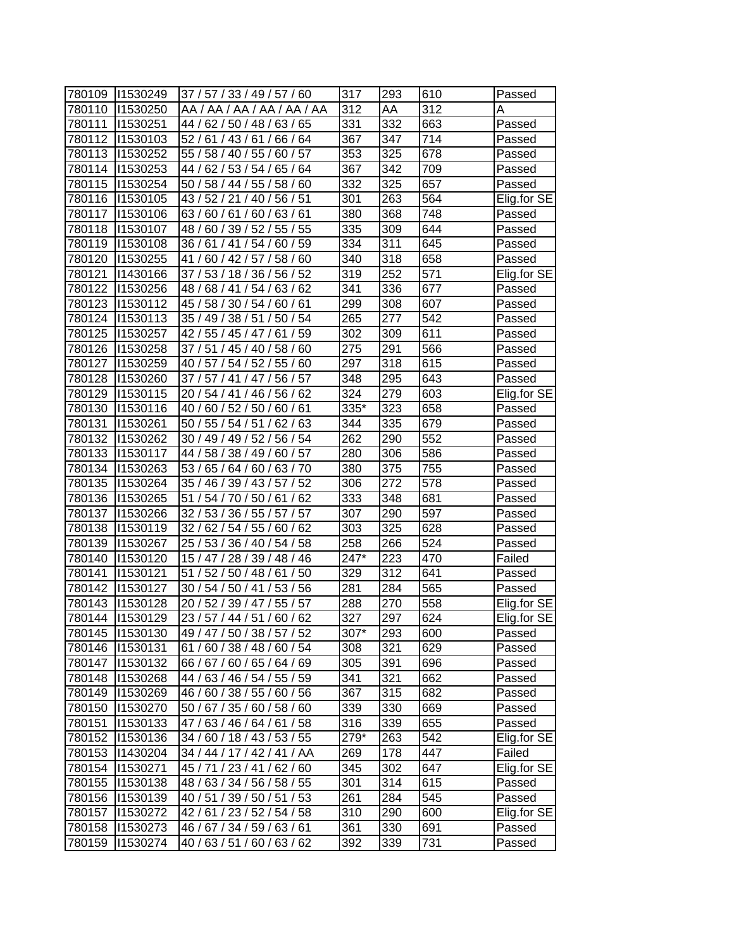| 780109 | 11530249        | 37 / 57 / 33 / 49 / 57 / 60         | 317  | 293 | 610              | Passed      |
|--------|-----------------|-------------------------------------|------|-----|------------------|-------------|
| 780110 | 11530250        | AA / AA / AA / AA / AA / AA         | 312  | AA  | 312              | A           |
| 780111 | 11530251        | 44 / 62 / 50 / 48 / 63 / 65         | 331  | 332 | 663              | Passed      |
| 780112 | 11530103        | 52 / 61 / 43 / 61 / 66 / 64         | 367  | 347 | $\overline{71}4$ | Passed      |
| 780113 | 11530252        | 55 / 58 / 40 / 55 / 60 / 57         | 353  | 325 | 678              | Passed      |
| 780114 | 11530253        | 44 / 62 / 53 / 54 / 65 / 64         | 367  | 342 | 709              | Passed      |
| 780115 | 11530254        | 50 / 58 / 44 / 55 / 58 / 60         | 332  | 325 | 657              | Passed      |
| 780116 | 11530105        | 43 / 52 / 21 / 40 / 56 / 51         | 301  | 263 | 564              | Elig.for SE |
| 780117 | 11530106        | 63/60/61/60/63/61                   | 380  | 368 | 748              | Passed      |
| 780118 | 11530107        | 48 / 60 / 39 / 52 / 55 / 55         | 335  | 309 | 644              | Passed      |
| 780119 | 11530108        | 36 / 61 / 41 / 54 / 60 / 59         | 334  | 311 | 645              | Passed      |
| 780120 | 11530255        | 41 / 60 / 42 / 57 / 58 / 60         | 340  | 318 | 658              | Passed      |
| 780121 | 11430166        | 37 / 53 / 18 / 36 / 56 / 52         | 319  | 252 | $\overline{571}$ | Elig.for SE |
| 780122 | 11530256        | 48/68/41/54/63/<br>62               | 341  | 336 | 677              | Passed      |
| 780123 | 11530112        | 45 /<br>58 / 30 / 54 /<br>60/<br>61 | 299  | 308 | 607              | Passed      |
| 780124 | 11530113        | 35 / 49 / 38 / 51 /<br>54<br>50/    | 265  | 277 | 542              | Passed      |
| 780125 | 11530257        | 42 / 55 / 45 / 47 /<br>/59<br>61    | 302  | 309 | 611              | Passed      |
| 780126 | 11530258        | 37/51<br>/ 45 / 40 / 58 / 60        | 275  | 291 | 566              | Passed      |
| 780127 | 11530259        | 40 / 57 / 54 / 52 / 55 / 60         | 297  | 318 | 615              | Passed      |
| 780128 | 11530260        | 37 / 57 / 41 / 47 /<br>56 / 57      | 348  | 295 | 643              | Passed      |
| 780129 | 11530115        | 20 / 54 / 41 / 46 / 56 / 62         | 324  | 279 | 603              | Elig.for SE |
| 780130 | 11530116        | 40 / 60 / 52 / 50 /<br>60/61        | 335* | 323 | 658              | Passed      |
| 780131 | 11530261        | 50 / 55 / 54 / 51 / 62 / 63         | 344  | 335 | 679              | Passed      |
| 780132 | 11530262        | 30 / 49 / 49 / 52 / 56 / 54         | 262  | 290 | $\overline{552}$ | Passed      |
| 780133 | 11530117        | 44 / 58 / 38 / 49 / 60 / 57         | 280  | 306 | 586              | Passed      |
| 780134 | 11530263        | 53 / 65 / 64 / 60 / 63 / 70         | 380  | 375 | 755              | Passed      |
| 780135 | 11530264        | 52<br>35 / 46 / 39 / 43 / 57 /      | 306  | 272 | 578              | Passed      |
| 780136 | 11530265        | 51<br>54 / 70 / 50 / 61<br>62       | 333  | 348 | 681              | Passed      |
| 780137 | 1530266         | 32 / 53 / 36 / 55 / 57 / 57         | 307  | 290 | 597              | Passed      |
| 780138 | 11530119        | 32 / 62 / 54 / 55 / 60 / 62         | 303  | 325 | 628              | Passed      |
| 780139 | 11530267        | 25 / 53 / 36 / 40 / 54 / 58         | 258  | 266 | 524              | Passed      |
| 780140 | 11530120        | 15 / 47 / 28 / 39 / 48 / 46         | 247* | 223 | 470              | Failed      |
| 780141 | 11530121        | 51 / 52 / 50 / 48 / 61<br>/50       | 329  | 312 | 641              | Passed      |
| 780142 | 11530127        | 30 / 54 / 50 / 41 /<br>53/56        | 281  | 284 | 565              | Passed      |
| 780143 | 11530128        | 20 / 52 / 39 / 47 / 55 / 57         | 288  | 270 | 558              | Elig.for SE |
| 780144 | 11530129        | 23 / 57 / 44 / 51 / 60 / 62         | 327  | 297 | 624              | Elig.for SE |
|        | 780145 11530130 | 49 / 47 / 50 / 38 / 57 / 52         | 307* | 293 | 600              | Passed      |
| 780146 | 11530131        | 61 / 60 / 38 / 48 / 60 / 54         | 308  | 321 | 629              | Passed      |
| 780147 | 1530132         | 66 / 67 / 60 / 65 / 64 / 69         | 305  | 391 | 696              | Passed      |
| 780148 | 11530268        | 44 / 63 / 46 / 54 / 55 / 59         | 341  | 321 | 662              | Passed      |
| 780149 | 11530269        | 46 / 60 / 38 / 55 / 60 / 56         | 367  | 315 | 682              | Passed      |
| 780150 | 11530270        | 50 / 67 / 35 / 60 / 58 / 60         | 339  | 330 | 669              | Passed      |
| 780151 | 11530133        | 47/63/46/64/61/58                   | 316  | 339 | 655              | Passed      |
| 780152 | 11530136        | 34 / 60 / 18 / 43 / 53 / 55         | 279* | 263 | 542              | Elig.for SE |
| 780153 | 11430204        | 34 / 44 / 17 / 42 / 41 / AA         | 269  | 178 | 447              | Failed      |
| 780154 | 1530271         | 45 / 71 / 23 / 41 / 62 / 60         | 345  | 302 | 647              | Elig.for SE |
| 780155 | 11530138        | 48 / 63 / 34 / 56 / 58 / 55         | 301  | 314 | 615              | Passed      |
| 780156 | 11530139        | 40 / 51 / 39 / 50 / 51 / 53         | 261  | 284 | 545              | Passed      |
| 780157 | 11530272        | 42 / 61 / 23 / 52 / 54 / 58         | 310  | 290 | 600              | Elig.for SE |
| 780158 | 11530273        | 46 / 67 / 34 / 59 / 63 / 61         | 361  | 330 | 691              | Passed      |
| 780159 | 11530274        | 40/63/51/60/63/62                   | 392  | 339 | 731              | Passed      |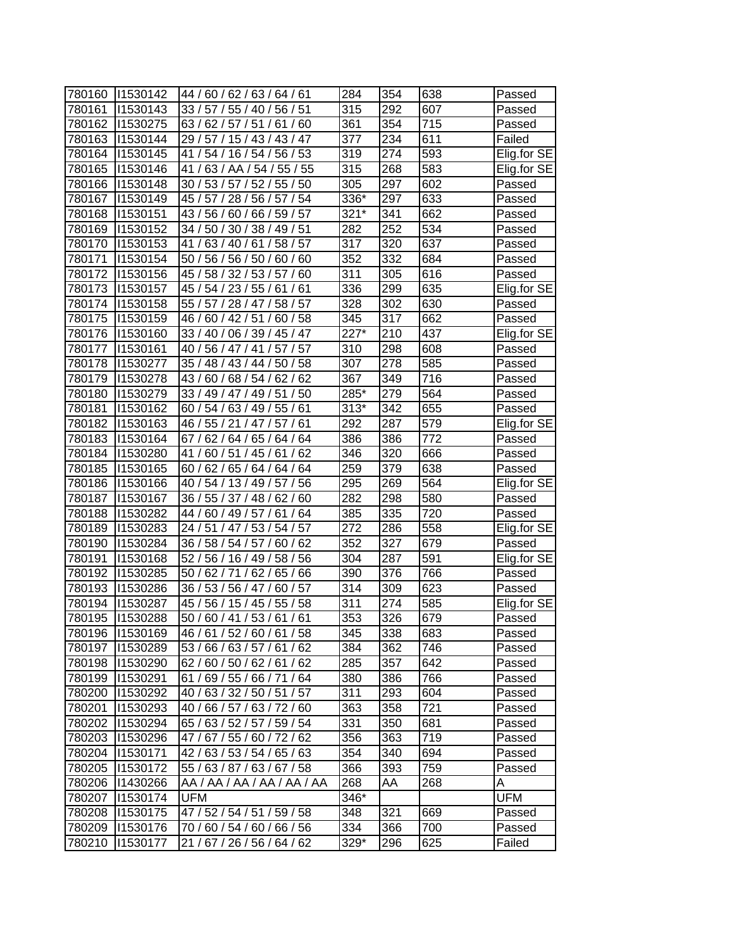| 780160 | 11530142        | 44 / 60 / 62 / 63 / 64 / 61  | 284              | 354              | 638              | Passed      |
|--------|-----------------|------------------------------|------------------|------------------|------------------|-------------|
| 780161 | 11530143        | 33/57/<br>55 / 40 / 56 / 51  | 315              | 292              | 607              | Passed      |
| 780162 | 11530275        | 63/62/57/51/<br>61/<br>60    | 361              | 354              | 715              | Passed      |
| 780163 | 11530144        | 29 / 57 / 15 / 43 / 43 / 47  | 377              | 234              | 611              | Failed      |
| 780164 | 11530145        | 41 / 54 / 16 / 54 / 56 / 53  | 319              | 274              | 593              | Elig.for SE |
| 780165 | 11530146        | 41/63/AA/54/55/55            | 315              | 268              | 583              | Elig.for SE |
| 780166 | 11530148        | 30 / 53 / 57 / 52 / 55 / 50  | 305              | 297              | 602              | Passed      |
| 780167 | 11530149        | 45 / 57 / 28 / 56 / 57 / 54  | 336*             | 297              | 633              | Passed      |
| 780168 | 11530151        | 43 / 56 / 60 / 66 / 59 / 57  | $321*$           | 341              | 662              | Passed      |
| 780169 | 11530152        | 34 / 50 / 30 / 38 / 49 / 51  | 282              | $\overline{252}$ | $\overline{534}$ | Passed      |
| 780170 | 11530153        | 41 / 63 / 40 / 61 / 58 / 57  | 317              | 320              | 637              | Passed      |
| 780171 | 11530154        | 50 / 56 / 56 / 50 / 60 / 60  | $\overline{352}$ | 332              | 684              | Passed      |
| 780172 | 11530156        | 45 / 58 / 32 / 53 / 57 / 60  | 311              | 305              | 616              | Passed      |
| 780173 | 11530157        | 45 / 54 / 23 / 55 / 61<br>61 | 336              | 299              | 635              | Elig.for SE |
| 780174 | 11530158        | 55 / 57 / 28 / 47 /<br>58/57 | 328              | 302              | 630              | Passed      |
| 780175 | 11530159        | 60/58<br>46 /<br>60/42/51/   | 345              | 317              | 662              | Passed      |
| 780176 | 11530160        | 33 / 40 / 06 / 39 / 45 / 47  | 227*             | 210              | 437              | Elig.for SE |
| 780177 | 11530161        | 40 / 56 / 47 / 41 /<br>57/57 | 310              | 298              | 608              | Passed      |
| 780178 | 11530277        | 35 / 48 / 43 / 44 /<br>50/58 | 307              | 278              | 585              | Passed      |
| 780179 | 11530278        | 43 / 60 / 68 / 54 / 62 / 62  | 367              | 349              | 716              | Passed      |
| 780180 | 11530279        | 33 / 49 / 47 / 49 / 51 / 50  | 285*             | 279              | 564              | Passed      |
| 780181 | 11530162        | 60 / 54 / 63 / 49 / 55 / 61  | $313*$           | 342              | 655              | Passed      |
| 780182 | 11530163        | 46 / 55 / 21 / 47 / 57 / 61  | 292              | 287              | 579              | Elig.for SE |
| 780183 | 11530164        | 67 / 62 / 64 / 65 / 64 / 64  | 386              | 386              | 772              | Passed      |
| 780184 | 11530280        | 41 / 60 / 51 / 45 / 61 / 62  | 346              | 320              | 666              | Passed      |
| 780185 | 11530165        | 60 / 62 / 65 / 64 / 64 / 64  | 259              | 379              | 638              | Passed      |
| 780186 | 11530166        | 40 / 54 / 13 / 49 / 57 / 56  | 295              | 269              | 564              | Elig.for SE |
| 780187 | 11530167        | 36/55/37/48/<br>62/<br>60    | 282              | 298              | 580              | Passed      |
| 780188 | 11530282        | 44 / 60 / 49 / 57 / 61 / 64  | 385              | 335              | 720              | Passed      |
| 780189 | 11530283        | 24 / 51 / 47 / 53 / 54 / 57  | 272              | 286              | 558              | Elig.for SE |
| 780190 | 11530284        | 36 / 58 / 54 / 57 / 60 / 62  | 352              | 327              | 679              | Passed      |
| 780191 | 11530168        | 52 / 56 / 16 / 49 / 58 / 56  | 304              | 287              | 591              | Elig.for SE |
| 780192 | 11530285        | 50 / 62 / 71 / 62 /<br>65/66 | 390              | 376              | 766              | Passed      |
| 780193 | 11530286        | 36 / 53 / 56 / 47 /<br>60/57 | 314              | 309              | 623              | Passed      |
| 780194 | 11530287        | 45 / 56 / 15 / 45 / 55 / 58  | 311              | 274              | 585              | Elig.for SE |
| 780195 | 11530288        | 50 / 60 / 41 / 53 / 61 / 61  | 353              | 326              | 679              | Passed      |
|        | 780196 11530169 | 46 / 61 / 52 / 60 / 61 / 58  | 345              | 338              | 683              | Passed      |
| 780197 | 11530289        | 53 / 66 / 63 / 57 / 61 / 62  | 384              | 362              | 746              | Passed      |
| 780198 | 11530290        | 62/60/50/62/61/62            | 285              | 357              | 642              | Passed      |
| 780199 | 11530291        | 61/69/55/66/71/64            | 380              | 386              | 766              | Passed      |
| 780200 | 11530292        | 40 / 63 / 32 / 50 / 51 / 57  | 311              | 293              | 604              | Passed      |
| 780201 | 11530293        | 40 / 66 / 57 / 63 / 72 / 60  | 363              | 358              | 721              | Passed      |
| 780202 | 11530294        | 65 / 63 / 52 / 57 / 59 / 54  | 331              | 350              | 681              | Passed      |
| 780203 | 11530296        | 47 / 67 / 55 / 60 / 72 / 62  | 356              | 363              | 719              | Passed      |
| 780204 | 11530171        | 42 / 63 / 53 / 54 / 65 / 63  | 354              | 340              | 694              | Passed      |
| 780205 | 11530172        | 55 / 63 / 87 / 63 / 67 / 58  | 366              | 393              | 759              | Passed      |
| 780206 | 11430266        | AA / AA / AA / AA / AA / AA  | 268              | AA               | 268              | A           |
| 780207 | 11530174        | <b>UFM</b>                   | 346*             |                  |                  | <b>UFM</b>  |
| 780208 | 11530175        | 47 / 52 / 54 / 51 / 59 / 58  | 348              | 321              | 669              | Passed      |
| 780209 | 11530176        | 70 / 60 / 54 / 60 / 66 / 56  | 334              | 366              | 700              | Passed      |
| 780210 | 11530177        | 21 / 67 / 26 / 56 / 64 / 62  | 329*             | 296              | 625              | Failed      |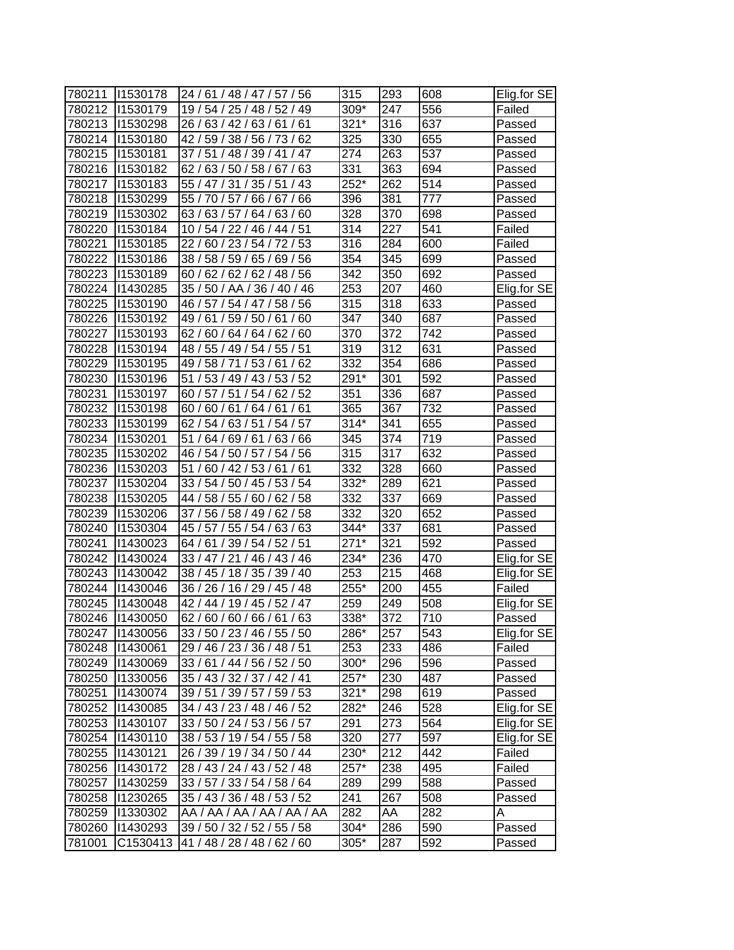| 780211 | 11530178         | 24/61/48/47/57/56                 | 315    | 293 | 608 | Elig.for SE |
|--------|------------------|-----------------------------------|--------|-----|-----|-------------|
| 780212 | 11530179         | 19 / 54 / 25 / 48 / 52 / 49       | 309*   | 247 | 556 | Failed      |
| 780213 | 11530298         | 26/63/42/63/61/<br>61             | $321*$ | 316 | 637 | Passed      |
| 780214 | 11530180         | 42 / 59 / 38 / 56 / 73 / 62       | 325    | 330 | 655 | Passed      |
| 780215 | 11530181         | 37/51/48/39/41<br>/47             | 274    | 263 | 537 | Passed      |
| 780216 | 11530182         | 62 / 63 / 50 / 58 / 67 / 63       | 331    | 363 | 694 | Passed      |
| 780217 | 11530183         | 55 / 47 / 31 / 35 / 51 / 43       | $252*$ | 262 | 514 | Passed      |
| 780218 | 11530299         | 55 / 70 / 57 / 66 / 67 / 66       | 396    | 381 | 777 | Passed      |
| 780219 | 11530302         | 63/63/57/64/63/60                 | 328    | 370 | 698 | Passed      |
| 780220 | 11530184         | 10 / 54 / 22 / 46 / 44 / 51       | 314    | 227 | 541 | Failed      |
| 780221 | 11530185         | 22 / 60 / 23 / 54 / 72 / 53       | 316    | 284 | 600 | Failed      |
| 780222 | 11530186         | 38 / 58 / 59 / 65 / 69 / 56       | 354    | 345 | 699 | Passed      |
| 780223 | 11530189         | 60 / 62 / 62 / 62 / 48 / 56       | 342    | 350 | 692 | Passed      |
| 780224 | 11430285         | 35 / 50 / AA / 36 / 40 / 46       | 253    | 207 | 460 | Elig.for SE |
| 780225 | 11530190         | 46/57/<br>54/47/<br>58/<br>56     | 315    | 318 | 633 | Passed      |
| 780226 | 11530192         | 49 /<br>61/<br>59/50/<br>61<br>60 | 347    | 340 | 687 | Passed      |
| 780227 | 11530193         | 62/<br>60 / 64 / 64 / 62 / 60     | 370    | 372 | 742 | Passed      |
| 780228 | 11530194         | 48 / 55 / 49 / 54 / 55 / 51       | 319    | 312 | 631 | Passed      |
| 780229 | 11530195         | 49 / 58 / 71<br>/53/61<br>/62     | 332    | 354 | 686 | Passed      |
| 780230 | 11530196         | 51/53/49/43/53/52                 | 291*   | 301 | 592 | Passed      |
| 780231 | 11530197         | 60 / 57 / 51 / 54 / 62 / 52       | 351    | 336 | 687 | Passed      |
| 780232 | 11530198         | 60/60/61/64/61/61                 | 365    | 367 | 732 | Passed      |
| 780233 | 11530199         | 62 / 54 / 63 / 51 / 54 / 57       | $314*$ | 341 | 655 | Passed      |
| 780234 | 11530201         | 51 / 64 / 69 / 61 / 63 / 66       | 345    | 374 | 719 | Passed      |
| 780235 | 11530202         | 46 / 54 / 50 / 57 / 54 / 56       | 315    | 317 | 632 | Passed      |
| 780236 | 11530203         | 51 / 60 / 42 / 53 / 61 / 61       | 332    | 328 | 660 | Passed      |
| 780237 | 11530204         | 33 / 54 / 50 / 45 / 53 / 54       | 332*   | 289 | 621 | Passed      |
| 780238 | 11530205         | 62/58<br>44 / 58 / 55 / 60 /      | 332    | 337 | 669 | Passed      |
| 780239 | 1530206          | 37 / 56 / 58 / 49 / 62 / 58       | 332    | 320 | 652 | Passed      |
| 780240 | 1530304          | 45 / 57 / 55 / 54 / 63 / 63       | 344*   | 337 | 681 | Passed      |
| 780241 | 11430023         | 64 / 61 / 39 / 54 / 52 / 51       | $271*$ | 321 | 592 | Passed      |
| 780242 | 11430024         | 33 / 47 / 21 / 46 / 43 / 46       | 234*   | 236 | 470 | Elig.for SE |
| 780243 | 11430042         | 38 / 45 / 18 / 35 /<br>39/40      | 253    | 215 | 468 | Elig.for SE |
| 780244 | 11430046         | 36 / 26 / 16 / 29 / 45 / 48       | 255*   | 200 | 455 | Failed      |
| 780245 | 11430048         | 42 / 44 / 19 / 45 / 52 / 47       | 259    | 249 | 508 | Elig.for SE |
| 780246 | 11430050         | 62/60/60/66/61/63                 | 338*   | 372 | 710 | Passed      |
|        | 780247   1430056 | 33 / 50 / 23 / 46 / 55 / 50       | 286*   | 257 | 543 | Elig.for SE |
| 780248 | 11430061         | 29 / 46 / 23 / 36 / 48 / 51       | 253    | 233 | 486 | Failed      |
| 780249 | 1430069          | 33 / 61 / 44 / 56 / 52 / 50       | 300*   | 296 | 596 | Passed      |
| 780250 | 11330056         | 35 / 43 / 32 / 37 / 42 / 41       | 257*   | 230 | 487 | Passed      |
| 780251 | 11430074         | 39 / 51 / 39 / 57 / 59 / 53       | $321*$ | 298 | 619 | Passed      |
| 780252 | 11430085         | 34 / 43 / 23 / 48 / 46 / 52       | 282*   | 246 | 528 | Elig.for SE |
| 780253 | 11430107         | 33 / 50 / 24 / 53 / 56 / 57       | 291    | 273 | 564 | Elig.for SE |
| 780254 | 11430110         | 38 / 53 / 19 / 54 / 55 / 58       | 320    | 277 | 597 | Elig.for SE |
| 780255 | 11430121         | 26 / 39 / 19 / 34 / 50 / 44       | 230*   | 212 | 442 | Failed      |
| 780256 | 11430172         | 28 / 43 / 24 / 43 / 52 / 48       | $257*$ | 238 | 495 | Failed      |
| 780257 | 1430259          | 33 / 57 / 33 / 54 / 58 / 64       | 289    | 299 | 588 | Passed      |
| 780258 | 11230265         | 35 / 43 / 36 / 48 / 53 / 52       | 241    | 267 | 508 | Passed      |
| 780259 | 11330302         | AA / AA / AA / AA / AA / AA       | 282    | AA  | 282 | A           |
| 780260 | 11430293         | 39 / 50 / 32 / 52 / 55 / 58       | 304*   | 286 | 590 | Passed      |
| 781001 | C1530413         | 41 / 48 / 28 / 48 / 62 / 60       | 305*   | 287 | 592 | Passed      |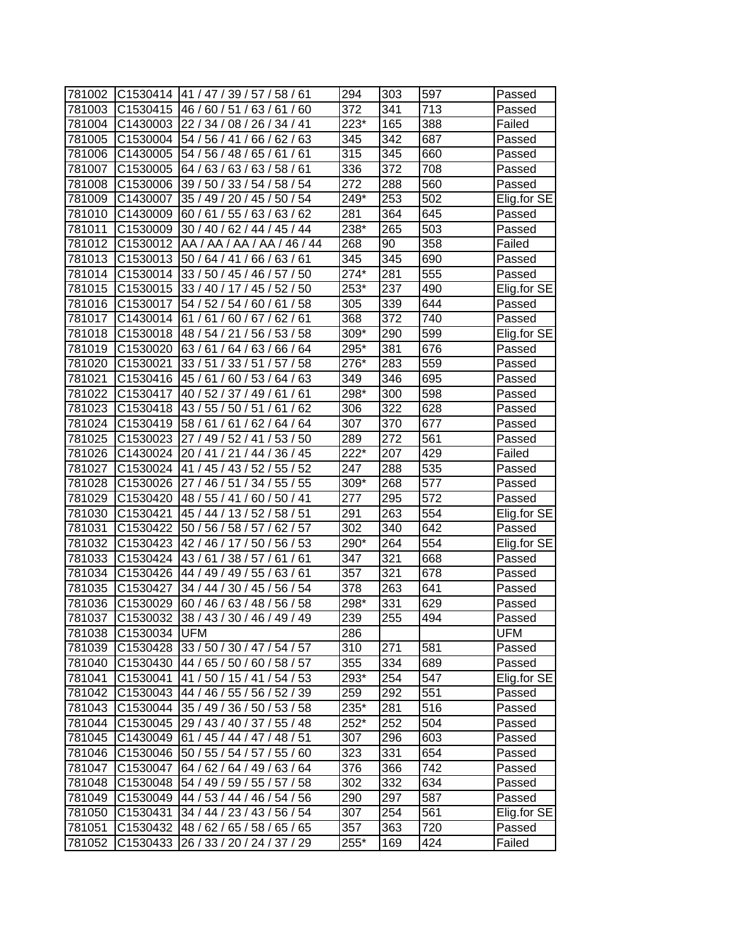| 781002 | C1530414             | 41 / 47 / 39 / 57 / 58 / 61         | 294               | 303              | 597 | Passed      |
|--------|----------------------|-------------------------------------|-------------------|------------------|-----|-------------|
| 781003 | C1530415             | 46/60/51/63/<br>60<br><sup>61</sup> | 372               | 341              | 713 | Passed      |
| 781004 | C1430003             | 22/34/<br>08/26/34/41               | 223*              | 165              | 388 | Failed      |
| 781005 | C1530004             | 54 / 56 / 41 / 66 / 62 / 63         | 345               | 342              | 687 | Passed      |
| 781006 | C1430005             | 54 / 56 / 48 / 65 / 61<br>/61       | 315               | 345              | 660 | Passed      |
| 781007 | C1530005             | 64 / 63 / 63 / 63 / 58 / 61         | 336               | 372              | 708 | Passed      |
| 781008 | C1530006             | 39 / 50 / 33 / 54 / 58 / 54         | 272               | 288              | 560 | Passed      |
| 781009 | C1430007             | 35 / 49 / 20 / 45 / 50 / 54         | 249*              | 253              | 502 | Elig.for SE |
| 781010 | C1430009             | 60 / 61 / 55 / 63 / 63 / 62         | 281               | 364              | 645 | Passed      |
| 781011 | C1530009             | 30 / 40 / 62 / 44 / 45 / 44         | Z <sub>38</sub> * | 265              | 503 | Passed      |
| 781012 | C1530012             | AA / AA / AA / AA / 46 / 44         | 268               | 90               | 358 | Failed      |
| 781013 | C1530013             | 50 / 64 / 41 / 66 / 63 / 61         | 345               | 345              | 690 | Passed      |
| 781014 | C1530014             | 33 / 50 / 45 / 46 / 57 / 50         | 274*              | 281              | 555 | Passed      |
| 781015 | C <sub>1530015</sub> | 33 / 40 / 17 / 45 / 52 / 50         | 253*              | 237              | 490 | Elig.for SE |
| 781016 | C1530017             | 54/52/<br>58<br>54 /<br>60/<br>61   | 305               | 339              | 644 | Passed      |
| 781017 | C1430014             | 61/<br>61/<br>60/67/<br>62/61       | 368               | 372              | 740 | Passed      |
| 781018 | C1530018             | 48 / 54 / 21<br>53/58<br>/56/       | 309*              | 290              | 599 | Elig.for SE |
| 781019 | C1530020             | 63/61<br>64/63/<br>66 / 64          | 295*              | 381              | 676 | Passed      |
| 781020 | C1530021             | 33/51<br>33/51<br>/58<br>57         | 276*              | 283              | 559 | Passed      |
| 781021 | C1530416             | 45 / 61 / 60 / 53 / 64 / 63         | 349               | 346              | 695 | Passed      |
| 781022 | C1530417             | 40 / 52 / 37 / 49 / 61 / 61         | 298*              | 300              | 598 | Passed      |
| 781023 | C1530418             | 43 / 55 / 50 / 51 /<br>62<br>61     | 306               | 322              | 628 | Passed      |
| 781024 | C1530419             | 58 / 61 / 61 / 62 / 64 / 64         | 307               | 370              | 677 | Passed      |
| 781025 | C1530023             | 27 / 49 / 52 / 41 / 53 / 50         | 289               | 272              | 561 | Passed      |
| 781026 | C1430024             | 20 / 41 / 21 / 44 / 36 / 45         | $222*$            | 207              | 429 | Failed      |
| 781027 | C1530024             | 41 / 45 / 43 / 52 / 55 / 52         | 247               | 288              | 535 | Passed      |
| 781028 | C1530026             | 51 / 34 / 55 / 55<br>27/46/         | 309*              | 268              | 577 | Passed      |
| 781029 | C1530420             | 48 / 55 / 41 / 60 / 50 / 41         | 277               | 295              | 572 | Passed      |
| 781030 | C1530421             | 45 / 44 / 13 / 52 / 58 / 51         | 291               | 263              | 554 | Elig.for SE |
| 781031 | C1530422             | 50 / 56 / 58 / 57 /<br>62/57        | $\overline{302}$  | 340              | 642 | Passed      |
| 781032 | C1530423             | 42 / 46 / 17 / 50 / 56 / 53         | 290*              | 264              | 554 | Elig.for SE |
| 781033 | C1530424             | 43/61/38/57/61/61                   | 347               | 321              | 668 | Passed      |
| 781034 | C1530426             | 44 / 49 / 49 / 55 / 63 / 61         | 357               | 321              | 678 | Passed      |
| 781035 | C1530427             | 34 / 44 / 30 / 45 / 56 / 54         | 378               | 263              | 641 | Passed      |
| 781036 | C1530029             | 60 / 46 / 63 / 48 / 56 / 58         | 298*              | 331              | 629 | Passed      |
| 781037 | C1530032             | 38/43/30/46/49/49                   | 239               | $\overline{255}$ | 494 | Passed      |
| 781038 | C1530034 UFM         |                                     | 286               |                  |     | UFM         |
| 781039 | C1530428             | 33 / 50 / 30 / 47 / 54 / 57         | 310               | 271              | 581 | Passed      |
| 781040 | C1530430             | 44 / 65 / 50 / 60 / 58 / 57         | 355               | 334              | 689 | Passed      |
| 781041 | C1530041             | 41/50/15/41/54/53                   | 293*              | 254              | 547 | Elig.for SE |
| 781042 | C1530043             | 44 / 46 / 55 / 56 / 52 / 39         | 259               | 292              | 551 | Passed      |
| 781043 | C1530044             | 35 / 49 / 36 / 50 / 53 / 58         | 235*              | 281              | 516 | Passed      |
| 781044 | C1530045             | 29 / 43 / 40 / 37 / 55 / 48         | $252*$            | 252              | 504 | Passed      |
| 781045 | C1430049             | 61 / 45 / 44 / 47 / 48 / 51         | 307               | 296              | 603 | Passed      |
| 781046 | C1530046             | 50 / 55 / 54 / 57 / 55 / 60         | 323               | 331              | 654 | Passed      |
| 781047 | C1530047             | 64 / 62 / 64 / 49 / 63 / 64         | 376               | 366              | 742 | Passed      |
| 781048 | C1530048             | 54 / 49 / 59 / 55 / 57 / 58         | 302               | 332              | 634 | Passed      |
| 781049 | C1530049             | 44 / 53 / 44 / 46 / 54 / 56         | 290               | 297              | 587 | Passed      |
| 781050 | C1530431             | 34 / 44 / 23 / 43 / 56 / 54         | 307               | 254              | 561 | Elig.for SE |
| 781051 | C1530432             | 48 / 62 / 65 / 58 / 65 / 65         | 357               | 363              | 720 | Passed      |
| 781052 | C1530433             | 26 / 33 / 20 / 24 / 37 / 29         | 255*              | 169              | 424 | Failed      |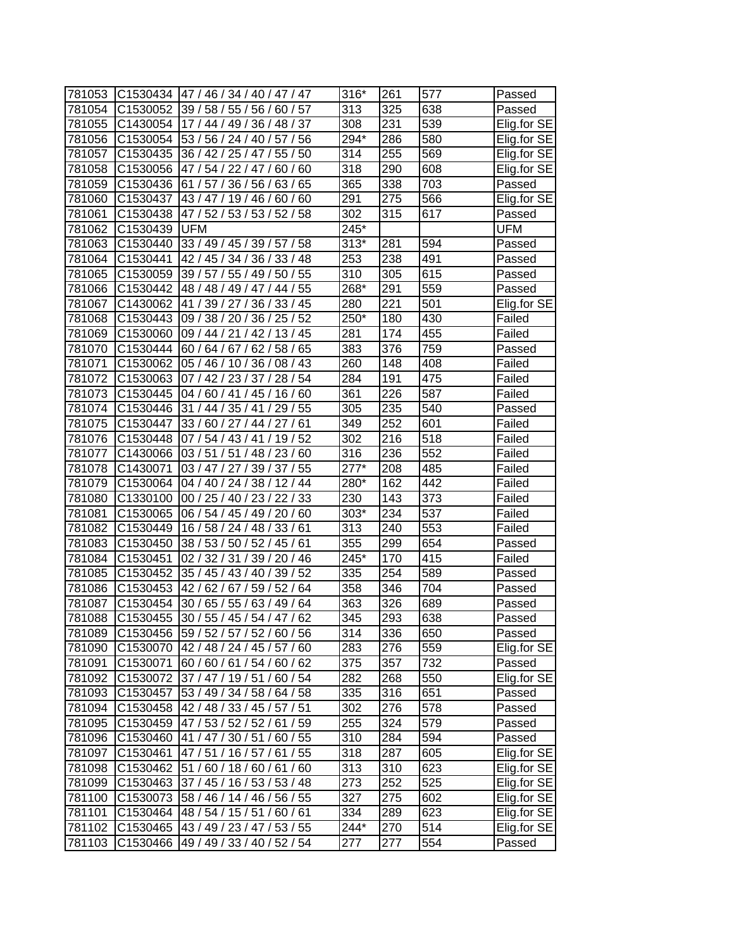| 781053 |                      | C1530434 47 / 46 / 34 / 40 / 47 / 47 | $316*$            | 261 | 577 | Passed      |
|--------|----------------------|--------------------------------------|-------------------|-----|-----|-------------|
| 781054 |                      | C1530052 39 / 58 / 55 / 56 / 60 / 57 | 313               | 325 | 638 | Passed      |
| 781055 | C1430054             | 17 / 44 / 49 / 36 / 48 / 37          | 308               | 231 | 539 | Elig.for SE |
| 781056 | C1530054             | 53 / 56 / 24 / 40 / 57 / 56          | 294*              | 286 | 580 | Elig.for SE |
| 781057 |                      | C1530435 36 / 42 / 25 / 47 / 55 / 50 | 314               | 255 | 569 | Elig.for SE |
| 781058 | C1530056             | 47 / 54 / 22 / 47 /<br>60/60         | 318               | 290 | 608 | Elig.for SE |
| 781059 | C1530436             | 61 / 57 / 36 / 56 / 63 / 65          | 365               | 338 | 703 | Passed      |
| 781060 | C1530437             | 43 / 47 / 19 / 46 / 60 / 60          | 291               | 275 | 566 | Elig.for SE |
| 781061 | C1530438             | 47 / 52 / 53 / 53 / 52 / 58          | 302               | 315 | 617 | Passed      |
| 781062 | C1530439             | <b>UFM</b>                           | 245*              |     |     | UFM         |
| 781063 |                      | C1530440 33 / 49 / 45 / 39 / 57 / 58 | $\overline{3}13*$ | 281 | 594 | Passed      |
| 781064 | C1530441             | 42 / 45 / 34 / 36 / 33 / 48          | 253               | 238 | 491 | Passed      |
| 781065 | C1530059             | 39 / 57 / 55 / 49 / 50 / 55          | 310               | 305 | 615 | Passed      |
| 781066 | C1530442             | 48 / 48 / 49 / 47 / 44 / 55          | 268*              | 291 | 559 | Passed      |
| 781067 | C1430062             | 41 / 39 / 27 / 36 / 33 / 45          | 280               | 221 | 501 | Elig.for SE |
| 781068 | C1530443             | 09 / 38 / 20 / 36 / 25 / 52          | 250*              | 180 | 430 | Failed      |
| 781069 | C1530060             | 09 / 44 / 21 / 42 / 13 / 45          | 281               | 174 | 455 | Failed      |
| 781070 | C1530444             | 60 / 64 / 67 / 62 / 58 / 65          | 383               | 376 | 759 | Passed      |
| 781071 | C1530062             | 05 / 46 / 10 / 36 / 08 / 43          | 260               | 148 | 408 | Failed      |
| 781072 | C1530063             | 07 / 42 / 23 / 37 / 28 / 54          | 284               | 191 | 475 | Failed      |
| 781073 | C1530445             | 04 / 60 / 41 / 45 / 16 / 60          | 361               | 226 | 587 | Failed      |
| 781074 | C1530446             | 31/44/35/41/29/55                    | 305               | 235 | 540 | Passed      |
| 781075 | C1530447             | 33 / 60 / 27 / 44 / 27 / 61          | 349               | 252 | 601 | Failed      |
| 781076 | C1530448             | 07 / 54 / 43 / 41 / 19 / 52          | $\overline{302}$  | 216 | 518 | Failed      |
| 781077 | C1430066             | 03 / 51 / 51 / 48 / 23 / 60          | 316               | 236 | 552 | Failed      |
| 781078 | C1430071             | 03 / 47 / 27 / 39 / 37 / 55          | $277*$            | 208 | 485 | Failed      |
| 781079 | C1530064             | 04 / 40 / 24 / 38 / 12 / 44          | 280*              | 162 | 442 | Failed      |
| 781080 | C1330100             | 00 / 25 / 40 / 23 / 22 / 33          | 230               | 143 | 373 | Failed      |
| 781081 | C1530065             | 06 / 54 / 45 / 49 / 20 / 60          | 303*              | 234 | 537 | Failed      |
| 781082 | C1530449             | 16 / 58 / 24 / 48 / 33 / 61          | 313               | 240 | 553 | Failed      |
| 781083 | C1530450             | 38 / 53 / 50 / 52 / 45 / 61          | 355               | 299 | 654 | Passed      |
| 781084 | C1530451             | 02 / 32 / 31 / 39 / 20 / 46          | $245*$            | 170 | 415 | Failed      |
| 781085 | C1530452             | 35 / 45 / 43 / 40 / 39 / 52          | 335               | 254 | 589 | Passed      |
| 781086 | C1530453             | 42 / 62 / 67 / 59 / 52 / 64          | 358               | 346 | 704 | Passed      |
| 781087 | C1530454             | 30 / 65 / 55 / 63 / 49 / 64          | 363               | 326 | 689 | Passed      |
| 781088 | C1530455             | 30 / 55 / 45 / 54 / 47 / 62          | 345               | 293 | 638 | Passed      |
| 781089 | C <sub>1530456</sub> | 59 / 52 / 57 / 52 / 60 / 56          | 314               | 336 | 650 | Passed      |
| 781090 |                      | C1530070 42 / 48 / 24 / 45 / 57 / 60 | 283               | 276 | 559 | Elig.for SE |
| 781091 | C1530071             | 60 / 60 / 61 / 54 / 60 / 62          | 375               | 357 | 732 | Passed      |
| 781092 | C1530072             | 37 / 47 / 19 / 51 / 60 / 54          | 282               | 268 | 550 | Elig.for SE |
| 781093 | C1530457             | 53 / 49 / 34 / 58 / 64 / 58          | 335               | 316 | 651 | Passed      |
| 781094 | C1530458             | 42 / 48 / 33 / 45 / 57 / 51          | 302               | 276 | 578 | Passed      |
| 781095 | C1530459             | 47 / 53 / 52 / 52 / 61 / 59          | 255               | 324 | 579 | Passed      |
| 781096 | C1530460             | 41 / 47 / 30 / 51 / 60 / 55          | 310               | 284 | 594 | Passed      |
| 781097 | C1530461             | 47 / 51 / 16 / 57 / 61 / 55          | 318               | 287 | 605 | Elig.for SE |
| 781098 | C1530462             | 51/60/18/60/61/60                    | 313               | 310 | 623 | Elig.for SE |
| 781099 | C1530463             | 37 / 45 / 16 / 53 / 53 / 48          | 273               | 252 | 525 | Elig.for SE |
| 781100 | C1530073             | 58 / 46 / 14 / 46 / 56 / 55          | 327               | 275 | 602 | Elig.for SE |
| 781101 | C1530464             | 48 / 54 / 15 / 51 / 60 / 61          | 334               | 289 | 623 | Elig.for SE |
| 781102 |                      | C1530465 43 / 49 / 23 / 47 / 53 / 55 | 244*              | 270 | 514 | Elig.for SE |
| 781103 | C1530466             | 49 / 49 / 33 / 40 / 52 / 54          | 277               | 277 | 554 | Passed      |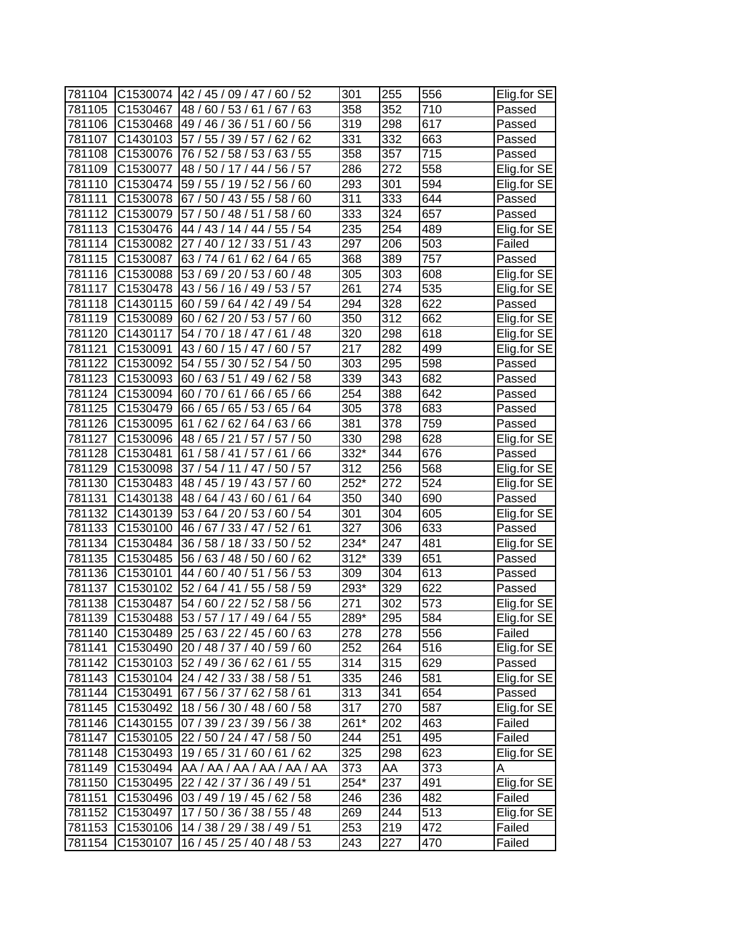| 781104 | C <sub>1530074</sub> | 42 / 45 / 09 / 47 / 60 / 52          | 301    | 255 | 556 | Elig.for SE |
|--------|----------------------|--------------------------------------|--------|-----|-----|-------------|
| 781105 | C1530467             | 48 /<br>60/53/61/<br>63<br>67 /      | 358    | 352 | 710 | Passed      |
| 781106 | C1530468             | 49 / 46 / 36 / 51 /<br>60/56         | 319    | 298 | 617 | Passed      |
| 781107 | C1430103             | 57 / 55 / 39 / 57 / 62 / 62          | 331    | 332 | 663 | Passed      |
| 781108 | C1530076             | 76 / 52 / 58 / 53 / 63 / 55          | 358    | 357 | 715 | Passed      |
| 781109 | C1530077             | 48 / 50 / 17 / 44 / 56 / 57          | 286    | 272 | 558 | Elig.for SE |
| 781110 | C1530474             | 59 / 55 / 19 / 52 / 56 / 60          | 293    | 301 | 594 | Elig.for SE |
| 781111 | C1530078             | 67 / 50 / 43 / 55 / 58 / 60          | 311    | 333 | 644 | Passed      |
| 781112 | C1530079             | 57 / 50 / 48 / 51 /<br>58/60         | 333    | 324 | 657 | Passed      |
| 781113 | C1530476             | 44 / 43 / 14 / 44 / 55 / 54          | 235    | 254 | 489 | Elig.for SE |
| 781114 | C1530082             | 27 / 40 / 12 / 33 / 51 / 43          | 297    | 206 | 503 | Failed      |
| 781115 | C1530087             | 63 / 74 / 61 / 62 / 64 / 65          | 368    | 389 | 757 | Passed      |
| 781116 | C1530088             | 53 / 69 / 20 / 53 / 60 / 48          | 305    | 303 | 608 | Elig.for SE |
| 781117 | C1530478             | 43 / 56 / 16 / 49 / 53 / 57          | 261    | 274 | 535 | Elig.for SE |
| 781118 | C1430115             | 60 / 59 / 64 / 42 / 49 / 54          | 294    | 328 | 622 | Passed      |
| 781119 | C1530089             | 60/62/20/53/57<br>60                 | 350    | 312 | 662 | Elig.for SE |
| 781120 | C1430117             | 54 / 70 / 18 / 47 / 61<br>/ 48       | 320    | 298 | 618 | Elig.for SE |
| 781121 | C1530091             | 43/60/15/47<br>60/57                 | 217    | 282 | 499 | Elig.for SE |
| 781122 | C1530092             | 54 / 55 / 30 / 52 /<br>54/50         | 303    | 295 | 598 | Passed      |
| 781123 | C1530093             | 60 / 63 / 51 / 49 /<br>62/58         | 339    | 343 | 682 | Passed      |
| 781124 | C1530094             | 60 / 70 / 61 / 66 / 65 / 66          | 254    | 388 | 642 | Passed      |
| 781125 | C1530479             | 66 / 65 / 65 / 53 /<br>65/64         | 305    | 378 | 683 | Passed      |
| 781126 | C1530095             | 61 / 62 / 62 / 64 / 63 / 66          | 381    | 378 | 759 | Passed      |
| 781127 | C1530096             | 48 / 65 / 21 / 57 / 57 / 50          | 330    | 298 | 628 | Elig.for SE |
| 781128 | C1530481             | 61 / 58 / 41 / 57 / 61 / 66          | 332*   | 344 | 676 | Passed      |
| 781129 | C1530098             | 37 / 54 / 11 / 47 / 50 / 57          | 312    | 256 | 568 | Elig.for SE |
| 781130 | C1530483             | 60<br>48 / 45 / 19 / 43 / 57 /       | 252*   | 272 | 524 | Elig.for SE |
| 781131 | C1430138             | 48/64/43/60/61/<br>64                | 350    | 340 | 690 | Passed      |
| 781132 | C1430139             | 53 / 64 / 20 / 53 / 60 / 54          | 301    | 304 | 605 | Elig.for SE |
| 781133 | C1530100             | 46 / 67 / 33 / 47 / 52 / 61          | 327    | 306 | 633 | Passed      |
| 781134 | C1530484             | 36 / 58 / 18 / 33 / 50 / 52          | 234*   | 247 | 481 | Elig.for SE |
| 781135 | C1530485             | 56 / 63 / 48 / 50 / 60 / 62          | $312*$ | 339 | 651 | Passed      |
| 781136 | C1530101             | 44 / 60 / 40 / 51 /<br>56/53         | 309    | 304 | 613 | Passed      |
| 781137 | C1530102             | 52/64/41/55/58/59                    | 293*   | 329 | 622 | Passed      |
| 781138 | C1530487             | 54 / 60 / 22 / 52 / 58 / 56          | 271    | 302 | 573 | Elig.for SE |
| 781139 | C1530488             | 53 / 57 / 17 / 49 / 64 / 55          | 289*   | 295 | 584 | Elig.for SE |
| 781140 |                      | C1530489 25/63/22/45/60/63           | 278    | 278 | 556 | Failed      |
| 781141 | C1530490             | 20 / 48 / 37 / 40 / 59 / 60          | 252    | 264 | 516 | Elig.for SE |
| 781142 | C1530103             | 52 / 49 / 36 / 62 / 61 / 55          | 314    | 315 | 629 | Passed      |
| 781143 |                      | C1530104 24 / 42 / 33 / 38 / 58 / 51 | 335    | 246 | 581 | Elig.for SE |
| 781144 | C1530491             | 67 / 56 / 37 / 62 / 58 / 61          | 313    | 341 | 654 | Passed      |
| 781145 | C1530492             | 18 / 56 / 30 / 48 / 60 / 58          | 317    | 270 | 587 | Elig.for SE |
| 781146 | C1430155             | 07 / 39 / 23 / 39 / 56 / 38          | 261*   | 202 | 463 | Failed      |
| 781147 | C1530105             | 22 / 50 / 24 / 47 / 58 / 50          | 244    | 251 | 495 | Failed      |
| 781148 | C1530493             | 19/65/31/60/61/62                    | 325    | 298 | 623 | Elig.for SE |
| 781149 | C1530494             | AA / AA / AA / AA / AA / AA          | 373    | AA  | 373 | A           |
| 781150 | C1530495             | 22 / 42 / 37 / 36 / 49 / 51          | 254*   | 237 | 491 | Elig.for SE |
| 781151 | C1530496             | 03 / 49 / 19 / 45 / 62 / 58          | 246    | 236 | 482 | Failed      |
| 781152 | C1530497             | 17 / 50 / 36 / 38 / 55 / 48          | 269    | 244 | 513 | Elig.for SE |
| 781153 | C1530106             | 14 / 38 / 29 / 38 / 49 / 51          | 253    | 219 | 472 | Failed      |
| 781154 | C1530107             | 16 / 45 / 25 / 40 / 48 / 53          | 243    | 227 | 470 | Failed      |
|        |                      |                                      |        |     |     |             |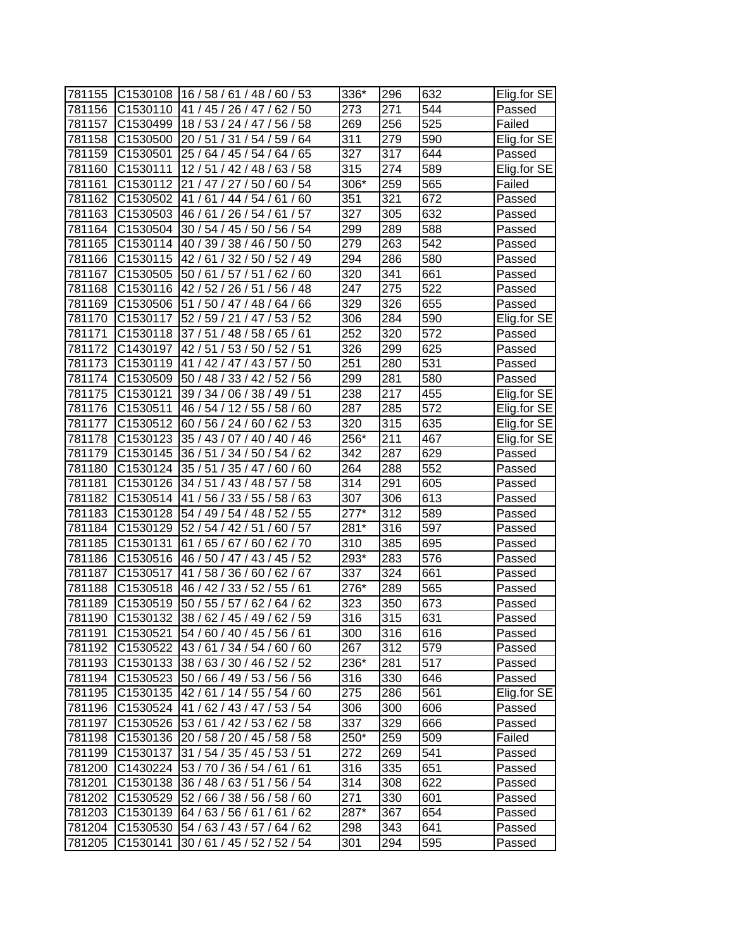| 781155 | C1530108             | 16/58/61/48/<br>60/53                | 336*             | 296 | 632 | Elig.for SE |
|--------|----------------------|--------------------------------------|------------------|-----|-----|-------------|
| 781156 | C <sub>1530110</sub> | 41 / 45 / 26 / 47 /<br>62/50         | 273              | 271 | 544 | Passed      |
| 781157 | C1530499             | 18 / 53 / 24 / 47 / 56 / 58          | 269              | 256 | 525 | Failed      |
| 781158 | C1530500             | 20 / 51 / 31 / 54 / 59 / 64          | 311              | 279 | 590 | Elig.for SE |
| 781159 | C1530501             | 25 / 64 / 45 / 54 / 64 / 65          | $\overline{3}27$ | 317 | 644 | Passed      |
| 781160 | C1530111             | 12/51/42/48/<br>63/58                | 315              | 274 | 589 | Elig.for SE |
| 781161 | C1530112             | 21 / 47 / 27 / 50 / 60 / 54          | 306*             | 259 | 565 | Failed      |
| 781162 | C1530502             | 41/61/44/54/61/60                    | 351              | 321 | 672 | Passed      |
| 781163 | C1530503             | 46 / 61 / 26 / 54 / 61 / 57          | 327              | 305 | 632 | Passed      |
| 781164 | C1530504             | 30 / 54 / 45 / 50 / 56 / 54          | 299              | 289 | 588 | Passed      |
| 781165 | C1530114             | 40 / 39 / 38 / 46 / 50 / 50          | 279              | 263 | 542 | Passed      |
| 781166 | C1530115             | 42 / 61 / 32 / 50 / 52 / 49          | 294              | 286 | 580 | Passed      |
| 781167 | C1530505             | 50 / 61 / 57 / 51 /<br>62/60         | 320              | 341 | 661 | Passed      |
| 781168 | C1530116             | 42 / 52 / 26 / 51 /<br>56/48         | 247              | 275 | 522 | Passed      |
| 781169 | C1530506             | 51<br>/50/47/48/<br>64/<br>66        | 329              | 326 | 655 | Passed      |
| 781170 | C1530117             | 52 / 59 / 21 / 47 / 53 / 52          | 306              | 284 | 590 | Elig.for SE |
| 781171 | C1530118             | 37/51/48/58/<br>65/61                | 252              | 320 | 572 | Passed      |
| 781172 | C1430197             | 42/51/<br>53/50<br>52/51             | 326              | 299 | 625 | Passed      |
| 781173 | C1530119             | 41 / 42 / 47 / 43 / 57 / 50          | 251              | 280 | 531 | Passed      |
| 781174 | C1530509             | 50/48/<br>33 / 42 / 52 / 56          | 299              | 281 | 580 | Passed      |
| 781175 | C1530121             | 06 / 38 / 49 / 51<br>39/34/          | 238              | 217 | 455 | Elig.for SE |
| 781176 | C1530511             | 46 / 54 / 12 / 55 / 58 / 60          | 287              | 285 | 572 | Elig.for SE |
| 781177 | C1530512             | 60 / 56 / 24 / 60 / 62 / 53          | 320              | 315 | 635 | Elig.for SE |
| 781178 | C1530123             | 35 / 43 / 07 / 40 / 40 / 46          | 256*             | 211 | 467 | Elig.for SE |
| 781179 | C1530145             | 36 / 51 / 34 / 50 / 54 / 62          | 342              | 287 | 629 | Passed      |
| 781180 | C1530124             | 35/51/<br>35/47/<br>60/60            | 264              | 288 | 552 | Passed      |
| 781181 | C1530126             | 34 / 51 / 43 / 48 / 57 / 58          | 314              | 291 | 605 | Passed      |
| 781182 | C1530514             | 41 / 56 / 33 / 55 / 58 / 63          | 307              | 306 | 613 | Passed      |
| 781183 | C1530128             | 54 / 49 / 54 / 48 / 52 / 55          | $277*$           | 312 | 589 | Passed      |
| 781184 | C1530129             | 52 / 54 / 42 / 51 /<br>60/57         | 281*             | 316 | 597 | Passed      |
| 781185 | C1530131             | 61/65/67/60/<br>62/70                | 310              | 385 | 695 | Passed      |
| 781186 | C1530516             | 46 / 50 / 47 / 43 / 45 / 52          | 293*             | 283 | 576 | Passed      |
| 781187 | C1530517             | 41 / 58 / 36 / 60 / 62 / 67          | 337              | 324 | 661 | Passed      |
| 781188 | C1530518             | 46 / 42 / 33 / 52 / 55 / 61          | 276*             | 289 | 565 | Passed      |
| 781189 | C1530519             | 50 / 55 / 57 / 62 / 64 / 62          | 323              | 350 | 673 | Passed      |
| 781190 | C1530132             | 38 / 62 / 45 / 49 / 62 / 59          | 316              | 315 | 631 | Passed      |
| 781191 | C1530521             | 54 / 60 / 40 / 45 / 56 / 61          | 300              | 316 | 616 | Passed      |
| 781192 | C1530522             | 43/61/34/54/60/60                    | 267              | 312 | 579 | Passed      |
| 781193 | C1530133             | 38/63/30/46/52/52                    | 236*             | 281 | 517 | Passed      |
| 781194 | C1530523             | 50 / 66 / 49 / 53 / 56 / 56          | 316              | 330 | 646 | Passed      |
| 781195 |                      | C1530135 42 / 61 / 14 / 55 / 54 / 60 | 275              | 286 | 561 | Elig.for SE |
| 781196 | C1530524             | 41/62/43/47/53/54                    | 306              | 300 | 606 | Passed      |
| 781197 | C1530526             | 53 / 61 / 42 / 53 / 62 / 58          | 337              | 329 | 666 | Passed      |
| 781198 | C1530136             | 20 / 58 / 20 / 45 / 58 / 58          | 250*             | 259 | 509 | Failed      |
| 781199 | C1530137             | 31 / 54 / 35 / 45 / 53 / 51          | 272              | 269 | 541 | Passed      |
| 781200 | C1430224             | 53 / 70 / 36 / 54 / 61 / 61          | 316              | 335 | 651 | Passed      |
| 781201 | C1530138             | 36 / 48 / 63 / 51 / 56 / 54          | 314              | 308 | 622 | Passed      |
| 781202 | C1530529             | 52 / 66 / 38 / 56 / 58 / 60          | 271              | 330 | 601 | Passed      |
| 781203 | C1530139             | 64/63/56/61/61/62                    | 287*             | 367 | 654 | Passed      |
| 781204 | C1530530             | 54 / 63 / 43 / 57 / 64 / 62          | 298              | 343 | 641 | Passed      |
| 781205 | C1530141             | 30 / 61 / 45 / 52 / 52 / 54          | 301              | 294 | 595 | Passed      |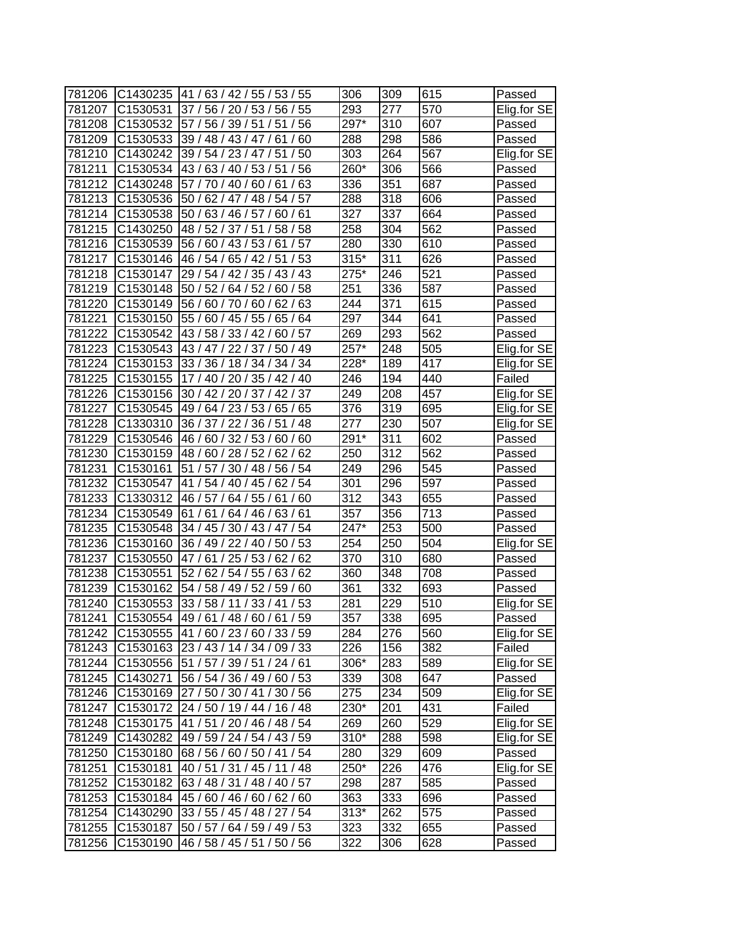| 781206 | C1430235             | 41/63/42/55/53/55                    | 306                | 309 | 615 | Passed      |
|--------|----------------------|--------------------------------------|--------------------|-----|-----|-------------|
| 781207 | C1530531             | 37/<br>56 / 20 / 53 /<br>55<br>56/   | 293                | 277 | 570 | Elig.for SE |
| 781208 | C <sub>1530532</sub> | 57/<br>56/39/51/<br>51/<br>56        | 297*               | 310 | 607 | Passed      |
| 781209 | C1530533             | 39 / 48 / 43 / 47 / 61 /<br>60       | 288                | 298 | 586 | Passed      |
| 781210 | C1430242             | 39 / 54 / 23 / 47 / 51<br>/50        | 303                | 264 | 567 | Elig.for SE |
| 781211 | C1530534             | 43 / 63 / 40 / 53 / 51 / 56          | 260*               | 306 | 566 | Passed      |
| 781212 | C1430248             | 57 / 70 / 40 / 60 / 61 / 63          | 336                | 351 | 687 | Passed      |
| 781213 | C1530536             | 50 / 62 / 47 / 48 / 54 / 57          | 288                | 318 | 606 | Passed      |
| 781214 | C1530538             | 50 / 63 / 46 / 57 /<br>60/61         | 327                | 337 | 664 | Passed      |
| 781215 | C1430250             | 48 / 52 / 37 / 51<br>58 / 58         | 258                | 304 | 562 | Passed      |
| 781216 | C1530539             | 56 / 60 / 43 / 53 / 61 / 57          | 280                | 330 | 610 | Passed      |
| 781217 | C1530146             | 46 / 54 / 65 / 42 / 51 / 53          | $315*$             | 311 | 626 | Passed      |
| 781218 | C1530147             | 29 / 54 / 42 / 35 / 43 / 43          | 275*               | 246 | 521 | Passed      |
| 781219 | C <sub>1530148</sub> | 50/52/<br>64/52/<br>58<br>60/        | 251                | 336 | 587 | Passed      |
| 781220 | C1530149             | 56/60/70/<br>63<br>60/<br>62/        | 244                | 371 | 615 | Passed      |
| 781221 | C1530150             | 55/<br>60/45/<br>55/<br>65<br>64     | 297                | 344 | 641 | Passed      |
| 781222 | C1530542             | 43 / 58 / 33 / 42 /<br>60/57         | 269                | 293 | 562 | Passed      |
| 781223 | C1530543             | 43/47<br>22/37<br>50/49              | 257*               | 248 | 505 | Elig.for SE |
| 781224 | C1530153             | 33 / 36 / 18 / 34 / 34 / 34          | 228*               | 189 | 417 | Elig.for SE |
| 781225 | C1530155             | 17 / 40 / 20 / 35 / 42 / 40          | 246                | 194 | 440 | Failed      |
| 781226 | C1530156             | 30 / 42 / 20 / 37 / 42 / 37          | 249                | 208 | 457 | Elig.for SE |
| 781227 | C1530545             | 49 / 64 / 23 / 53 /<br>65/65         | 376                | 319 | 695 | Elig.for SE |
| 781228 | C1330310             | 36 / 37 / 22 / 36 / 51 / 48          | 277                | 230 | 507 | Elig.for SE |
| 781229 | C1530546             | 46 / 60 / 32 / 53 / 60 / 60          | 291*               | 311 | 602 | Passed      |
| 781230 | C1530159             | 48 / 60 / 28 / 52 / 62 / 62          | 250                | 312 | 562 | Passed      |
| 781231 | C1530161             | 51 / 57 / 30 / 48 / 56 / 54          | 249                | 296 | 545 | Passed      |
| 781232 | C1530547             | 54<br>54 / 40 / 45 /<br>62/<br>41 /  | 301                | 296 | 597 | Passed      |
| 781233 | C1330312             | 46 / 57 / 64 / 55 /<br>61/<br>60     | 312                | 343 | 655 | Passed      |
| 781234 | C1530549             | 61/61/64/46/63/61                    | 357                | 356 | 713 | Passed      |
| 781235 | C1530548             | 34 / 45 / 30 / 43 / 47 / 54          | 247*               | 253 | 500 | Passed      |
| 781236 | C1530160             | 36 / 49 / 22 / 40 / 50 / 53          | 254                | 250 | 504 | Elig.for SE |
| 781237 | C1530550             | 47/61/25/53/62/62                    | 370                | 310 | 680 | Passed      |
| 781238 | C1530551             | 52 / 62 / 54 / 55 / 63 /<br>62       | 360                | 348 | 708 | Passed      |
| 781239 | C1530162             | 54 / 58 / 49 / 52 / 59 /<br>60       | 361                | 332 | 693 | Passed      |
| 781240 | C1530553             | 33 / 58 / 11 / 33 / 41 / 53          | 281                | 229 | 510 | Elig.for SE |
| 781241 | C1530554             | 149/61/48/60/61/59                   | 357                | 338 | 695 | Passed      |
| 781242 |                      | C1530555 41/60/23/60/33/59           | 284                | 276 | 560 | Elig.for SE |
| 781243 |                      | C1530163 23 / 43 / 14 / 34 / 09 / 33 | 226                | 156 | 382 | Failed      |
| 781244 |                      | C1530556 51 / 57 / 39 / 51 / 24 / 61 | 306*               | 283 | 589 | Elig.for SE |
| 781245 | C1430271             | 56 / 54 / 36 / 49 / 60 / 53          | 339                | 308 | 647 | Passed      |
| 781246 |                      | C1530169 27 / 50 / 30 / 41 / 30 / 56 | 275                | 234 | 509 | Elig.for SE |
| 781247 |                      | C1530172 24 / 50 / 19 / 44 / 16 / 48 | 230*               | 201 | 431 | Failed      |
| 781248 |                      | C1530175 41 / 51 / 20 / 46 / 48 / 54 | 269                | 260 | 529 | Elig.for SE |
| 781249 | C1430282             | 49 / 59 / 24 / 54 / 43 / 59          | 310*               | 288 | 598 | Elig.for SE |
| 781250 | C1530180             | 68 / 56 / 60 / 50 / 41 / 54          | 280                | 329 | 609 | Passed      |
| 781251 | C1530181             | 40 / 51 / 31 / 45 / 11 / 48          | 250*               | 226 | 476 | Elig.for SE |
| 781252 | C1530182             | 63 / 48 / 31 / 48 / 40 / 57          | 298                | 287 | 585 | Passed      |
| 781253 |                      | C1530184 45 / 60 / 46 / 60 / 62 / 60 | 363                | 333 | 696 | Passed      |
| 781254 | C1430290             | 33 / 55 / 45 / 48 / 27 / 54          | $\overline{3}$ 13* | 262 | 575 | Passed      |
| 781255 | C1530187             | 50 / 57 / 64 / 59 / 49 / 53          | 323                | 332 | 655 | Passed      |
| 781256 | C1530190             | 46 / 58 / 45 / 51 / 50 / 56          | 322                | 306 | 628 | Passed      |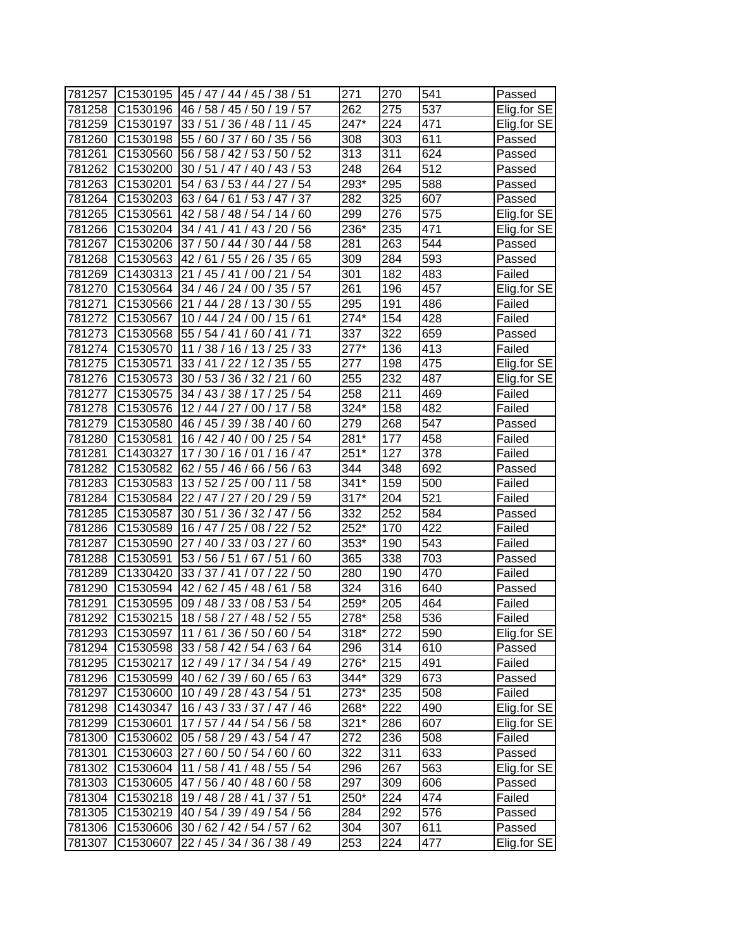| 781257 |                      | C1530195 45 / 47 / 44 / 45 / 38 / 51 | 271    | 270              | 541              | Passed      |
|--------|----------------------|--------------------------------------|--------|------------------|------------------|-------------|
| 781258 | C1530196             | 46 / 58 / 45 / 50 / 19 / 57          | 262    | 275              | 537              | Elig.for SE |
| 781259 | C1530197             | 33/51/36/48/11/<br>45                | 247*   | 224              | 471              | Elig.for SE |
| 781260 | C1530198             | 55 / 60 / 37 / 60 / 35 / 56          | 308    | 303              | 611              | Passed      |
| 781261 | C1530560             | 56 / 58 / 42 / 53 / 50 / 52          | 313    | 311              | 624              | Passed      |
| 781262 | C1530200             | 30 / 51 / 47 / 40 / 43 / 53          | 248    | 264              | 512              | Passed      |
| 781263 | C1530201             | 54 / 63 / 53 / 44 / 27 / 54          | 293*   | 295              | 588              | Passed      |
| 781264 | C1530203             | 63/64/61/53/47/37                    | 282    | $\overline{3}25$ | 607              | Passed      |
| 781265 | C1530561             | 42/58/48/54/14/60                    | 299    | 276              | 575              | Elig.for SE |
| 781266 | C1530204             | 34 / 41 / 41 / 43 / 20 / 56          | 236*   | 235              | 471              | Elig.for SE |
| 781267 | C1530206             | 37 / 50 / 44 / 30 / 44 / 58          | 281    | 263              | 544              | Passed      |
| 781268 | C1530563             | 42 / 61 / 55 / 26 / 35 / 65          | 309    | 284              | 593              | Passed      |
| 781269 | C1430313             | /54<br>21 / 45 / 41 / 00 / 21        | 301    | 182              | 483              | Failed      |
| 781270 | C1530564             | 57<br>34 / 46 / 24 / 00 / 35 /       | 261    | 196              | 457              | Elig.for SE |
| 781271 | C1530566             | 21/44/28/<br>13/30/<br>55            | 295    | 191              | 486              | Failed      |
| 781272 | C1530567             | 10 / 44 / 24 / 00 / 15 / 61          | 274*   | 154              | 428              | Failed      |
| 781273 | C1530568             | 55 / 54 / 41 / 60 / 41<br>71         | 337    | 322              | 659              | Passed      |
| 781274 | C1530570             | 11 / 38 / 16 / 13 / 25 / 33          | $277*$ | 136              | 413              | Failed      |
| 781275 | C1530571             | 33/41<br>12/35/55<br>22/             | 277    | 198              | 475              | Elig.for SE |
| 781276 | C1530573             | 30 / 53 / 36 / 32 / 21 / 60          | 255    | 232              | 487              | Elig.for SE |
| 781277 | C1530575             | 34 / 43 / 38 / 17 / 25 / 54          | 258    | 211              | 469              | Failed      |
| 781278 | C1530576             | /58<br>12/44/27/00/17                | 324*   | 158              | 482              | Failed      |
| 781279 | C1530580             | 46 / 45 / 39 / 38 / 40 / 60          | 279    | 268              | $\overline{547}$ | Passed      |
| 781280 | C1530581             | 16 / 42 / 40 / 00 / 25 / 54          | 281*   | 177              | 458              | Failed      |
| 781281 | C1430327             | 17/30/16/01/16/47                    | $251*$ | 127              | 378              | Failed      |
| 781282 | C1530582             | 62 / 55 / 46 / 66 / 56 / 63          | 344    | 348              | 692              | Passed      |
| 781283 | C1530583             | 13/52/25/00/11<br>58                 | $341*$ | 159              | 500              | Failed      |
| 781284 | C1530584             | 59<br>22 / 47 / 27 / 20 / 29 /       | $317*$ | 204              | $\overline{5}21$ | Failed      |
| 781285 | C1530587             | 30 / 51 / 36 / 32 / 47 / 56          | 332    | 252              | 584              | Passed      |
| 781286 | C1530589             | 16 / 47 / 25 / 08 / 22 / 52          | 252*   | 170              | 422              | Failed      |
| 781287 | C1530590             | 27 / 40 / 33 / 03 / 27 / 60          | 353*   | 190              | 543              | Failed      |
| 781288 | C1530591             | 53 / 56 / 51 / 67 / 51 / 60          | 365    | 338              | 703              | Passed      |
| 781289 | C1330420             | 33 / 37 / 41 / 07 / 22 / 50          | 280    | 190              | 470              | Failed      |
| 781290 | C1530594             | 42/62/45/48/61<br>/58                | 324    | 316              | 640              | Passed      |
| 781291 | C1530595             | 09 / 48 / 33 / 08 / 53 / 54          | 259*   | 205              | 464              | Failed      |
| 781292 | C1530215             | 18/58/27/48/52/55                    | 278*   | 258              | 536              | Failed      |
| 781293 | C <sub>1530597</sub> | 11/61/36/50/60/54                    | $318*$ | 272              | 590              | Elig.for SE |
| 781294 | C1530598             | 33 / 58 / 42 / 54 / 63 / 64          | 296    | 314              | 610              | Passed      |
| 781295 | C1530217             | 12/49/17/34/54/49                    | 276*   | 215              | 491              | Failed      |
| 781296 | C1530599             | 40 / 62 / 39 / 60 / 65 / 63          | 344*   | 329              | 673              | Passed      |
| 781297 | C1530600             | 10 / 49 / 28 / 43 / 54 / 51          | 273*   | 235              | 508              | Failed      |
| 781298 | C1430347             | 16/43/33/37/47/46                    | 268*   | 222              | 490              | Elig.for SE |
| 781299 | C1530601             | 17 / 57 / 44 / 54 / 56 / 58          | $321*$ | 286              | 607              | Elig.for SE |
| 781300 | C1530602             | 05 / 58 / 29 / 43 / 54 / 47          | 272    | 236              | 508              | Failed      |
| 781301 | C1530603             | 27 / 60 / 50 / 54 / 60 / 60          | 322    | 311              | 633              | Passed      |
| 781302 | C1530604             | 11 / 58 / 41 / 48 / 55 / 54          | 296    | 267              | 563              | Elig.for SE |
| 781303 | C1530605             | 47/56/40/48/60/58                    | 297    | 309              | 606              | Passed      |
| 781304 | C1530218             | 19 / 48 / 28 / 41 / 37 / 51          | 250*   | 224              | 474              | Failed      |
| 781305 | C1530219             | 40 / 54 / 39 / 49 / 54 / 56          | 284    | 292              | 576              | Passed      |
| 781306 |                      | C1530606 30 / 62 / 42 / 54 / 57 / 62 | 304    | 307              | 611              | Passed      |
| 781307 | C1530607             | 22 / 45 / 34 / 36 / 38 / 49          | 253    | 224              | 477              | Elig.for SE |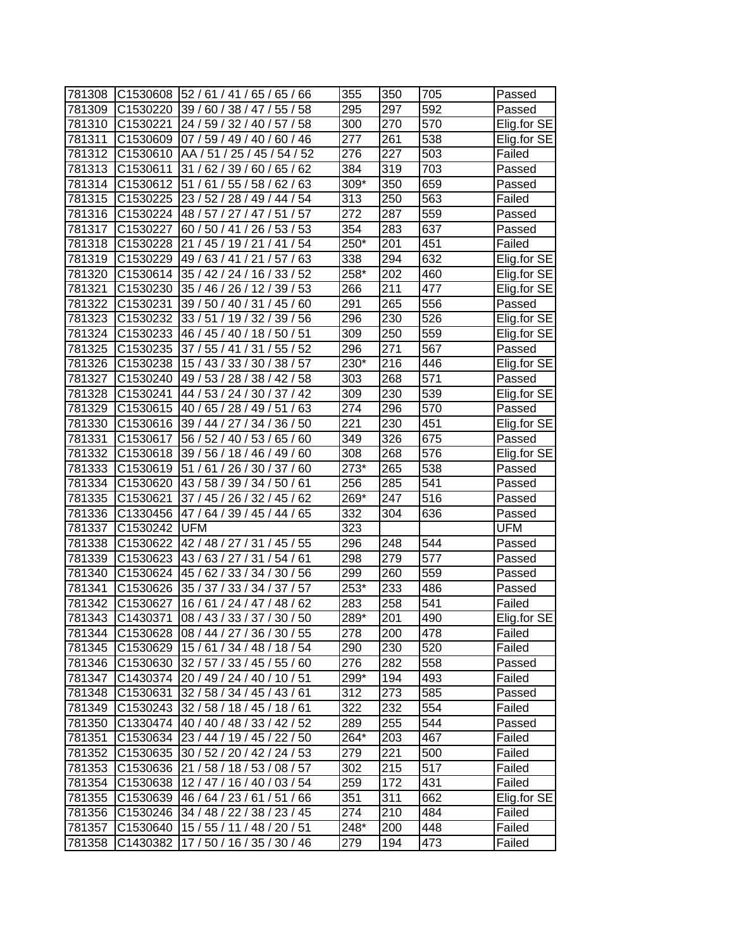| 781308 |                      | C1530608 52 / 61 / 41 / 65 / 65 / 66 | 355  | 350 | 705 | Passed      |
|--------|----------------------|--------------------------------------|------|-----|-----|-------------|
| 781309 | C1530220             | 39/60/38/47/<br>55/58                | 295  | 297 | 592 | Passed      |
| 781310 | C1530221             | 24 / 59 / 32 / 40 / 57 / 58          | 300  | 270 | 570 | Elig.for SE |
| 781311 |                      | C1530609 07 / 59 / 49 / 40 / 60 / 46 | 277  | 261 | 538 | Elig.for SE |
| 781312 |                      | C1530610 AA / 51 / 25 / 45 / 54 / 52 | 276  | 227 | 503 | Failed      |
| 781313 | C1530611             | 31 / 62 / 39 / 60 / 65 / 62          | 384  | 319 | 703 | Passed      |
| 781314 | C1530612             | 51 / 61 / 55 / 58 / 62 / 63          | 309* | 350 | 659 | Passed      |
| 781315 | C1530225             | 23 / 52 / 28 / 49 / 44 / 54          | 313  | 250 | 563 | Failed      |
| 781316 | C1530224             | 48 / 57 / 27 / 47 / 51 / 57          | 272  | 287 | 559 | Passed      |
| 781317 | C1530227             | 60/50/41/26/53/53                    | 354  | 283 | 637 | Passed      |
| 781318 | C1530228             | /54<br>21 / 45 / 19 / 21 / 41        | 250* | 201 | 451 | Failed      |
| 781319 | C1530229             | 49 / 63 / 41 / 21 / 57 / 63          | 338  | 294 | 632 | Elig.for SE |
| 781320 | C1530614             | 35 / 42 / 24 / 16 / 33 / 52          | 258* | 202 | 460 | Elig.for SE |
| 781321 | C <sub>1530230</sub> | 35 / 46 / 26 / 12 / 39 / 53          | 266  | 211 | 477 | Elig.for SE |
| 781322 | C1530231             | 39 / 50 / 40 / 31 /<br>45/<br>60     | 291  | 265 | 556 | Passed      |
| 781323 | C1530232             | 33/51/19/32/<br>39/56                | 296  | 230 | 526 | Elig.for SE |
| 781324 | C1530233             | 46 / 45 / 40 / 18 / 50 / 51          | 309  | 250 | 559 | Elig.for SE |
| 781325 | C1530235             | 37/55/41<br>/31/55/52                | 296  | 271 | 567 | Passed      |
| 781326 | C1530238             | 15 / 43 / 33 / 30 /<br>38/57         | 230* | 216 | 446 | Elig.for SE |
| 781327 | C1530240             | 49 / 53 / 28 / 38 / 42 / 58          | 303  | 268 | 571 | Passed      |
| 781328 | C1530241             | 44 / 53 / 24 / 30 / 37 / 42          | 309  | 230 | 539 | Elig.for SE |
| 781329 | C1530615             | 40 / 65 / 28 / 49 / 51 / 63          | 274  | 296 | 570 | Passed      |
| 781330 | C1530616             | 39 / 44 / 27 / 34 / 36 / 50          | 221  | 230 | 451 | Elig.for SE |
| 781331 | C1530617             | 56 / 52 / 40 / 53 / 65 / 60          | 349  | 326 | 675 | Passed      |
| 781332 |                      | C1530618 39 / 56 / 18 / 46 / 49 / 60 | 308  | 268 | 576 | Elig.for SE |
| 781333 | C1530619             | 51/61/26/30/37/60                    | 273* | 265 | 538 | Passed      |
| 781334 | C1530620             | 43/58/39/34/50/61                    | 256  | 285 | 541 | Passed      |
| 781335 | C1530621             | 37 / 45 / 26 / 32 / 45 / 62          | 269* | 247 | 516 | Passed      |
| 781336 |                      | C1330456 47 / 64 / 39 / 45 / 44 / 65 | 332  | 304 | 636 | Passed      |
| 781337 | C1530242 UFM         |                                      | 323  |     |     | <b>UFM</b>  |
| 781338 | C1530622             | 42 / 48 / 27 / 31 / 45 / 55          | 296  | 248 | 544 | Passed      |
| 781339 | C1530623             | 43/63/27/31/54/61                    | 298  | 279 | 577 | Passed      |
| 781340 | C1530624             | 45 / 62 / 33 / 34 / 30 / 56          | 299  | 260 | 559 | Passed      |
| 781341 | C1530626             | 35 / 37 / 33 / 34 / 37 / 57          | 253* | 233 | 486 | Passed      |
| 781342 | C1530627             | 16/61/24/47/48/62                    | 283  | 258 | 541 | Failed      |
| 781343 | C1430371             | 108/43/33/37/30/50                   | 289* | 201 | 490 | Elig.for SE |
| 781344 |                      | C1530628 08 / 44 / 27 / 36 / 30 / 55 | 278  | 200 | 478 | Failed      |
| 781345 | C1530629             | 15 / 61 / 34 / 48 / 18 / 54          | 290  | 230 | 520 | Failed      |
| 781346 | C1530630             | 32 / 57 / 33 / 45 / 55 / 60          | 276  | 282 | 558 | Passed      |
| 781347 |                      | C1430374 20 / 49 / 24 / 40 / 10 / 51 | 299* | 194 | 493 | Failed      |
| 781348 | C1530631             | 32/58/34/45/43/61                    | 312  | 273 | 585 | Passed      |
| 781349 |                      | C1530243 32 / 58 / 18 / 45 / 18 / 61 | 322  | 232 | 554 | Failed      |
| 781350 |                      | C1330474 40 / 40 / 48 / 33 / 42 / 52 | 289  | 255 | 544 | Passed      |
| 781351 | C1530634             | 23 / 44 / 19 / 45 / 22 / 50          | 264* | 203 | 467 | Failed      |
| 781352 | C1530635             | 30 / 52 / 20 / 42 / 24 / 53          | 279  | 221 | 500 | Failed      |
| 781353 | C1530636             | 21 / 58 / 18 / 53 / 08 / 57          | 302  | 215 | 517 | Failed      |
| 781354 | C1530638             | 12 / 47 / 16 / 40 / 03 / 54          | 259  | 172 | 431 | Failed      |
| 781355 |                      | C1530639 46 / 64 / 23 / 61 / 51 / 66 | 351  | 311 | 662 | Elig.for SE |
| 781356 | C1530246             | 34 / 48 / 22 / 38 / 23 / 45          | 274  | 210 | 484 | Failed      |
| 781357 | C1530640             | 15/55/11/48/20/51                    | 248* | 200 | 448 | Failed      |
| 781358 | C1430382             | 17/50/16/35/30/46                    | 279  | 194 | 473 | Failed      |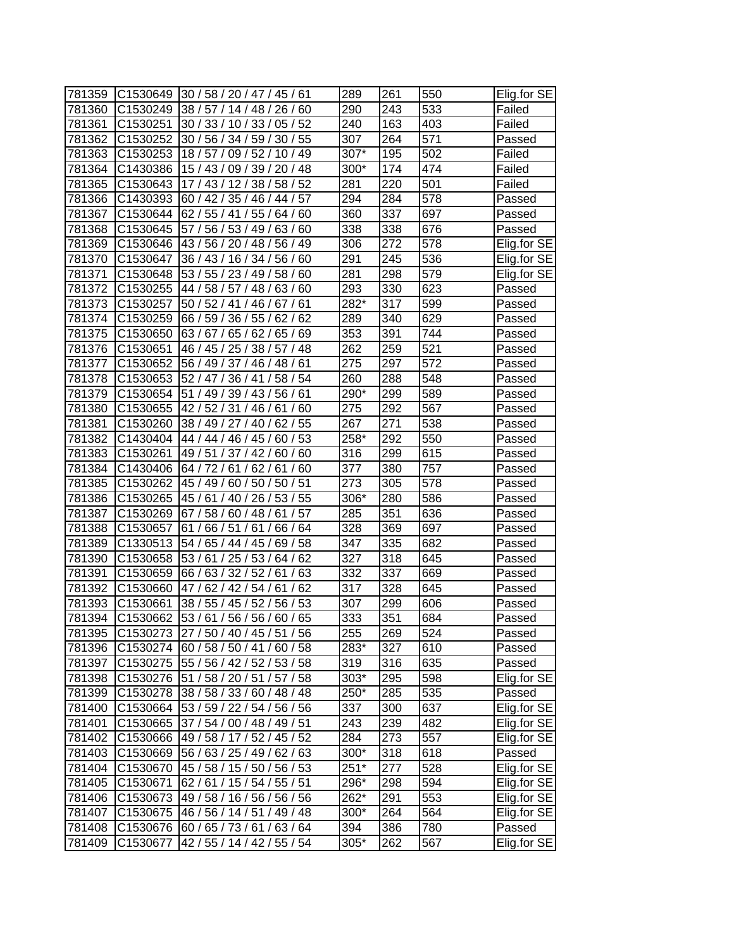|        | C1530649             |                                      |                  | 261 |     |             |
|--------|----------------------|--------------------------------------|------------------|-----|-----|-------------|
| 781359 |                      | 30/58/20/47/45/61                    | 289              |     | 550 | Elig.for SE |
| 781360 | C <sub>1530249</sub> | 38/57/14/48/26/<br>60                | 290              | 243 | 533 | Failed      |
| 781361 | C <sub>1530251</sub> | 05/52<br>30/33/10/33/                | 240              | 163 | 403 | Failed      |
| 781362 | C1530252             | 30 / 56 / 34 / 59 / 30 / 55          | 307              | 264 | 571 | Passed      |
| 781363 | C1530253             | 18/57/09/52/10/49                    | 307*             | 195 | 502 | Failed      |
| 781364 | C1430386             | 15 / 43 / 09 / 39 / 20 / 48          | 300*             | 174 | 474 | Failed      |
| 781365 | C1530643             | 17 / 43 / 12 / 38 / 58 / 52          | 281              | 220 | 501 | Failed      |
| 781366 | C1430393             | 60 / 42 / 35 / 46 / 44 / 57          | 294              | 284 | 578 | Passed      |
| 781367 | C1530644             | 62 / 55 / 41 / 55 /<br>64/60         | 360              | 337 | 697 | Passed      |
| 781368 | C1530645             | 57 / 56 / 53 / 49 / 63 / 60          | 338              | 338 | 676 | Passed      |
| 781369 | C1530646             | 43 / 56 / 20 / 48 / 56 / 49          | 306              | 272 | 578 | Elig.for SE |
| 781370 | C1530647             | 36 / 43 / 16 / 34 / 56 / 60          | 291              | 245 | 536 | Elig.for SE |
| 781371 | C1530648             | 53 / 55 / 23 / 49 / 58 / 60          | 281              | 298 | 579 | Elig.for SE |
| 781372 | C <sub>1530255</sub> | 44 / 58 / 57 / 48 /<br>63/<br>60     | 293              | 330 | 623 | Passed      |
| 781373 | C1530257             | 50/52/41<br>46/<br>61<br>67          | 282*             | 317 | 599 | Passed      |
| 781374 | C1530259             | 66 / 59 / 36 / 55 /<br>62/<br>62     | 289              | 340 | 629 | Passed      |
| 781375 | C1530650             | 63/67/65/62/<br>65/69                | 353              | 391 | 744 | Passed      |
| 781376 | C1530651             | 46 / 45 / 25 / 38 / 57<br>/48        | 262              | 259 | 521 | Passed      |
| 781377 | C1530652             | 56 / 49 / 37 / 46 / 48 / 61          | 275              | 297 | 572 | Passed      |
| 781378 | C1530653             | 52/47/<br>58 / 54<br>36/41/          | 260              | 288 | 548 | Passed      |
| 781379 | C1530654             | 51 / 49 / 39 / 43 / 56 / 61          | 290*             | 299 | 589 | Passed      |
| 781380 | C1530655             | 42 / 52 / 31 / 46 /<br>/60<br>61     | 275              | 292 | 567 | Passed      |
| 781381 | C1530260             | 62/55<br>38 / 49 / 27 / 40 /         | 267              | 271 | 538 | Passed      |
| 781382 | C1430404             | 44 / 44 / 46 / 45 / 60 / 53          | 258*             | 292 | 550 | Passed      |
| 781383 | C1530261             | 49 / 51 / 37 / 42 / 60 / 60          | 316              | 299 | 615 | Passed      |
| 781384 | C1430406             | 61/62/61/60<br>64/72/                | 377              | 380 | 757 | Passed      |
| 781385 | C1530262             | 60 / 50 / 50 / 51<br>45 / 49 /       | 273              | 305 | 578 | Passed      |
| 781386 | C1530265             | 53/55<br>45 /<br>61/<br>40/26/       | 306*             | 280 | 586 | Passed      |
| 781387 | C1530269             | /57<br>67/58/60/48/61                | 285              | 351 | 636 | Passed      |
| 781388 | C1530657             | 61<br>66 / 51 / 61 /<br>66 / 64      | 328              | 369 | 697 | Passed      |
| 781389 | C1330513             | 54 / 65 / 44 / 45 / 69 / 58          | 347              | 335 | 682 | Passed      |
| 781390 | C1530658             | 53 / 61 / 25 / 53 / 64 / 62          | 327              | 318 | 645 | Passed      |
| 781391 | C1530659             | 63<br>66/63/32/52/<br>61             | 332              | 337 | 669 | Passed      |
| 781392 | C1530660             | /62<br>47/62/42/54/<br>61            | 317              | 328 | 645 | Passed      |
| 781393 | C1530661             | 38 / 55 / 45 / 52 / 56 / 53          | 307              | 299 | 606 | Passed      |
| 781394 | C1530662             | 53/61/56/56/60/65                    | $\overline{333}$ | 351 | 684 | Passed      |
| 781395 |                      | C1530273 27 / 50 / 40 / 45 / 51 / 56 | 255              | 269 | 524 | Passed      |
| 781396 |                      | C1530274 60 / 58 / 50 / 41 / 60 / 58 | 283*             | 327 | 610 | Passed      |
| 781397 | C1530275             | 55 / 56 / 42 / 52 / 53 / 58          | 319              | 316 | 635 | Passed      |
| 781398 | C1530276             | 51 / 58 / 20 / 51 / 57 / 58          | 303*             | 295 | 598 | Elig.for SE |
| 781399 |                      | C1530278 38 / 58 / 33 / 60 / 48 / 48 | 250*             | 285 | 535 | Passed      |
| 781400 |                      | C1530664 53 / 59 / 22 / 54 / 56 / 56 | 337              | 300 | 637 | Elig.for SE |
| 781401 | C1530665             | 37 / 54 / 00 / 48 / 49 / 51          | 243              | 239 | 482 | Elig.for SE |
| 781402 | C1530666             | 49 / 58 / 17 / 52 / 45 / 52          | 284              | 273 | 557 | Elig.for SE |
| 781403 | C1530669             | 56 / 63 / 25 / 49 / 62 / 63          | 300*             | 318 | 618 | Passed      |
| 781404 | C1530670             | 45 / 58 / 15 / 50 / 56 / 53          | $251*$           | 277 | 528 | Elig.for SE |
| 781405 | C1530671             | 62 / 61 / 15 / 54 / 55 / 51          | 296*             | 298 | 594 | Elig.for SE |
| 781406 |                      | C1530673 49 / 58 / 16 / 56 / 56 / 56 | $262*$           | 291 | 553 | Elig.for SE |
| 781407 | C1530675             | 46 / 56 / 14 / 51 / 49 / 48          | $300*$           | 264 | 564 | Elig.for SE |
| 781408 |                      | C1530676 60 / 65 / 73 / 61 / 63 / 64 | 394              | 386 | 780 | Passed      |
| 781409 | C1530677             | 42 / 55 / 14 / 42 / 55 / 54          | 305*             | 262 | 567 | Elig.for SE |
|        |                      |                                      |                  |     |     |             |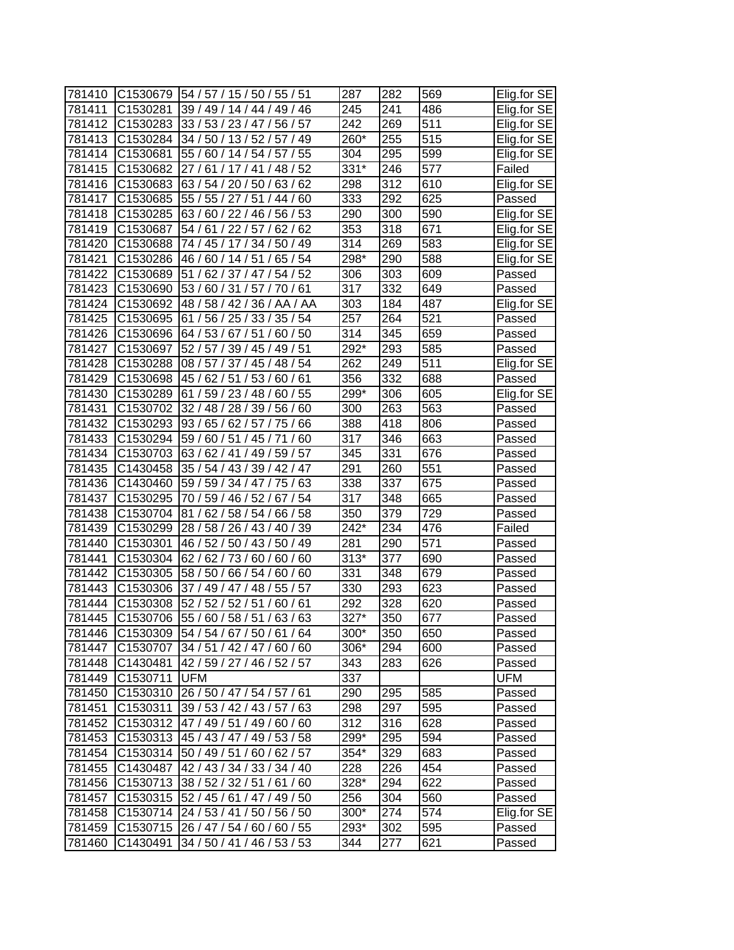| 781410 | C1530679             | 54 / 57 / 15 / 50 / 55 / 51       | 287               | 282 | 569              | Elig.for SE |
|--------|----------------------|-----------------------------------|-------------------|-----|------------------|-------------|
| 781411 | C <sub>1530281</sub> | 39 / 49 / 14 / 44 / 49 / 46       | 245               | 241 | 486              | Elig.for SE |
| 781412 | C1530283             | 33/53/23/47/<br>56/57             | 242               | 269 | 511              | Elig.for SE |
| 781413 | C1530284             | 34 / 50 / 13 / 52 / 57 / 49       | 260*              | 255 | $\overline{51}5$ | Elig.for SE |
| 781414 | C1530681             | 55 / 60 / 14 / 54 / 57 / 55       | 304               | 295 | 599              | Elig.for SE |
| 781415 | C1530682             | 27/61/17/41/48/52                 | 331*              | 246 | 577              | Failed      |
| 781416 | C1530683             | 63 / 54 / 20 / 50 / 63 / 62       | 298               | 312 | 610              | Elig.for SE |
| 781417 | C1530685             | 55 / 55 / 27 / 51 / 44 / 60       | 333               | 292 | 625              | Passed      |
| 781418 | C1530285             | 63 / 60 / 22 / 46 / 56 / 53       | 290               | 300 | 590              | Elig.for SE |
| 781419 | C1530687             | 54 / 61 / 22 / 57 / 62 / 62       | 353               | 318 | 671              | Elig.for SE |
| 781420 | C1530688             | 74 / 45 / 17 / 34 / 50 / 49       | 314               | 269 | 583              | Elig.for SE |
| 781421 | C1530286             | 46 / 60 / 14 / 51 / 65 / 54       | 298*              | 290 | 588              | Elig.for SE |
| 781422 | C1530689             | 51 / 62 / 37 / 47 / 54 / 52       | 306               | 303 | 609              | Passed      |
| 781423 | C1530690             | 53 / 60 / 31 / 57 / 70 / 61       | 317               | 332 | 649              | Passed      |
| 781424 | C1530692             | 48/58/42/36/AA<br>/ AA            | 303               | 184 | 487              | Elig.for SE |
| 781425 | C1530695             | 61<br>56 / 25 / 33 /<br>35/<br>54 | 257               | 264 | 521              | Passed      |
| 781426 | C1530696             | 64 / 53 / 67 / 51 /<br>60/50      | 314               | 345 | 659              | Passed      |
| 781427 | C1530697             | 52 / 57 / 39 / 45 / 49 / 51       | 292*              | 293 | 585              | Passed      |
| 781428 | C1530288             | 08 / 57 / 37 / 45 / 48 / 54       | 262               | 249 | 511              | Elig.for SE |
| 781429 | C1530698             | 45 / 62 / 51 / 53 / 60 / 61       | 356               | 332 | 688              | Passed      |
| 781430 | C1530289             | 61 / 59 / 23 / 48 / 60 / 55       | 299*              | 306 | 605              | Elig.for SE |
| 781431 | C1530702             | 32 / 48 / 28 / 39 / 56 / 60       | 300               | 263 | 563              | Passed      |
| 781432 | C1530293             | 93 / 65 / 62 / 57 / 75 / 66       | 388               | 418 | 806              | Passed      |
| 781433 | C1530294             | 59 / 60 / 51 / 45 / 71<br>/60     | 317               | 346 | 663              | Passed      |
| 781434 | C1530703             | 63 / 62 / 41 / 49 / 59 / 57       | 345               | 331 | 676              | Passed      |
| 781435 | C1430458             | 35 / 54 / 43 / 39 / 42 / 47       | 291               | 260 | 551              | Passed      |
| 781436 | C1430460             | 59 / 59 / 34 / 47 / 75 /<br>63    | 338               | 337 | 675              | Passed      |
| 781437 | C1530295             | 70 / 59 / 46 / 52 /<br>54<br>67/  | 317               | 348 | 665              | Passed      |
| 781438 | C1530704             | 81 / 62 / 58 / 54 / 66 / 58       | 350               | 379 | 729              | Passed      |
| 781439 | C1530299             | 28 / 58 / 26 / 43 / 40 / 39       | $\overline{2}42*$ | 234 | 476              | Failed      |
| 781440 | C1530301             | 46 / 52 / 50 / 43 / 50 / 49       | 281               | 290 | 571              | Passed      |
| 781441 | C1530304             | 62 / 62 / 73 / 60 / 60 / 60       | $313*$            | 377 | 690              | Passed      |
| 781442 | C1530305             | 58 / 50 / 66 / 54 / 60 / 60       | 331               | 348 | 679              | Passed      |
| 781443 | C1530306             | 37 / 49 / 47 / 48 / 55 / 57       | 330               | 293 | 623              | Passed      |
| 781444 | C1530308             | 52 / 52 / 52 / 51 / 60 / 61       | 292               | 328 | 620              | Passed      |
| 781445 | C1530706             | 55 / 60 / 58 / 51 / 63 / 63       | $327*$            | 350 | 677              | Passed      |
| 781446 | C <sub>1530309</sub> | 54 / 54 / 67 / 50 / 61 / 64       | 300*              | 350 | 650              | Passed      |
| 781447 | C1530707             | 34 / 51 / 42 / 47 / 60 / 60       | 306*              | 294 | 600              | Passed      |
| 781448 | C1430481             | 42 / 59 / 27 / 46 / 52 / 57       | 343               | 283 | 626              | Passed      |
| 781449 | C1530711             | <b>UFM</b>                        | 337               |     |                  | UFM         |
| 781450 | C1530310             | 26 / 50 / 47 / 54 / 57 / 61       | 290               | 295 | 585              | Passed      |
| 781451 | C1530311             | 39 / 53 / 42 / 43 / 57 / 63       | 298               | 297 | 595              | Passed      |
| 781452 | C1530312             | 47 / 49 / 51 / 49 / 60 / 60       | 312               | 316 | 628              | Passed      |
| 781453 | C1530313             | 45 / 43 / 47 / 49 / 53 / 58       | 299*              | 295 | 594              | Passed      |
| 781454 | C1530314             | 50 / 49 / 51 / 60 / 62 / 57       | 354*              | 329 | 683              | Passed      |
| 781455 | C1430487             | 42 / 43 / 34 / 33 / 34 / 40       | 228               | 226 | 454              | Passed      |
| 781456 | C1530713             | 38 / 52 / 32 / 51 / 61 / 60       | 328*              | 294 | 622              | Passed      |
| 781457 | C1530315             | 52 / 45 / 61 / 47 / 49 / 50       | 256               | 304 | 560              | Passed      |
| 781458 | C1530714             | 24 / 53 / 41 / 50 / 56 / 50       | 300*              | 274 | 574              | Elig.for SE |
| 781459 | C1530715             | 26 / 47 / 54 / 60 / 60 / 55       | 293*              | 302 | 595              | Passed      |
| 781460 | C1430491             | 34 / 50 / 41 / 46 / 53 / 53       | 344               | 277 | 621              | Passed      |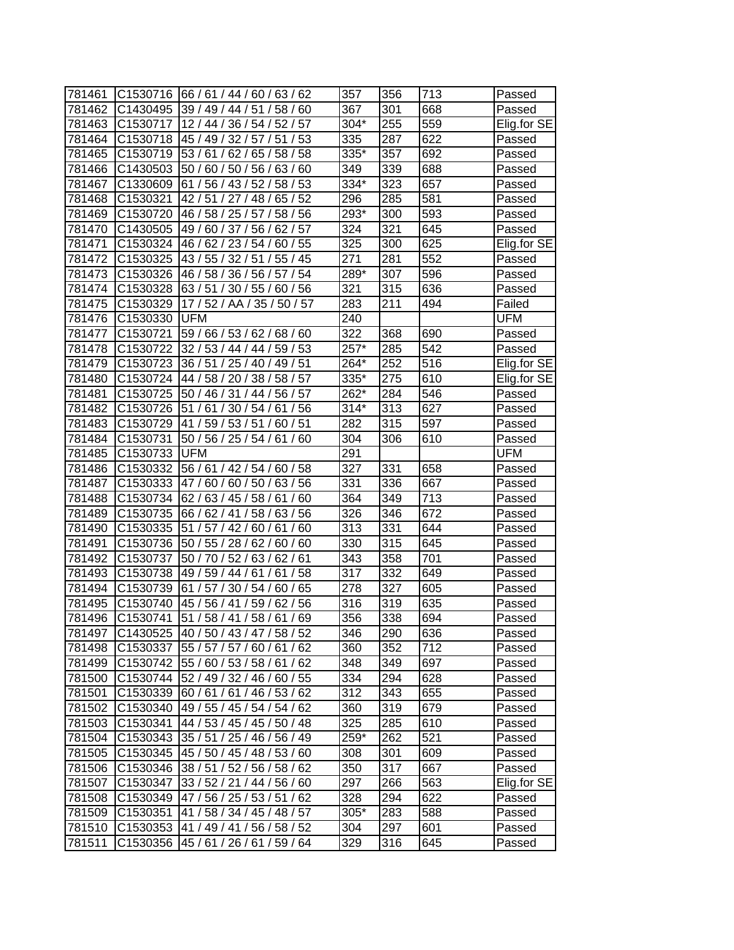| 781461 |                      | C1530716  66 / 61 / 44 / 60 / 63 / 62 | 357               | 356              | 713 | Passed      |
|--------|----------------------|---------------------------------------|-------------------|------------------|-----|-------------|
| 781462 | C1430495             | 39 / 49 / 44 / 51 /<br>58/60          | 367               | 301              | 668 | Passed      |
| 781463 | C1530717             | 12 / 44 / 36 / 54 / 52 / 57           | 304*              | 255              | 559 | Elig.for SE |
| 781464 | C1530718             | 45 / 49 / 32 / 57 / 51 / 53           | 335               | 287              | 622 | Passed      |
| 781465 | C1530719             | 53 / 61 / 62 / 65 / 58 / 58           | 335*              | 357              | 692 | Passed      |
| 781466 | C1430503             | 50 / 60 / 50 / 56 / 63 / 60           | 349               | 339              | 688 | Passed      |
| 781467 | C1330609             | 61 / 56 / 43 / 52 / 58 / 53           | 334*              | 323              | 657 | Passed      |
| 781468 | C1530321             | 42 / 51 / 27 / 48 / 65 / 52           | 296               | 285              | 581 | Passed      |
| 781469 | C1530720             | 46 / 58 / 25 / 57 / 58 / 56           | $293*$            | 300              | 593 | Passed      |
| 781470 | C1430505             | 49 / 60 / 37 / 56 / 62 / 57           | 324               | 321              | 645 | Passed      |
| 781471 | C1530324             | 46 / 62 / 23 / 54 / 60 / 55           | 325               | 300              | 625 | Elig.for SE |
| 781472 | C1530325             | 43 / 55 / 32 / 51 / 55 / 45           | $\overline{2}71$  | 281              | 552 | Passed      |
| 781473 | C1530326             | 46 / 58 / 36 / 56 / 57 / 54           | 289*              | 307              | 596 | Passed      |
| 781474 | C1530328             | 63/51/30/55/60/56                     | 321               | 315              | 636 | Passed      |
| 781475 | C1530329             | 17/52/AA/35/50/57                     | 283               | 211              | 494 | Failed      |
| 781476 | C1530330             | UFM                                   | 240               |                  |     | UFM         |
| 781477 | C1530721             | 59 / 66 / 53 / 62 / 68 / 60           | 322               | 368              | 690 | Passed      |
| 781478 | C1530722             | 32 / 53 / 44 / 44 /<br>59/53          | 257*              | 285              | 542 | Passed      |
| 781479 | C1530723             | 36 / 51 / 25 / 40 / 49 / 51           | 264*              | 252              | 516 | Elig.for SE |
| 781480 | C1530724             | 44 / 58 / 20 / 38 / 58 / 57           | 335*              | 275              | 610 | Elig.for SE |
| 781481 | C1530725             | 50 / 46 / 31 / 44 /<br>56 / 57        | 262*              | 284              | 546 | Passed      |
| 781482 | C1530726             | 51/61/30/54/61/56                     | $\overline{3}14*$ | 313              | 627 | Passed      |
| 781483 | C1530729             | 41 / 59 / 53 / 51 / 60 / 51           | 282               | 315              | 597 | Passed      |
| 781484 | C1530731             | 50 / 56 / 25 / 54 / 61 / 60           | 304               | 306              | 610 | Passed      |
| 781485 | C1530733             | <b>UFM</b>                            | 291               |                  |     | <b>UFM</b>  |
| 781486 | C1530332             | 58<br>56/61/42/54/60/                 | 327               | 331              | 658 | Passed      |
| 781487 | C <sub>1530333</sub> | 47/60/60/50/63/56                     | 331               | 336              | 667 | Passed      |
| 781488 | C1530734             | 62 / 63 / 45 / 58 / 61 / 60           | 364               | 349              | 713 | Passed      |
| 781489 | C1530735             | 66 / 62 / 41 / 58 / 63 / 56           | 326               | 346              | 672 | Passed      |
| 781490 | C1530335             | 51 / 57 / 42 / 60 / 61 / 60           | 313               | $\overline{331}$ | 644 | Passed      |
| 781491 | C1530736             | 50 / 55 / 28 / 62 / 60 / 60           | 330               | 315              | 645 | Passed      |
| 781492 | C1530737             | 50 / 70 / 52 / 63 / 62 / 61           | 343               | 358              | 701 | Passed      |
| 781493 | C1530738             | 49 / 59 / 44 / 61 / 61 / 58           | 317               | 332              | 649 | Passed      |
| 781494 | C1530739             | 61 / 57 / 30 / 54 / 60 / 65           | 278               | 327              | 605 | Passed      |
| 781495 | C1530740             | 45 / 56 / 41 / 59 / 62 / 56           | 316               | 319              | 635 | Passed      |
| 781496 | C1530741             | 51 / 58 / 41 / 58 / 61 / 69           | 356               | 338              | 694 | Passed      |
| 781497 | C1430525             | 40 / 50 / 43 / 47 / 58 / 52           | 346               | 290              | 636 | Passed      |
| 781498 | C1530337             | 55 / 57 / 57 / 60 / 61 / 62           | 360               | 352              | 712 | Passed      |
| 781499 | C1530742             | 55 / 60 / 53 / 58 / 61 / 62           | 348               | 349              | 697 | Passed      |
| 781500 | C1530744             | 52 / 49 / 32 / 46 / 60 / 55           | 334               | 294              | 628 | Passed      |
| 781501 | C1530339             | 60/61/61/46/53/62                     | 312               | 343              | 655 | Passed      |
| 781502 | C1530340             | 49 / 55 / 45 / 54 / 54 / 62           | 360               | 319              | 679 | Passed      |
| 781503 | C1530341             | 44 / 53 / 45 / 45 / 50 / 48           | 325               | 285              | 610 | Passed      |
| 781504 | C1530343             | 35 / 51 / 25 / 46 / 56 / 49           | 259*              | 262              | 521 | Passed      |
| 781505 | C1530345             | 45 / 50 / 45 / 48 / 53 / 60           | 308               | 301              | 609 | Passed      |
| 781506 | C1530346             | 38 / 51 / 52 / 56 / 58 / 62           | 350               | 317              | 667 | Passed      |
| 781507 | C1530347             | 33 / 52 / 21 / 44 / 56 / 60           | 297               | 266              | 563 | Elig.for SE |
| 781508 | C1530349             | 47 / 56 / 25 / 53 / 51 / 62           | 328               | 294              | 622 | Passed      |
| 781509 | C1530351             | 41 / 58 / 34 / 45 / 48 / 57           | 305*              | 283              | 588 | Passed      |
| 781510 | C1530353             | 41 / 49 / 41 / 56 / 58 / 52           | 304               | 297              | 601 | Passed      |
| 781511 | C1530356             | 45/61/26/61/59/64                     | 329               | 316              | 645 | Passed      |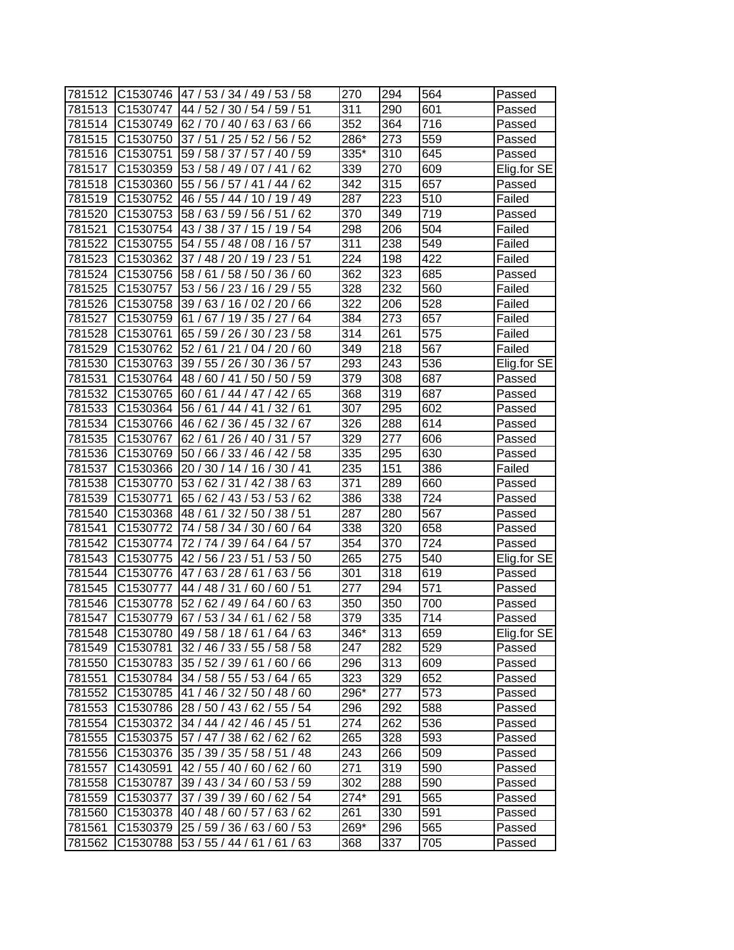| 781512 | C1530746             | 47 / 53 / 34 / 49 / 53 / 58   | 270    | 294               | 564               | Passed      |
|--------|----------------------|-------------------------------|--------|-------------------|-------------------|-------------|
| 781513 | C <sub>1530747</sub> | 44 / 52 / 30 / 54 / 59 / 51   | 311    | 290               | 601               | Passed      |
| 781514 | C1530749             | 62/70/40/63/63/66             | 352    | 364               | 716               | Passed      |
| 781515 | C1530750             | 37 / 51 / 25 / 52 / 56 / 52   | $286*$ | 273               | 559               | Passed      |
| 781516 | C1530751             | 59 / 58 / 37 / 57 / 40 / 59   | 335*   | 310               | 645               | Passed      |
| 781517 | C1530359             | 53 / 58 / 49 / 07 / 41<br>62  | 339    | 270               | 609               | Elig.for SE |
| 781518 | C1530360             | 55 / 56 / 57 / 41 / 44 / 62   | 342    | $\overline{3}$ 15 | 657               | Passed      |
| 781519 | C1530752             | 46 / 55 / 44 / 10 / 19 / 49   | 287    | 223               | $\overline{5}$ 10 | Failed      |
| 781520 | C1530753             | 58 / 63 / 59 / 56 / 51<br>/62 | 370    | 349               | 719               | Passed      |
| 781521 | C1530754             | 43 / 38 / 37 / 15 / 19 / 54   | 298    | 206               | 504               | Failed      |
| 781522 | C1530755             | 54 / 55 / 48 / 08 / 16 / 57   | 311    | 238               | 549               | Failed      |
| 781523 | C1530362             | 37 / 48 / 20 / 19 / 23 / 51   | 224    | 198               | 422               | Failed      |
| 781524 | C1530756             | 58 / 50 / 36 / 60<br>58/61/   | 362    | 323               | 685               | Passed      |
| 781525 | C1530757             | 53/56/23/<br>16/29/<br>55     | 328    | 232               | 560               | Failed      |
| 781526 | C <sub>1530758</sub> | 39/63/<br>02/20/<br>66<br>16/ | 322    | 206               | 528               | Failed      |
| 781527 | C1530759             | 61/67/19/35/27/<br>64         | 384    | 273               | 657               | Failed      |
| 781528 | C1530761             | 65 / 59 / 26 / 30 / 23 / 58   | 314    | 261               | 575               | Failed      |
| 781529 | C1530762             | 52/61<br>60<br>21<br>/04/20   | 349    | 218               | 567               | Failed      |
| 781530 | C1530763             | 39 / 55 / 26 / 30 / 36 / 57   | 293    | 243               | 536               | Elig.for SE |
| 781531 | C1530764             | 48 / 60 / 41 / 50 / 50 / 59   | 379    | 308               | 687               | Passed      |
| 781532 | C1530765             | 60 / 61 / 44 / 47 / 42 / 65   | 368    | 319               | 687               | Passed      |
| 781533 | C1530364             | 56 / 61 / 44 / 41<br>/32/61   | 307    | 295               | 602               | Passed      |
| 781534 | C1530766             | 46 / 62 / 36 / 45 / 32 / 67   | 326    | 288               | 614               | Passed      |
| 781535 | C1530767             | 62 / 61 / 26 / 40 / 31 / 57   | 329    | 277               | 606               | Passed      |
| 781536 | C1530769             | 50 / 66 / 33 / 46 / 42 / 58   | 335    | 295               | 630               | Passed      |
| 781537 | C1530366             | 20 / 30 / 14 / 16 / 30 / 41   | 235    | 151               | 386               | Failed      |
| 781538 | C1530770             | 53 / 62 / 31 / 42 / 38 / 63   | 371    | 289               | 660               | Passed      |
| 781539 | C1530771             | 65 / 62 / 43 / 53 / 53 / 62   | 386    | 338               | 724               | Passed      |
| 781540 | C1530368             | 48 / 61 / 32 / 50 / 38 / 51   | 287    | 280               | 567               | Passed      |
| 781541 | C1530772             | 74 / 58 / 34 / 30 / 60 / 64   | 338    | 320               | 658               | Passed      |
| 781542 | C1530774             | 72 / 74 / 39 / 64 / 64 / 57   | 354    | 370               | 724               | Passed      |
| 781543 | C1530775             | 42 / 56 / 23 / 51 /<br>53/50  | 265    | 275               | 540               | Elig.for SE |
| 781544 | C1530776             | 47/63/28/61/<br>63/56         | 301    | 318               | 619               | Passed      |
| 781545 | C1530777             | 44 / 48 / 31 / 60 /<br>60/51  | 277    | 294               | $\overline{571}$  | Passed      |
| 781546 | C1530778             | 52 / 62 / 49 / 64 / 60 / 63   | 350    | 350               | 700               | Passed      |
| 781547 | C1530779             | 67/53/34/61/62/58             | 379    | 335               | 714               | Passed      |
| 781548 | C1530780             | 49 / 58 / 18 / 61 / 64 / 63   | 346*   | 313               | 659               | Elig.for SE |
| 781549 | C1530781             | 32 / 46 / 33 / 55 / 58 / 58   | 247    | 282               | 529               | Passed      |
| 781550 | C1530783             | 35 / 52 / 39 / 61 / 60 / 66   | 296    | 313               | 609               | Passed      |
| 781551 | C1530784             | 34 / 58 / 55 / 53 / 64 / 65   | 323    | 329               | 652               | Passed      |
| 781552 | C1530785             | 41 / 46 / 32 / 50 / 48 / 60   | 296*   | 277               | 573               | Passed      |
| 781553 | C1530786             | 28 / 50 / 43 / 62 / 55 / 54   | 296    | 292               | 588               | Passed      |
| 781554 | C1530372             | 34 / 44 / 42 / 46 / 45 / 51   | 274    | 262               | 536               | Passed      |
| 781555 | C1530375             | 57 / 47 / 38 / 62 / 62 / 62   | 265    | 328               | 593               | Passed      |
| 781556 | C1530376             | 35 / 39 / 35 / 58 / 51 / 48   | 243    | 266               | 509               | Passed      |
| 781557 | C1430591             | 42 / 55 / 40 / 60 / 62 / 60   | 271    | 319               | 590               | Passed      |
| 781558 | C1530787             | 39 / 43 / 34 / 60 / 53 / 59   | 302    | 288               | 590               | Passed      |
| 781559 | C1530377             | 37 / 39 / 39 / 60 / 62 / 54   | 274*   | 291               | 565               | Passed      |
| 781560 | C1530378             | 40 / 48 / 60 / 57 / 63 / 62   | 261    | 330               | 591               | Passed      |
| 781561 | C1530379             | 25 / 59 / 36 / 63 / 60 / 53   | 269*   | 296               | 565               | Passed      |
| 781562 | C1530788             | 53 / 55 / 44 / 61 / 61 / 63   | 368    | 337               | 705               | Passed      |
|        |                      |                               |        |                   |                   |             |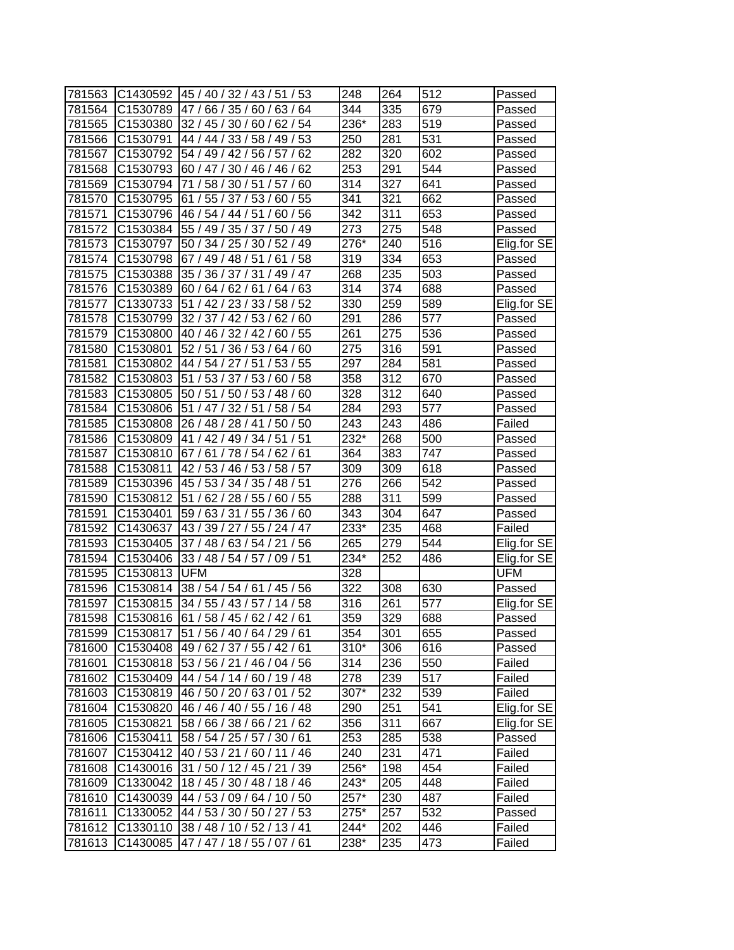| 781563 | C1430592             | 45 / 40 / 32 / 43 / 51 / 53                                         | 248               | 264              | 512              | Passed      |
|--------|----------------------|---------------------------------------------------------------------|-------------------|------------------|------------------|-------------|
| 781564 | C1530789             | 47/66/35/60/63/<br>64                                               | 344               | 335              | 679              | Passed      |
| 781565 | C1530380             | 32 / 45 / 30 / 60 / 62 / 54                                         | 236*              | 283              | 519              | Passed      |
| 781566 | C1530791             | 44 / 44 / 33 / 58 / 49 / 53                                         | 250               | 281              | 531              | Passed      |
| 781567 | C1530792             | 54 / 49 / 42 / 56 / 57 /<br>62                                      | 282               | 320              | 602              | Passed      |
| 781568 | C1530793             | 60 / 47 / 30 / 46 / 46 / 62                                         | 253               | 291              | $\overline{544}$ | Passed      |
| 781569 | C1530794             | 71 / 58 / 30 / 51 / 57 / 60                                         | 314               | 327              | 641              | Passed      |
| 781570 | C1530795             | 61 / 55 / 37 / 53 / 60 / 55                                         | 341               | 321              | 662              | Passed      |
| 781571 | C1530796             | 46 / 54 / 44 / 51 / 60 / 56                                         | $\overline{342}$  | 311              | 653              | Passed      |
| 781572 | C1530384             | 55 / 49 / 35 / 37 / 50 / 49                                         | 273               | 275              | 548              | Passed      |
| 781573 | C1530797             | 50 / 34 / 25 / 30 / 52 / 49                                         | 276*              | 240              | 516              | Elig.for SE |
| 781574 | C1530798             | 67 / 49 / 48 / 51 / 61 / 58                                         | 319               | 334              | 653              | Passed      |
| 781575 | C1530388             | 35 / 36 / 37 / 31 / 49 / 47                                         | 268               | 235              | 503              | Passed      |
| 781576 | C1530389             | 63<br>60/64/62/61/<br>64/                                           | 314               | 374              | 688              | Passed      |
| 781577 | C1330733             | 51 / 42 / 23 / 33 /<br>58/<br>52                                    | 330               | 259              | 589              | Elig.for SE |
| 781578 | C1530799             | 32 / 37 / 42 / 53 /<br>62/<br>60                                    | 291               | 286              | 577              | Passed      |
| 781579 | C1530800             | 40 / 46 / 32 / 42 /<br>60/55                                        | 261               | 275              | 536              | Passed      |
| 781580 | C1530801             | 52 / 51 / 36 / 53 / 64 / 60                                         | 275               | 316              | 591              | Passed      |
| 781581 | C1530802             | /51<br>53/55<br>44 / 54 / 27                                        | 297               | $\overline{284}$ | 581              | Passed      |
| 781582 | C1530803             | 51 / 53 / 37 / 53 / 60 / 58                                         | 358               | 312              | 670              | Passed      |
| 781583 | C1530805             | 50 / 51 / 50 / 53 / 48 / 60                                         | 328               | 312              | 640              | Passed      |
| 781584 | C1530806             | 51 / 47 / 32 / 51 /<br>58 / 54                                      | 284               | 293              | 577              | Passed      |
| 781585 | C1530808             | /50/50<br>26 / 48 / 28 / 41                                         | 243               | 243              | 486              | Failed      |
| 781586 | C1530809             | 41 / 42 / 49 / 34 / 51 / 51                                         | 232*              | 268              | 500              |             |
| 781587 | C1530810             | 67/61/78/54/62/61                                                   | 364               | 383              | 747              | Passed      |
|        | C1530811             | 42 / 53 / 46 / 53 / 58 / 57                                         | 309               | 309              | 618              | Passed      |
| 781588 |                      | 45 / 53 / 34 / 35 / 48 / 51                                         | 276               | 266              | 542              | Passed      |
| 781589 | C1530396             | 62 / 28 / 55 / 60 / 55                                              | 288               | 311              | 599              | Passed      |
| 781590 | C1530812<br>C1530401 | 51/<br>59 / 63 / 31 / 55 / 36 / 60                                  | 343               | $\overline{304}$ | 647              | Passed      |
| 781591 |                      | 43 / 39 / 27 / 55 / 24 / 47                                         | 233*              | 235              | 468              | Passed      |
| 781592 | C1430637<br>C1530405 |                                                                     | 265               | 279              | $\overline{544}$ | Failed      |
| 781593 |                      | 37 / 48 / 63 / 54 / 21 / 56                                         | $\overline{23}4*$ |                  |                  | Elig.for SE |
| 781594 | C1530406             | 33 / 48 / 54 / 57 / 09 / 51                                         | 328               | 252              | 486              | Elig.for SE |
| 781595 | C1530813             | <b>UFM</b>                                                          |                   |                  |                  | UFM         |
| 781596 | C1530814             | 38 / 54 / 54 / 61 / 45 / 56                                         | 322               | 308              | 630<br>577       | Passed      |
| 781597 | C1530815             | 34 / 55 / 43 / 57 / 14 / 58<br>C1530816 61 / 58 / 45 / 62 / 42 / 61 | 316               | 261              |                  | Elig.for SE |
| 781598 |                      |                                                                     | 359               | 329              | 688              | Passed      |
| 781599 | C <sub>1530817</sub> | 51 / 56 / 40 / 64 / 29 / 61<br>49 / 62 / 37 / 55 / 42 / 61          | 354               | 301              | 655              | Passed      |
| 781600 | C1530408             |                                                                     | $310*$            | 306              | 616              | Passed      |
| 781601 | C1530818             | 53 / 56 / 21 / 46 / 04 / 56                                         | 314               | 236              | 550              | Failed      |
| 781602 | C1530409             | 44 / 54 / 14 / 60 / 19 / 48                                         | 278               | 239              | 517              | Failed      |
| 781603 | C1530819             | 46 / 50 / 20 / 63 / 01 / 52                                         | 307*              | 232              | 539              | Failed      |
| 781604 | C1530820             | 46 / 46 / 40 / 55 / 16 / 48                                         | 290               | 251              | 541              | Elig.for SE |
| 781605 | C1530821             | 58 / 66 / 38 / 66 / 21 / 62                                         | 356               | 311              | 667              | Elig.for SE |
| 781606 | C1530411             | 58 / 54 / 25 / 57 / 30 / 61                                         | 253               | 285              | 538              | Passed      |
| 781607 | C1530412             | 40 / 53 / 21 / 60 / 11 / 46                                         | 240               | 231              | 471              | Failed      |
| 781608 | C1430016             | 31 / 50 / 12 / 45 / 21 / 39                                         | 256*              | 198              | 454              | Failed      |
| 781609 | C1330042             | 18 / 45 / 30 / 48 / 18 / 46                                         | 243*              | 205              | 448              | Failed      |
| 781610 | C1430039             | 44 / 53 / 09 / 64 / 10 / 50                                         | 257*              | 230              | 487              | Failed      |
| 781611 |                      | C1330052 44 / 53 / 30 / 50 / 27 / 53                                | 275*              | 257              | 532              | Passed      |
| 781612 | C1330110             | 38/48/10/52/13/41                                                   | 244*              | 202              | 446              | Failed      |
| 781613 | C1430085             | 47 / 47 / 18 / 55 / 07 / 61                                         | 238*              | 235              | 473              | Failed      |